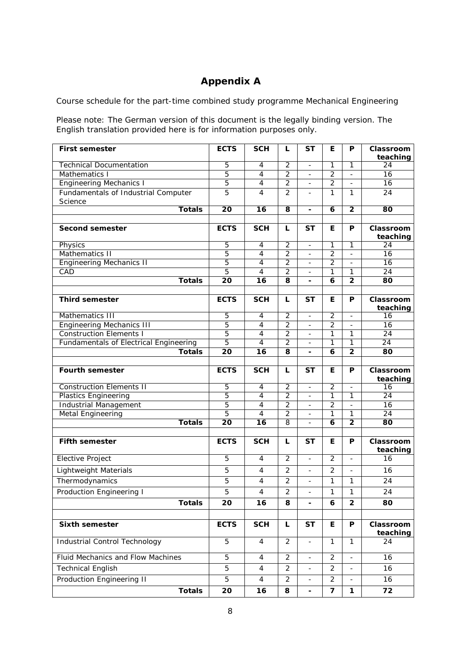# **Appendix A**

Course schedule for the part-time combined study programme Mechanical Engineering

Please note: The German version of this document is the legally binding version. The English translation provided here is for information purposes only.

| <b>First semester</b>                         | <b>ECTS</b>                      | <b>SCH</b>              | L                                | <b>ST</b>                    | Е                       | P                            | Classroom<br>teaching |
|-----------------------------------------------|----------------------------------|-------------------------|----------------------------------|------------------------------|-------------------------|------------------------------|-----------------------|
| <b>Technical Documentation</b>                | 5                                | $\overline{4}$          | $\overline{2}$                   | $\overline{\phantom{a}}$     | 1                       | 1                            | 24                    |
| Mathematics I                                 | 5                                | $\overline{4}$          | $\overline{2}$                   |                              | $\overline{2}$          |                              | $\overline{16}$       |
| <b>Engineering Mechanics I</b>                | $\overline{5}$                   | $\overline{4}$          | $\overline{2}$                   | $\overline{\phantom{a}}$     | $\overline{2}$          |                              | 16                    |
| Fundamentals of Industrial Computer           | 5                                | $\overline{4}$          | $\overline{2}$                   | $\blacksquare$               | $\mathbf{1}$            | 1                            | 24                    |
| Science                                       |                                  |                         |                                  |                              |                         |                              |                       |
| <b>Totals</b>                                 | $\overline{20}$                  | $\overline{16}$         | $\overline{\mathbf{8}}$          | $\overline{\phantom{a}}$     | 6                       | $\overline{\mathbf{2}}$      | $\overline{80}$       |
|                                               |                                  |                         |                                  |                              |                         |                              |                       |
| <b>Second semester</b>                        | <b>ECTS</b>                      | <b>SCH</b>              | L                                | <b>ST</b>                    | E                       | P                            | Classroom             |
|                                               |                                  |                         |                                  |                              |                         |                              | teaching              |
| Physics                                       | 5                                | 4                       | $\overline{2}$                   | $\blacksquare$               | 1                       | 1                            | 24                    |
| <b>Mathematics II</b>                         | $\overline{5}$                   | $\overline{4}$          | $\overline{2}$                   |                              | $\overline{2}$          |                              | 16                    |
| <b>Engineering Mechanics II</b>               | $\overline{5}$                   | $\overline{4}$          | $\overline{2}$                   |                              | $\overline{2}$          |                              | 16                    |
| CAD                                           | 5                                | $\overline{4}$          | $\overline{2}$                   |                              | 1                       | 1                            | 24                    |
| <b>Totals</b>                                 | $\overline{20}$                  | 16                      | $\overline{\mathbf{8}}$          | $\overline{a}$               | 6                       | $\overline{2}$               | 80                    |
|                                               |                                  |                         |                                  |                              |                         |                              |                       |
| <b>Third semester</b>                         | <b>ECTS</b>                      | <b>SCH</b>              | L                                | <b>ST</b>                    | E                       | P                            | Classroom             |
|                                               |                                  |                         |                                  |                              |                         |                              | teaching              |
| Mathematics III                               | 5                                | 4                       | $\overline{2}$                   | $\overline{\phantom{a}}$     | $\overline{2}$          |                              | 16                    |
| <b>Engineering Mechanics III</b>              | $\overline{5}$                   | $\overline{4}$          | $\overline{2}$                   | ٠                            | $\overline{2}$          |                              | 16                    |
| <b>Construction Elements I</b>                | $\overline{5}$<br>$\overline{5}$ | $\overline{4}$          | $\overline{2}$<br>$\overline{2}$ |                              | 1                       | 1                            | 24                    |
| <b>Fundamentals of Electrical Engineering</b> |                                  | $\overline{4}$          |                                  | ÷.                           | 1                       | 1                            | 24                    |
| <b>Totals</b>                                 | 20                               | 16                      | 8                                |                              | 6                       | $\overline{2}$               | 80                    |
|                                               |                                  |                         |                                  |                              |                         |                              |                       |
| <b>Fourth semester</b>                        | <b>ECTS</b>                      | <b>SCH</b>              | L                                | <b>ST</b>                    | E.                      | P                            | Classroom             |
| <b>Construction Elements II</b>               | 5                                | 4                       | $\overline{2}$                   | $\overline{\phantom{0}}$     | 2                       | -                            | teaching<br>16        |
| <b>Plastics Engineering</b>                   | $\overline{5}$                   | $\overline{4}$          | $\overline{2}$                   |                              | 1                       | 1                            | 24                    |
| <b>Industrial Management</b>                  | $\overline{5}$                   | $\overline{4}$          | 2                                | $\overline{a}$               | 2                       | ÷.                           | 16                    |
| Metal Engineering                             | $\overline{5}$                   | $\overline{4}$          | $\overline{2}$                   |                              | 1                       | 1                            | 24                    |
| <b>Totals</b>                                 | $\overline{20}$                  | 16                      | $\overline{8}$                   |                              | 6                       | $\overline{2}$               | 80                    |
|                                               |                                  |                         |                                  |                              |                         |                              |                       |
| <b>Fifth semester</b>                         | <b>ECTS</b>                      | <b>SCH</b>              | L                                | <b>ST</b>                    | E.                      | P                            | Classroom             |
|                                               |                                  |                         |                                  |                              |                         |                              | teaching              |
| Elective Project                              | 5                                | 4                       | $\overline{2}$                   | $\overline{\phantom{a}}$     | $\overline{2}$          | $\overline{a}$               | 16                    |
| Lightweight Materials                         | 5                                | 4                       | $\overline{2}$                   | ÷.                           | $\overline{2}$          |                              | 16                    |
| Thermodynamics                                | 5                                | $\overline{4}$          | $\overline{2}$                   | $\blacksquare$               | 1                       | 1                            | 24                    |
| Production Engineering I                      | $\overline{5}$                   | 4                       | $\overline{c}$                   |                              | $\mathbf{1}$            | $\mathbf{1}$                 | 24                    |
| <b>Totals</b>                                 | 20                               | 16                      | 8                                |                              | 6                       | $\mathbf{2}$                 | 80                    |
|                                               |                                  |                         |                                  |                              |                         |                              |                       |
| <b>Sixth semester</b>                         | <b>ECTS</b>                      | <b>SCH</b>              | L                                | <b>ST</b>                    | E.                      | P                            | Classroom             |
|                                               |                                  |                         |                                  |                              |                         |                              | teaching              |
| Industrial Control Technology                 | 5                                | $\overline{4}$          | 2                                | $\blacksquare$               | $\mathbf{1}$            | 1                            | 24                    |
| Fluid Mechanics and Flow Machines             | 5                                | 4                       | $\overline{2}$                   | $\overline{\phantom{a}}$     | $\overline{2}$          | $\equiv$                     | 16                    |
| <b>Technical English</b>                      | 5                                | $\overline{\mathbf{4}}$ | $\overline{2}$                   |                              | $\overline{2}$          |                              | 16                    |
| Production Engineering II                     | 5                                | 4                       | $\overline{2}$                   | $\qquad \qquad \blacksquare$ | $\overline{c}$          | $\qquad \qquad \blacksquare$ | 16                    |
| <b>Totals</b>                                 | 20                               | 16                      | 8                                | Ξ.                           | $\overline{\mathbf{z}}$ | $\mathbf{1}$                 | 72                    |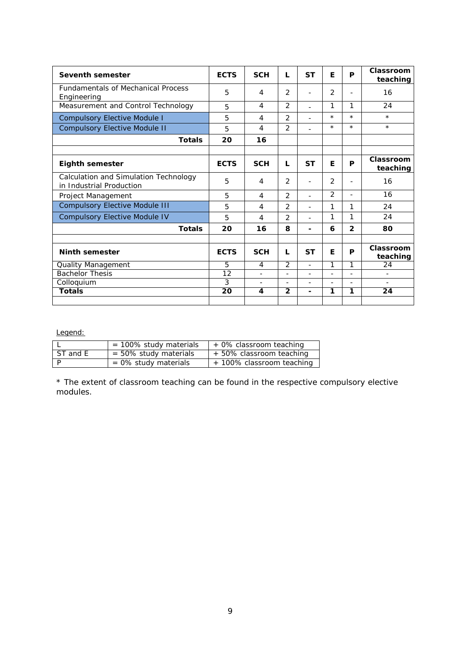| Seventh semester                                                  | <b>ECTS</b> | <b>SCH</b>               | L                        | <b>ST</b>                | Е                        | P                        | Classroom<br>teaching |
|-------------------------------------------------------------------|-------------|--------------------------|--------------------------|--------------------------|--------------------------|--------------------------|-----------------------|
| <b>Fundamentals of Mechanical Process</b><br>Engineering          | 5           | 4                        | $\mathcal{P}$            | $\overline{\phantom{a}}$ | 2                        |                          | 16                    |
| Measurement and Control Technology                                | 5           | 4                        | 2                        | ٠                        | 1                        | 1                        | 24                    |
| <b>Compulsory Elective Module I</b>                               | 5           | 4                        | $\overline{2}$           |                          | $\star$                  | $\star$                  | $\star$               |
| <b>Compulsory Elective Module II</b>                              | 5           | $\overline{4}$           | 2                        |                          | $\star$                  | $\star$                  | $\star$               |
| <b>Totals</b>                                                     | 20          | 16                       |                          |                          |                          |                          |                       |
|                                                                   |             |                          |                          |                          |                          |                          |                       |
| <b>Eighth semester</b>                                            | <b>ECTS</b> | <b>SCH</b>               | L                        | <b>ST</b>                | Е                        | P                        | Classroom<br>teaching |
| Calculation and Simulation Technology<br>in Industrial Production | 5           | 4                        | 2                        | $\overline{\phantom{a}}$ | 2                        |                          | 16                    |
| Project Management                                                | 5           | 4                        | $\overline{2}$           | ÷                        | $\overline{2}$           | $\overline{\phantom{a}}$ | 16                    |
| <b>Compulsory Elective Module III</b>                             | 5           | 4                        | $\overline{2}$           | $\overline{\phantom{a}}$ | 1                        | 1                        | 24                    |
| <b>Compulsory Elective Module IV</b>                              | 5           | 4                        | $\overline{2}$           |                          | 1                        | 1                        | 24                    |
| <b>Totals</b>                                                     | 20          | 16                       | 8                        | $\blacksquare$           | 6                        | $\overline{2}$           | 80                    |
|                                                                   |             |                          |                          |                          |                          |                          |                       |
| <b>Ninth semester</b>                                             | <b>ECTS</b> | <b>SCH</b>               | L                        | <b>ST</b>                | Е                        | P                        | Classroom<br>teaching |
| Quality Management                                                | 5           | 4                        | $\overline{2}$           | ÷                        | 1                        | 1                        | 24                    |
| <b>Bachelor Thesis</b>                                            | 12          | ÷                        |                          | $\overline{a}$           | $\overline{a}$           | $\overline{a}$           |                       |
| Colloquium                                                        | 3           | $\overline{\phantom{0}}$ | $\overline{\phantom{a}}$ | $\overline{\phantom{a}}$ | $\overline{\phantom{a}}$ | $\overline{\phantom{a}}$ | ÷.                    |
| <b>Totals</b>                                                     | 20          | 4                        | $\overline{2}$           | $\blacksquare$           | 1                        | 1                        | 24                    |
|                                                                   |             |                          |                          |                          |                          |                          |                       |

Legend:

|          | $= 100\%$ study materials | + 0% classroom teaching   |
|----------|---------------------------|---------------------------|
| ST and E | $=$ 50% study materials   | + 50% classroom teaching  |
|          | $= 0\%$ study materials   | + 100% classroom teaching |

\* The extent of classroom teaching can be found in the respective compulsory elective modules.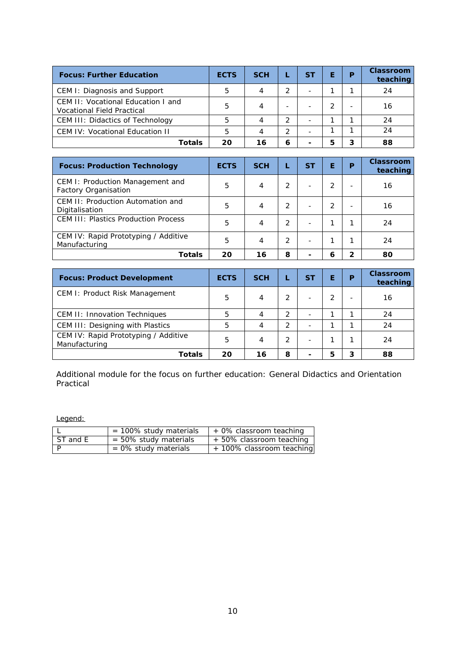| <b>Focus: Further Education</b>                                         | <b>ECTS</b> | <b>SCH</b> |               | SΤ |   |   | <b>Classroom</b><br>teaching |
|-------------------------------------------------------------------------|-------------|------------|---------------|----|---|---|------------------------------|
| CEM I: Diagnosis and Support                                            | 5           |            | $\mathcal{P}$ |    |   |   | 24                           |
| CEM II: Vocational Education I and<br><b>Vocational Field Practical</b> | 5           | 4          |               |    |   |   | 16                           |
| CEM III: Didactics of Technology                                        | 5           |            | っ             |    |   |   | 24                           |
| <b>CEM IV: Vocational Education II</b>                                  | 5           |            | っ             |    |   |   | 24                           |
| Totals                                                                  | 20          | 16         | 6             |    | 5 | 3 | 88                           |

| <b>Focus: Production Technology</b>                      | <b>ECTS</b> | <b>SCH</b> |   | ST | Ε | Р | <b>Classroom</b><br>teaching |
|----------------------------------------------------------|-------------|------------|---|----|---|---|------------------------------|
| CEM I: Production Management and<br>Factory Organisation | 5           | 4          | 2 |    |   |   | 16                           |
| CEM II: Production Automation and<br>Digitalisation      | 5           | 4          | 2 |    | 2 |   | 16                           |
| <b>CEM III: Plastics Production Process</b>              | 5           | 4          | 2 |    |   |   | 24                           |
| CEM IV: Rapid Prototyping / Additive<br>Manufacturing    | 5           | 4          | 2 |    |   |   | 24                           |
| Totals                                                   | 20          | 16         | 8 |    | 6 | 2 | 80                           |

| <b>Focus: Product Development</b>                     | <b>ECTS</b> | <b>SCH</b> |                | ST | E |   | Classroom<br>teaching |
|-------------------------------------------------------|-------------|------------|----------------|----|---|---|-----------------------|
| CEM I: Product Risk Management                        | 5           |            | 2              |    |   |   | 16                    |
| CEM II: Innovation Techniques                         | 5           |            | 2              |    |   |   | 24                    |
| CEM III: Designing with Plastics                      | 5           |            | $\mathfrak{D}$ |    |   |   | 24                    |
| CEM IV: Rapid Prototyping / Additive<br>Manufacturing | 5           |            | 2              |    |   |   | 24                    |
| Totals                                                | 20          | 16         | 8              |    | 5 | 3 | 88                    |

Additional module for the focus on further education: General Didactics and Orientation Practical

Legend:

|          | $= 100\%$ study materials | + 0% classroom teaching   |
|----------|---------------------------|---------------------------|
| ST and E | $=$ 50% study materials   | + 50% classroom teaching  |
|          | $= 0\%$ study materials   | + 100% classroom teaching |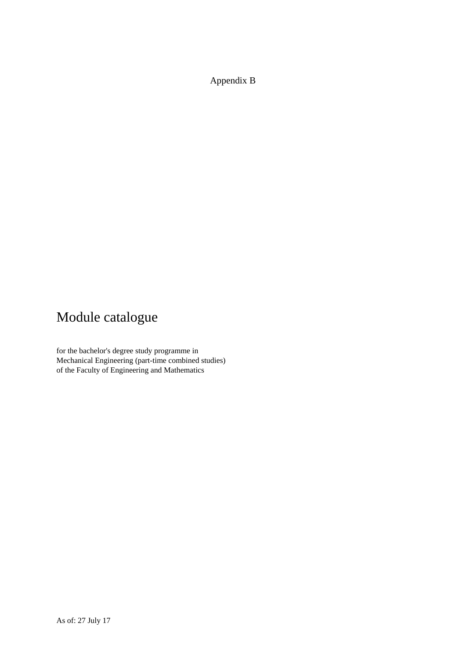Appendix B

# Module catalogue

for the bachelor's degree study programme in Mechanical Engineering (part-time combined studies) of the Faculty of Engineering and Mathematics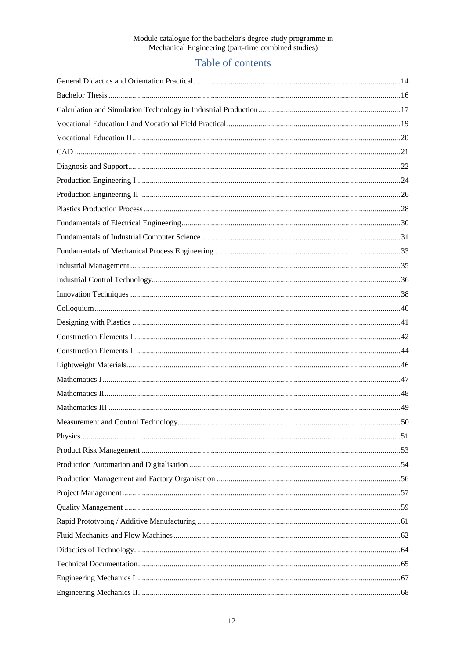# Table of contents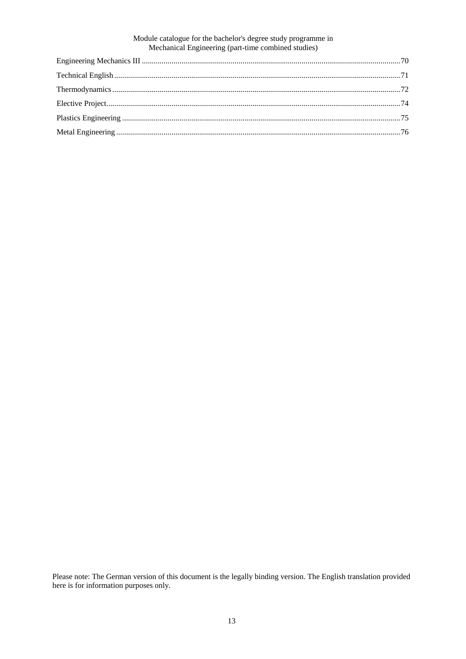Please note: The German version of this document is the legally binding version. The English translation provided here is for information purposes only.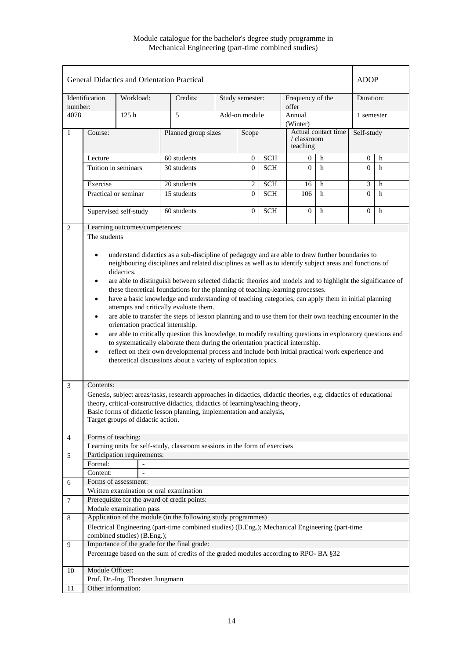|              |                     |                                   | General Didactics and Orientation Practical                                                                      |                                                                                                                                                                                                                                                                                                                                                                                                                                                                                                                                                                                                                                                                                                                                                                                                                                                                                                                                                                                                                                                                                                                                               |                 |            |                           |                     | <b>ADOP</b>      |   |
|--------------|---------------------|-----------------------------------|------------------------------------------------------------------------------------------------------------------|-----------------------------------------------------------------------------------------------------------------------------------------------------------------------------------------------------------------------------------------------------------------------------------------------------------------------------------------------------------------------------------------------------------------------------------------------------------------------------------------------------------------------------------------------------------------------------------------------------------------------------------------------------------------------------------------------------------------------------------------------------------------------------------------------------------------------------------------------------------------------------------------------------------------------------------------------------------------------------------------------------------------------------------------------------------------------------------------------------------------------------------------------|-----------------|------------|---------------------------|---------------------|------------------|---|
| number:      | Identification      | Workload:                         | Credits:                                                                                                         |                                                                                                                                                                                                                                                                                                                                                                                                                                                                                                                                                                                                                                                                                                                                                                                                                                                                                                                                                                                                                                                                                                                                               | Study semester: |            | Frequency of the<br>offer |                     | Duration:        |   |
| 4078         |                     | 125h                              | 5                                                                                                                |                                                                                                                                                                                                                                                                                                                                                                                                                                                                                                                                                                                                                                                                                                                                                                                                                                                                                                                                                                                                                                                                                                                                               | Add-on module   |            | Annual<br>(Winter)        |                     | 1 semester       |   |
| $\mathbf{1}$ | Course:             |                                   | Planned group sizes                                                                                              |                                                                                                                                                                                                                                                                                                                                                                                                                                                                                                                                                                                                                                                                                                                                                                                                                                                                                                                                                                                                                                                                                                                                               | Scope           |            | / classroom<br>teaching   | Actual contact time | Self-study       |   |
|              | Lecture             |                                   | 60 students                                                                                                      |                                                                                                                                                                                                                                                                                                                                                                                                                                                                                                                                                                                                                                                                                                                                                                                                                                                                                                                                                                                                                                                                                                                                               | 0               | <b>SCH</b> | 0                         | h                   | $\boldsymbol{0}$ | h |
|              | Tuition in seminars |                                   | 30 students                                                                                                      |                                                                                                                                                                                                                                                                                                                                                                                                                                                                                                                                                                                                                                                                                                                                                                                                                                                                                                                                                                                                                                                                                                                                               | $\mathbf{0}$    | <b>SCH</b> | $\Omega$                  | h                   | $\Omega$         | h |
|              | Exercise            |                                   | 20 students                                                                                                      |                                                                                                                                                                                                                                                                                                                                                                                                                                                                                                                                                                                                                                                                                                                                                                                                                                                                                                                                                                                                                                                                                                                                               |                 |            |                           |                     | 3                | h |
|              |                     | Practical or seminar              | 15 students                                                                                                      |                                                                                                                                                                                                                                                                                                                                                                                                                                                                                                                                                                                                                                                                                                                                                                                                                                                                                                                                                                                                                                                                                                                                               |                 |            |                           |                     | $\mathbf{0}$     | h |
|              |                     |                                   |                                                                                                                  |                                                                                                                                                                                                                                                                                                                                                                                                                                                                                                                                                                                                                                                                                                                                                                                                                                                                                                                                                                                                                                                                                                                                               |                 |            |                           |                     |                  |   |
|              |                     | Supervised self-study             | 60 students                                                                                                      | <b>SCH</b><br>$\overline{c}$<br>16<br>h<br>$\overline{0}$<br><b>SCH</b><br>106<br>h<br>$\mathbf{0}$<br><b>SCH</b><br>$\mathbf{0}$<br>h<br>understand didactics as a sub-discipline of pedagogy and are able to draw further boundaries to<br>neighbouring disciplines and related disciplines as well as to identify subject areas and functions of<br>are able to distinguish between selected didactic theories and models and to highlight the significance of<br>these theoretical foundations for the planning of teaching-learning processes.<br>have a basic knowledge and understanding of teaching categories, can apply them in initial planning<br>are able to transfer the steps of lesson planning and to use them for their own teaching encounter in the<br>are able to critically question this knowledge, to modify resulting questions in exploratory questions and<br>to systematically elaborate them during the orientation practical internship.<br>reflect on their own developmental process and include both initial practical work experience and<br>theoretical discussions about a variety of exploration topics. |                 |            |                           |                     | $\mathbf{0}$     | h |
| 2            |                     | Learning outcomes/competences:    |                                                                                                                  |                                                                                                                                                                                                                                                                                                                                                                                                                                                                                                                                                                                                                                                                                                                                                                                                                                                                                                                                                                                                                                                                                                                                               |                 |            |                           |                     |                  |   |
|              | The students        |                                   |                                                                                                                  |                                                                                                                                                                                                                                                                                                                                                                                                                                                                                                                                                                                                                                                                                                                                                                                                                                                                                                                                                                                                                                                                                                                                               |                 |            |                           |                     |                  |   |
|              | ٠                   | didactics.                        |                                                                                                                  |                                                                                                                                                                                                                                                                                                                                                                                                                                                                                                                                                                                                                                                                                                                                                                                                                                                                                                                                                                                                                                                                                                                                               |                 |            |                           |                     |                  |   |
|              | $\bullet$           |                                   |                                                                                                                  |                                                                                                                                                                                                                                                                                                                                                                                                                                                                                                                                                                                                                                                                                                                                                                                                                                                                                                                                                                                                                                                                                                                                               |                 |            |                           |                     |                  |   |
|              | ٠                   |                                   | attempts and critically evaluate them.                                                                           |                                                                                                                                                                                                                                                                                                                                                                                                                                                                                                                                                                                                                                                                                                                                                                                                                                                                                                                                                                                                                                                                                                                                               |                 |            |                           |                     |                  |   |
|              |                     | orientation practical internship. |                                                                                                                  |                                                                                                                                                                                                                                                                                                                                                                                                                                                                                                                                                                                                                                                                                                                                                                                                                                                                                                                                                                                                                                                                                                                                               |                 |            |                           |                     |                  |   |
|              | $\bullet$           |                                   |                                                                                                                  |                                                                                                                                                                                                                                                                                                                                                                                                                                                                                                                                                                                                                                                                                                                                                                                                                                                                                                                                                                                                                                                                                                                                               |                 |            |                           |                     |                  |   |
|              | ٠                   |                                   |                                                                                                                  |                                                                                                                                                                                                                                                                                                                                                                                                                                                                                                                                                                                                                                                                                                                                                                                                                                                                                                                                                                                                                                                                                                                                               |                 |            |                           |                     |                  |   |
|              |                     |                                   |                                                                                                                  |                                                                                                                                                                                                                                                                                                                                                                                                                                                                                                                                                                                                                                                                                                                                                                                                                                                                                                                                                                                                                                                                                                                                               |                 |            |                           |                     |                  |   |
| 3            | Contents:           |                                   |                                                                                                                  |                                                                                                                                                                                                                                                                                                                                                                                                                                                                                                                                                                                                                                                                                                                                                                                                                                                                                                                                                                                                                                                                                                                                               |                 |            |                           |                     |                  |   |
|              |                     |                                   | Genesis, subject areas/tasks, research approaches in didactics, didactic theories, e.g. didactics of educational |                                                                                                                                                                                                                                                                                                                                                                                                                                                                                                                                                                                                                                                                                                                                                                                                                                                                                                                                                                                                                                                                                                                                               |                 |            |                           |                     |                  |   |
|              |                     |                                   | theory, critical-constructive didactics, didactics of learning/teaching theory,                                  |                                                                                                                                                                                                                                                                                                                                                                                                                                                                                                                                                                                                                                                                                                                                                                                                                                                                                                                                                                                                                                                                                                                                               |                 |            |                           |                     |                  |   |
|              |                     |                                   | Basic forms of didactic lesson planning, implementation and analysis,                                            |                                                                                                                                                                                                                                                                                                                                                                                                                                                                                                                                                                                                                                                                                                                                                                                                                                                                                                                                                                                                                                                                                                                                               |                 |            |                           |                     |                  |   |
|              |                     | Target groups of didactic action. |                                                                                                                  |                                                                                                                                                                                                                                                                                                                                                                                                                                                                                                                                                                                                                                                                                                                                                                                                                                                                                                                                                                                                                                                                                                                                               |                 |            |                           |                     |                  |   |
| 4            | Forms of teaching:  |                                   |                                                                                                                  |                                                                                                                                                                                                                                                                                                                                                                                                                                                                                                                                                                                                                                                                                                                                                                                                                                                                                                                                                                                                                                                                                                                                               |                 |            |                           |                     |                  |   |
|              |                     |                                   | Learning units for self-study, classroom sessions in the form of exercises                                       |                                                                                                                                                                                                                                                                                                                                                                                                                                                                                                                                                                                                                                                                                                                                                                                                                                                                                                                                                                                                                                                                                                                                               |                 |            |                           |                     |                  |   |
| 5            |                     | Participation requirements:       |                                                                                                                  |                                                                                                                                                                                                                                                                                                                                                                                                                                                                                                                                                                                                                                                                                                                                                                                                                                                                                                                                                                                                                                                                                                                                               |                 |            |                           |                     |                  |   |
|              | Formal:<br>Content: | $\overline{a}$                    |                                                                                                                  |                                                                                                                                                                                                                                                                                                                                                                                                                                                                                                                                                                                                                                                                                                                                                                                                                                                                                                                                                                                                                                                                                                                                               |                 |            |                           |                     |                  |   |
| 6            |                     | Forms of assessment:              |                                                                                                                  |                                                                                                                                                                                                                                                                                                                                                                                                                                                                                                                                                                                                                                                                                                                                                                                                                                                                                                                                                                                                                                                                                                                                               |                 |            |                           |                     |                  |   |
|              |                     |                                   | Written examination or oral examination                                                                          |                                                                                                                                                                                                                                                                                                                                                                                                                                                                                                                                                                                                                                                                                                                                                                                                                                                                                                                                                                                                                                                                                                                                               |                 |            |                           |                     |                  |   |
| 7            |                     |                                   | Prerequisite for the award of credit points:                                                                     |                                                                                                                                                                                                                                                                                                                                                                                                                                                                                                                                                                                                                                                                                                                                                                                                                                                                                                                                                                                                                                                                                                                                               |                 |            |                           |                     |                  |   |
|              |                     | Module examination pass           |                                                                                                                  |                                                                                                                                                                                                                                                                                                                                                                                                                                                                                                                                                                                                                                                                                                                                                                                                                                                                                                                                                                                                                                                                                                                                               |                 |            |                           |                     |                  |   |
| 8            |                     |                                   | Application of the module (in the following study programmes)                                                    |                                                                                                                                                                                                                                                                                                                                                                                                                                                                                                                                                                                                                                                                                                                                                                                                                                                                                                                                                                                                                                                                                                                                               |                 |            |                           |                     |                  |   |
|              |                     |                                   | Electrical Engineering (part-time combined studies) (B.Eng.); Mechanical Engineering (part-time                  |                                                                                                                                                                                                                                                                                                                                                                                                                                                                                                                                                                                                                                                                                                                                                                                                                                                                                                                                                                                                                                                                                                                                               |                 |            |                           |                     |                  |   |
|              |                     | combined studies) (B.Eng.);       |                                                                                                                  |                                                                                                                                                                                                                                                                                                                                                                                                                                                                                                                                                                                                                                                                                                                                                                                                                                                                                                                                                                                                                                                                                                                                               |                 |            |                           |                     |                  |   |
| 9            |                     |                                   | Importance of the grade for the final grade:                                                                     |                                                                                                                                                                                                                                                                                                                                                                                                                                                                                                                                                                                                                                                                                                                                                                                                                                                                                                                                                                                                                                                                                                                                               |                 |            |                           |                     |                  |   |
|              |                     |                                   | Percentage based on the sum of credits of the graded modules according to RPO-BA §32.                            |                                                                                                                                                                                                                                                                                                                                                                                                                                                                                                                                                                                                                                                                                                                                                                                                                                                                                                                                                                                                                                                                                                                                               |                 |            |                           |                     |                  |   |
| 10           | Module Officer:     |                                   |                                                                                                                  |                                                                                                                                                                                                                                                                                                                                                                                                                                                                                                                                                                                                                                                                                                                                                                                                                                                                                                                                                                                                                                                                                                                                               |                 |            |                           |                     |                  |   |
|              |                     | Prof. Dr.-Ing. Thorsten Jungmann  |                                                                                                                  |                                                                                                                                                                                                                                                                                                                                                                                                                                                                                                                                                                                                                                                                                                                                                                                                                                                                                                                                                                                                                                                                                                                                               |                 |            |                           |                     |                  |   |
| 11           | Other information:  |                                   |                                                                                                                  |                                                                                                                                                                                                                                                                                                                                                                                                                                                                                                                                                                                                                                                                                                                                                                                                                                                                                                                                                                                                                                                                                                                                               |                 |            |                           |                     |                  |   |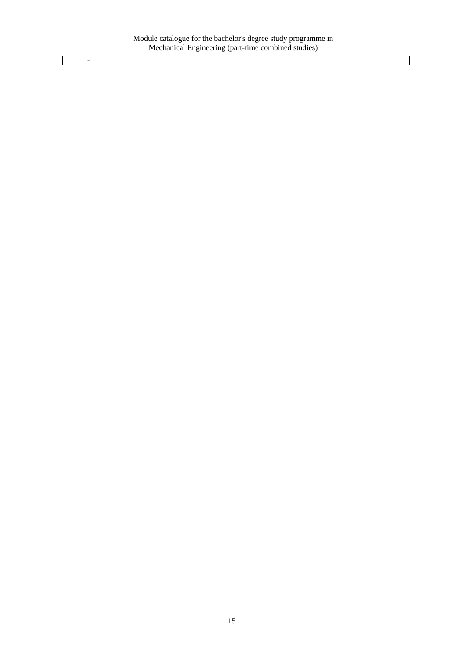-

15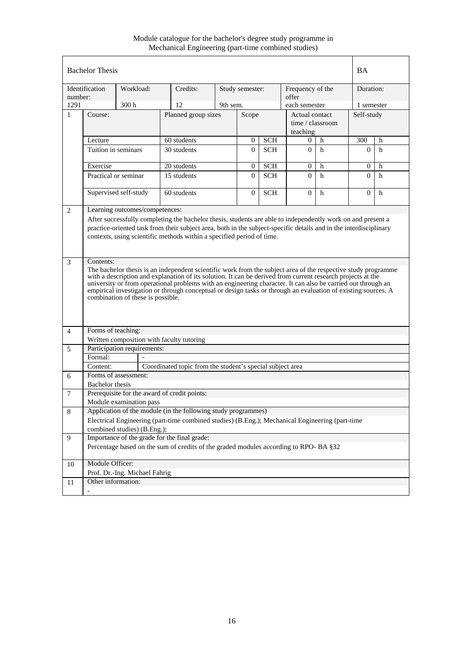Module catalogue for the bachelor's degree study programme in Mechanical Engineering (part-time combined studies)

|                | <b>Bachelor Thesis</b>      |           |                                   |                                                                                                                                                                                                                                                                                                                                                                                                                                                               |          |                 |            |                                                |   | <b>BA</b>      |   |
|----------------|-----------------------------|-----------|-----------------------------------|---------------------------------------------------------------------------------------------------------------------------------------------------------------------------------------------------------------------------------------------------------------------------------------------------------------------------------------------------------------------------------------------------------------------------------------------------------------|----------|-----------------|------------|------------------------------------------------|---|----------------|---|
| number:        | Identification              | Workload: |                                   | Credits:                                                                                                                                                                                                                                                                                                                                                                                                                                                      |          | Study semester: |            | Frequency of the<br>offer                      |   | Duration:      |   |
| 1291           |                             | 300h      |                                   | 12                                                                                                                                                                                                                                                                                                                                                                                                                                                            | 9th sem. |                 |            | each semester                                  |   | 1 semester     |   |
| $\mathbf{1}$   | Course:                     |           |                                   | Planned group sizes                                                                                                                                                                                                                                                                                                                                                                                                                                           |          | Scope           |            | Actual contact<br>time / classroom<br>teaching |   | Self-study     |   |
|                | Lecture                     |           |                                   | 60 students                                                                                                                                                                                                                                                                                                                                                                                                                                                   |          | $\overline{0}$  | <b>SCH</b> | $\overline{0}$                                 | h | 300            | h |
|                | Tuition in seminars         |           |                                   | 30 students                                                                                                                                                                                                                                                                                                                                                                                                                                                   |          | $\Omega$        | <b>SCH</b> | $\Omega$                                       | h | $\overline{0}$ | h |
|                | Exercise                    |           |                                   | 20 students                                                                                                                                                                                                                                                                                                                                                                                                                                                   |          | $\overline{0}$  | <b>SCH</b> | $\theta$                                       | h | $\mathbf{0}$   | h |
|                | Practical or seminar        |           |                                   | 15 students                                                                                                                                                                                                                                                                                                                                                                                                                                                   |          | $\Omega$        | <b>SCH</b> | $\Omega$                                       | h | $\Omega$       | h |
|                | Supervised self-study       |           |                                   | 60 students                                                                                                                                                                                                                                                                                                                                                                                                                                                   |          | $\mathbf{0}$    | <b>SCH</b> | $\mathbf{0}$                                   | h | $\overline{0}$ | h |
| 2              |                             |           | Learning outcomes/competences:    | After successfully completing the bachelor thesis, students are able to independently work on and present a<br>practice-oriented task from their subject area, both in the subject-specific details and in the interdisciplinary<br>contexts, using scientific methods within a specified period of time.                                                                                                                                                     |          |                 |            |                                                |   |                |   |
| 3              |                             |           | combination of these is possible. | The bachelor thesis is an independent scientific work from the subject area of the respective study programme<br>with a description and explanation of its solution. It can be derived from current research projects at the<br>university or from operational problems with an engineering character. It can also be carried out through an<br>empirical investigation or through conceptual or design tasks or through an evaluation of existing sources. A |          |                 |            |                                                |   |                |   |
| $\overline{4}$ | Forms of teaching:          |           |                                   |                                                                                                                                                                                                                                                                                                                                                                                                                                                               |          |                 |            |                                                |   |                |   |
|                |                             |           |                                   | Written composition with faculty tutoring                                                                                                                                                                                                                                                                                                                                                                                                                     |          |                 |            |                                                |   |                |   |
| 5              | Participation requirements: |           |                                   |                                                                                                                                                                                                                                                                                                                                                                                                                                                               |          |                 |            |                                                |   |                |   |
|                | Formal:<br>Content:         |           |                                   | Coordinated topic from the student's special subject area                                                                                                                                                                                                                                                                                                                                                                                                     |          |                 |            |                                                |   |                |   |
|                | Forms of assessment:        |           |                                   |                                                                                                                                                                                                                                                                                                                                                                                                                                                               |          |                 |            |                                                |   |                |   |
| 6              | Bachelor thesis             |           |                                   |                                                                                                                                                                                                                                                                                                                                                                                                                                                               |          |                 |            |                                                |   |                |   |
| 7              |                             |           |                                   | Prerequisite for the award of credit points:                                                                                                                                                                                                                                                                                                                                                                                                                  |          |                 |            |                                                |   |                |   |
|                |                             |           | Module examination pass           |                                                                                                                                                                                                                                                                                                                                                                                                                                                               |          |                 |            |                                                |   |                |   |
| $\,8\,$        |                             |           |                                   | Application of the module (in the following study programmes)                                                                                                                                                                                                                                                                                                                                                                                                 |          |                 |            |                                                |   |                |   |
|                |                             |           | combined studies) (B.Eng.);       | Electrical Engineering (part-time combined studies) (B.Eng.); Mechanical Engineering (part-time                                                                                                                                                                                                                                                                                                                                                               |          |                 |            |                                                |   |                |   |
| 9              |                             |           |                                   | Importance of the grade for the final grade:                                                                                                                                                                                                                                                                                                                                                                                                                  |          |                 |            |                                                |   |                |   |
|                |                             |           |                                   | Percentage based on the sum of credits of the graded modules according to RPO- BA §32                                                                                                                                                                                                                                                                                                                                                                         |          |                 |            |                                                |   |                |   |
| 10             | Module Officer:             |           |                                   |                                                                                                                                                                                                                                                                                                                                                                                                                                                               |          |                 |            |                                                |   |                |   |
|                |                             |           | Prof. Dr.-Ing. Michael Fahrig     |                                                                                                                                                                                                                                                                                                                                                                                                                                                               |          |                 |            |                                                |   |                |   |
| 11             | Other information:          |           |                                   |                                                                                                                                                                                                                                                                                                                                                                                                                                                               |          |                 |            |                                                |   |                |   |
|                |                             |           |                                   |                                                                                                                                                                                                                                                                                                                                                                                                                                                               |          |                 |            |                                                |   |                |   |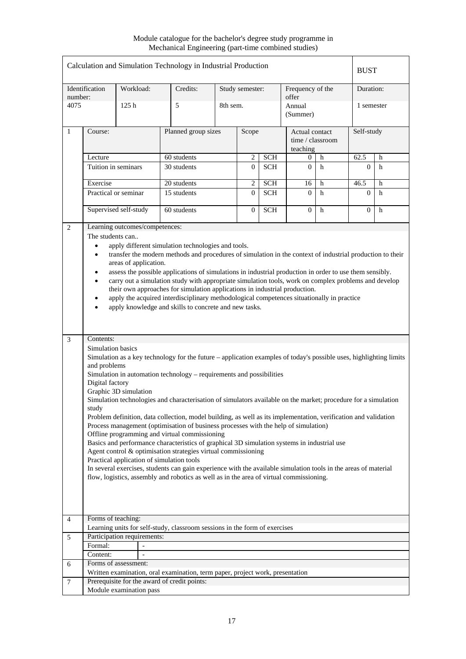Module catalogue for the bachelor's degree study programme in Mechanical Engineering (part-time combined studies)

|                |                                                       |                                                                                         | Calculation and Simulation Technology in Industrial Production                                                                                                                                                                                                                                                                                                                                                                                                                                                                                                                                                                                                                                                                                                                                                                                                                                                                                        |          |                 |            |                                                  |   | <b>BUST</b>    |   |
|----------------|-------------------------------------------------------|-----------------------------------------------------------------------------------------|-------------------------------------------------------------------------------------------------------------------------------------------------------------------------------------------------------------------------------------------------------------------------------------------------------------------------------------------------------------------------------------------------------------------------------------------------------------------------------------------------------------------------------------------------------------------------------------------------------------------------------------------------------------------------------------------------------------------------------------------------------------------------------------------------------------------------------------------------------------------------------------------------------------------------------------------------------|----------|-----------------|------------|--------------------------------------------------|---|----------------|---|
| number:        | Identification                                        | Workload:                                                                               | Credits:                                                                                                                                                                                                                                                                                                                                                                                                                                                                                                                                                                                                                                                                                                                                                                                                                                                                                                                                              |          | Study semester: |            | Frequency of the<br>offer                        |   | Duration:      |   |
| 4075           |                                                       | 125h                                                                                    | 5                                                                                                                                                                                                                                                                                                                                                                                                                                                                                                                                                                                                                                                                                                                                                                                                                                                                                                                                                     | 8th sem. |                 |            | Annual<br>(Summer)                               |   | 1 semester     |   |
| $\mathbf{1}$   | Course:                                               |                                                                                         | Planned group sizes                                                                                                                                                                                                                                                                                                                                                                                                                                                                                                                                                                                                                                                                                                                                                                                                                                                                                                                                   |          | Scope           |            | Actual contact<br>time / $classroom$<br>teaching |   | Self-study     |   |
|                | Lecture                                               |                                                                                         | 60 students                                                                                                                                                                                                                                                                                                                                                                                                                                                                                                                                                                                                                                                                                                                                                                                                                                                                                                                                           |          | 2               | <b>SCH</b> | 0                                                | h | 62.5           | h |
|                |                                                       | Tuition in seminars                                                                     | 30 students                                                                                                                                                                                                                                                                                                                                                                                                                                                                                                                                                                                                                                                                                                                                                                                                                                                                                                                                           |          | $\overline{0}$  | <b>SCH</b> | $\Omega$                                         | h | $\Omega$       | h |
|                |                                                       |                                                                                         |                                                                                                                                                                                                                                                                                                                                                                                                                                                                                                                                                                                                                                                                                                                                                                                                                                                                                                                                                       |          |                 |            |                                                  |   |                |   |
|                | Exercise                                              |                                                                                         | 20 students                                                                                                                                                                                                                                                                                                                                                                                                                                                                                                                                                                                                                                                                                                                                                                                                                                                                                                                                           |          | 2               | <b>SCH</b> | 16                                               | h | 46.5           | h |
|                |                                                       | Practical or seminar                                                                    | 15 students                                                                                                                                                                                                                                                                                                                                                                                                                                                                                                                                                                                                                                                                                                                                                                                                                                                                                                                                           |          | $\Omega$        | <b>SCH</b> | $\Omega$                                         | h | $\mathbf{0}$   | h |
|                |                                                       | Supervised self-study                                                                   | 60 students                                                                                                                                                                                                                                                                                                                                                                                                                                                                                                                                                                                                                                                                                                                                                                                                                                                                                                                                           |          | $\overline{0}$  | <b>SCH</b> | $\mathbf{0}$                                     | h | $\overline{0}$ | h |
| 2              |                                                       | Learning outcomes/competences:                                                          |                                                                                                                                                                                                                                                                                                                                                                                                                                                                                                                                                                                                                                                                                                                                                                                                                                                                                                                                                       |          |                 |            |                                                  |   |                |   |
|                | $\bullet$<br>$\bullet$                                | areas of application.                                                                   | transfer the modern methods and procedures of simulation in the context of industrial production to their<br>assess the possible applications of simulations in industrial production in order to use them sensibly.<br>carry out a simulation study with appropriate simulation tools, work on complex problems and develop<br>their own approaches for simulation applications in industrial production.<br>apply the acquired interdisciplinary methodological competences situationally in practice<br>apply knowledge and skills to concrete and new tasks.                                                                                                                                                                                                                                                                                                                                                                                      |          |                 |            |                                                  |   |                |   |
| $\mathfrak{Z}$ | Contents:<br>and problems<br>Digital factory<br>study | Simulation basics<br>Graphic 3D simulation<br>Practical application of simulation tools | Simulation as a key technology for the future – application examples of today's possible uses, highlighting limits<br>Simulation in automation technology – requirements and possibilities<br>Simulation technologies and characterisation of simulators available on the market; procedure for a simulation<br>Problem definition, data collection, model building, as well as its implementation, verification and validation<br>Process management (optimisation of business processes with the help of simulation)<br>Offline programming and virtual commissioning<br>Basics and performance characteristics of graphical 3D simulation systems in industrial use<br>Agent control & optimisation strategies virtual commissioning<br>In several exercises, students can gain experience with the available simulation tools in the areas of material<br>flow, logistics, assembly and robotics as well as in the area of virtual commissioning. |          |                 |            |                                                  |   |                |   |
| $\overline{4}$ |                                                       | Forms of teaching:                                                                      |                                                                                                                                                                                                                                                                                                                                                                                                                                                                                                                                                                                                                                                                                                                                                                                                                                                                                                                                                       |          |                 |            |                                                  |   |                |   |
|                |                                                       |                                                                                         | Learning units for self-study, classroom sessions in the form of exercises                                                                                                                                                                                                                                                                                                                                                                                                                                                                                                                                                                                                                                                                                                                                                                                                                                                                            |          |                 |            |                                                  |   |                |   |
|                |                                                       | Participation requirements:                                                             |                                                                                                                                                                                                                                                                                                                                                                                                                                                                                                                                                                                                                                                                                                                                                                                                                                                                                                                                                       |          |                 |            |                                                  |   |                |   |
| 5              | Formal:                                               |                                                                                         |                                                                                                                                                                                                                                                                                                                                                                                                                                                                                                                                                                                                                                                                                                                                                                                                                                                                                                                                                       |          |                 |            |                                                  |   |                |   |
|                | Content:                                              |                                                                                         |                                                                                                                                                                                                                                                                                                                                                                                                                                                                                                                                                                                                                                                                                                                                                                                                                                                                                                                                                       |          |                 |            |                                                  |   |                |   |
| 6              |                                                       | Forms of assessment:                                                                    |                                                                                                                                                                                                                                                                                                                                                                                                                                                                                                                                                                                                                                                                                                                                                                                                                                                                                                                                                       |          |                 |            |                                                  |   |                |   |
| 7              |                                                       |                                                                                         | Written examination, oral examination, term paper, project work, presentation<br>Prerequisite for the award of credit points:                                                                                                                                                                                                                                                                                                                                                                                                                                                                                                                                                                                                                                                                                                                                                                                                                         |          |                 |            |                                                  |   |                |   |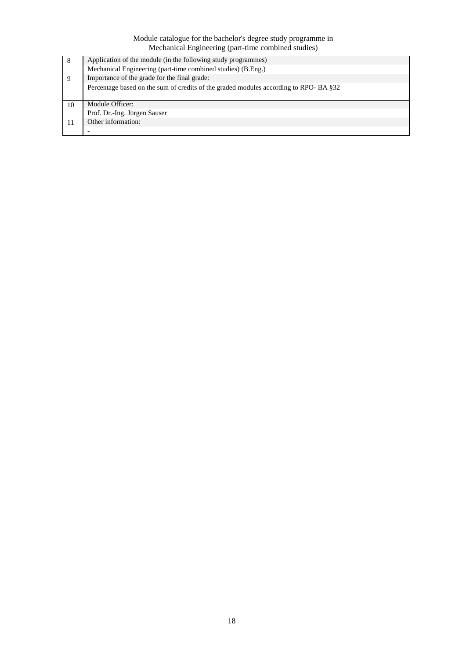| 8  | Application of the module (in the following study programmes)                        |
|----|--------------------------------------------------------------------------------------|
|    | Mechanical Engineering (part-time combined studies) (B.Eng.)                         |
| 9  | Importance of the grade for the final grade:                                         |
|    | Percentage based on the sum of credits of the graded modules according to RPO-BA §32 |
| 10 | Module Officer:                                                                      |
|    | Prof. Dr.-Ing. Jürgen Sauser                                                         |
|    | Other information:                                                                   |
|    |                                                                                      |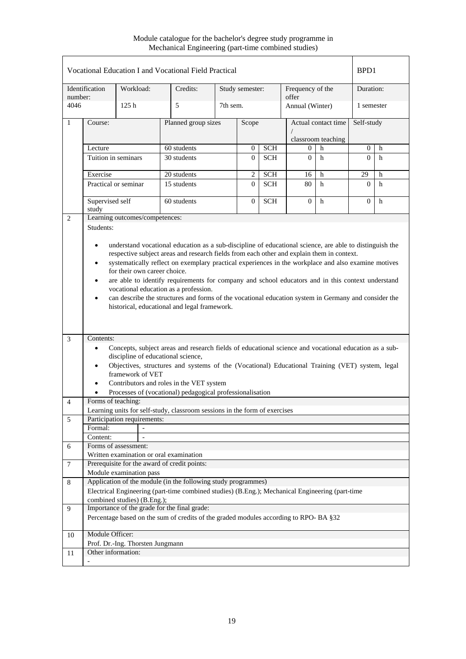| Vocational Education I and Vocational Field Practical                                                                                                   |                                                                                                 |                                |                                                                                                                                             |          |                 |            |                           |   |                | BP <sub>D</sub> 1 |  |
|---------------------------------------------------------------------------------------------------------------------------------------------------------|-------------------------------------------------------------------------------------------------|--------------------------------|---------------------------------------------------------------------------------------------------------------------------------------------|----------|-----------------|------------|---------------------------|---|----------------|-------------------|--|
| number:                                                                                                                                                 | Identification                                                                                  | Workload:                      | Credits:                                                                                                                                    |          | Study semester: |            | Frequency of the<br>offer |   |                | Duration:         |  |
| 4046                                                                                                                                                    |                                                                                                 | 125h                           | 5                                                                                                                                           | 7th sem. |                 |            | Annual (Winter)           |   | 1 semester     |                   |  |
| $\mathbf{1}$                                                                                                                                            | Course:                                                                                         |                                | Planned group sizes                                                                                                                         |          | Scope           |            | Actual contact time       |   | Self-study     |                   |  |
|                                                                                                                                                         |                                                                                                 |                                |                                                                                                                                             |          |                 |            | classroom teaching        |   |                |                   |  |
|                                                                                                                                                         | Lecture                                                                                         |                                | 60 students                                                                                                                                 |          | 0               | <b>SCH</b> | $\theta$                  | h | $\overline{0}$ | h                 |  |
|                                                                                                                                                         | Tuition in seminars                                                                             |                                | 30 students                                                                                                                                 |          | $\Omega$        | <b>SCH</b> | $\theta$                  | h | $\Omega$       | h                 |  |
|                                                                                                                                                         | Exercise                                                                                        |                                | 20 students                                                                                                                                 |          | $\overline{2}$  | <b>SCH</b> | 16                        | h | 29             | h                 |  |
|                                                                                                                                                         |                                                                                                 | Practical or seminar           | 15 students                                                                                                                                 |          | $\Omega$        | <b>SCH</b> | 80                        | h | $\overline{0}$ | h                 |  |
|                                                                                                                                                         | Supervised self<br>study                                                                        |                                | 60 students                                                                                                                                 |          | $\overline{0}$  | <b>SCH</b> | $\Omega$                  | h | $\overline{0}$ | h                 |  |
| 2                                                                                                                                                       |                                                                                                 | Learning outcomes/competences: |                                                                                                                                             |          |                 |            |                           |   |                |                   |  |
|                                                                                                                                                         | Students:                                                                                       |                                |                                                                                                                                             |          |                 |            |                           |   |                |                   |  |
|                                                                                                                                                         |                                                                                                 |                                |                                                                                                                                             |          |                 |            |                           |   |                |                   |  |
|                                                                                                                                                         | $\bullet$                                                                                       |                                | understand vocational education as a sub-discipline of educational science, are able to distinguish the                                     |          |                 |            |                           |   |                |                   |  |
|                                                                                                                                                         |                                                                                                 |                                | respective subject areas and research fields from each other and explain them in context.                                                   |          |                 |            |                           |   |                |                   |  |
|                                                                                                                                                         | $\bullet$                                                                                       | for their own career choice.   | systematically reflect on exemplary practical experiences in the workplace and also examine motives                                         |          |                 |            |                           |   |                |                   |  |
|                                                                                                                                                         |                                                                                                 |                                |                                                                                                                                             |          |                 |            |                           |   |                |                   |  |
| are able to identify requirements for company and school educators and in this context understand<br>$\bullet$<br>vocational education as a profession. |                                                                                                 |                                |                                                                                                                                             |          |                 |            |                           |   |                |                   |  |
| can describe the structures and forms of the vocational education system in Germany and consider the<br>$\bullet$                                       |                                                                                                 |                                |                                                                                                                                             |          |                 |            |                           |   |                |                   |  |
|                                                                                                                                                         |                                                                                                 |                                | historical, educational and legal framework.                                                                                                |          |                 |            |                           |   |                |                   |  |
|                                                                                                                                                         |                                                                                                 |                                |                                                                                                                                             |          |                 |            |                           |   |                |                   |  |
|                                                                                                                                                         |                                                                                                 |                                |                                                                                                                                             |          |                 |            |                           |   |                |                   |  |
| 3                                                                                                                                                       | Contents:                                                                                       |                                |                                                                                                                                             |          |                 |            |                           |   |                |                   |  |
|                                                                                                                                                         | $\bullet$                                                                                       |                                | Concepts, subject areas and research fields of educational science and vocational education as a sub-<br>discipline of educational science, |          |                 |            |                           |   |                |                   |  |
|                                                                                                                                                         | $\bullet$                                                                                       |                                | Objectives, structures and systems of the (Vocational) Educational Training (VET) system, legal                                             |          |                 |            |                           |   |                |                   |  |
|                                                                                                                                                         |                                                                                                 | framework of VET               |                                                                                                                                             |          |                 |            |                           |   |                |                   |  |
|                                                                                                                                                         | $\bullet$                                                                                       |                                | Contributors and roles in the VET system                                                                                                    |          |                 |            |                           |   |                |                   |  |
|                                                                                                                                                         | $\bullet$                                                                                       |                                | Processes of (vocational) pedagogical professionalisation                                                                                   |          |                 |            |                           |   |                |                   |  |
| $\overline{4}$                                                                                                                                          | Forms of teaching:                                                                              |                                |                                                                                                                                             |          |                 |            |                           |   |                |                   |  |
|                                                                                                                                                         |                                                                                                 |                                | Learning units for self-study, classroom sessions in the form of exercises                                                                  |          |                 |            |                           |   |                |                   |  |
| 5                                                                                                                                                       |                                                                                                 | Participation requirements:    |                                                                                                                                             |          |                 |            |                           |   |                |                   |  |
|                                                                                                                                                         | Formal:<br>Content:                                                                             |                                |                                                                                                                                             |          |                 |            |                           |   |                |                   |  |
| 6                                                                                                                                                       |                                                                                                 | Forms of assessment:           |                                                                                                                                             |          |                 |            |                           |   |                |                   |  |
|                                                                                                                                                         |                                                                                                 |                                | Written examination or oral examination                                                                                                     |          |                 |            |                           |   |                |                   |  |
| $\tau$                                                                                                                                                  |                                                                                                 |                                | Prerequisite for the award of credit points:                                                                                                |          |                 |            |                           |   |                |                   |  |
|                                                                                                                                                         | Module examination pass                                                                         |                                |                                                                                                                                             |          |                 |            |                           |   |                |                   |  |
| $\,8\,$                                                                                                                                                 |                                                                                                 |                                | Application of the module (in the following study programmes)                                                                               |          |                 |            |                           |   |                |                   |  |
|                                                                                                                                                         | Electrical Engineering (part-time combined studies) (B.Eng.); Mechanical Engineering (part-time |                                |                                                                                                                                             |          |                 |            |                           |   |                |                   |  |
|                                                                                                                                                         |                                                                                                 | combined studies) (B.Eng.);    |                                                                                                                                             |          |                 |            |                           |   |                |                   |  |
| 9                                                                                                                                                       |                                                                                                 |                                | Importance of the grade for the final grade:                                                                                                |          |                 |            |                           |   |                |                   |  |
|                                                                                                                                                         |                                                                                                 |                                | Percentage based on the sum of credits of the graded modules according to RPO- BA §32.                                                      |          |                 |            |                           |   |                |                   |  |
| 10                                                                                                                                                      | Module Officer:                                                                                 |                                |                                                                                                                                             |          |                 |            |                           |   |                |                   |  |
|                                                                                                                                                         | Prof. Dr.-Ing. Thorsten Jungmann                                                                |                                |                                                                                                                                             |          |                 |            |                           |   |                |                   |  |
| 11                                                                                                                                                      | Other information:                                                                              |                                |                                                                                                                                             |          |                 |            |                           |   |                |                   |  |
|                                                                                                                                                         |                                                                                                 |                                |                                                                                                                                             |          |                 |            |                           |   |                |                   |  |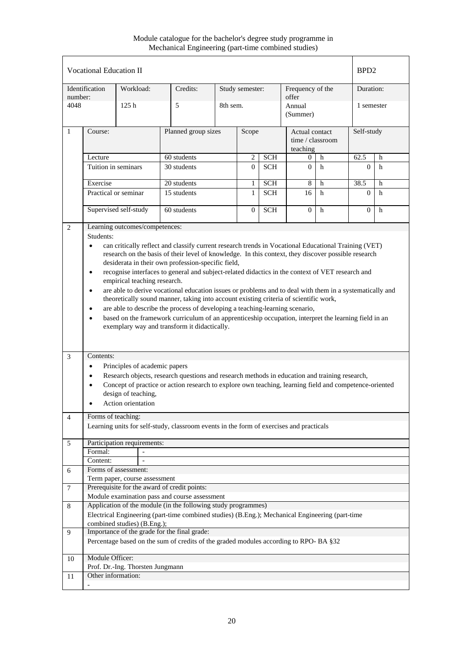Module catalogue for the bachelor's degree study programme in Mechanical Engineering (part-time combined studies)

|                 | Vocational Education II                                                                                                                                                                                                                                                                                                                                                                                                                                                                                                                                                                                                                                                                                                                                                                                      |                                                                            |                                                                                                                                                                                                         |                    |                                                |            |                           |   | BPD <sub>2</sub> |   |
|-----------------|--------------------------------------------------------------------------------------------------------------------------------------------------------------------------------------------------------------------------------------------------------------------------------------------------------------------------------------------------------------------------------------------------------------------------------------------------------------------------------------------------------------------------------------------------------------------------------------------------------------------------------------------------------------------------------------------------------------------------------------------------------------------------------------------------------------|----------------------------------------------------------------------------|---------------------------------------------------------------------------------------------------------------------------------------------------------------------------------------------------------|--------------------|------------------------------------------------|------------|---------------------------|---|------------------|---|
|                 | Identification                                                                                                                                                                                                                                                                                                                                                                                                                                                                                                                                                                                                                                                                                                                                                                                               | Workload:                                                                  | Credits:                                                                                                                                                                                                |                    | Study semester:                                |            | Frequency of the<br>offer |   | Duration:        |   |
| number:<br>4048 |                                                                                                                                                                                                                                                                                                                                                                                                                                                                                                                                                                                                                                                                                                                                                                                                              | 125h<br>5<br>8th sem.                                                      |                                                                                                                                                                                                         | Annual<br>(Summer) |                                                | 1 semester |                           |   |                  |   |
| $\mathbf{1}$    | Planned group sizes<br>Course:                                                                                                                                                                                                                                                                                                                                                                                                                                                                                                                                                                                                                                                                                                                                                                               |                                                                            | Scope                                                                                                                                                                                                   |                    | Actual contact<br>time / classroom<br>teaching |            | Self-study                |   |                  |   |
|                 | Lecture                                                                                                                                                                                                                                                                                                                                                                                                                                                                                                                                                                                                                                                                                                                                                                                                      |                                                                            | 60 students                                                                                                                                                                                             |                    | 2                                              | <b>SCH</b> | 0                         | h | 62.5             | h |
|                 | Tuition in seminars                                                                                                                                                                                                                                                                                                                                                                                                                                                                                                                                                                                                                                                                                                                                                                                          |                                                                            | 30 students                                                                                                                                                                                             |                    | $\Omega$                                       | <b>SCH</b> | $\Omega$                  | h | $\Omega$         | h |
|                 | Exercise                                                                                                                                                                                                                                                                                                                                                                                                                                                                                                                                                                                                                                                                                                                                                                                                     |                                                                            | 20 students                                                                                                                                                                                             |                    | 1                                              | <b>SCH</b> | 8                         | h | 38.5             | h |
|                 |                                                                                                                                                                                                                                                                                                                                                                                                                                                                                                                                                                                                                                                                                                                                                                                                              | Practical or seminar                                                       | 15 students                                                                                                                                                                                             |                    | $\mathbf{1}$                                   | <b>SCH</b> | 16                        | h | $\overline{0}$   | h |
|                 |                                                                                                                                                                                                                                                                                                                                                                                                                                                                                                                                                                                                                                                                                                                                                                                                              | Supervised self-study                                                      | 60 students                                                                                                                                                                                             |                    | $\overline{0}$                                 | <b>SCH</b> | $\mathbf{0}$              | h | $\overline{0}$   | h |
| 3               | research on the basis of their level of knowledge. In this context, they discover possible research<br>desiderata in their own profession-specific field,<br>recognise interfaces to general and subject-related didactics in the context of VET research and<br>$\bullet$<br>empirical teaching research.<br>are able to derive vocational education issues or problems and to deal with them in a systematically and<br>$\bullet$<br>theoretically sound manner, taking into account existing criteria of scientific work,<br>are able to describe the process of developing a teaching-learning scenario,<br>$\bullet$<br>based on the framework curriculum of an apprenticeship occupation, interpret the learning field in an<br>$\bullet$<br>exemplary way and transform it didactically.<br>Contents: |                                                                            |                                                                                                                                                                                                         |                    |                                                |            |                           |   |                  |   |
| $\overline{4}$  | $\bullet$<br>$\bullet$<br>$\bullet$<br>Forms of teaching:                                                                                                                                                                                                                                                                                                                                                                                                                                                                                                                                                                                                                                                                                                                                                    | Principles of academic papers<br>design of teaching,<br>Action orientation | Research objects, research questions and research methods in education and training research,<br>Concept of practice or action research to explore own teaching, learning field and competence-oriented |                    |                                                |            |                           |   |                  |   |
|                 |                                                                                                                                                                                                                                                                                                                                                                                                                                                                                                                                                                                                                                                                                                                                                                                                              |                                                                            | Learning units for self-study, classroom events in the form of exercises and practicals                                                                                                                 |                    |                                                |            |                           |   |                  |   |
| 5               | Formal:<br>Content:                                                                                                                                                                                                                                                                                                                                                                                                                                                                                                                                                                                                                                                                                                                                                                                          | Participation requirements:                                                |                                                                                                                                                                                                         |                    |                                                |            |                           |   |                  |   |
| 6               |                                                                                                                                                                                                                                                                                                                                                                                                                                                                                                                                                                                                                                                                                                                                                                                                              | Forms of assessment:<br>Term paper, course assessment                      |                                                                                                                                                                                                         |                    |                                                |            |                           |   |                  |   |
| $\tau$          | Prerequisite for the award of credit points:<br>Module examination pass and course assessment                                                                                                                                                                                                                                                                                                                                                                                                                                                                                                                                                                                                                                                                                                                |                                                                            |                                                                                                                                                                                                         |                    |                                                |            |                           |   |                  |   |
| $8\,$           | Application of the module (in the following study programmes)<br>Electrical Engineering (part-time combined studies) (B.Eng.); Mechanical Engineering (part-time<br>combined studies) (B.Eng.);                                                                                                                                                                                                                                                                                                                                                                                                                                                                                                                                                                                                              |                                                                            |                                                                                                                                                                                                         |                    |                                                |            |                           |   |                  |   |
| 9               |                                                                                                                                                                                                                                                                                                                                                                                                                                                                                                                                                                                                                                                                                                                                                                                                              |                                                                            | Importance of the grade for the final grade:<br>Percentage based on the sum of credits of the graded modules according to RPO-BA §32                                                                    |                    |                                                |            |                           |   |                  |   |
| 10<br>11        |                                                                                                                                                                                                                                                                                                                                                                                                                                                                                                                                                                                                                                                                                                                                                                                                              | Module Officer:<br>Prof. Dr.-Ing. Thorsten Jungmann<br>Other information:  |                                                                                                                                                                                                         |                    |                                                |            |                           |   |                  |   |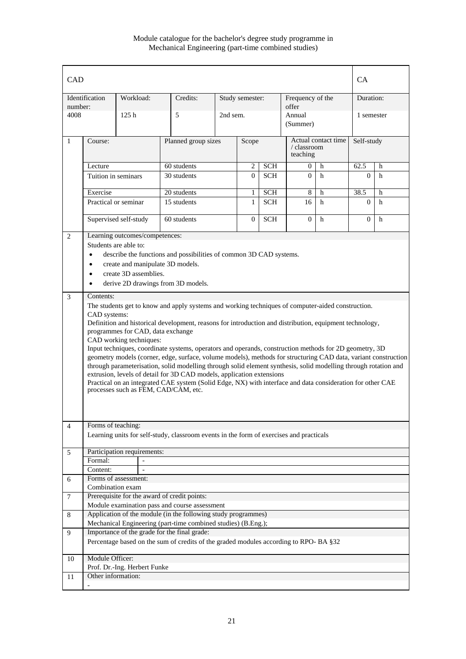| CAD            |                                                                                                                                                                                                                                                                                                                                                                                                                                                                                                                                                                                                                                                                                                                                                                                                                                                                                         |                                                                                    |                                                                                                          |          |                 |            |                           |                     | <b>CA</b>  |   |
|----------------|-----------------------------------------------------------------------------------------------------------------------------------------------------------------------------------------------------------------------------------------------------------------------------------------------------------------------------------------------------------------------------------------------------------------------------------------------------------------------------------------------------------------------------------------------------------------------------------------------------------------------------------------------------------------------------------------------------------------------------------------------------------------------------------------------------------------------------------------------------------------------------------------|------------------------------------------------------------------------------------|----------------------------------------------------------------------------------------------------------|----------|-----------------|------------|---------------------------|---------------------|------------|---|
| number:        | Identification                                                                                                                                                                                                                                                                                                                                                                                                                                                                                                                                                                                                                                                                                                                                                                                                                                                                          | Workload:                                                                          | Credits:                                                                                                 |          | Study semester: |            | Frequency of the<br>offer |                     | Duration:  |   |
| 4008           |                                                                                                                                                                                                                                                                                                                                                                                                                                                                                                                                                                                                                                                                                                                                                                                                                                                                                         | 125h                                                                               | 5                                                                                                        | 2nd sem. |                 |            | Annual<br>(Summer)        |                     | 1 semester |   |
| 1              | Course:                                                                                                                                                                                                                                                                                                                                                                                                                                                                                                                                                                                                                                                                                                                                                                                                                                                                                 |                                                                                    | Planned group sizes                                                                                      |          | Scope           |            | / classroom<br>teaching   | Actual contact time | Self-study |   |
|                | Lecture                                                                                                                                                                                                                                                                                                                                                                                                                                                                                                                                                                                                                                                                                                                                                                                                                                                                                 |                                                                                    | 60 students                                                                                              |          | $\overline{2}$  | <b>SCH</b> | $\overline{0}$            | h                   | 62.5       | h |
|                | Tuition in seminars                                                                                                                                                                                                                                                                                                                                                                                                                                                                                                                                                                                                                                                                                                                                                                                                                                                                     |                                                                                    | 30 students                                                                                              |          | $\Omega$        | <b>SCH</b> | $\Omega$                  | h                   | $\Omega$   | h |
|                | Exercise                                                                                                                                                                                                                                                                                                                                                                                                                                                                                                                                                                                                                                                                                                                                                                                                                                                                                |                                                                                    | 20 students                                                                                              |          | 1               | <b>SCH</b> | 8                         | h                   | 38.5       | h |
|                |                                                                                                                                                                                                                                                                                                                                                                                                                                                                                                                                                                                                                                                                                                                                                                                                                                                                                         | Practical or seminar                                                               | 15 students                                                                                              |          | 1               | <b>SCH</b> | 16                        | h                   | $\Omega$   | h |
|                |                                                                                                                                                                                                                                                                                                                                                                                                                                                                                                                                                                                                                                                                                                                                                                                                                                                                                         | Supervised self-study                                                              | 60 students                                                                                              |          | $\Omega$        | <b>SCH</b> | $\overline{0}$            | h                   | $\Omega$   | h |
| $\overline{2}$ |                                                                                                                                                                                                                                                                                                                                                                                                                                                                                                                                                                                                                                                                                                                                                                                                                                                                                         | Learning outcomes/competences:                                                     |                                                                                                          |          |                 |            |                           |                     |            |   |
|                | $\bullet$<br>$\bullet$<br>$\bullet$<br>$\bullet$                                                                                                                                                                                                                                                                                                                                                                                                                                                                                                                                                                                                                                                                                                                                                                                                                                        | Students are able to:<br>create and manipulate 3D models.<br>create 3D assemblies. | describe the functions and possibilities of common 3D CAD systems.<br>derive 2D drawings from 3D models. |          |                 |            |                           |                     |            |   |
| 3              |                                                                                                                                                                                                                                                                                                                                                                                                                                                                                                                                                                                                                                                                                                                                                                                                                                                                                         |                                                                                    |                                                                                                          |          |                 |            |                           |                     |            |   |
|                | Contents:<br>The students get to know and apply systems and working techniques of computer-aided construction.<br>CAD systems:<br>Definition and historical development, reasons for introduction and distribution, equipment technology,<br>programmes for CAD, data exchange<br>CAD working techniques:<br>Input techniques, coordinate systems, operators and operands, construction methods for 2D geometry, 3D<br>geometry models (corner, edge, surface, volume models), methods for structuring CAD data, variant construction<br>through parameterisation, solid modelling through solid element synthesis, solid modelling through rotation and<br>extrusion, levels of detail for 3D CAD models, application extensions<br>Practical on an integrated CAE system (Solid Edge, NX) with interface and data consideration for other CAE<br>processes such as FEM, CAD/CAM, etc. |                                                                                    |                                                                                                          |          |                 |            |                           |                     |            |   |
| $\overline{4}$ | Forms of teaching:                                                                                                                                                                                                                                                                                                                                                                                                                                                                                                                                                                                                                                                                                                                                                                                                                                                                      |                                                                                    | Learning units for self-study, classroom events in the form of exercises and practicals                  |          |                 |            |                           |                     |            |   |
| 5              |                                                                                                                                                                                                                                                                                                                                                                                                                                                                                                                                                                                                                                                                                                                                                                                                                                                                                         | Participation requirements:                                                        |                                                                                                          |          |                 |            |                           |                     |            |   |
|                | Formal:                                                                                                                                                                                                                                                                                                                                                                                                                                                                                                                                                                                                                                                                                                                                                                                                                                                                                 |                                                                                    |                                                                                                          |          |                 |            |                           |                     |            |   |
|                | Content:                                                                                                                                                                                                                                                                                                                                                                                                                                                                                                                                                                                                                                                                                                                                                                                                                                                                                |                                                                                    |                                                                                                          |          |                 |            |                           |                     |            |   |
| 6              |                                                                                                                                                                                                                                                                                                                                                                                                                                                                                                                                                                                                                                                                                                                                                                                                                                                                                         | Forms of assessment:                                                               |                                                                                                          |          |                 |            |                           |                     |            |   |
| $\overline{7}$ | Combination exam<br>Prerequisite for the award of credit points:                                                                                                                                                                                                                                                                                                                                                                                                                                                                                                                                                                                                                                                                                                                                                                                                                        |                                                                                    |                                                                                                          |          |                 |            |                           |                     |            |   |
|                | Module examination pass and course assessment                                                                                                                                                                                                                                                                                                                                                                                                                                                                                                                                                                                                                                                                                                                                                                                                                                           |                                                                                    |                                                                                                          |          |                 |            |                           |                     |            |   |
| 8              | Application of the module (in the following study programmes)                                                                                                                                                                                                                                                                                                                                                                                                                                                                                                                                                                                                                                                                                                                                                                                                                           |                                                                                    |                                                                                                          |          |                 |            |                           |                     |            |   |
|                | Mechanical Engineering (part-time combined studies) (B.Eng.);                                                                                                                                                                                                                                                                                                                                                                                                                                                                                                                                                                                                                                                                                                                                                                                                                           |                                                                                    |                                                                                                          |          |                 |            |                           |                     |            |   |
| 9              | Importance of the grade for the final grade:<br>Percentage based on the sum of credits of the graded modules according to RPO- BA §32.                                                                                                                                                                                                                                                                                                                                                                                                                                                                                                                                                                                                                                                                                                                                                  |                                                                                    |                                                                                                          |          |                 |            |                           |                     |            |   |
| 10             | Module Officer:                                                                                                                                                                                                                                                                                                                                                                                                                                                                                                                                                                                                                                                                                                                                                                                                                                                                         |                                                                                    |                                                                                                          |          |                 |            |                           |                     |            |   |
|                |                                                                                                                                                                                                                                                                                                                                                                                                                                                                                                                                                                                                                                                                                                                                                                                                                                                                                         | Prof. Dr.-Ing. Herbert Funke                                                       |                                                                                                          |          |                 |            |                           |                     |            |   |
| 11             | Other information:                                                                                                                                                                                                                                                                                                                                                                                                                                                                                                                                                                                                                                                                                                                                                                                                                                                                      |                                                                                    |                                                                                                          |          |                 |            |                           |                     |            |   |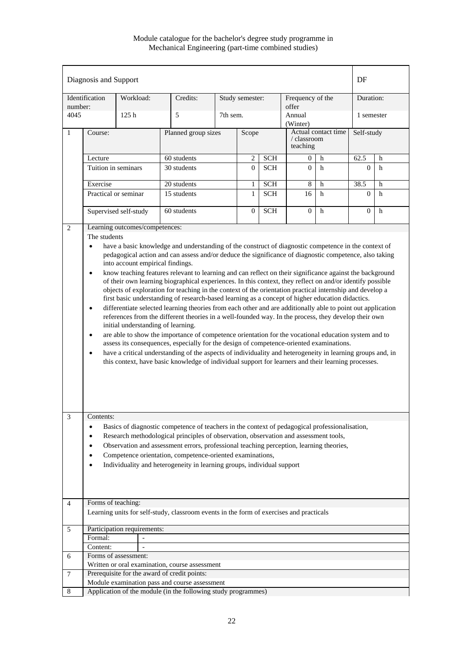| Diagnosis and Support                                                                                                                                                                                                                                                                                                                                                                                                                                                                                                                                                                                                                                                                                                                                                                                                                                                                                                                                                                                                                                                                                                                                                                                                                                                                                                                                                                                                                                                                                    |                                                                                                                                                                                                                                                                                                                                                                                                                                                                                                        |                             |                                                                                         |                 |                |            |                           | DF                  |                |   |
|----------------------------------------------------------------------------------------------------------------------------------------------------------------------------------------------------------------------------------------------------------------------------------------------------------------------------------------------------------------------------------------------------------------------------------------------------------------------------------------------------------------------------------------------------------------------------------------------------------------------------------------------------------------------------------------------------------------------------------------------------------------------------------------------------------------------------------------------------------------------------------------------------------------------------------------------------------------------------------------------------------------------------------------------------------------------------------------------------------------------------------------------------------------------------------------------------------------------------------------------------------------------------------------------------------------------------------------------------------------------------------------------------------------------------------------------------------------------------------------------------------|--------------------------------------------------------------------------------------------------------------------------------------------------------------------------------------------------------------------------------------------------------------------------------------------------------------------------------------------------------------------------------------------------------------------------------------------------------------------------------------------------------|-----------------------------|-----------------------------------------------------------------------------------------|-----------------|----------------|------------|---------------------------|---------------------|----------------|---|
| number:                                                                                                                                                                                                                                                                                                                                                                                                                                                                                                                                                                                                                                                                                                                                                                                                                                                                                                                                                                                                                                                                                                                                                                                                                                                                                                                                                                                                                                                                                                  | Identification                                                                                                                                                                                                                                                                                                                                                                                                                                                                                         | Workload:                   | Credits:                                                                                | Study semester: |                |            | Frequency of the<br>offer |                     | Duration:      |   |
| 4045                                                                                                                                                                                                                                                                                                                                                                                                                                                                                                                                                                                                                                                                                                                                                                                                                                                                                                                                                                                                                                                                                                                                                                                                                                                                                                                                                                                                                                                                                                     |                                                                                                                                                                                                                                                                                                                                                                                                                                                                                                        | 125h                        | 5                                                                                       | 7th sem.        |                |            | Annual<br>(Winter)        |                     | 1 semester     |   |
| 1                                                                                                                                                                                                                                                                                                                                                                                                                                                                                                                                                                                                                                                                                                                                                                                                                                                                                                                                                                                                                                                                                                                                                                                                                                                                                                                                                                                                                                                                                                        | Course:                                                                                                                                                                                                                                                                                                                                                                                                                                                                                                |                             | Planned group sizes                                                                     |                 | Scope          |            | / classroom<br>teaching   | Actual contact time | Self-study     |   |
|                                                                                                                                                                                                                                                                                                                                                                                                                                                                                                                                                                                                                                                                                                                                                                                                                                                                                                                                                                                                                                                                                                                                                                                                                                                                                                                                                                                                                                                                                                          | Lecture                                                                                                                                                                                                                                                                                                                                                                                                                                                                                                |                             | 60 students                                                                             |                 | $\overline{c}$ | <b>SCH</b> | $\theta$                  | h                   | 62.5<br>h      |   |
|                                                                                                                                                                                                                                                                                                                                                                                                                                                                                                                                                                                                                                                                                                                                                                                                                                                                                                                                                                                                                                                                                                                                                                                                                                                                                                                                                                                                                                                                                                          | Tuition in seminars                                                                                                                                                                                                                                                                                                                                                                                                                                                                                    |                             | 30 students                                                                             |                 | $\mathbf{0}$   | <b>SCH</b> | $\mathbf{0}$              | h                   | $\mathbf{0}$   | h |
|                                                                                                                                                                                                                                                                                                                                                                                                                                                                                                                                                                                                                                                                                                                                                                                                                                                                                                                                                                                                                                                                                                                                                                                                                                                                                                                                                                                                                                                                                                          | Exercise                                                                                                                                                                                                                                                                                                                                                                                                                                                                                               |                             | 20 students                                                                             |                 | $\mathbf{1}$   | <b>SCH</b> | 8                         | h                   | 38.5           | h |
|                                                                                                                                                                                                                                                                                                                                                                                                                                                                                                                                                                                                                                                                                                                                                                                                                                                                                                                                                                                                                                                                                                                                                                                                                                                                                                                                                                                                                                                                                                          |                                                                                                                                                                                                                                                                                                                                                                                                                                                                                                        | Practical or seminar        | 15 students                                                                             |                 | $\mathbf{1}$   | <b>SCH</b> | 16                        | h                   | $\overline{0}$ | h |
|                                                                                                                                                                                                                                                                                                                                                                                                                                                                                                                                                                                                                                                                                                                                                                                                                                                                                                                                                                                                                                                                                                                                                                                                                                                                                                                                                                                                                                                                                                          |                                                                                                                                                                                                                                                                                                                                                                                                                                                                                                        | Supervised self-study       | 60 students                                                                             |                 | $\overline{0}$ | <b>SCH</b> | $\mathbf{0}$              | h                   | $\overline{0}$ | h |
| Learning outcomes/competences:<br>2<br>The students<br>have a basic knowledge and understanding of the construct of diagnostic competence in the context of<br>$\bullet$<br>pedagogical action and can assess and/or deduce the significance of diagnostic competence, also taking<br>into account empirical findings.<br>know teaching features relevant to learning and can reflect on their significance against the background<br>$\bullet$<br>of their own learning biographical experiences. In this context, they reflect on and/or identify possible<br>objects of exploration for teaching in the context of the orientation practical internship and develop a<br>first basic understanding of research-based learning as a concept of higher education didactics.<br>differentiate selected learning theories from each other and are additionally able to point out application<br>$\bullet$<br>references from the different theories in a well-founded way. In the process, they develop their own<br>initial understanding of learning.<br>are able to show the importance of competence orientation for the vocational education system and to<br>$\bullet$<br>assess its consequences, especially for the design of competence-oriented examinations.<br>have a critical understanding of the aspects of individuality and heterogeneity in learning groups and, in<br>$\bullet$<br>this context, have basic knowledge of individual support for learners and their learning processes. |                                                                                                                                                                                                                                                                                                                                                                                                                                                                                                        |                             |                                                                                         |                 |                |            |                           |                     |                |   |
|                                                                                                                                                                                                                                                                                                                                                                                                                                                                                                                                                                                                                                                                                                                                                                                                                                                                                                                                                                                                                                                                                                                                                                                                                                                                                                                                                                                                                                                                                                          |                                                                                                                                                                                                                                                                                                                                                                                                                                                                                                        |                             |                                                                                         |                 |                |            |                           |                     |                |   |
| 3                                                                                                                                                                                                                                                                                                                                                                                                                                                                                                                                                                                                                                                                                                                                                                                                                                                                                                                                                                                                                                                                                                                                                                                                                                                                                                                                                                                                                                                                                                        | Contents:<br>Basics of diagnostic competence of teachers in the context of pedagogical professionalisation,<br>$\bullet$<br>Research methodological principles of observation, observation and assessment tools,<br>$\bullet$<br>Observation and assessment errors, professional teaching perception, learning theories,<br>$\bullet$<br>Competence orientation, competence-oriented examinations,<br>$\bullet$<br>Individuality and heterogeneity in learning groups, individual support<br>$\bullet$ |                             |                                                                                         |                 |                |            |                           |                     |                |   |
| $\overline{4}$                                                                                                                                                                                                                                                                                                                                                                                                                                                                                                                                                                                                                                                                                                                                                                                                                                                                                                                                                                                                                                                                                                                                                                                                                                                                                                                                                                                                                                                                                           | Forms of teaching:                                                                                                                                                                                                                                                                                                                                                                                                                                                                                     |                             |                                                                                         |                 |                |            |                           |                     |                |   |
|                                                                                                                                                                                                                                                                                                                                                                                                                                                                                                                                                                                                                                                                                                                                                                                                                                                                                                                                                                                                                                                                                                                                                                                                                                                                                                                                                                                                                                                                                                          |                                                                                                                                                                                                                                                                                                                                                                                                                                                                                                        |                             | Learning units for self-study, classroom events in the form of exercises and practicals |                 |                |            |                           |                     |                |   |
| $\sqrt{5}$                                                                                                                                                                                                                                                                                                                                                                                                                                                                                                                                                                                                                                                                                                                                                                                                                                                                                                                                                                                                                                                                                                                                                                                                                                                                                                                                                                                                                                                                                               |                                                                                                                                                                                                                                                                                                                                                                                                                                                                                                        | Participation requirements: |                                                                                         |                 |                |            |                           |                     |                |   |
|                                                                                                                                                                                                                                                                                                                                                                                                                                                                                                                                                                                                                                                                                                                                                                                                                                                                                                                                                                                                                                                                                                                                                                                                                                                                                                                                                                                                                                                                                                          | Formal:                                                                                                                                                                                                                                                                                                                                                                                                                                                                                                | $\overline{\phantom{a}}$    |                                                                                         |                 |                |            |                           |                     |                |   |
|                                                                                                                                                                                                                                                                                                                                                                                                                                                                                                                                                                                                                                                                                                                                                                                                                                                                                                                                                                                                                                                                                                                                                                                                                                                                                                                                                                                                                                                                                                          | Content:                                                                                                                                                                                                                                                                                                                                                                                                                                                                                               |                             |                                                                                         |                 |                |            |                           |                     |                |   |
| 6                                                                                                                                                                                                                                                                                                                                                                                                                                                                                                                                                                                                                                                                                                                                                                                                                                                                                                                                                                                                                                                                                                                                                                                                                                                                                                                                                                                                                                                                                                        |                                                                                                                                                                                                                                                                                                                                                                                                                                                                                                        | Forms of assessment:        | Written or oral examination, course assessment                                          |                 |                |            |                           |                     |                |   |
| 7                                                                                                                                                                                                                                                                                                                                                                                                                                                                                                                                                                                                                                                                                                                                                                                                                                                                                                                                                                                                                                                                                                                                                                                                                                                                                                                                                                                                                                                                                                        |                                                                                                                                                                                                                                                                                                                                                                                                                                                                                                        |                             | Prerequisite for the award of credit points:                                            |                 |                |            |                           |                     |                |   |
|                                                                                                                                                                                                                                                                                                                                                                                                                                                                                                                                                                                                                                                                                                                                                                                                                                                                                                                                                                                                                                                                                                                                                                                                                                                                                                                                                                                                                                                                                                          |                                                                                                                                                                                                                                                                                                                                                                                                                                                                                                        |                             | Module examination pass and course assessment                                           |                 |                |            |                           |                     |                |   |
| $\,8\,$                                                                                                                                                                                                                                                                                                                                                                                                                                                                                                                                                                                                                                                                                                                                                                                                                                                                                                                                                                                                                                                                                                                                                                                                                                                                                                                                                                                                                                                                                                  | Application of the module (in the following study programmes)                                                                                                                                                                                                                                                                                                                                                                                                                                          |                             |                                                                                         |                 |                |            |                           |                     |                |   |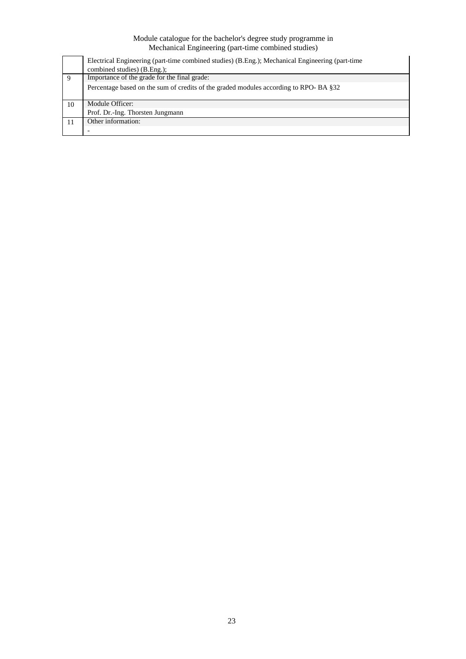|    | Electrical Engineering (part-time combined studies) (B.Eng.); Mechanical Engineering (part-time<br>combined studies) (B.Eng.); |  |  |  |  |  |  |  |
|----|--------------------------------------------------------------------------------------------------------------------------------|--|--|--|--|--|--|--|
| 9  | Importance of the grade for the final grade:                                                                                   |  |  |  |  |  |  |  |
|    | Percentage based on the sum of credits of the graded modules according to RPO-BA §32                                           |  |  |  |  |  |  |  |
| 10 | Module Officer:                                                                                                                |  |  |  |  |  |  |  |
|    | Prof. Dr.-Ing. Thorsten Jungmann                                                                                               |  |  |  |  |  |  |  |
| 11 | Other information:                                                                                                             |  |  |  |  |  |  |  |
|    |                                                                                                                                |  |  |  |  |  |  |  |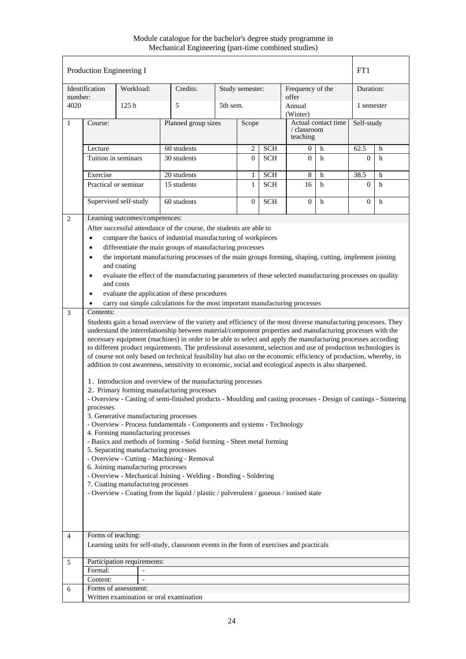Module catalogue for the bachelor's degree study programme in Mechanical Engineering (part-time combined studies)

|                | Production Engineering I                                                                                                                                                                                                                                                                                                                                                                                                                                                                                                                                                                                                                                                                                                                                                                                                                                                                                                                                                                                                                                                                                                                                                                                                                                                                                                                                                                                                                                                                                                                                                                                         |                       |                                                                                         |          |                 |            |                                                |   | FT1          |            |  |
|----------------|------------------------------------------------------------------------------------------------------------------------------------------------------------------------------------------------------------------------------------------------------------------------------------------------------------------------------------------------------------------------------------------------------------------------------------------------------------------------------------------------------------------------------------------------------------------------------------------------------------------------------------------------------------------------------------------------------------------------------------------------------------------------------------------------------------------------------------------------------------------------------------------------------------------------------------------------------------------------------------------------------------------------------------------------------------------------------------------------------------------------------------------------------------------------------------------------------------------------------------------------------------------------------------------------------------------------------------------------------------------------------------------------------------------------------------------------------------------------------------------------------------------------------------------------------------------------------------------------------------------|-----------------------|-----------------------------------------------------------------------------------------|----------|-----------------|------------|------------------------------------------------|---|--------------|------------|--|
| number:        | Identification                                                                                                                                                                                                                                                                                                                                                                                                                                                                                                                                                                                                                                                                                                                                                                                                                                                                                                                                                                                                                                                                                                                                                                                                                                                                                                                                                                                                                                                                                                                                                                                                   | Workload:             | Credits:                                                                                |          | Study semester: |            | Frequency of the<br>offer                      |   | Duration:    |            |  |
| 4020           |                                                                                                                                                                                                                                                                                                                                                                                                                                                                                                                                                                                                                                                                                                                                                                                                                                                                                                                                                                                                                                                                                                                                                                                                                                                                                                                                                                                                                                                                                                                                                                                                                  | 125h                  | 5                                                                                       | 5th sem. |                 |            | Annual<br>(Winter)                             |   | 1 semester   |            |  |
| $\mathbf{1}$   | Course:                                                                                                                                                                                                                                                                                                                                                                                                                                                                                                                                                                                                                                                                                                                                                                                                                                                                                                                                                                                                                                                                                                                                                                                                                                                                                                                                                                                                                                                                                                                                                                                                          |                       | Planned group sizes                                                                     |          | Scope           |            | Actual contact time<br>/ classroom<br>teaching |   |              | Self-study |  |
|                | Lecture                                                                                                                                                                                                                                                                                                                                                                                                                                                                                                                                                                                                                                                                                                                                                                                                                                                                                                                                                                                                                                                                                                                                                                                                                                                                                                                                                                                                                                                                                                                                                                                                          |                       | 60 students                                                                             |          |                 | <b>SCH</b> | 0<br>h                                         |   | 62.5<br>h    |            |  |
|                | Tuition in seminars                                                                                                                                                                                                                                                                                                                                                                                                                                                                                                                                                                                                                                                                                                                                                                                                                                                                                                                                                                                                                                                                                                                                                                                                                                                                                                                                                                                                                                                                                                                                                                                              |                       | 30 students                                                                             |          | $\Omega$        | <b>SCH</b> | $\Omega$                                       | h | $\theta$     | h          |  |
|                | Exercise                                                                                                                                                                                                                                                                                                                                                                                                                                                                                                                                                                                                                                                                                                                                                                                                                                                                                                                                                                                                                                                                                                                                                                                                                                                                                                                                                                                                                                                                                                                                                                                                         |                       | 20 students                                                                             |          | $\mathbf{1}$    | <b>SCH</b> | 8                                              | h | 38.5         | h          |  |
|                |                                                                                                                                                                                                                                                                                                                                                                                                                                                                                                                                                                                                                                                                                                                                                                                                                                                                                                                                                                                                                                                                                                                                                                                                                                                                                                                                                                                                                                                                                                                                                                                                                  | Practical or seminar  | 15 students                                                                             |          | $\mathbf{1}$    | <b>SCH</b> | 16                                             | h | $\Omega$     | h          |  |
|                |                                                                                                                                                                                                                                                                                                                                                                                                                                                                                                                                                                                                                                                                                                                                                                                                                                                                                                                                                                                                                                                                                                                                                                                                                                                                                                                                                                                                                                                                                                                                                                                                                  | Supervised self-study | 60 students                                                                             |          | $\mathbf{0}$    | <b>SCH</b> | $\overline{0}$                                 | h | $\mathbf{0}$ | h          |  |
| $\overline{2}$ | Learning outcomes/competences:<br>After successful attendance of the course, the students are able to<br>compare the basics of industrial manufacturing of workpieces<br>$\bullet$<br>differentiate the main groups of manufacturing processes<br>$\bullet$<br>the important manufacturing processes of the main groups forming, shaping, cutting, implement joining<br>$\bullet$<br>and coating<br>evaluate the effect of the manufacturing parameters of these selected manufacturing processes on quality<br>$\bullet$<br>and costs<br>evaluate the application of these procedures<br>$\bullet$                                                                                                                                                                                                                                                                                                                                                                                                                                                                                                                                                                                                                                                                                                                                                                                                                                                                                                                                                                                                              |                       |                                                                                         |          |                 |            |                                                |   |              |            |  |
|                |                                                                                                                                                                                                                                                                                                                                                                                                                                                                                                                                                                                                                                                                                                                                                                                                                                                                                                                                                                                                                                                                                                                                                                                                                                                                                                                                                                                                                                                                                                                                                                                                                  |                       |                                                                                         |          |                 |            |                                                |   |              |            |  |
|                | carry out simple calculations for the most important manufacturing processes<br>Contents:<br>3<br>Students gain a broad overview of the variety and efficiency of the most diverse manufacturing processes. They<br>understand the interrelationship between material/component properties and manufacturing processes with the<br>necessary equipment (machines) in order to be able to select and apply the manufacturing processes according<br>to different product requirements. The professional assessment, selection and use of production technologies is<br>of course not only based on technical feasibility but also on the economic efficiency of production, whereby, in<br>addition to cost awareness, sensitivity to economic, social and ecological aspects is also sharpened.<br>1. Introduction and overview of the manufacturing processes<br>2. Primary forming manufacturing processes<br>- Overview - Casting of semi-finished products - Moulding and casting processes - Design of castings - Sintering<br>processes<br>3. Generative manufacturing processes<br>- Overview - Process fundamentals - Components and systems - Technology<br>4. Forming manufacturing processes<br>- Basics and methods of forming - Solid forming - Sheet metal forming<br>5. Separating manufacturing processes<br>- Overview - Cutting - Machining - Removal<br>6. Joining manufacturing processes<br>- Overview - Mechanical Joining - Welding - Bonding - Soldering<br>7. Coating manufacturing processes<br>- Overview - Coating from the liquid / plastic / pulverulent / gaseous / ionised state |                       |                                                                                         |          |                 |            |                                                |   |              |            |  |
| $\overline{4}$ | Forms of teaching:                                                                                                                                                                                                                                                                                                                                                                                                                                                                                                                                                                                                                                                                                                                                                                                                                                                                                                                                                                                                                                                                                                                                                                                                                                                                                                                                                                                                                                                                                                                                                                                               |                       | Learning units for self-study, classroom events in the form of exercises and practicals |          |                 |            |                                                |   |              |            |  |
| 5              | Participation requirements:<br>Formal:<br>$\overline{\phantom{a}}$                                                                                                                                                                                                                                                                                                                                                                                                                                                                                                                                                                                                                                                                                                                                                                                                                                                                                                                                                                                                                                                                                                                                                                                                                                                                                                                                                                                                                                                                                                                                               |                       |                                                                                         |          |                 |            |                                                |   |              |            |  |
|                | Content:                                                                                                                                                                                                                                                                                                                                                                                                                                                                                                                                                                                                                                                                                                                                                                                                                                                                                                                                                                                                                                                                                                                                                                                                                                                                                                                                                                                                                                                                                                                                                                                                         |                       |                                                                                         |          |                 |            |                                                |   |              |            |  |
| 6              | Forms of assessment:<br>Written examination or oral examination                                                                                                                                                                                                                                                                                                                                                                                                                                                                                                                                                                                                                                                                                                                                                                                                                                                                                                                                                                                                                                                                                                                                                                                                                                                                                                                                                                                                                                                                                                                                                  |                       |                                                                                         |          |                 |            |                                                |   |              |            |  |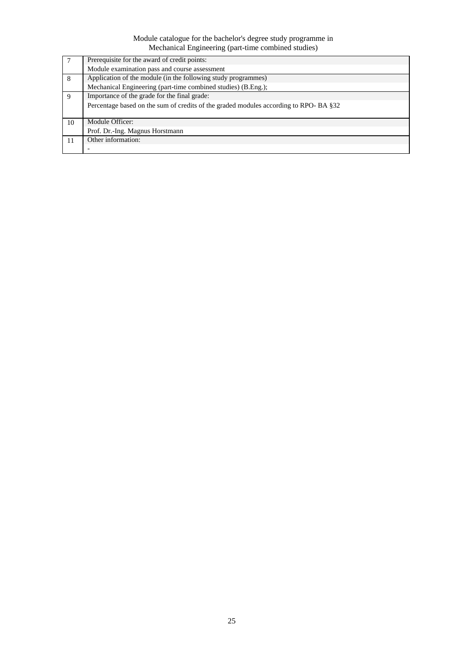|    | Prerequisite for the award of credit points:                                         |  |  |  |  |  |  |  |
|----|--------------------------------------------------------------------------------------|--|--|--|--|--|--|--|
|    | Module examination pass and course assessment                                        |  |  |  |  |  |  |  |
| 8  | Application of the module (in the following study programmes)                        |  |  |  |  |  |  |  |
|    | Mechanical Engineering (part-time combined studies) (B.Eng.);                        |  |  |  |  |  |  |  |
| 9  | Importance of the grade for the final grade:                                         |  |  |  |  |  |  |  |
|    | Percentage based on the sum of credits of the graded modules according to RPO-BA §32 |  |  |  |  |  |  |  |
|    |                                                                                      |  |  |  |  |  |  |  |
| 10 | Module Officer:                                                                      |  |  |  |  |  |  |  |
|    | Prof. Dr.-Ing. Magnus Horstmann                                                      |  |  |  |  |  |  |  |
| 11 | Other information:                                                                   |  |  |  |  |  |  |  |
|    |                                                                                      |  |  |  |  |  |  |  |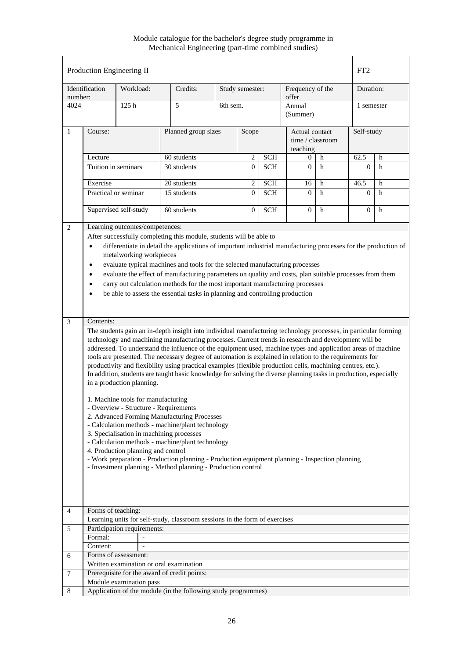Module catalogue for the bachelor's degree study programme in Mechanical Engineering (part-time combined studies)

|                     | Production Engineering II                                                                                                                                                                                                                                                                                                                                                                                                                                                                                                                                                                                                                                                                                                                                                                                                                                                                                                                                                                                                                                                                                                                                                                                                                                                                                                                                                                                                                                                                                                                                                                                                                                                                                                                                                                                                                                                                                          |                             |                                                                            |  |                                                  |            |                           | FT <sub>2</sub> |                |   |
|---------------------|--------------------------------------------------------------------------------------------------------------------------------------------------------------------------------------------------------------------------------------------------------------------------------------------------------------------------------------------------------------------------------------------------------------------------------------------------------------------------------------------------------------------------------------------------------------------------------------------------------------------------------------------------------------------------------------------------------------------------------------------------------------------------------------------------------------------------------------------------------------------------------------------------------------------------------------------------------------------------------------------------------------------------------------------------------------------------------------------------------------------------------------------------------------------------------------------------------------------------------------------------------------------------------------------------------------------------------------------------------------------------------------------------------------------------------------------------------------------------------------------------------------------------------------------------------------------------------------------------------------------------------------------------------------------------------------------------------------------------------------------------------------------------------------------------------------------------------------------------------------------------------------------------------------------|-----------------------------|----------------------------------------------------------------------------|--|--------------------------------------------------|------------|---------------------------|-----------------|----------------|---|
| number:             | Identification                                                                                                                                                                                                                                                                                                                                                                                                                                                                                                                                                                                                                                                                                                                                                                                                                                                                                                                                                                                                                                                                                                                                                                                                                                                                                                                                                                                                                                                                                                                                                                                                                                                                                                                                                                                                                                                                                                     | Workload:                   | Credits:                                                                   |  | Study semester:                                  |            | Frequency of the<br>offer |                 | Duration:      |   |
| 4024                |                                                                                                                                                                                                                                                                                                                                                                                                                                                                                                                                                                                                                                                                                                                                                                                                                                                                                                                                                                                                                                                                                                                                                                                                                                                                                                                                                                                                                                                                                                                                                                                                                                                                                                                                                                                                                                                                                                                    | 125h                        | 5                                                                          |  | 6th sem.                                         |            | Annual<br>(Summer)        |                 | 1 semester     |   |
| $\mathbf{1}$        | Planned group sizes<br>Course:                                                                                                                                                                                                                                                                                                                                                                                                                                                                                                                                                                                                                                                                                                                                                                                                                                                                                                                                                                                                                                                                                                                                                                                                                                                                                                                                                                                                                                                                                                                                                                                                                                                                                                                                                                                                                                                                                     |                             | Scope                                                                      |  | Actual contact<br>time / $classroom$<br>teaching |            | Self-study                |                 |                |   |
|                     | Lecture                                                                                                                                                                                                                                                                                                                                                                                                                                                                                                                                                                                                                                                                                                                                                                                                                                                                                                                                                                                                                                                                                                                                                                                                                                                                                                                                                                                                                                                                                                                                                                                                                                                                                                                                                                                                                                                                                                            |                             | 60 students                                                                |  | $\overline{2}$                                   | <b>SCH</b> | 0                         | h               | 62.5           | h |
|                     | Tuition in seminars                                                                                                                                                                                                                                                                                                                                                                                                                                                                                                                                                                                                                                                                                                                                                                                                                                                                                                                                                                                                                                                                                                                                                                                                                                                                                                                                                                                                                                                                                                                                                                                                                                                                                                                                                                                                                                                                                                |                             | 30 students                                                                |  | $\overline{0}$                                   | <b>SCH</b> | $\overline{0}$            | h               | $\mathbf{0}$   | h |
|                     | Exercise                                                                                                                                                                                                                                                                                                                                                                                                                                                                                                                                                                                                                                                                                                                                                                                                                                                                                                                                                                                                                                                                                                                                                                                                                                                                                                                                                                                                                                                                                                                                                                                                                                                                                                                                                                                                                                                                                                           |                             | 20 students                                                                |  | $\mathbf{2}$                                     | <b>SCH</b> | 16                        | h               | 46.5           | h |
|                     | Practical or seminar                                                                                                                                                                                                                                                                                                                                                                                                                                                                                                                                                                                                                                                                                                                                                                                                                                                                                                                                                                                                                                                                                                                                                                                                                                                                                                                                                                                                                                                                                                                                                                                                                                                                                                                                                                                                                                                                                               |                             | 15 students                                                                |  | $\Omega$                                         | <b>SCH</b> | $\Omega$                  | h               | $\Omega$       | h |
|                     |                                                                                                                                                                                                                                                                                                                                                                                                                                                                                                                                                                                                                                                                                                                                                                                                                                                                                                                                                                                                                                                                                                                                                                                                                                                                                                                                                                                                                                                                                                                                                                                                                                                                                                                                                                                                                                                                                                                    | Supervised self-study       | 60 students                                                                |  | $\overline{0}$                                   | <b>SCH</b> | $\mathbf{0}$              | h               | $\overline{0}$ | h |
| 3<br>$\overline{4}$ | Learning outcomes/competences:<br>2<br>After successfully completing this module, students will be able to<br>differentiate in detail the applications of important industrial manufacturing processes for the production of<br>$\bullet$<br>metalworking workpieces<br>evaluate typical machines and tools for the selected manufacturing processes<br>$\bullet$<br>evaluate the effect of manufacturing parameters on quality and costs, plan suitable processes from them<br>$\bullet$<br>carry out calculation methods for the most important manufacturing processes<br>$\bullet$<br>be able to assess the essential tasks in planning and controlling production<br>$\bullet$<br>Contents:<br>The students gain an in-depth insight into individual manufacturing technology processes, in particular forming<br>technology and machining manufacturing processes. Current trends in research and development will be<br>addressed. To understand the influence of the equipment used, machine types and application areas of machine<br>tools are presented. The necessary degree of automation is explained in relation to the requirements for<br>productivity and flexibility using practical examples (flexible production cells, machining centres, etc.).<br>In addition, students are taught basic knowledge for solving the diverse planning tasks in production, especially<br>in a production planning.<br>1. Machine tools for manufacturing<br>- Overview - Structure - Requirements<br>2. Advanced Forming Manufacturing Processes<br>- Calculation methods - machine/plant technology<br>3. Specialisation in machining processes<br>- Calculation methods - machine/plant technology<br>4. Production planning and control<br>- Work preparation - Production planning - Production equipment planning - Inspection planning<br>- Investment planning - Method planning - Production control |                             |                                                                            |  |                                                  |            |                           |                 |                |   |
|                     |                                                                                                                                                                                                                                                                                                                                                                                                                                                                                                                                                                                                                                                                                                                                                                                                                                                                                                                                                                                                                                                                                                                                                                                                                                                                                                                                                                                                                                                                                                                                                                                                                                                                                                                                                                                                                                                                                                                    |                             | Learning units for self-study, classroom sessions in the form of exercises |  |                                                  |            |                           |                 |                |   |
| 5                   |                                                                                                                                                                                                                                                                                                                                                                                                                                                                                                                                                                                                                                                                                                                                                                                                                                                                                                                                                                                                                                                                                                                                                                                                                                                                                                                                                                                                                                                                                                                                                                                                                                                                                                                                                                                                                                                                                                                    | Participation requirements: |                                                                            |  |                                                  |            |                           |                 |                |   |
|                     | Formal:                                                                                                                                                                                                                                                                                                                                                                                                                                                                                                                                                                                                                                                                                                                                                                                                                                                                                                                                                                                                                                                                                                                                                                                                                                                                                                                                                                                                                                                                                                                                                                                                                                                                                                                                                                                                                                                                                                            |                             |                                                                            |  |                                                  |            |                           |                 |                |   |
|                     | Content:                                                                                                                                                                                                                                                                                                                                                                                                                                                                                                                                                                                                                                                                                                                                                                                                                                                                                                                                                                                                                                                                                                                                                                                                                                                                                                                                                                                                                                                                                                                                                                                                                                                                                                                                                                                                                                                                                                           |                             |                                                                            |  |                                                  |            |                           |                 |                |   |
| 6                   |                                                                                                                                                                                                                                                                                                                                                                                                                                                                                                                                                                                                                                                                                                                                                                                                                                                                                                                                                                                                                                                                                                                                                                                                                                                                                                                                                                                                                                                                                                                                                                                                                                                                                                                                                                                                                                                                                                                    | Forms of assessment:        | Written examination or oral examination                                    |  |                                                  |            |                           |                 |                |   |
|                     |                                                                                                                                                                                                                                                                                                                                                                                                                                                                                                                                                                                                                                                                                                                                                                                                                                                                                                                                                                                                                                                                                                                                                                                                                                                                                                                                                                                                                                                                                                                                                                                                                                                                                                                                                                                                                                                                                                                    |                             | Prerequisite for the award of credit points:                               |  |                                                  |            |                           |                 |                |   |
| 7                   |                                                                                                                                                                                                                                                                                                                                                                                                                                                                                                                                                                                                                                                                                                                                                                                                                                                                                                                                                                                                                                                                                                                                                                                                                                                                                                                                                                                                                                                                                                                                                                                                                                                                                                                                                                                                                                                                                                                    | Module examination pass     |                                                                            |  |                                                  |            |                           |                 |                |   |
| 8                   |                                                                                                                                                                                                                                                                                                                                                                                                                                                                                                                                                                                                                                                                                                                                                                                                                                                                                                                                                                                                                                                                                                                                                                                                                                                                                                                                                                                                                                                                                                                                                                                                                                                                                                                                                                                                                                                                                                                    |                             | Application of the module (in the following study programmes)              |  |                                                  |            |                           |                 |                |   |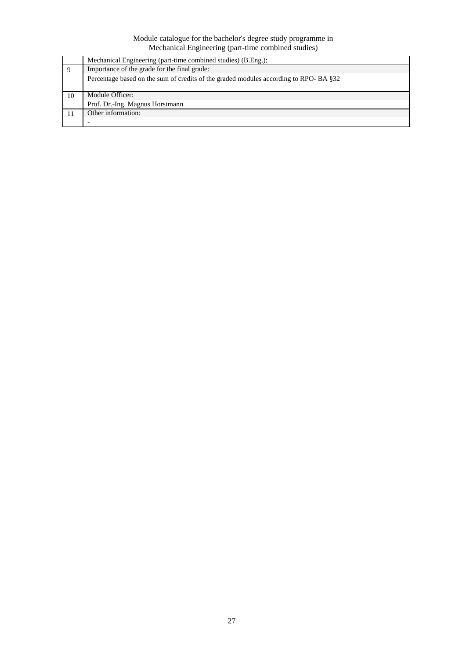|    | Mechanical Engineering (part-time combined studies) (B.Eng.);                        |  |  |  |  |  |  |  |
|----|--------------------------------------------------------------------------------------|--|--|--|--|--|--|--|
| 9  | Importance of the grade for the final grade:                                         |  |  |  |  |  |  |  |
|    | Percentage based on the sum of credits of the graded modules according to RPO-BA §32 |  |  |  |  |  |  |  |
| 10 | Module Officer:                                                                      |  |  |  |  |  |  |  |
|    | Prof. Dr.-Ing. Magnus Horstmann                                                      |  |  |  |  |  |  |  |
|    | Other information:                                                                   |  |  |  |  |  |  |  |
|    |                                                                                      |  |  |  |  |  |  |  |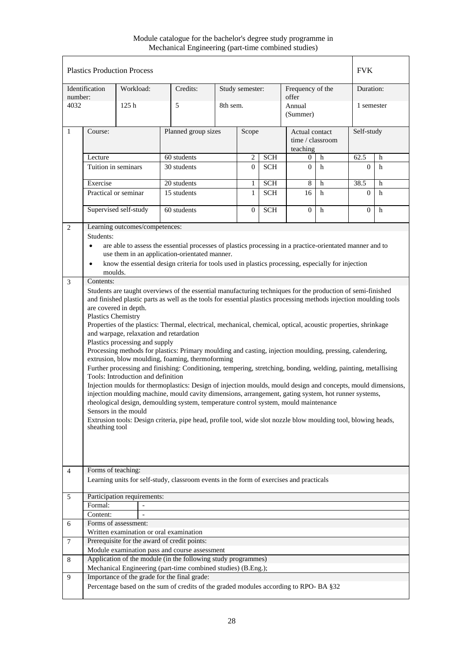|                | <b>Plastics Production Process</b>                                                                                                                                                                                                                                                                                                                                                                                                                                                                                                                                                                                                                                                                                                                                                                                                                                                                                                                                                                                                                                                                                                                                                                                                                                                           |                                |                                                                                                                |          |                 |                                                |                           |            | <b>FVK</b>   |           |  |
|----------------|----------------------------------------------------------------------------------------------------------------------------------------------------------------------------------------------------------------------------------------------------------------------------------------------------------------------------------------------------------------------------------------------------------------------------------------------------------------------------------------------------------------------------------------------------------------------------------------------------------------------------------------------------------------------------------------------------------------------------------------------------------------------------------------------------------------------------------------------------------------------------------------------------------------------------------------------------------------------------------------------------------------------------------------------------------------------------------------------------------------------------------------------------------------------------------------------------------------------------------------------------------------------------------------------|--------------------------------|----------------------------------------------------------------------------------------------------------------|----------|-----------------|------------------------------------------------|---------------------------|------------|--------------|-----------|--|
| number:        | Identification                                                                                                                                                                                                                                                                                                                                                                                                                                                                                                                                                                                                                                                                                                                                                                                                                                                                                                                                                                                                                                                                                                                                                                                                                                                                               | Workload:                      | Credits:                                                                                                       |          | Study semester: |                                                | Frequency of the<br>offer |            |              | Duration: |  |
| 4032           |                                                                                                                                                                                                                                                                                                                                                                                                                                                                                                                                                                                                                                                                                                                                                                                                                                                                                                                                                                                                                                                                                                                                                                                                                                                                                              | 125h                           | 5                                                                                                              | 8th sem. |                 |                                                | Annual<br>(Summer)        |            | 1 semester   |           |  |
| $\mathbf{1}$   | Course:                                                                                                                                                                                                                                                                                                                                                                                                                                                                                                                                                                                                                                                                                                                                                                                                                                                                                                                                                                                                                                                                                                                                                                                                                                                                                      | Planned group sizes            |                                                                                                                | Scope    |                 | Actual contact<br>time / classroom<br>teaching |                           | Self-study |              |           |  |
|                | Lecture                                                                                                                                                                                                                                                                                                                                                                                                                                                                                                                                                                                                                                                                                                                                                                                                                                                                                                                                                                                                                                                                                                                                                                                                                                                                                      |                                | 60 students                                                                                                    |          | $\overline{c}$  | <b>SCH</b>                                     | 0                         | h          | 62.5         | h         |  |
|                |                                                                                                                                                                                                                                                                                                                                                                                                                                                                                                                                                                                                                                                                                                                                                                                                                                                                                                                                                                                                                                                                                                                                                                                                                                                                                              | Tuition in seminars            | 30 students                                                                                                    |          | $\Omega$        | <b>SCH</b>                                     | $\overline{0}$            | h          | $\Omega$     | h         |  |
|                | Exercise                                                                                                                                                                                                                                                                                                                                                                                                                                                                                                                                                                                                                                                                                                                                                                                                                                                                                                                                                                                                                                                                                                                                                                                                                                                                                     |                                | 20 students                                                                                                    |          | 1               | <b>SCH</b>                                     | 8                         | h          | 38.5         | h         |  |
|                |                                                                                                                                                                                                                                                                                                                                                                                                                                                                                                                                                                                                                                                                                                                                                                                                                                                                                                                                                                                                                                                                                                                                                                                                                                                                                              | Practical or seminar           | 15 students                                                                                                    |          | $\mathbf{1}$    | <b>SCH</b>                                     | 16                        | h          | $\Omega$     | h         |  |
|                |                                                                                                                                                                                                                                                                                                                                                                                                                                                                                                                                                                                                                                                                                                                                                                                                                                                                                                                                                                                                                                                                                                                                                                                                                                                                                              | Supervised self-study          | 60 students                                                                                                    |          | 0               | <b>SCH</b>                                     | $\overline{0}$            | h          | $\mathbf{0}$ | h         |  |
| 2              | Students:                                                                                                                                                                                                                                                                                                                                                                                                                                                                                                                                                                                                                                                                                                                                                                                                                                                                                                                                                                                                                                                                                                                                                                                                                                                                                    | Learning outcomes/competences: |                                                                                                                |          |                 |                                                |                           |            |              |           |  |
|                | $\bullet$                                                                                                                                                                                                                                                                                                                                                                                                                                                                                                                                                                                                                                                                                                                                                                                                                                                                                                                                                                                                                                                                                                                                                                                                                                                                                    |                                | are able to assess the essential processes of plastics processing in a practice-orientated manner and to       |          |                 |                                                |                           |            |              |           |  |
|                |                                                                                                                                                                                                                                                                                                                                                                                                                                                                                                                                                                                                                                                                                                                                                                                                                                                                                                                                                                                                                                                                                                                                                                                                                                                                                              |                                | use them in an application-orientated manner.                                                                  |          |                 |                                                |                           |            |              |           |  |
|                |                                                                                                                                                                                                                                                                                                                                                                                                                                                                                                                                                                                                                                                                                                                                                                                                                                                                                                                                                                                                                                                                                                                                                                                                                                                                                              |                                | know the essential design criteria for tools used in plastics processing, especially for injection             |          |                 |                                                |                           |            |              |           |  |
|                | moulds.                                                                                                                                                                                                                                                                                                                                                                                                                                                                                                                                                                                                                                                                                                                                                                                                                                                                                                                                                                                                                                                                                                                                                                                                                                                                                      |                                |                                                                                                                |          |                 |                                                |                           |            |              |           |  |
| $\overline{3}$ | Contents:                                                                                                                                                                                                                                                                                                                                                                                                                                                                                                                                                                                                                                                                                                                                                                                                                                                                                                                                                                                                                                                                                                                                                                                                                                                                                    |                                |                                                                                                                |          |                 |                                                |                           |            |              |           |  |
| $\overline{4}$ | Students are taught overviews of the essential manufacturing techniques for the production of semi-finished<br>and finished plastic parts as well as the tools for essential plastics processing methods injection moulding tools<br>are covered in depth.<br><b>Plastics Chemistry</b><br>Properties of the plastics: Thermal, electrical, mechanical, chemical, optical, acoustic properties, shrinkage<br>and warpage, relaxation and retardation<br>Plastics processing and supply<br>Processing methods for plastics: Primary moulding and casting, injection moulding, pressing, calendering,<br>extrusion, blow moulding, foaming, thermoforming<br>Further processing and finishing: Conditioning, tempering, stretching, bonding, welding, painting, metallising<br>Tools: Introduction and definition<br>Injection moulds for thermoplastics: Design of injection moulds, mould design and concepts, mould dimensions,<br>injection moulding machine, mould cavity dimensions, arrangement, gating system, hot runner systems,<br>rheological design, demoulding system, temperature control system, mould maintenance<br>Sensors in the mould<br>Extrusion tools: Design criteria, pipe head, profile tool, wide slot nozzle blow moulding tool, blowing heads,<br>sheathing tool |                                |                                                                                                                |          |                 |                                                |                           |            |              |           |  |
|                | Forms of teaching:                                                                                                                                                                                                                                                                                                                                                                                                                                                                                                                                                                                                                                                                                                                                                                                                                                                                                                                                                                                                                                                                                                                                                                                                                                                                           |                                | Learning units for self-study, classroom events in the form of exercises and practicals                        |          |                 |                                                |                           |            |              |           |  |
|                |                                                                                                                                                                                                                                                                                                                                                                                                                                                                                                                                                                                                                                                                                                                                                                                                                                                                                                                                                                                                                                                                                                                                                                                                                                                                                              |                                |                                                                                                                |          |                 |                                                |                           |            |              |           |  |
| 5              | Formal:                                                                                                                                                                                                                                                                                                                                                                                                                                                                                                                                                                                                                                                                                                                                                                                                                                                                                                                                                                                                                                                                                                                                                                                                                                                                                      | Participation requirements:    |                                                                                                                |          |                 |                                                |                           |            |              |           |  |
|                | Content:                                                                                                                                                                                                                                                                                                                                                                                                                                                                                                                                                                                                                                                                                                                                                                                                                                                                                                                                                                                                                                                                                                                                                                                                                                                                                     |                                |                                                                                                                |          |                 |                                                |                           |            |              |           |  |
| 6              | Forms of assessment:                                                                                                                                                                                                                                                                                                                                                                                                                                                                                                                                                                                                                                                                                                                                                                                                                                                                                                                                                                                                                                                                                                                                                                                                                                                                         |                                |                                                                                                                |          |                 |                                                |                           |            |              |           |  |
|                |                                                                                                                                                                                                                                                                                                                                                                                                                                                                                                                                                                                                                                                                                                                                                                                                                                                                                                                                                                                                                                                                                                                                                                                                                                                                                              |                                | Written examination or oral examination                                                                        |          |                 |                                                |                           |            |              |           |  |
| $\overline{7}$ |                                                                                                                                                                                                                                                                                                                                                                                                                                                                                                                                                                                                                                                                                                                                                                                                                                                                                                                                                                                                                                                                                                                                                                                                                                                                                              |                                | Prerequisite for the award of credit points:                                                                   |          |                 |                                                |                           |            |              |           |  |
| 8              |                                                                                                                                                                                                                                                                                                                                                                                                                                                                                                                                                                                                                                                                                                                                                                                                                                                                                                                                                                                                                                                                                                                                                                                                                                                                                              |                                | Module examination pass and course assessment<br>Application of the module (in the following study programmes) |          |                 |                                                |                           |            |              |           |  |
|                |                                                                                                                                                                                                                                                                                                                                                                                                                                                                                                                                                                                                                                                                                                                                                                                                                                                                                                                                                                                                                                                                                                                                                                                                                                                                                              |                                | Mechanical Engineering (part-time combined studies) (B.Eng.);                                                  |          |                 |                                                |                           |            |              |           |  |
| 9              |                                                                                                                                                                                                                                                                                                                                                                                                                                                                                                                                                                                                                                                                                                                                                                                                                                                                                                                                                                                                                                                                                                                                                                                                                                                                                              |                                | Importance of the grade for the final grade:                                                                   |          |                 |                                                |                           |            |              |           |  |
|                | Percentage based on the sum of credits of the graded modules according to RPO- BA §32                                                                                                                                                                                                                                                                                                                                                                                                                                                                                                                                                                                                                                                                                                                                                                                                                                                                                                                                                                                                                                                                                                                                                                                                        |                                |                                                                                                                |          |                 |                                                |                           |            |              |           |  |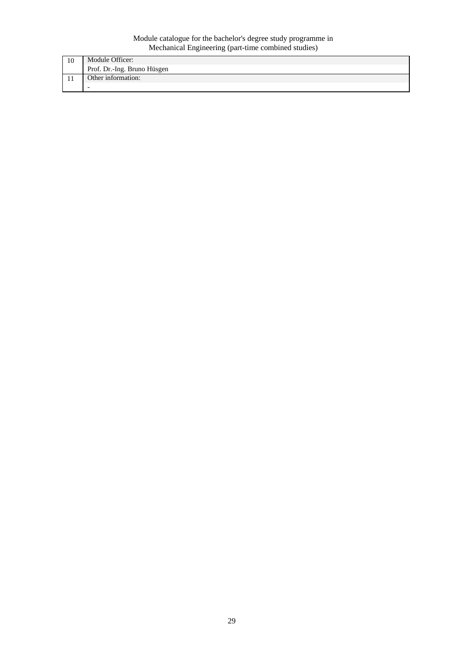|    |                             | ັ | $\sim$ 1 |  |
|----|-----------------------------|---|----------|--|
| 10 | Module Officer:             |   |          |  |
|    | Prof. Dr.-Ing. Bruno Hüsgen |   |          |  |
|    | Other information:          |   |          |  |
|    |                             |   |          |  |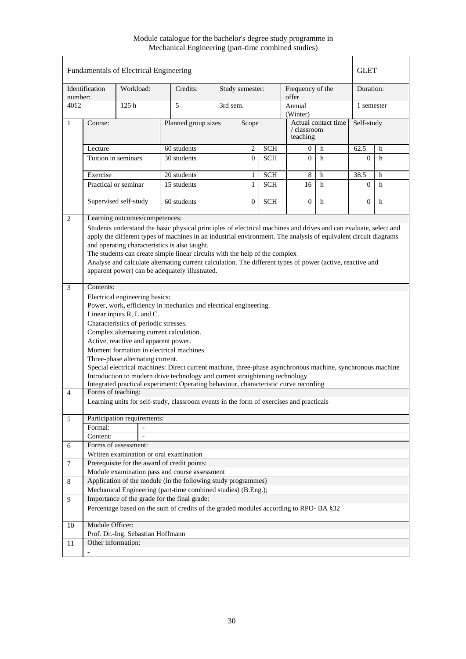|                  |                                                                                                                                                                                                                                                                                                                                                                                                                                                                                                                                    | Fundamentals of Electrical Engineering |                                                                                                                                |          |                 |                                                |                           |            | <b>GLET</b>    |   |
|------------------|------------------------------------------------------------------------------------------------------------------------------------------------------------------------------------------------------------------------------------------------------------------------------------------------------------------------------------------------------------------------------------------------------------------------------------------------------------------------------------------------------------------------------------|----------------------------------------|--------------------------------------------------------------------------------------------------------------------------------|----------|-----------------|------------------------------------------------|---------------------------|------------|----------------|---|
| number:          | Identification                                                                                                                                                                                                                                                                                                                                                                                                                                                                                                                     | Workload:                              | Credits:                                                                                                                       |          | Study semester: |                                                | Frequency of the<br>offer |            | Duration:      |   |
| 4012             |                                                                                                                                                                                                                                                                                                                                                                                                                                                                                                                                    | 125h                                   | 5                                                                                                                              | 3rd sem. |                 |                                                | Annual<br>(Winter)        |            | 1 semester     |   |
| $\mathbf{1}$     | Course:                                                                                                                                                                                                                                                                                                                                                                                                                                                                                                                            |                                        | Planned group sizes                                                                                                            | Scope    |                 | Actual contact time<br>/ classroom<br>teaching |                           | Self-study |                |   |
|                  | Lecture                                                                                                                                                                                                                                                                                                                                                                                                                                                                                                                            |                                        | 60 students                                                                                                                    |          | 2               | <b>SCH</b>                                     | $\overline{0}$            | h          | 62.5           | h |
|                  | Tuition in seminars                                                                                                                                                                                                                                                                                                                                                                                                                                                                                                                |                                        | 30 students                                                                                                                    |          | $\Omega$        | <b>SCH</b>                                     | $\Omega$                  | h          | $\Omega$       | h |
|                  | Exercise                                                                                                                                                                                                                                                                                                                                                                                                                                                                                                                           |                                        | 20 students                                                                                                                    |          | 1               | <b>SCH</b>                                     | 8                         | h          | 38.5           | h |
|                  |                                                                                                                                                                                                                                                                                                                                                                                                                                                                                                                                    | Practical or seminar                   | 15 students                                                                                                                    |          | 1               | <b>SCH</b>                                     | 16                        | h          | $\overline{0}$ | h |
|                  | Supervised self-study<br>60 students<br><b>SCH</b><br>$\overline{0}$<br>$\theta$<br>h                                                                                                                                                                                                                                                                                                                                                                                                                                              |                                        |                                                                                                                                |          |                 |                                                |                           |            | $\overline{0}$ | h |
| 2                |                                                                                                                                                                                                                                                                                                                                                                                                                                                                                                                                    | Learning outcomes/competences:         |                                                                                                                                |          |                 |                                                |                           |            |                |   |
|                  | Students understand the basic physical principles of electrical machines and drives and can evaluate, select and<br>apply the different types of machines in an industrial environment. The analysis of equivalent circuit diagrams<br>and operating characteristics is also taught.<br>The students can create simple linear circuits with the help of the complex<br>Analyse and calculate alternating current calculation. The different types of power (active, reactive and<br>apparent power) can be adequately illustrated. |                                        |                                                                                                                                |          |                 |                                                |                           |            |                |   |
| 3                | Contents:                                                                                                                                                                                                                                                                                                                                                                                                                                                                                                                          |                                        |                                                                                                                                |          |                 |                                                |                           |            |                |   |
|                  | Electrical engineering basics:<br>Power, work, efficiency in mechanics and electrical engineering.<br>Linear inputs R, L and C.<br>Characteristics of periodic stresses.<br>Complex alternating current calculation.<br>Active, reactive and apparent power.<br>Moment formation in electrical machines.<br>Three-phase alternating current.<br>Special electrical machines: Direct current machine, three-phase asynchronous machine, synchronous machine                                                                         |                                        |                                                                                                                                |          |                 |                                                |                           |            |                |   |
|                  |                                                                                                                                                                                                                                                                                                                                                                                                                                                                                                                                    |                                        | Introduction to modern drive technology and current straightening technology                                                   |          |                 |                                                |                           |            |                |   |
| $\overline{4}$   | Forms of teaching:                                                                                                                                                                                                                                                                                                                                                                                                                                                                                                                 |                                        | Integrated practical experiment: Operating behaviour, characteristic curve recording                                           |          |                 |                                                |                           |            |                |   |
|                  |                                                                                                                                                                                                                                                                                                                                                                                                                                                                                                                                    |                                        | Learning units for self-study, classroom events in the form of exercises and practicals                                        |          |                 |                                                |                           |            |                |   |
| 5                |                                                                                                                                                                                                                                                                                                                                                                                                                                                                                                                                    | Participation requirements:            |                                                                                                                                |          |                 |                                                |                           |            |                |   |
|                  | Formal:                                                                                                                                                                                                                                                                                                                                                                                                                                                                                                                            |                                        |                                                                                                                                |          |                 |                                                |                           |            |                |   |
|                  | Content:                                                                                                                                                                                                                                                                                                                                                                                                                                                                                                                           |                                        |                                                                                                                                |          |                 |                                                |                           |            |                |   |
| 6                |                                                                                                                                                                                                                                                                                                                                                                                                                                                                                                                                    | Forms of assessment:                   |                                                                                                                                |          |                 |                                                |                           |            |                |   |
|                  |                                                                                                                                                                                                                                                                                                                                                                                                                                                                                                                                    |                                        | Written examination or oral examination                                                                                        |          |                 |                                                |                           |            |                |   |
| $\boldsymbol{7}$ |                                                                                                                                                                                                                                                                                                                                                                                                                                                                                                                                    |                                        | Prerequisite for the award of credit points:                                                                                   |          |                 |                                                |                           |            |                |   |
|                  |                                                                                                                                                                                                                                                                                                                                                                                                                                                                                                                                    |                                        | Module examination pass and course assessment                                                                                  |          |                 |                                                |                           |            |                |   |
| $\,8\,$          |                                                                                                                                                                                                                                                                                                                                                                                                                                                                                                                                    |                                        | Application of the module (in the following study programmes)<br>Mechanical Engineering (part-time combined studies) (B.Eng.); |          |                 |                                                |                           |            |                |   |
| 9                | Importance of the grade for the final grade:                                                                                                                                                                                                                                                                                                                                                                                                                                                                                       |                                        |                                                                                                                                |          |                 |                                                |                           |            |                |   |
|                  |                                                                                                                                                                                                                                                                                                                                                                                                                                                                                                                                    |                                        | Percentage based on the sum of credits of the graded modules according to RPO-BA §32                                           |          |                 |                                                |                           |            |                |   |
| 10               | Module Officer:                                                                                                                                                                                                                                                                                                                                                                                                                                                                                                                    |                                        |                                                                                                                                |          |                 |                                                |                           |            |                |   |
|                  |                                                                                                                                                                                                                                                                                                                                                                                                                                                                                                                                    | Prof. Dr.-Ing. Sebastian Hoffmann      |                                                                                                                                |          |                 |                                                |                           |            |                |   |
| 11               | Other information:                                                                                                                                                                                                                                                                                                                                                                                                                                                                                                                 |                                        |                                                                                                                                |          |                 |                                                |                           |            |                |   |
|                  |                                                                                                                                                                                                                                                                                                                                                                                                                                                                                                                                    |                                        |                                                                                                                                |          |                 |                                                |                           |            |                |   |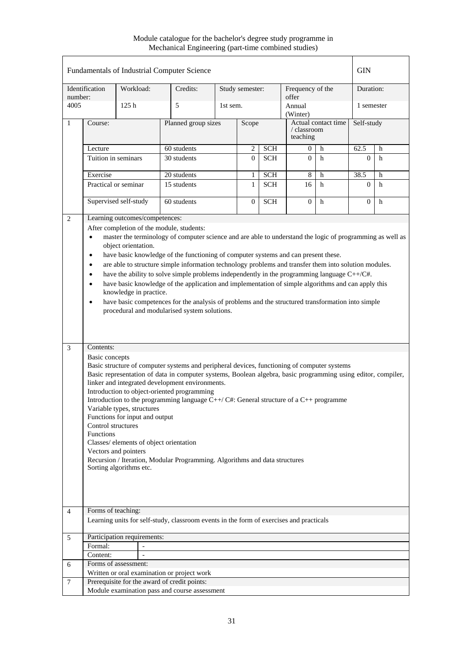Module catalogue for the bachelor's degree study programme in Mechanical Engineering (part-time combined studies)

|                |                                                                                                                                                                                                                                                                                                                                                                                                                                                                                                                                                                                                                                                                                                                                                                                                                                                                                     |                             | Fundamentals of Industrial Computer Science                                             |          |                 |            |                           |                     | <b>GIN</b>   |             |
|----------------|-------------------------------------------------------------------------------------------------------------------------------------------------------------------------------------------------------------------------------------------------------------------------------------------------------------------------------------------------------------------------------------------------------------------------------------------------------------------------------------------------------------------------------------------------------------------------------------------------------------------------------------------------------------------------------------------------------------------------------------------------------------------------------------------------------------------------------------------------------------------------------------|-----------------------------|-----------------------------------------------------------------------------------------|----------|-----------------|------------|---------------------------|---------------------|--------------|-------------|
| number:        | Identification                                                                                                                                                                                                                                                                                                                                                                                                                                                                                                                                                                                                                                                                                                                                                                                                                                                                      | Workload:                   | Credits:                                                                                |          | Study semester: |            | Frequency of the<br>offer |                     | Duration:    |             |
| 4005           |                                                                                                                                                                                                                                                                                                                                                                                                                                                                                                                                                                                                                                                                                                                                                                                                                                                                                     | 125h<br>5                   |                                                                                         | 1st sem. |                 |            | Annual<br>(Winter)        |                     | 1 semester   |             |
| $\mathbf{1}$   | Course:                                                                                                                                                                                                                                                                                                                                                                                                                                                                                                                                                                                                                                                                                                                                                                                                                                                                             |                             | Planned group sizes                                                                     | Scope    |                 |            | / classroom<br>teaching   | Actual contact time | Self-study   |             |
|                | Lecture                                                                                                                                                                                                                                                                                                                                                                                                                                                                                                                                                                                                                                                                                                                                                                                                                                                                             |                             | 60 students                                                                             |          | $\overline{c}$  | <b>SCH</b> | 0                         | h                   | 62.5         | h           |
|                | Tuition in seminars                                                                                                                                                                                                                                                                                                                                                                                                                                                                                                                                                                                                                                                                                                                                                                                                                                                                 |                             | 30 students                                                                             |          | $\overline{0}$  | <b>SCH</b> | $\overline{0}$            | h                   | $\mathbf{0}$ | h           |
|                | Exercise                                                                                                                                                                                                                                                                                                                                                                                                                                                                                                                                                                                                                                                                                                                                                                                                                                                                            |                             | 20 students                                                                             |          | 1               | <b>SCH</b> | 8                         | h                   | 38.5         | h           |
|                |                                                                                                                                                                                                                                                                                                                                                                                                                                                                                                                                                                                                                                                                                                                                                                                                                                                                                     | Practical or seminar        | 15 students                                                                             |          | $\mathbf{1}$    | <b>SCH</b> | 16                        | h                   | $\Omega$     | h           |
|                |                                                                                                                                                                                                                                                                                                                                                                                                                                                                                                                                                                                                                                                                                                                                                                                                                                                                                     | Supervised self-study       | 60 students                                                                             |          | $\overline{0}$  | <b>SCH</b> | $\overline{0}$            | h                   | $\mathbf{0}$ | $\mathbf h$ |
| 2<br>3         | Learning outcomes/competences:<br>After completion of the module, students:<br>master the terminology of computer science and are able to understand the logic of programming as well as<br>$\bullet$<br>object orientation.<br>have basic knowledge of the functioning of computer systems and can present these.<br>$\bullet$<br>are able to structure simple information technology problems and transfer them into solution modules.<br>$\bullet$<br>have the ability to solve simple problems independently in the programming language $C++/C$ #.<br>$\bullet$<br>have basic knowledge of the application and implementation of simple algorithms and can apply this<br>$\bullet$<br>knowledge in practice.<br>have basic competences for the analysis of problems and the structured transformation into simple<br>$\bullet$<br>procedural and modularised system solutions. |                             |                                                                                         |          |                 |            |                           |                     |              |             |
|                | Contents:<br><b>Basic</b> concepts<br>Basic structure of computer systems and peripheral devices, functioning of computer systems<br>Basic representation of data in computer systems, Boolean algebra, basic programming using editor, compiler,<br>linker and integrated development environments.<br>Introduction to object-oriented programming<br>Introduction to the programming language C++/ C#: General structure of a C++ programme<br>Variable types, structures<br>Functions for input and output<br>Control structures<br>Functions<br>Classes/ elements of object orientation<br>Vectors and pointers<br>Recursion / Iteration, Modular Programming. Algorithms and data structures<br>Sorting algorithms etc.                                                                                                                                                        |                             |                                                                                         |          |                 |            |                           |                     |              |             |
| $\overline{4}$ | Forms of teaching:                                                                                                                                                                                                                                                                                                                                                                                                                                                                                                                                                                                                                                                                                                                                                                                                                                                                  |                             | Learning units for self-study, classroom events in the form of exercises and practicals |          |                 |            |                           |                     |              |             |
|                |                                                                                                                                                                                                                                                                                                                                                                                                                                                                                                                                                                                                                                                                                                                                                                                                                                                                                     |                             |                                                                                         |          |                 |            |                           |                     |              |             |
| 5              | Formal:                                                                                                                                                                                                                                                                                                                                                                                                                                                                                                                                                                                                                                                                                                                                                                                                                                                                             | Participation requirements: |                                                                                         |          |                 |            |                           |                     |              |             |
|                | Content:                                                                                                                                                                                                                                                                                                                                                                                                                                                                                                                                                                                                                                                                                                                                                                                                                                                                            |                             |                                                                                         |          |                 |            |                           |                     |              |             |
| 6              |                                                                                                                                                                                                                                                                                                                                                                                                                                                                                                                                                                                                                                                                                                                                                                                                                                                                                     | Forms of assessment:        |                                                                                         |          |                 |            |                           |                     |              |             |
|                |                                                                                                                                                                                                                                                                                                                                                                                                                                                                                                                                                                                                                                                                                                                                                                                                                                                                                     |                             | Written or oral examination or project work                                             |          |                 |            |                           |                     |              |             |
| 7              |                                                                                                                                                                                                                                                                                                                                                                                                                                                                                                                                                                                                                                                                                                                                                                                                                                                                                     |                             | Prerequisite for the award of credit points:                                            |          |                 |            |                           |                     |              |             |
|                |                                                                                                                                                                                                                                                                                                                                                                                                                                                                                                                                                                                                                                                                                                                                                                                                                                                                                     |                             | Module examination pass and course assessment                                           |          |                 |            |                           |                     |              |             |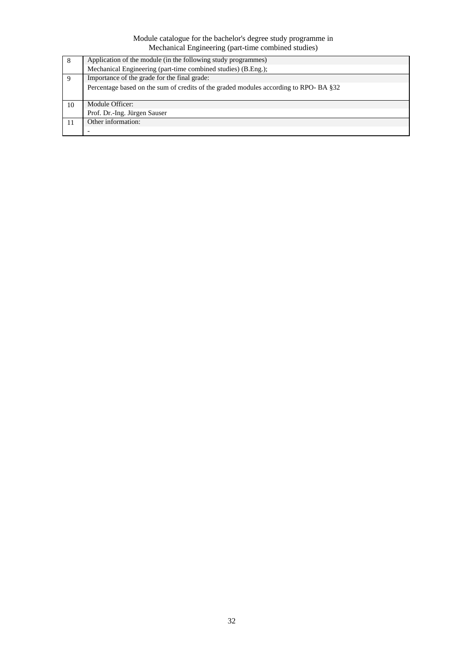| 8  | Application of the module (in the following study programmes)                        |
|----|--------------------------------------------------------------------------------------|
|    | Mechanical Engineering (part-time combined studies) (B.Eng.);                        |
| 9  | Importance of the grade for the final grade:                                         |
|    | Percentage based on the sum of credits of the graded modules according to RPO-BA §32 |
| 10 | Module Officer:                                                                      |
|    | Prof. Dr.-Ing. Jürgen Sauser                                                         |
|    | Other information:                                                                   |
|    |                                                                                      |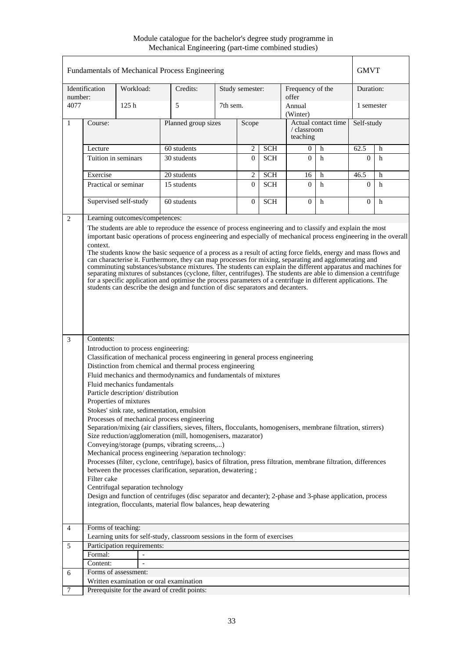|                |                                                                                                                                                                                                                                                                                                                                                                                                                                                                                                                                                                                                                                                                                                                                                                                                                                                                                                                                                                                                                                                                                                                                                                                                |                                         | Fundamentals of Mechanical Process Engineering |          |                 |                                                |                           |            | <b>GMVT</b>    |   |
|----------------|------------------------------------------------------------------------------------------------------------------------------------------------------------------------------------------------------------------------------------------------------------------------------------------------------------------------------------------------------------------------------------------------------------------------------------------------------------------------------------------------------------------------------------------------------------------------------------------------------------------------------------------------------------------------------------------------------------------------------------------------------------------------------------------------------------------------------------------------------------------------------------------------------------------------------------------------------------------------------------------------------------------------------------------------------------------------------------------------------------------------------------------------------------------------------------------------|-----------------------------------------|------------------------------------------------|----------|-----------------|------------------------------------------------|---------------------------|------------|----------------|---|
| number:        | Identification                                                                                                                                                                                                                                                                                                                                                                                                                                                                                                                                                                                                                                                                                                                                                                                                                                                                                                                                                                                                                                                                                                                                                                                 | Workload:                               | Credits:                                       |          | Study semester: |                                                | Frequency of the<br>offer |            | Duration:      |   |
| 4077           |                                                                                                                                                                                                                                                                                                                                                                                                                                                                                                                                                                                                                                                                                                                                                                                                                                                                                                                                                                                                                                                                                                                                                                                                | 125h                                    | 5                                              | 7th sem. |                 |                                                | Annual<br>(Winter)        |            | 1 semester     |   |
| $\mathbf{1}$   | Course:                                                                                                                                                                                                                                                                                                                                                                                                                                                                                                                                                                                                                                                                                                                                                                                                                                                                                                                                                                                                                                                                                                                                                                                        |                                         | Planned group sizes                            | Scope    |                 | Actual contact time<br>/ classroom<br>teaching |                           | Self-study |                |   |
|                | Lecture                                                                                                                                                                                                                                                                                                                                                                                                                                                                                                                                                                                                                                                                                                                                                                                                                                                                                                                                                                                                                                                                                                                                                                                        |                                         | 60 students                                    |          | 2               | <b>SCH</b>                                     | 0                         | h          | 62.5           | h |
|                |                                                                                                                                                                                                                                                                                                                                                                                                                                                                                                                                                                                                                                                                                                                                                                                                                                                                                                                                                                                                                                                                                                                                                                                                | Tuition in seminars                     | 30 students                                    |          | $\Omega$        | <b>SCH</b>                                     | $\mathbf{0}$              | h          | $\Omega$       | h |
|                | Exercise                                                                                                                                                                                                                                                                                                                                                                                                                                                                                                                                                                                                                                                                                                                                                                                                                                                                                                                                                                                                                                                                                                                                                                                       |                                         | 20 students                                    |          | $\overline{c}$  | <b>SCH</b>                                     | 16                        | h          | 46.5           | h |
|                | Practical or seminar<br>15 students                                                                                                                                                                                                                                                                                                                                                                                                                                                                                                                                                                                                                                                                                                                                                                                                                                                                                                                                                                                                                                                                                                                                                            |                                         |                                                |          | $\overline{0}$  | <b>SCH</b>                                     | $\Omega$                  | h          | $\overline{0}$ | h |
|                | Supervised self-study<br>60 students                                                                                                                                                                                                                                                                                                                                                                                                                                                                                                                                                                                                                                                                                                                                                                                                                                                                                                                                                                                                                                                                                                                                                           |                                         |                                                |          | $\mathbf{0}$    | <b>SCH</b>                                     | $\mathbf{0}$              | h          | $\Omega$       | h |
| 2              |                                                                                                                                                                                                                                                                                                                                                                                                                                                                                                                                                                                                                                                                                                                                                                                                                                                                                                                                                                                                                                                                                                                                                                                                | Learning outcomes/competences:          |                                                |          |                 |                                                |                           |            |                |   |
|                | important basic operations of process engineering and especially of mechanical process engineering in the overall<br>context.<br>The students know the basic sequence of a process as a result of acting force fields, energy and mass flows and<br>can characterise it. Furthermore, they can map processes for mixing, separating and agglomerating and<br>comminuting substances/substance mixtures. The students can explain the different apparatus and machines for<br>separating mixtures of substances (cyclone, filter, centrifuges). The students are able to dimension a centrifuge<br>for a specific application and optimise the process parameters of a centrifuge in different applications. The<br>students can describe the design and function of disc separators and decanters.                                                                                                                                                                                                                                                                                                                                                                                             |                                         |                                                |          |                 |                                                |                           |            |                |   |
|                | Contents:<br>3<br>Introduction to process engineering:<br>Classification of mechanical process engineering in general process engineering<br>Distinction from chemical and thermal process engineering<br>Fluid mechanics and thermodynamics and fundamentals of mixtures<br>Fluid mechanics fundamentals<br>Particle description/distribution<br>Properties of mixtures<br>Stokes' sink rate, sedimentation, emulsion<br>Processes of mechanical process engineering<br>Separation/mixing (air classifiers, sieves, filters, flocculants, homogenisers, membrane filtration, stirrers)<br>Size reduction/agglomeration (mill, homogenisers, mazarator)<br>Conveying/storage (pumps, vibrating screens,)<br>Mechanical process engineering /separation technology:<br>Processes (filter, cyclone, centrifuge), basics of filtration, press filtration, membrane filtration, differences<br>between the processes clarification, separation, dewatering;<br>Filter cake<br>Centrifugal separation technology<br>Design and function of centrifuges (disc separator and decanter); 2-phase and 3-phase application, process<br>integration, flocculants, material flow balances, heap dewatering |                                         |                                                |          |                 |                                                |                           |            |                |   |
| $\overline{4}$ | Forms of teaching:                                                                                                                                                                                                                                                                                                                                                                                                                                                                                                                                                                                                                                                                                                                                                                                                                                                                                                                                                                                                                                                                                                                                                                             |                                         |                                                |          |                 |                                                |                           |            |                |   |
|                | Learning units for self-study, classroom sessions in the form of exercises                                                                                                                                                                                                                                                                                                                                                                                                                                                                                                                                                                                                                                                                                                                                                                                                                                                                                                                                                                                                                                                                                                                     |                                         |                                                |          |                 |                                                |                           |            |                |   |
| 5              | Formal:                                                                                                                                                                                                                                                                                                                                                                                                                                                                                                                                                                                                                                                                                                                                                                                                                                                                                                                                                                                                                                                                                                                                                                                        | Participation requirements:             |                                                |          |                 |                                                |                           |            |                |   |
|                | Content:                                                                                                                                                                                                                                                                                                                                                                                                                                                                                                                                                                                                                                                                                                                                                                                                                                                                                                                                                                                                                                                                                                                                                                                       | $\mathbf{r}$                            |                                                |          |                 |                                                |                           |            |                |   |
| 6              |                                                                                                                                                                                                                                                                                                                                                                                                                                                                                                                                                                                                                                                                                                                                                                                                                                                                                                                                                                                                                                                                                                                                                                                                | Forms of assessment:                    |                                                |          |                 |                                                |                           |            |                |   |
|                |                                                                                                                                                                                                                                                                                                                                                                                                                                                                                                                                                                                                                                                                                                                                                                                                                                                                                                                                                                                                                                                                                                                                                                                                | Written examination or oral examination |                                                |          |                 |                                                |                           |            |                |   |
| 7              |                                                                                                                                                                                                                                                                                                                                                                                                                                                                                                                                                                                                                                                                                                                                                                                                                                                                                                                                                                                                                                                                                                                                                                                                |                                         | Prerequisite for the award of credit points:   |          |                 |                                                |                           |            |                |   |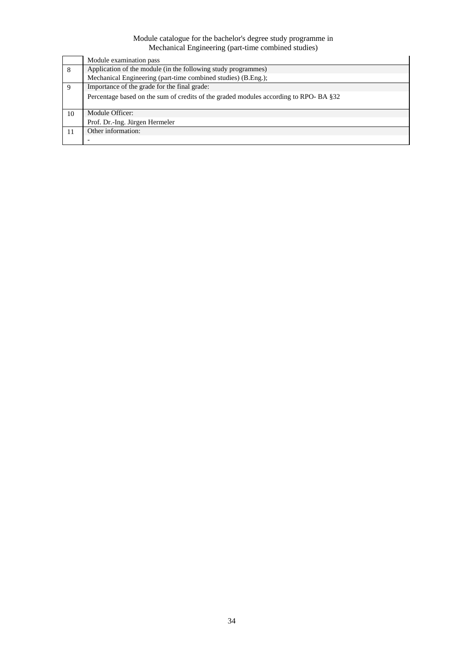|    | Module examination pass                                                              |
|----|--------------------------------------------------------------------------------------|
| 8  | Application of the module (in the following study programmes)                        |
|    | Mechanical Engineering (part-time combined studies) (B.Eng.);                        |
| 9  | Importance of the grade for the final grade:                                         |
|    | Percentage based on the sum of credits of the graded modules according to RPO-BA §32 |
|    |                                                                                      |
| 10 | Module Officer:                                                                      |
|    | Prof. Dr.-Ing. Jürgen Hermeler                                                       |
| 11 | Other information:                                                                   |
|    |                                                                                      |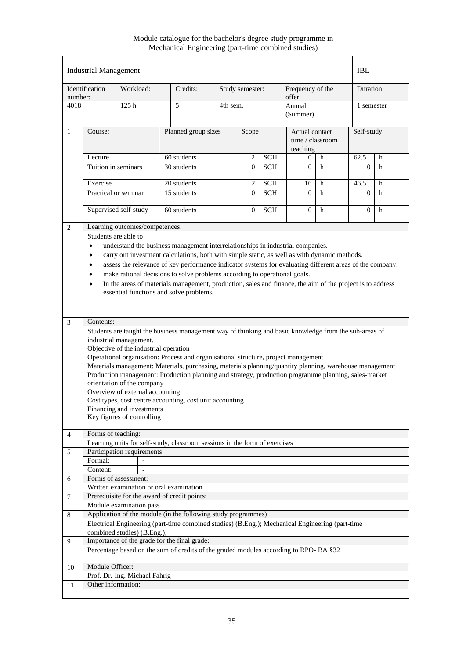Module catalogue for the bachelor's degree study programme in Mechanical Engineering (part-time combined studies)

|                          | <b>Industrial Management</b>                                                                                                                                                                                                                                                                                                                                                                                                                                                                                                                                                                                                                                                                                                                                                                                                                                                                                                                                                                                                                                                                                                                                                                                                                                                                                                                         |                               |                                                                                                                                                                  |          |                 |            |                                                  |   | <b>IBL</b>     |            |  |
|--------------------------|------------------------------------------------------------------------------------------------------------------------------------------------------------------------------------------------------------------------------------------------------------------------------------------------------------------------------------------------------------------------------------------------------------------------------------------------------------------------------------------------------------------------------------------------------------------------------------------------------------------------------------------------------------------------------------------------------------------------------------------------------------------------------------------------------------------------------------------------------------------------------------------------------------------------------------------------------------------------------------------------------------------------------------------------------------------------------------------------------------------------------------------------------------------------------------------------------------------------------------------------------------------------------------------------------------------------------------------------------|-------------------------------|------------------------------------------------------------------------------------------------------------------------------------------------------------------|----------|-----------------|------------|--------------------------------------------------|---|----------------|------------|--|
| number:                  | Identification                                                                                                                                                                                                                                                                                                                                                                                                                                                                                                                                                                                                                                                                                                                                                                                                                                                                                                                                                                                                                                                                                                                                                                                                                                                                                                                                       | Workload:                     | Credits:                                                                                                                                                         |          | Study semester: |            | Frequency of the<br>offer                        |   |                | Duration:  |  |
| 4018                     |                                                                                                                                                                                                                                                                                                                                                                                                                                                                                                                                                                                                                                                                                                                                                                                                                                                                                                                                                                                                                                                                                                                                                                                                                                                                                                                                                      | 125h                          | 5                                                                                                                                                                | 4th sem. |                 |            | Annual<br>(Summer)                               |   |                | 1 semester |  |
| 1                        | Course:                                                                                                                                                                                                                                                                                                                                                                                                                                                                                                                                                                                                                                                                                                                                                                                                                                                                                                                                                                                                                                                                                                                                                                                                                                                                                                                                              |                               | Planned group sizes                                                                                                                                              |          | Scope           |            | Actual contact<br>time / $classroom$<br>teaching |   | Self-study     |            |  |
|                          | Lecture                                                                                                                                                                                                                                                                                                                                                                                                                                                                                                                                                                                                                                                                                                                                                                                                                                                                                                                                                                                                                                                                                                                                                                                                                                                                                                                                              |                               | 60 students                                                                                                                                                      |          | $\overline{2}$  | <b>SCH</b> | 0                                                | h | 62.5           | h          |  |
|                          | Tuition in seminars                                                                                                                                                                                                                                                                                                                                                                                                                                                                                                                                                                                                                                                                                                                                                                                                                                                                                                                                                                                                                                                                                                                                                                                                                                                                                                                                  |                               | 30 students                                                                                                                                                      |          | $\Omega$        | <b>SCH</b> | $\mathbf{0}$                                     | h | $\Omega$       | h          |  |
|                          | Exercise                                                                                                                                                                                                                                                                                                                                                                                                                                                                                                                                                                                                                                                                                                                                                                                                                                                                                                                                                                                                                                                                                                                                                                                                                                                                                                                                             |                               | 20 students                                                                                                                                                      |          | 2               | <b>SCH</b> | 16                                               | h | 46.5           | h          |  |
|                          |                                                                                                                                                                                                                                                                                                                                                                                                                                                                                                                                                                                                                                                                                                                                                                                                                                                                                                                                                                                                                                                                                                                                                                                                                                                                                                                                                      | Practical or seminar          | 15 students                                                                                                                                                      |          | $\Omega$        | <b>SCH</b> | $\Omega$                                         | h | $\Omega$       | h          |  |
|                          |                                                                                                                                                                                                                                                                                                                                                                                                                                                                                                                                                                                                                                                                                                                                                                                                                                                                                                                                                                                                                                                                                                                                                                                                                                                                                                                                                      | Supervised self-study         | 60 students                                                                                                                                                      |          | $\overline{0}$  | <b>SCH</b> | $\mathbf{0}$                                     | h | $\overline{0}$ | h          |  |
| 2<br>3<br>$\overline{4}$ | Learning outcomes/competences:<br>Students are able to<br>understand the business management interrelationships in industrial companies.<br>$\bullet$<br>carry out investment calculations, both with simple static, as well as with dynamic methods.<br>$\bullet$<br>assess the relevance of key performance indicator systems for evaluating different areas of the company.<br>$\bullet$<br>make rational decisions to solve problems according to operational goals.<br>$\bullet$<br>In the areas of materials management, production, sales and finance, the aim of the project is to address<br>$\bullet$<br>essential functions and solve problems.<br>Contents:<br>Students are taught the business management way of thinking and basic knowledge from the sub-areas of<br>industrial management.<br>Objective of the industrial operation<br>Operational organisation: Process and organisational structure, project management<br>Materials management: Materials, purchasing, materials planning/quantity planning, warehouse management<br>Production management: Production planning and strategy, production programme planning, sales-market<br>orientation of the company<br>Overview of external accounting<br>Cost types, cost centre accounting, cost unit accounting<br>Financing and investments<br>Key figures of controlling |                               |                                                                                                                                                                  |          |                 |            |                                                  |   |                |            |  |
|                          | Forms of teaching:                                                                                                                                                                                                                                                                                                                                                                                                                                                                                                                                                                                                                                                                                                                                                                                                                                                                                                                                                                                                                                                                                                                                                                                                                                                                                                                                   |                               | Learning units for self-study, classroom sessions in the form of exercises                                                                                       |          |                 |            |                                                  |   |                |            |  |
| 5                        | Formal:                                                                                                                                                                                                                                                                                                                                                                                                                                                                                                                                                                                                                                                                                                                                                                                                                                                                                                                                                                                                                                                                                                                                                                                                                                                                                                                                              | Participation requirements:   |                                                                                                                                                                  |          |                 |            |                                                  |   |                |            |  |
|                          | Content:                                                                                                                                                                                                                                                                                                                                                                                                                                                                                                                                                                                                                                                                                                                                                                                                                                                                                                                                                                                                                                                                                                                                                                                                                                                                                                                                             |                               |                                                                                                                                                                  |          |                 |            |                                                  |   |                |            |  |
| 6                        |                                                                                                                                                                                                                                                                                                                                                                                                                                                                                                                                                                                                                                                                                                                                                                                                                                                                                                                                                                                                                                                                                                                                                                                                                                                                                                                                                      | Forms of assessment:          |                                                                                                                                                                  |          |                 |            |                                                  |   |                |            |  |
|                          |                                                                                                                                                                                                                                                                                                                                                                                                                                                                                                                                                                                                                                                                                                                                                                                                                                                                                                                                                                                                                                                                                                                                                                                                                                                                                                                                                      |                               | Written examination or oral examination                                                                                                                          |          |                 |            |                                                  |   |                |            |  |
| 7                        |                                                                                                                                                                                                                                                                                                                                                                                                                                                                                                                                                                                                                                                                                                                                                                                                                                                                                                                                                                                                                                                                                                                                                                                                                                                                                                                                                      |                               | Prerequisite for the award of credit points:                                                                                                                     |          |                 |            |                                                  |   |                |            |  |
|                          |                                                                                                                                                                                                                                                                                                                                                                                                                                                                                                                                                                                                                                                                                                                                                                                                                                                                                                                                                                                                                                                                                                                                                                                                                                                                                                                                                      | Module examination pass       |                                                                                                                                                                  |          |                 |            |                                                  |   |                |            |  |
| 8                        |                                                                                                                                                                                                                                                                                                                                                                                                                                                                                                                                                                                                                                                                                                                                                                                                                                                                                                                                                                                                                                                                                                                                                                                                                                                                                                                                                      | combined studies) (B.Eng.);   | Application of the module (in the following study programmes)<br>Electrical Engineering (part-time combined studies) (B.Eng.); Mechanical Engineering (part-time |          |                 |            |                                                  |   |                |            |  |
| 9                        |                                                                                                                                                                                                                                                                                                                                                                                                                                                                                                                                                                                                                                                                                                                                                                                                                                                                                                                                                                                                                                                                                                                                                                                                                                                                                                                                                      |                               | Importance of the grade for the final grade:                                                                                                                     |          |                 |            |                                                  |   |                |            |  |
|                          |                                                                                                                                                                                                                                                                                                                                                                                                                                                                                                                                                                                                                                                                                                                                                                                                                                                                                                                                                                                                                                                                                                                                                                                                                                                                                                                                                      |                               | Percentage based on the sum of credits of the graded modules according to RPO-BA §32                                                                             |          |                 |            |                                                  |   |                |            |  |
| 10                       | Module Officer:                                                                                                                                                                                                                                                                                                                                                                                                                                                                                                                                                                                                                                                                                                                                                                                                                                                                                                                                                                                                                                                                                                                                                                                                                                                                                                                                      |                               |                                                                                                                                                                  |          |                 |            |                                                  |   |                |            |  |
|                          |                                                                                                                                                                                                                                                                                                                                                                                                                                                                                                                                                                                                                                                                                                                                                                                                                                                                                                                                                                                                                                                                                                                                                                                                                                                                                                                                                      | Prof. Dr.-Ing. Michael Fahrig |                                                                                                                                                                  |          |                 |            |                                                  |   |                |            |  |
| 11                       | Other information:                                                                                                                                                                                                                                                                                                                                                                                                                                                                                                                                                                                                                                                                                                                                                                                                                                                                                                                                                                                                                                                                                                                                                                                                                                                                                                                                   |                               |                                                                                                                                                                  |          |                 |            |                                                  |   |                |            |  |
|                          |                                                                                                                                                                                                                                                                                                                                                                                                                                                                                                                                                                                                                                                                                                                                                                                                                                                                                                                                                                                                                                                                                                                                                                                                                                                                                                                                                      |                               |                                                                                                                                                                  |          |                 |            |                                                  |   |                |            |  |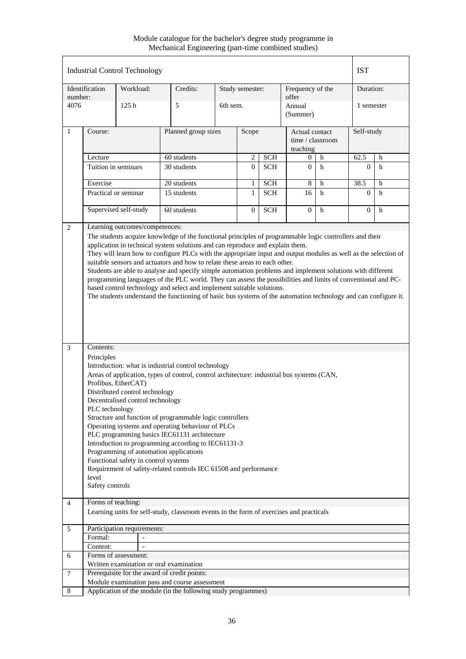| Identification<br>Duration:<br>Workload:<br>Credits:<br>Frequency of the<br>Study semester:<br>number:<br>offer<br>4076<br>5<br>6th sem.<br>125 <sub>h</sub><br>Annual<br>1 semester<br>(Summer)<br>$\mathbf{1}$<br>Planned group sizes<br>Self-study<br>Course:<br>Scope<br>Actual contact<br>time / classroom<br>teaching<br>$\overline{2}$<br>60 students<br><b>SCH</b><br>62.5<br>$\mathbf h$<br>Lecture<br>h<br>$\overline{0}$<br>30 students<br>$\Omega$<br><b>SCH</b><br>Tuition in seminars<br>$\overline{0}$<br>$\Omega$<br>h<br>h<br><b>SCH</b><br>38.5<br>Exercise<br>20 students<br>$8\,$<br>1<br>h<br>h<br><b>SCH</b><br>$\mathbf{1}$<br>Practical or seminar<br>15 students<br>16<br>$\Omega$<br>h<br>h<br>Supervised self-study<br>60 students<br>$\mathbf{0}$<br><b>SCH</b><br>h<br>$\overline{0}$<br>h<br>$\theta$<br>Learning outcomes/competences:<br>$\overline{2}$<br>The students acquire knowledge of the functional principles of programmable logic controllers and their<br>application in technical system solutions and can reproduce and explain them.<br>They will learn how to configure PLCs with the appropriate input and output modules as well as the selection of<br>suitable sensors and actuators and how to relate these areas to each other.<br>Students are able to analyse and specify simple automation problems and implement solutions with different<br>programming languages of the PLC world. They can assess the possibilities and limits of conventional and PC-<br>based control technology and select and implement suitable solutions.<br>The students understand the functioning of basic bus systems of the automation technology and can configure it.<br>$\mathfrak{Z}$<br>Contents:<br>Principles<br>Introduction: what is industrial control technology<br>Areas of application, types of control, control architecture: industrial bus systems (CAN,<br>Profibus, EtherCAT)<br>Distributed control technology |
|----------------------------------------------------------------------------------------------------------------------------------------------------------------------------------------------------------------------------------------------------------------------------------------------------------------------------------------------------------------------------------------------------------------------------------------------------------------------------------------------------------------------------------------------------------------------------------------------------------------------------------------------------------------------------------------------------------------------------------------------------------------------------------------------------------------------------------------------------------------------------------------------------------------------------------------------------------------------------------------------------------------------------------------------------------------------------------------------------------------------------------------------------------------------------------------------------------------------------------------------------------------------------------------------------------------------------------------------------------------------------------------------------------------------------------------------------------------------------------------------------------------------------------------------------------------------------------------------------------------------------------------------------------------------------------------------------------------------------------------------------------------------------------------------------------------------------------------------------------------------------------------------------------------------------------------------------------------------------|
|                                                                                                                                                                                                                                                                                                                                                                                                                                                                                                                                                                                                                                                                                                                                                                                                                                                                                                                                                                                                                                                                                                                                                                                                                                                                                                                                                                                                                                                                                                                                                                                                                                                                                                                                                                                                                                                                                                                                                                            |
|                                                                                                                                                                                                                                                                                                                                                                                                                                                                                                                                                                                                                                                                                                                                                                                                                                                                                                                                                                                                                                                                                                                                                                                                                                                                                                                                                                                                                                                                                                                                                                                                                                                                                                                                                                                                                                                                                                                                                                            |
|                                                                                                                                                                                                                                                                                                                                                                                                                                                                                                                                                                                                                                                                                                                                                                                                                                                                                                                                                                                                                                                                                                                                                                                                                                                                                                                                                                                                                                                                                                                                                                                                                                                                                                                                                                                                                                                                                                                                                                            |
|                                                                                                                                                                                                                                                                                                                                                                                                                                                                                                                                                                                                                                                                                                                                                                                                                                                                                                                                                                                                                                                                                                                                                                                                                                                                                                                                                                                                                                                                                                                                                                                                                                                                                                                                                                                                                                                                                                                                                                            |
|                                                                                                                                                                                                                                                                                                                                                                                                                                                                                                                                                                                                                                                                                                                                                                                                                                                                                                                                                                                                                                                                                                                                                                                                                                                                                                                                                                                                                                                                                                                                                                                                                                                                                                                                                                                                                                                                                                                                                                            |
|                                                                                                                                                                                                                                                                                                                                                                                                                                                                                                                                                                                                                                                                                                                                                                                                                                                                                                                                                                                                                                                                                                                                                                                                                                                                                                                                                                                                                                                                                                                                                                                                                                                                                                                                                                                                                                                                                                                                                                            |
|                                                                                                                                                                                                                                                                                                                                                                                                                                                                                                                                                                                                                                                                                                                                                                                                                                                                                                                                                                                                                                                                                                                                                                                                                                                                                                                                                                                                                                                                                                                                                                                                                                                                                                                                                                                                                                                                                                                                                                            |
|                                                                                                                                                                                                                                                                                                                                                                                                                                                                                                                                                                                                                                                                                                                                                                                                                                                                                                                                                                                                                                                                                                                                                                                                                                                                                                                                                                                                                                                                                                                                                                                                                                                                                                                                                                                                                                                                                                                                                                            |
|                                                                                                                                                                                                                                                                                                                                                                                                                                                                                                                                                                                                                                                                                                                                                                                                                                                                                                                                                                                                                                                                                                                                                                                                                                                                                                                                                                                                                                                                                                                                                                                                                                                                                                                                                                                                                                                                                                                                                                            |
|                                                                                                                                                                                                                                                                                                                                                                                                                                                                                                                                                                                                                                                                                                                                                                                                                                                                                                                                                                                                                                                                                                                                                                                                                                                                                                                                                                                                                                                                                                                                                                                                                                                                                                                                                                                                                                                                                                                                                                            |
| Decentralised control technology<br>PLC technology<br>Structure and function of programmable logic controllers<br>Operating systems and operating behaviour of PLCs<br>PLC programming basics IEC61131 architecture<br>Introduction to programming according to IEC61131-3<br>Programming of automation applications<br>Functional safety in control systems<br>Requirement of safety-related controls IEC 61508 and performance<br>level<br>Safety controls<br>Forms of teaching:<br>$\overline{4}$                                                                                                                                                                                                                                                                                                                                                                                                                                                                                                                                                                                                                                                                                                                                                                                                                                                                                                                                                                                                                                                                                                                                                                                                                                                                                                                                                                                                                                                                       |
|                                                                                                                                                                                                                                                                                                                                                                                                                                                                                                                                                                                                                                                                                                                                                                                                                                                                                                                                                                                                                                                                                                                                                                                                                                                                                                                                                                                                                                                                                                                                                                                                                                                                                                                                                                                                                                                                                                                                                                            |
| Learning units for self-study, classroom events in the form of exercises and practicals                                                                                                                                                                                                                                                                                                                                                                                                                                                                                                                                                                                                                                                                                                                                                                                                                                                                                                                                                                                                                                                                                                                                                                                                                                                                                                                                                                                                                                                                                                                                                                                                                                                                                                                                                                                                                                                                                    |
| Participation requirements:<br>5                                                                                                                                                                                                                                                                                                                                                                                                                                                                                                                                                                                                                                                                                                                                                                                                                                                                                                                                                                                                                                                                                                                                                                                                                                                                                                                                                                                                                                                                                                                                                                                                                                                                                                                                                                                                                                                                                                                                           |
| Formal:<br>$\overline{a}$                                                                                                                                                                                                                                                                                                                                                                                                                                                                                                                                                                                                                                                                                                                                                                                                                                                                                                                                                                                                                                                                                                                                                                                                                                                                                                                                                                                                                                                                                                                                                                                                                                                                                                                                                                                                                                                                                                                                                  |
| Content:                                                                                                                                                                                                                                                                                                                                                                                                                                                                                                                                                                                                                                                                                                                                                                                                                                                                                                                                                                                                                                                                                                                                                                                                                                                                                                                                                                                                                                                                                                                                                                                                                                                                                                                                                                                                                                                                                                                                                                   |
| Forms of assessment:<br>6                                                                                                                                                                                                                                                                                                                                                                                                                                                                                                                                                                                                                                                                                                                                                                                                                                                                                                                                                                                                                                                                                                                                                                                                                                                                                                                                                                                                                                                                                                                                                                                                                                                                                                                                                                                                                                                                                                                                                  |
| Written examination or oral examination                                                                                                                                                                                                                                                                                                                                                                                                                                                                                                                                                                                                                                                                                                                                                                                                                                                                                                                                                                                                                                                                                                                                                                                                                                                                                                                                                                                                                                                                                                                                                                                                                                                                                                                                                                                                                                                                                                                                    |
| Prerequisite for the award of credit points:<br>$\overline{7}$                                                                                                                                                                                                                                                                                                                                                                                                                                                                                                                                                                                                                                                                                                                                                                                                                                                                                                                                                                                                                                                                                                                                                                                                                                                                                                                                                                                                                                                                                                                                                                                                                                                                                                                                                                                                                                                                                                             |
| Module examination pass and course assessment                                                                                                                                                                                                                                                                                                                                                                                                                                                                                                                                                                                                                                                                                                                                                                                                                                                                                                                                                                                                                                                                                                                                                                                                                                                                                                                                                                                                                                                                                                                                                                                                                                                                                                                                                                                                                                                                                                                              |
| Application of the module (in the following study programmes)<br>8                                                                                                                                                                                                                                                                                                                                                                                                                                                                                                                                                                                                                                                                                                                                                                                                                                                                                                                                                                                                                                                                                                                                                                                                                                                                                                                                                                                                                                                                                                                                                                                                                                                                                                                                                                                                                                                                                                         |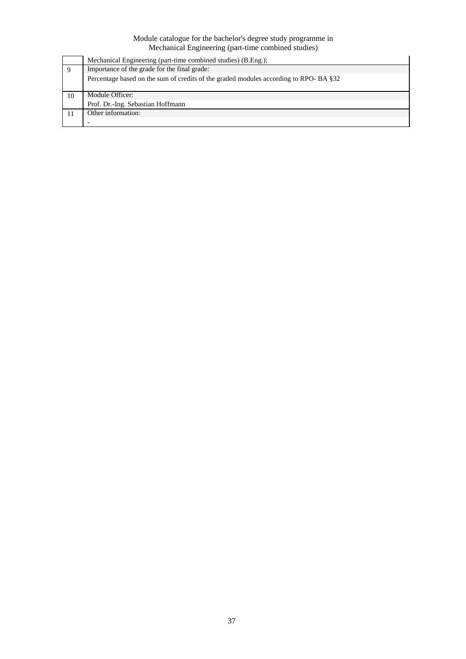|    | Mechanical Engineering (part-time combined studies) (B.Eng.);                        |
|----|--------------------------------------------------------------------------------------|
| 9  | Importance of the grade for the final grade:                                         |
|    | Percentage based on the sum of credits of the graded modules according to RPO-BA §32 |
| 10 | Module Officer:                                                                      |
|    | Prof. Dr.-Ing. Sebastian Hoffmann                                                    |
|    | Other information:                                                                   |
|    |                                                                                      |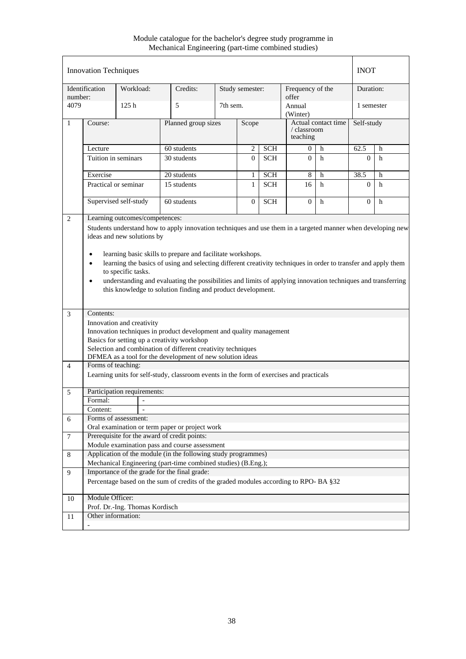Module catalogue for the bachelor's degree study programme in Mechanical Engineering (part-time combined studies)

|                | <b>Innovation Techniques</b>                                                                                                                                                                                                                                                                                                                                                                                                                                                                                                                                                                             |                                |                                                                                                                                        |          |                 |                                                |                           |                | <b>INOT</b> |   |
|----------------|----------------------------------------------------------------------------------------------------------------------------------------------------------------------------------------------------------------------------------------------------------------------------------------------------------------------------------------------------------------------------------------------------------------------------------------------------------------------------------------------------------------------------------------------------------------------------------------------------------|--------------------------------|----------------------------------------------------------------------------------------------------------------------------------------|----------|-----------------|------------------------------------------------|---------------------------|----------------|-------------|---|
| number:        | Identification                                                                                                                                                                                                                                                                                                                                                                                                                                                                                                                                                                                           | Workload:                      | Credits:                                                                                                                               |          | Study semester: |                                                | Frequency of the<br>offer |                | Duration:   |   |
| 4079           |                                                                                                                                                                                                                                                                                                                                                                                                                                                                                                                                                                                                          | 125h                           | 5                                                                                                                                      | 7th sem. |                 |                                                | Annual<br>(Winter)        |                | 1 semester  |   |
| $\mathbf{1}$   | Course:                                                                                                                                                                                                                                                                                                                                                                                                                                                                                                                                                                                                  |                                | Planned group sizes                                                                                                                    | Scope    |                 | Actual contact time<br>/ classroom<br>teaching |                           | Self-study     |             |   |
|                | Lecture                                                                                                                                                                                                                                                                                                                                                                                                                                                                                                                                                                                                  |                                | 60 students                                                                                                                            |          | 2               | <b>SCH</b>                                     | 0                         | h              | 62.5        | h |
|                | Tuition in seminars                                                                                                                                                                                                                                                                                                                                                                                                                                                                                                                                                                                      |                                | 30 students                                                                                                                            |          |                 |                                                | $\Omega$                  | h              | $\Omega$    | h |
|                | Exercise                                                                                                                                                                                                                                                                                                                                                                                                                                                                                                                                                                                                 |                                | 20 students                                                                                                                            |          | 1               | <b>SCH</b>                                     | 8                         | h              | 38.5        | h |
|                | Practical or seminar                                                                                                                                                                                                                                                                                                                                                                                                                                                                                                                                                                                     |                                | 15 students                                                                                                                            |          | $\mathbf{1}$    | <b>SCH</b>                                     | 16                        | h              | $\Omega$    | h |
|                | Supervised self-study<br>$\Omega$<br><b>SCH</b><br>60 students<br>$\Omega$<br>h                                                                                                                                                                                                                                                                                                                                                                                                                                                                                                                          |                                |                                                                                                                                        |          |                 |                                                |                           | $\overline{0}$ | h           |   |
| 2              | Learning outcomes/competences:<br>Students understand how to apply innovation techniques and use them in a targeted manner when developing new<br>ideas and new solutions by<br>learning basic skills to prepare and facilitate workshops.<br>$\bullet$<br>learning the basics of using and selecting different creativity techniques in order to transfer and apply them<br>$\bullet$<br>to specific tasks.<br>understanding and evaluating the possibilities and limits of applying innovation techniques and transferring<br>$\bullet$<br>this knowledge to solution finding and product development. |                                |                                                                                                                                        |          |                 |                                                |                           |                |             |   |
| 3              | Contents:<br>Innovation and creativity<br>Innovation techniques in product development and quality management<br>Basics for setting up a creativity workshop<br>Selection and combination of different creativity techniques<br>DFMEA as a tool for the development of new solution ideas                                                                                                                                                                                                                                                                                                                |                                |                                                                                                                                        |          |                 |                                                |                           |                |             |   |
| $\overline{4}$ | Forms of teaching:                                                                                                                                                                                                                                                                                                                                                                                                                                                                                                                                                                                       |                                | Learning units for self-study, classroom events in the form of exercises and practicals                                                |          |                 |                                                |                           |                |             |   |
| 5              |                                                                                                                                                                                                                                                                                                                                                                                                                                                                                                                                                                                                          | Participation requirements:    |                                                                                                                                        |          |                 |                                                |                           |                |             |   |
|                | Formal:                                                                                                                                                                                                                                                                                                                                                                                                                                                                                                                                                                                                  | $\overline{\phantom{a}}$       |                                                                                                                                        |          |                 |                                                |                           |                |             |   |
|                | Content:                                                                                                                                                                                                                                                                                                                                                                                                                                                                                                                                                                                                 |                                |                                                                                                                                        |          |                 |                                                |                           |                |             |   |
| 6              |                                                                                                                                                                                                                                                                                                                                                                                                                                                                                                                                                                                                          | Forms of assessment:           |                                                                                                                                        |          |                 |                                                |                           |                |             |   |
|                |                                                                                                                                                                                                                                                                                                                                                                                                                                                                                                                                                                                                          |                                | Oral examination or term paper or project work                                                                                         |          |                 |                                                |                           |                |             |   |
| $\tau$         |                                                                                                                                                                                                                                                                                                                                                                                                                                                                                                                                                                                                          |                                | Prerequisite for the award of credit points:<br>Module examination pass and course assessment                                          |          |                 |                                                |                           |                |             |   |
| 8              |                                                                                                                                                                                                                                                                                                                                                                                                                                                                                                                                                                                                          |                                |                                                                                                                                        |          |                 |                                                |                           |                |             |   |
|                | Application of the module (in the following study programmes)<br>Mechanical Engineering (part-time combined studies) (B.Eng.);                                                                                                                                                                                                                                                                                                                                                                                                                                                                           |                                |                                                                                                                                        |          |                 |                                                |                           |                |             |   |
| 9              |                                                                                                                                                                                                                                                                                                                                                                                                                                                                                                                                                                                                          |                                | Importance of the grade for the final grade:<br>Percentage based on the sum of credits of the graded modules according to RPO- BA §32. |          |                 |                                                |                           |                |             |   |
|                |                                                                                                                                                                                                                                                                                                                                                                                                                                                                                                                                                                                                          |                                |                                                                                                                                        |          |                 |                                                |                           |                |             |   |
| 10             | Module Officer:                                                                                                                                                                                                                                                                                                                                                                                                                                                                                                                                                                                          |                                |                                                                                                                                        |          |                 |                                                |                           |                |             |   |
|                |                                                                                                                                                                                                                                                                                                                                                                                                                                                                                                                                                                                                          | Prof. Dr.-Ing. Thomas Kordisch |                                                                                                                                        |          |                 |                                                |                           |                |             |   |
| 11             | Other information:                                                                                                                                                                                                                                                                                                                                                                                                                                                                                                                                                                                       |                                |                                                                                                                                        |          |                 |                                                |                           |                |             |   |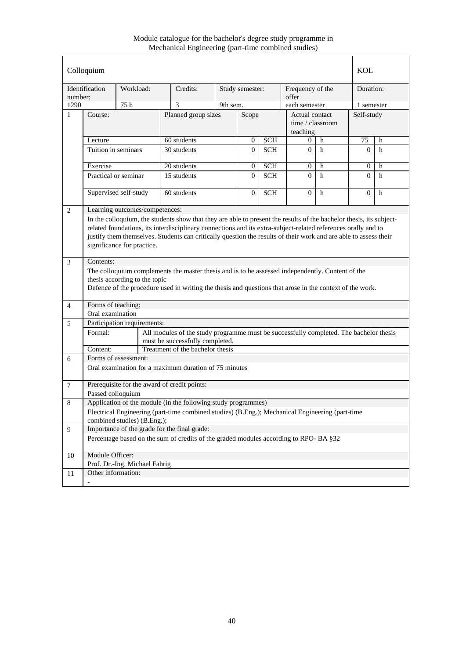Module catalogue for the bachelor's degree study programme in Mechanical Engineering (part-time combined studies)

|                | Colloquium                                                                                                                                                                                                                                                                                                                                                                             |                                |                                                                                                          |          |                 |                  |                           |                | <b>KOL</b> |           |  |
|----------------|----------------------------------------------------------------------------------------------------------------------------------------------------------------------------------------------------------------------------------------------------------------------------------------------------------------------------------------------------------------------------------------|--------------------------------|----------------------------------------------------------------------------------------------------------|----------|-----------------|------------------|---------------------------|----------------|------------|-----------|--|
| number:        | Identification                                                                                                                                                                                                                                                                                                                                                                         | Workload:                      | Credits:                                                                                                 |          | Study semester: |                  | Frequency of the<br>offer |                |            | Duration: |  |
| 1290           |                                                                                                                                                                                                                                                                                                                                                                                        | 75 h                           | 3                                                                                                        | 9th sem. |                 |                  | each semester             |                | 1 semester |           |  |
| $\mathbf{1}$   | Course:                                                                                                                                                                                                                                                                                                                                                                                |                                | Planned group sizes                                                                                      |          | Scope           |                  | Actual contact            |                | Self-study |           |  |
|                |                                                                                                                                                                                                                                                                                                                                                                                        |                                |                                                                                                          |          |                 |                  | time / classroom          |                |            |           |  |
|                |                                                                                                                                                                                                                                                                                                                                                                                        |                                |                                                                                                          |          |                 |                  | teaching                  |                |            |           |  |
|                | Lecture                                                                                                                                                                                                                                                                                                                                                                                |                                | 60 students                                                                                              |          | $\overline{0}$  | $\overline{SCH}$ | $\Omega$                  | h              | 75         | h         |  |
|                | Tuition in seminars                                                                                                                                                                                                                                                                                                                                                                    |                                | 30 students                                                                                              |          | $\mathbf{0}$    | <b>SCH</b>       | $\Omega$                  | h              | $\Omega$   | h         |  |
|                | 20 students<br><b>SCH</b><br>Exercise<br>$\overline{0}$<br>$\Omega$<br>h                                                                                                                                                                                                                                                                                                               |                                |                                                                                                          |          |                 |                  | $\overline{0}$            | h              |            |           |  |
|                | Practical or seminar<br>15 students<br>$\Omega$                                                                                                                                                                                                                                                                                                                                        |                                |                                                                                                          |          |                 | <b>SCH</b>       | $\Omega$                  | h              | $\Omega$   | h         |  |
|                |                                                                                                                                                                                                                                                                                                                                                                                        |                                |                                                                                                          |          |                 |                  |                           |                |            |           |  |
|                | Supervised self-study<br>$60$ students<br>$\mathbf{0}$<br><b>SCH</b>                                                                                                                                                                                                                                                                                                                   |                                |                                                                                                          |          |                 | $\Omega$         | h                         | $\overline{0}$ | h          |           |  |
| $\overline{2}$ |                                                                                                                                                                                                                                                                                                                                                                                        | Learning outcomes/competences: |                                                                                                          |          |                 |                  |                           |                |            |           |  |
|                | In the colloquium, the students show that they are able to present the results of the bachelor thesis, its subject-<br>related foundations, its interdisciplinary connections and its extra-subject-related references orally and to<br>justify them themselves. Students can critically question the results of their work and are able to assess their<br>significance for practice. |                                |                                                                                                          |          |                 |                  |                           |                |            |           |  |
| 3              | Contents:                                                                                                                                                                                                                                                                                                                                                                              |                                |                                                                                                          |          |                 |                  |                           |                |            |           |  |
|                |                                                                                                                                                                                                                                                                                                                                                                                        |                                | The colloquium complements the master thesis and is to be assessed independently. Content of the         |          |                 |                  |                           |                |            |           |  |
|                |                                                                                                                                                                                                                                                                                                                                                                                        | thesis according to the topic  |                                                                                                          |          |                 |                  |                           |                |            |           |  |
|                |                                                                                                                                                                                                                                                                                                                                                                                        |                                | Defence of the procedure used in writing the thesis and questions that arose in the context of the work. |          |                 |                  |                           |                |            |           |  |
|                |                                                                                                                                                                                                                                                                                                                                                                                        |                                |                                                                                                          |          |                 |                  |                           |                |            |           |  |
| $\overline{4}$ | Forms of teaching:                                                                                                                                                                                                                                                                                                                                                                     |                                |                                                                                                          |          |                 |                  |                           |                |            |           |  |
|                | Oral examination                                                                                                                                                                                                                                                                                                                                                                       |                                |                                                                                                          |          |                 |                  |                           |                |            |           |  |
| 5              |                                                                                                                                                                                                                                                                                                                                                                                        | Participation requirements:    |                                                                                                          |          |                 |                  |                           |                |            |           |  |
|                | Formal:                                                                                                                                                                                                                                                                                                                                                                                |                                | All modules of the study programme must be successfully completed. The bachelor thesis                   |          |                 |                  |                           |                |            |           |  |
|                | Content:                                                                                                                                                                                                                                                                                                                                                                               |                                | must be successfully completed.<br>Treatment of the bachelor thesis                                      |          |                 |                  |                           |                |            |           |  |
| 6              |                                                                                                                                                                                                                                                                                                                                                                                        | Forms of assessment:           |                                                                                                          |          |                 |                  |                           |                |            |           |  |
|                |                                                                                                                                                                                                                                                                                                                                                                                        |                                | Oral examination for a maximum duration of 75 minutes                                                    |          |                 |                  |                           |                |            |           |  |
|                |                                                                                                                                                                                                                                                                                                                                                                                        |                                |                                                                                                          |          |                 |                  |                           |                |            |           |  |
| 7              |                                                                                                                                                                                                                                                                                                                                                                                        |                                | Prerequisite for the award of credit points:                                                             |          |                 |                  |                           |                |            |           |  |
|                | Passed colloquium                                                                                                                                                                                                                                                                                                                                                                      |                                |                                                                                                          |          |                 |                  |                           |                |            |           |  |
| 8              |                                                                                                                                                                                                                                                                                                                                                                                        |                                | Application of the module (in the following study programmes)                                            |          |                 |                  |                           |                |            |           |  |
|                |                                                                                                                                                                                                                                                                                                                                                                                        |                                | Electrical Engineering (part-time combined studies) (B.Eng.); Mechanical Engineering (part-time          |          |                 |                  |                           |                |            |           |  |
|                |                                                                                                                                                                                                                                                                                                                                                                                        | combined studies) (B.Eng.);    |                                                                                                          |          |                 |                  |                           |                |            |           |  |
| 9              | Importance of the grade for the final grade:                                                                                                                                                                                                                                                                                                                                           |                                |                                                                                                          |          |                 |                  |                           |                |            |           |  |
|                |                                                                                                                                                                                                                                                                                                                                                                                        |                                | Percentage based on the sum of credits of the graded modules according to RPO-BA §32                     |          |                 |                  |                           |                |            |           |  |
| 10             | Module Officer:                                                                                                                                                                                                                                                                                                                                                                        |                                |                                                                                                          |          |                 |                  |                           |                |            |           |  |
|                |                                                                                                                                                                                                                                                                                                                                                                                        | Prof. Dr.-Ing. Michael Fahrig  |                                                                                                          |          |                 |                  |                           |                |            |           |  |
| 11             | Other information:                                                                                                                                                                                                                                                                                                                                                                     |                                |                                                                                                          |          |                 |                  |                           |                |            |           |  |
|                |                                                                                                                                                                                                                                                                                                                                                                                        |                                |                                                                                                          |          |                 |                  |                           |                |            |           |  |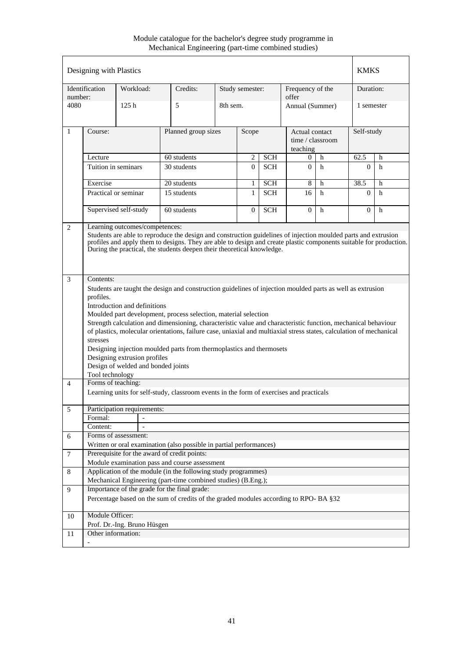Module catalogue for the bachelor's degree study programme in Mechanical Engineering (part-time combined studies)

|                | Designing with Plastics                                                                                                                                                                                                                                                                                                                                                                                                                                                                                                                                                                                                                         |                                                                                                                                                                                                                                                                                                                                                  |                                                                                                                                        |          |                 |            |                                                |             | <b>KMKS</b>    |   |
|----------------|-------------------------------------------------------------------------------------------------------------------------------------------------------------------------------------------------------------------------------------------------------------------------------------------------------------------------------------------------------------------------------------------------------------------------------------------------------------------------------------------------------------------------------------------------------------------------------------------------------------------------------------------------|--------------------------------------------------------------------------------------------------------------------------------------------------------------------------------------------------------------------------------------------------------------------------------------------------------------------------------------------------|----------------------------------------------------------------------------------------------------------------------------------------|----------|-----------------|------------|------------------------------------------------|-------------|----------------|---|
| number:        | Identification                                                                                                                                                                                                                                                                                                                                                                                                                                                                                                                                                                                                                                  | Workload:                                                                                                                                                                                                                                                                                                                                        | Credits:                                                                                                                               |          | Study semester: |            | Frequency of the<br>offer                      |             | Duration:      |   |
| 4080           |                                                                                                                                                                                                                                                                                                                                                                                                                                                                                                                                                                                                                                                 | 125h                                                                                                                                                                                                                                                                                                                                             | 5                                                                                                                                      | 8th sem. |                 |            | Annual (Summer)                                |             | 1 semester     |   |
| $\mathbf{1}$   | Course:                                                                                                                                                                                                                                                                                                                                                                                                                                                                                                                                                                                                                                         |                                                                                                                                                                                                                                                                                                                                                  | Planned group sizes                                                                                                                    |          | Scope           |            | Actual contact<br>time / classroom<br>teaching |             | Self-study     |   |
|                | Lecture                                                                                                                                                                                                                                                                                                                                                                                                                                                                                                                                                                                                                                         |                                                                                                                                                                                                                                                                                                                                                  | 60 students                                                                                                                            |          | 2               | <b>SCH</b> | 0                                              | h           | 62.5           | h |
|                |                                                                                                                                                                                                                                                                                                                                                                                                                                                                                                                                                                                                                                                 | Tuition in seminars                                                                                                                                                                                                                                                                                                                              | 30 students                                                                                                                            |          |                 | <b>SCH</b> | $\Omega$                                       | h           | $\Omega$       | h |
|                | Exercise                                                                                                                                                                                                                                                                                                                                                                                                                                                                                                                                                                                                                                        |                                                                                                                                                                                                                                                                                                                                                  | 20 students                                                                                                                            |          | 1               | <b>SCH</b> | 8                                              | h           | 38.5           | h |
|                | Practical or seminar                                                                                                                                                                                                                                                                                                                                                                                                                                                                                                                                                                                                                            |                                                                                                                                                                                                                                                                                                                                                  | 15 students                                                                                                                            |          |                 | <b>SCH</b> | 16                                             | h           | $\mathbf{0}$   | h |
|                | Supervised self-study                                                                                                                                                                                                                                                                                                                                                                                                                                                                                                                                                                                                                           |                                                                                                                                                                                                                                                                                                                                                  | 60 students                                                                                                                            |          | $\overline{0}$  | <b>SCH</b> | $\overline{0}$                                 | $\mathbf h$ | $\overline{0}$ | h |
| 2              |                                                                                                                                                                                                                                                                                                                                                                                                                                                                                                                                                                                                                                                 | Learning outcomes/competences:<br>Students are able to reproduce the design and construction guidelines of injection moulded parts and extrusion<br>profiles and apply them to designs. They are able to design and create plastic components suitable for production.<br>During the practical, the students deepen their theoretical knowledge. |                                                                                                                                        |          |                 |            |                                                |             |                |   |
| $\mathfrak{Z}$ | Contents:                                                                                                                                                                                                                                                                                                                                                                                                                                                                                                                                                                                                                                       |                                                                                                                                                                                                                                                                                                                                                  |                                                                                                                                        |          |                 |            |                                                |             |                |   |
|                | Students are taught the design and construction guidelines of injection moulded parts as well as extrusion<br>profiles.<br>Introduction and definitions<br>Moulded part development, process selection, material selection<br>Strength calculation and dimensioning, characteristic value and characteristic function, mechanical behaviour<br>of plastics, molecular orientations, failure case, uniaxial and multiaxial stress states, calculation of mechanical<br>stresses<br>Designing injection moulded parts from thermoplastics and thermosets<br>Designing extrusion profiles<br>Design of welded and bonded joints<br>Tool technology |                                                                                                                                                                                                                                                                                                                                                  |                                                                                                                                        |          |                 |            |                                                |             |                |   |
| $\overline{4}$ | Forms of teaching:                                                                                                                                                                                                                                                                                                                                                                                                                                                                                                                                                                                                                              |                                                                                                                                                                                                                                                                                                                                                  |                                                                                                                                        |          |                 |            |                                                |             |                |   |
|                |                                                                                                                                                                                                                                                                                                                                                                                                                                                                                                                                                                                                                                                 |                                                                                                                                                                                                                                                                                                                                                  | Learning units for self-study, classroom events in the form of exercises and practicals                                                |          |                 |            |                                                |             |                |   |
| $\overline{5}$ |                                                                                                                                                                                                                                                                                                                                                                                                                                                                                                                                                                                                                                                 | Participation requirements:                                                                                                                                                                                                                                                                                                                      |                                                                                                                                        |          |                 |            |                                                |             |                |   |
|                | Formal:                                                                                                                                                                                                                                                                                                                                                                                                                                                                                                                                                                                                                                         |                                                                                                                                                                                                                                                                                                                                                  |                                                                                                                                        |          |                 |            |                                                |             |                |   |
|                | Content:                                                                                                                                                                                                                                                                                                                                                                                                                                                                                                                                                                                                                                        |                                                                                                                                                                                                                                                                                                                                                  |                                                                                                                                        |          |                 |            |                                                |             |                |   |
| 6              |                                                                                                                                                                                                                                                                                                                                                                                                                                                                                                                                                                                                                                                 | Forms of assessment:                                                                                                                                                                                                                                                                                                                             | Written or oral examination (also possible in partial performances)                                                                    |          |                 |            |                                                |             |                |   |
| $\overline{7}$ |                                                                                                                                                                                                                                                                                                                                                                                                                                                                                                                                                                                                                                                 |                                                                                                                                                                                                                                                                                                                                                  | Prerequisite for the award of credit points:                                                                                           |          |                 |            |                                                |             |                |   |
|                |                                                                                                                                                                                                                                                                                                                                                                                                                                                                                                                                                                                                                                                 |                                                                                                                                                                                                                                                                                                                                                  | Module examination pass and course assessment                                                                                          |          |                 |            |                                                |             |                |   |
| $\,8\,$        |                                                                                                                                                                                                                                                                                                                                                                                                                                                                                                                                                                                                                                                 |                                                                                                                                                                                                                                                                                                                                                  | Application of the module (in the following study programmes)                                                                          |          |                 |            |                                                |             |                |   |
|                | Mechanical Engineering (part-time combined studies) (B.Eng.);                                                                                                                                                                                                                                                                                                                                                                                                                                                                                                                                                                                   |                                                                                                                                                                                                                                                                                                                                                  |                                                                                                                                        |          |                 |            |                                                |             |                |   |
| 9              |                                                                                                                                                                                                                                                                                                                                                                                                                                                                                                                                                                                                                                                 |                                                                                                                                                                                                                                                                                                                                                  | Importance of the grade for the final grade:<br>Percentage based on the sum of credits of the graded modules according to RPO- BA §32. |          |                 |            |                                                |             |                |   |
| 10             | Module Officer:                                                                                                                                                                                                                                                                                                                                                                                                                                                                                                                                                                                                                                 |                                                                                                                                                                                                                                                                                                                                                  |                                                                                                                                        |          |                 |            |                                                |             |                |   |
|                |                                                                                                                                                                                                                                                                                                                                                                                                                                                                                                                                                                                                                                                 | Prof. Dr.-Ing. Bruno Hüsgen                                                                                                                                                                                                                                                                                                                      |                                                                                                                                        |          |                 |            |                                                |             |                |   |
| 11             | Other information:                                                                                                                                                                                                                                                                                                                                                                                                                                                                                                                                                                                                                              |                                                                                                                                                                                                                                                                                                                                                  |                                                                                                                                        |          |                 |            |                                                |             |                |   |
|                |                                                                                                                                                                                                                                                                                                                                                                                                                                                                                                                                                                                                                                                 |                                                                                                                                                                                                                                                                                                                                                  |                                                                                                                                        |          |                 |            |                                                |             |                |   |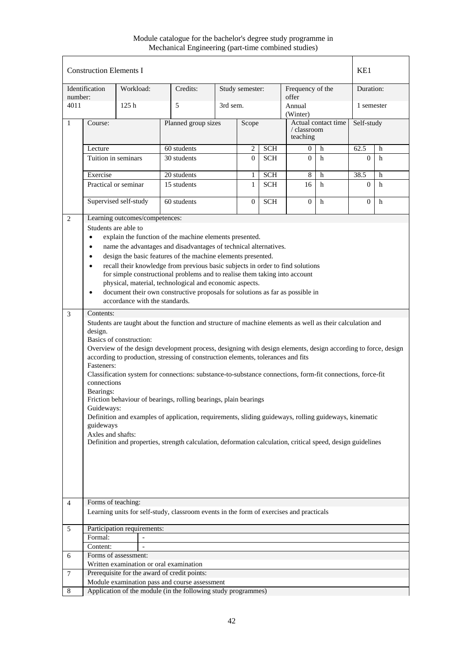Module catalogue for the bachelor's degree study programme in Mechanical Engineering (part-time combined studies)

|                  | <b>Construction Elements I</b>                                                                                                                                                                                                                                                                                                                                                                                                                                                                                                                                                                                                                                                                                                                                                                                                                                        |                             |                                                                                         |          |                 |            |                                                |   | KE1            |   |
|------------------|-----------------------------------------------------------------------------------------------------------------------------------------------------------------------------------------------------------------------------------------------------------------------------------------------------------------------------------------------------------------------------------------------------------------------------------------------------------------------------------------------------------------------------------------------------------------------------------------------------------------------------------------------------------------------------------------------------------------------------------------------------------------------------------------------------------------------------------------------------------------------|-----------------------------|-----------------------------------------------------------------------------------------|----------|-----------------|------------|------------------------------------------------|---|----------------|---|
| number:          | Identification                                                                                                                                                                                                                                                                                                                                                                                                                                                                                                                                                                                                                                                                                                                                                                                                                                                        | Workload:                   | Credits:                                                                                |          | Study semester: |            | Frequency of the<br>offer                      |   | Duration:      |   |
| 4011             |                                                                                                                                                                                                                                                                                                                                                                                                                                                                                                                                                                                                                                                                                                                                                                                                                                                                       | 125h                        | 5                                                                                       | 3rd sem. |                 |            | Annual<br>(Winter)                             |   | 1 semester     |   |
| $\mathbf{1}$     | Course:                                                                                                                                                                                                                                                                                                                                                                                                                                                                                                                                                                                                                                                                                                                                                                                                                                                               |                             | Planned group sizes                                                                     |          | Scope           |            | Actual contact time<br>/ classroom<br>teaching |   | Self-study     |   |
|                  | Lecture                                                                                                                                                                                                                                                                                                                                                                                                                                                                                                                                                                                                                                                                                                                                                                                                                                                               |                             | 60 students                                                                             |          | 2               | <b>SCH</b> | $\theta$                                       | h | 62.5           | h |
|                  | Tuition in seminars                                                                                                                                                                                                                                                                                                                                                                                                                                                                                                                                                                                                                                                                                                                                                                                                                                                   |                             | 30 students                                                                             |          | $\overline{0}$  | <b>SCH</b> | $\overline{0}$                                 | h | $\overline{0}$ | h |
|                  | Exercise                                                                                                                                                                                                                                                                                                                                                                                                                                                                                                                                                                                                                                                                                                                                                                                                                                                              |                             | 20 students                                                                             |          | 1               | <b>SCH</b> | 8                                              | h | 38.5           | h |
|                  | Practical or seminar                                                                                                                                                                                                                                                                                                                                                                                                                                                                                                                                                                                                                                                                                                                                                                                                                                                  |                             | 15 students                                                                             |          | 1               | <b>SCH</b> | 16                                             | h | $\Omega$       | h |
|                  | Supervised self-study<br>60 students<br>$\overline{0}$                                                                                                                                                                                                                                                                                                                                                                                                                                                                                                                                                                                                                                                                                                                                                                                                                |                             |                                                                                         |          |                 |            | $\Omega$                                       | h | $\overline{0}$ | h |
| $\overline{2}$   | Learning outcomes/competences:<br>Students are able to                                                                                                                                                                                                                                                                                                                                                                                                                                                                                                                                                                                                                                                                                                                                                                                                                |                             |                                                                                         |          |                 |            |                                                |   |                |   |
|                  | explain the function of the machine elements presented.<br>$\bullet$                                                                                                                                                                                                                                                                                                                                                                                                                                                                                                                                                                                                                                                                                                                                                                                                  |                             |                                                                                         |          |                 |            |                                                |   |                |   |
|                  | $\bullet$                                                                                                                                                                                                                                                                                                                                                                                                                                                                                                                                                                                                                                                                                                                                                                                                                                                             |                             | name the advantages and disadvantages of technical alternatives.                        |          |                 |            |                                                |   |                |   |
|                  | $\bullet$                                                                                                                                                                                                                                                                                                                                                                                                                                                                                                                                                                                                                                                                                                                                                                                                                                                             |                             |                                                                                         |          |                 |            |                                                |   |                |   |
|                  | design the basic features of the machine elements presented.<br>recall their knowledge from previous basic subjects in order to find solutions                                                                                                                                                                                                                                                                                                                                                                                                                                                                                                                                                                                                                                                                                                                        |                             |                                                                                         |          |                 |            |                                                |   |                |   |
|                  | for simple constructional problems and to realise them taking into account                                                                                                                                                                                                                                                                                                                                                                                                                                                                                                                                                                                                                                                                                                                                                                                            |                             |                                                                                         |          |                 |            |                                                |   |                |   |
|                  | physical, material, technological and economic aspects.                                                                                                                                                                                                                                                                                                                                                                                                                                                                                                                                                                                                                                                                                                                                                                                                               |                             |                                                                                         |          |                 |            |                                                |   |                |   |
|                  | document their own constructive proposals for solutions as far as possible in<br>٠<br>accordance with the standards.                                                                                                                                                                                                                                                                                                                                                                                                                                                                                                                                                                                                                                                                                                                                                  |                             |                                                                                         |          |                 |            |                                                |   |                |   |
| 3                |                                                                                                                                                                                                                                                                                                                                                                                                                                                                                                                                                                                                                                                                                                                                                                                                                                                                       |                             |                                                                                         |          |                 |            |                                                |   |                |   |
|                  | Contents:<br>Students are taught about the function and structure of machine elements as well as their calculation and<br>design.<br>Basics of construction:<br>Overview of the design development process, designing with design elements, design according to force, design<br>according to production, stressing of construction elements, tolerances and fits<br>Fasteners:<br>Classification system for connections: substance-to-substance connections, form-fit connections, force-fit<br>connections<br>Bearings:<br>Friction behaviour of bearings, rolling bearings, plain bearings<br>Guideways:<br>Definition and examples of application, requirements, sliding guideways, rolling guideways, kinematic<br>guideways<br>Axles and shafts:<br>Definition and properties, strength calculation, deformation calculation, critical speed, design guidelines |                             |                                                                                         |          |                 |            |                                                |   |                |   |
| $\overline{4}$   | Forms of teaching:                                                                                                                                                                                                                                                                                                                                                                                                                                                                                                                                                                                                                                                                                                                                                                                                                                                    |                             |                                                                                         |          |                 |            |                                                |   |                |   |
|                  |                                                                                                                                                                                                                                                                                                                                                                                                                                                                                                                                                                                                                                                                                                                                                                                                                                                                       |                             | Learning units for self-study, classroom events in the form of exercises and practicals |          |                 |            |                                                |   |                |   |
| $\sqrt{5}$       |                                                                                                                                                                                                                                                                                                                                                                                                                                                                                                                                                                                                                                                                                                                                                                                                                                                                       | Participation requirements: |                                                                                         |          |                 |            |                                                |   |                |   |
|                  | Formal:                                                                                                                                                                                                                                                                                                                                                                                                                                                                                                                                                                                                                                                                                                                                                                                                                                                               |                             |                                                                                         |          |                 |            |                                                |   |                |   |
|                  | Content:                                                                                                                                                                                                                                                                                                                                                                                                                                                                                                                                                                                                                                                                                                                                                                                                                                                              | $\overline{\phantom{a}}$    |                                                                                         |          |                 |            |                                                |   |                |   |
| 6                |                                                                                                                                                                                                                                                                                                                                                                                                                                                                                                                                                                                                                                                                                                                                                                                                                                                                       | Forms of assessment:        | Written examination or oral examination                                                 |          |                 |            |                                                |   |                |   |
| $\boldsymbol{7}$ |                                                                                                                                                                                                                                                                                                                                                                                                                                                                                                                                                                                                                                                                                                                                                                                                                                                                       |                             | Prerequisite for the award of credit points:                                            |          |                 |            |                                                |   |                |   |
|                  |                                                                                                                                                                                                                                                                                                                                                                                                                                                                                                                                                                                                                                                                                                                                                                                                                                                                       |                             | Module examination pass and course assessment                                           |          |                 |            |                                                |   |                |   |
| $\,8\,$          |                                                                                                                                                                                                                                                                                                                                                                                                                                                                                                                                                                                                                                                                                                                                                                                                                                                                       |                             | Application of the module (in the following study programmes)                           |          |                 |            |                                                |   |                |   |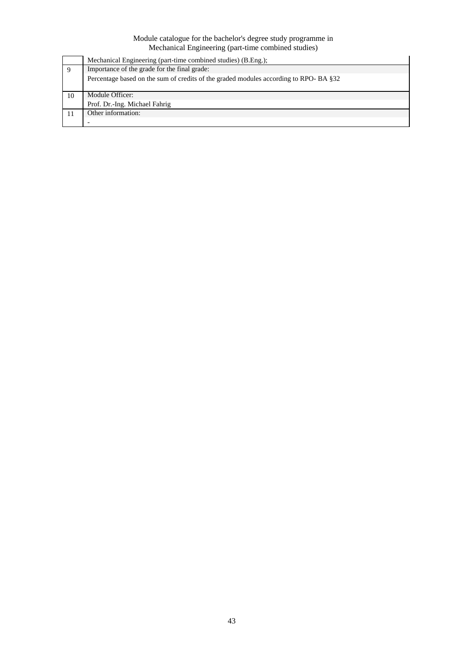|    | Mechanical Engineering (part-time combined studies) (B.Eng.);                        |
|----|--------------------------------------------------------------------------------------|
| 9  | Importance of the grade for the final grade:                                         |
|    | Percentage based on the sum of credits of the graded modules according to RPO-BA §32 |
| 10 | Module Officer:                                                                      |
|    | Prof. Dr.-Ing. Michael Fahrig                                                        |
|    | Other information:                                                                   |
|    |                                                                                      |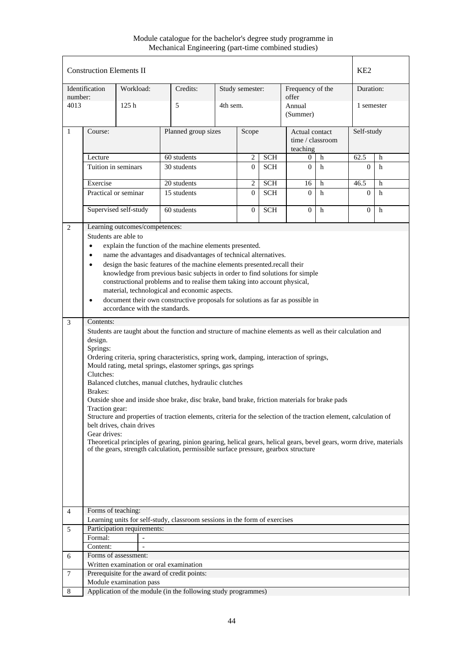Module catalogue for the bachelor's degree study programme in Mechanical Engineering (part-time combined studies)

|                                                                                                                                                                                                                                                                                                                                                                                                                                                                                                                                                                                                                                                                                                                                                                                                                                                                                                                                                                                                                                                                                                                                                                                                                                                                                                                                                                                                                                                                                                                                                                                                           | <b>Construction Elements II</b> |                                        |                                                               |          |                 |            |                                                |   | KE <sub>2</sub> |   |
|-----------------------------------------------------------------------------------------------------------------------------------------------------------------------------------------------------------------------------------------------------------------------------------------------------------------------------------------------------------------------------------------------------------------------------------------------------------------------------------------------------------------------------------------------------------------------------------------------------------------------------------------------------------------------------------------------------------------------------------------------------------------------------------------------------------------------------------------------------------------------------------------------------------------------------------------------------------------------------------------------------------------------------------------------------------------------------------------------------------------------------------------------------------------------------------------------------------------------------------------------------------------------------------------------------------------------------------------------------------------------------------------------------------------------------------------------------------------------------------------------------------------------------------------------------------------------------------------------------------|---------------------------------|----------------------------------------|---------------------------------------------------------------|----------|-----------------|------------|------------------------------------------------|---|-----------------|---|
| number:                                                                                                                                                                                                                                                                                                                                                                                                                                                                                                                                                                                                                                                                                                                                                                                                                                                                                                                                                                                                                                                                                                                                                                                                                                                                                                                                                                                                                                                                                                                                                                                                   | Identification                  | Workload:                              | Credits:                                                      |          | Study semester: |            | Frequency of the<br>offer                      |   | Duration:       |   |
| 4013                                                                                                                                                                                                                                                                                                                                                                                                                                                                                                                                                                                                                                                                                                                                                                                                                                                                                                                                                                                                                                                                                                                                                                                                                                                                                                                                                                                                                                                                                                                                                                                                      |                                 | 125h                                   | 5                                                             | 4th sem. |                 |            | Annual<br>(Summer)                             |   | 1 semester      |   |
| 1                                                                                                                                                                                                                                                                                                                                                                                                                                                                                                                                                                                                                                                                                                                                                                                                                                                                                                                                                                                                                                                                                                                                                                                                                                                                                                                                                                                                                                                                                                                                                                                                         | Course:                         |                                        | Planned group sizes                                           |          | Scope           |            | Actual contact<br>time / classroom<br>teaching |   | Self-study      |   |
|                                                                                                                                                                                                                                                                                                                                                                                                                                                                                                                                                                                                                                                                                                                                                                                                                                                                                                                                                                                                                                                                                                                                                                                                                                                                                                                                                                                                                                                                                                                                                                                                           | Lecture                         |                                        | 60 students                                                   |          | $\overline{2}$  | <b>SCH</b> | 0                                              | h | 62.5            | h |
|                                                                                                                                                                                                                                                                                                                                                                                                                                                                                                                                                                                                                                                                                                                                                                                                                                                                                                                                                                                                                                                                                                                                                                                                                                                                                                                                                                                                                                                                                                                                                                                                           | Tuition in seminars             |                                        | 30 students                                                   |          | $\Omega$        | <b>SCH</b> | $\Omega$                                       | h | $\Omega$        | h |
|                                                                                                                                                                                                                                                                                                                                                                                                                                                                                                                                                                                                                                                                                                                                                                                                                                                                                                                                                                                                                                                                                                                                                                                                                                                                                                                                                                                                                                                                                                                                                                                                           | Exercise                        |                                        | 20 students                                                   |          | $\overline{c}$  | SCH        | 16                                             | h | 46.5            | h |
|                                                                                                                                                                                                                                                                                                                                                                                                                                                                                                                                                                                                                                                                                                                                                                                                                                                                                                                                                                                                                                                                                                                                                                                                                                                                                                                                                                                                                                                                                                                                                                                                           | Practical or seminar            |                                        | 15 students                                                   |          | $\Omega$        | <b>SCH</b> | $\Omega$                                       | h | $\Omega$        | h |
|                                                                                                                                                                                                                                                                                                                                                                                                                                                                                                                                                                                                                                                                                                                                                                                                                                                                                                                                                                                                                                                                                                                                                                                                                                                                                                                                                                                                                                                                                                                                                                                                           | Supervised self-study           |                                        | 60 students                                                   |          | $\overline{0}$  | <b>SCH</b> | $\overline{0}$                                 | h | $\overline{0}$  | h |
| Learning outcomes/competences:<br>2<br>Students are able to<br>explain the function of the machine elements presented.<br>$\bullet$<br>name the advantages and disadvantages of technical alternatives.<br>$\bullet$<br>design the basic features of the machine elements presented.recall their<br>$\bullet$<br>knowledge from previous basic subjects in order to find solutions for simple<br>constructional problems and to realise them taking into account physical,<br>material, technological and economic aspects.<br>document their own constructive proposals for solutions as far as possible in<br>$\bullet$<br>accordance with the standards.<br>Contents:<br>3<br>Students are taught about the function and structure of machine elements as well as their calculation and<br>design.<br>Springs:<br>Ordering criteria, spring characteristics, spring work, damping, interaction of springs,<br>Mould rating, metal springs, elastomer springs, gas springs<br>Clutches:<br>Balanced clutches, manual clutches, hydraulic clutches<br>Brakes:<br>Outside shoe and inside shoe brake, disc brake, band brake, friction materials for brake pads<br>Traction gear:<br>Structure and properties of traction elements, criteria for the selection of the traction element, calculation of<br>belt drives, chain drives<br>Gear drives:<br>Theoretical principles of gearing, pinion gearing, helical gears, helical gears, bevel gears, worm drive, materials<br>of the gears, strength calculation, permissible surface pressure, gearbox structure<br>Forms of teaching:<br>$\overline{4}$ |                                 |                                        |                                                               |          |                 |            |                                                |   |                 |   |
| 5                                                                                                                                                                                                                                                                                                                                                                                                                                                                                                                                                                                                                                                                                                                                                                                                                                                                                                                                                                                                                                                                                                                                                                                                                                                                                                                                                                                                                                                                                                                                                                                                         |                                 | Participation requirements:            |                                                               |          |                 |            |                                                |   |                 |   |
|                                                                                                                                                                                                                                                                                                                                                                                                                                                                                                                                                                                                                                                                                                                                                                                                                                                                                                                                                                                                                                                                                                                                                                                                                                                                                                                                                                                                                                                                                                                                                                                                           | Formal:                         |                                        |                                                               |          |                 |            |                                                |   |                 |   |
|                                                                                                                                                                                                                                                                                                                                                                                                                                                                                                                                                                                                                                                                                                                                                                                                                                                                                                                                                                                                                                                                                                                                                                                                                                                                                                                                                                                                                                                                                                                                                                                                           | Content:                        | $\blacksquare$<br>Forms of assessment: |                                                               |          |                 |            |                                                |   |                 |   |
| 6                                                                                                                                                                                                                                                                                                                                                                                                                                                                                                                                                                                                                                                                                                                                                                                                                                                                                                                                                                                                                                                                                                                                                                                                                                                                                                                                                                                                                                                                                                                                                                                                         |                                 |                                        | Written examination or oral examination                       |          |                 |            |                                                |   |                 |   |
| $\overline{7}$                                                                                                                                                                                                                                                                                                                                                                                                                                                                                                                                                                                                                                                                                                                                                                                                                                                                                                                                                                                                                                                                                                                                                                                                                                                                                                                                                                                                                                                                                                                                                                                            |                                 |                                        | Prerequisite for the award of credit points:                  |          |                 |            |                                                |   |                 |   |
|                                                                                                                                                                                                                                                                                                                                                                                                                                                                                                                                                                                                                                                                                                                                                                                                                                                                                                                                                                                                                                                                                                                                                                                                                                                                                                                                                                                                                                                                                                                                                                                                           |                                 | Module examination pass                |                                                               |          |                 |            |                                                |   |                 |   |
| 8                                                                                                                                                                                                                                                                                                                                                                                                                                                                                                                                                                                                                                                                                                                                                                                                                                                                                                                                                                                                                                                                                                                                                                                                                                                                                                                                                                                                                                                                                                                                                                                                         |                                 |                                        | Application of the module (in the following study programmes) |          |                 |            |                                                |   |                 |   |
|                                                                                                                                                                                                                                                                                                                                                                                                                                                                                                                                                                                                                                                                                                                                                                                                                                                                                                                                                                                                                                                                                                                                                                                                                                                                                                                                                                                                                                                                                                                                                                                                           |                                 |                                        |                                                               |          |                 |            |                                                |   |                 |   |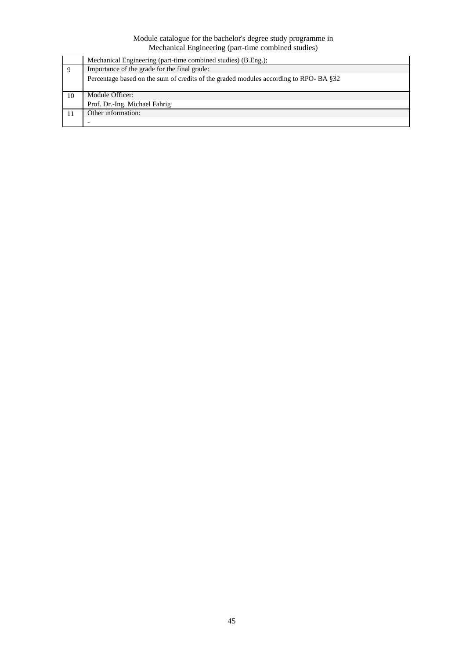|    | Mechanical Engineering (part-time combined studies) (B.Eng.);                        |
|----|--------------------------------------------------------------------------------------|
| 9  | Importance of the grade for the final grade:                                         |
|    | Percentage based on the sum of credits of the graded modules according to RPO-BA §32 |
| 10 | Module Officer:                                                                      |
|    | Prof. Dr.-Ing. Michael Fahrig                                                        |
|    | Other information:                                                                   |
|    |                                                                                      |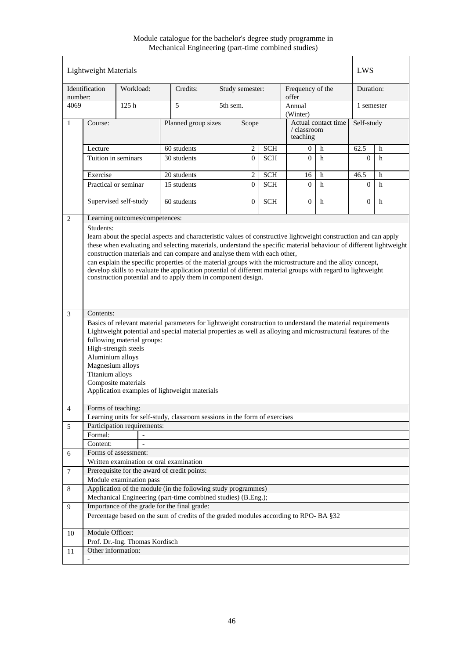Module catalogue for the bachelor's degree study programme in Mechanical Engineering (part-time combined studies)

|                | <b>Lightweight Materials</b>                                                                                                                                                                                                                                                                                                                                                                                                                                                                                                                                                                                     |                                |                                                                                                                                |          |                            |            |                           |                     | <b>LWS</b>     |   |
|----------------|------------------------------------------------------------------------------------------------------------------------------------------------------------------------------------------------------------------------------------------------------------------------------------------------------------------------------------------------------------------------------------------------------------------------------------------------------------------------------------------------------------------------------------------------------------------------------------------------------------------|--------------------------------|--------------------------------------------------------------------------------------------------------------------------------|----------|----------------------------|------------|---------------------------|---------------------|----------------|---|
| number:        | Identification                                                                                                                                                                                                                                                                                                                                                                                                                                                                                                                                                                                                   | Workload:                      | Credits:                                                                                                                       |          | Study semester:            |            | Frequency of the<br>offer |                     | Duration:      |   |
| 4069           |                                                                                                                                                                                                                                                                                                                                                                                                                                                                                                                                                                                                                  | 125h                           | 5                                                                                                                              | 5th sem. |                            |            | Annual<br>(Winter)        |                     | 1 semester     |   |
| 1              | Course:                                                                                                                                                                                                                                                                                                                                                                                                                                                                                                                                                                                                          |                                | Planned group sizes                                                                                                            |          | Scope                      |            | / classroom<br>teaching   | Actual contact time | Self-study     |   |
|                | Lecture                                                                                                                                                                                                                                                                                                                                                                                                                                                                                                                                                                                                          |                                | 60 students                                                                                                                    |          |                            | <b>SCH</b> | 0                         | h                   | 62.5           | h |
|                | Tuition in seminars                                                                                                                                                                                                                                                                                                                                                                                                                                                                                                                                                                                              |                                | 30 students                                                                                                                    |          | $\mathfrak{2}$<br>$\Omega$ | <b>SCH</b> | $\Omega$                  | h                   | $\Omega$       | h |
|                | Exercise                                                                                                                                                                                                                                                                                                                                                                                                                                                                                                                                                                                                         |                                | 20 students                                                                                                                    |          | 2                          | <b>SCH</b> | 16                        | h                   | 46.5           | h |
|                |                                                                                                                                                                                                                                                                                                                                                                                                                                                                                                                                                                                                                  | Practical or seminar           | 15 students                                                                                                                    |          |                            | <b>SCH</b> | $\Omega$                  | h                   | $\Omega$       | h |
|                |                                                                                                                                                                                                                                                                                                                                                                                                                                                                                                                                                                                                                  | Supervised self-study          | 60 students                                                                                                                    |          | $\overline{0}$             | <b>SCH</b> | $\overline{0}$            | h                   | $\overline{0}$ | h |
|                | learn about the special aspects and characteristic values of constructive lightweight construction and can apply<br>these when evaluating and selecting materials, understand the specific material behaviour of different lightweight<br>construction materials and can compare and analyse them with each other,<br>can explain the specific properties of the material groups with the microstructure and the alloy concept,<br>develop skills to evaluate the application potential of different material groups with regard to lightweight<br>construction potential and to apply them in component design. |                                |                                                                                                                                |          |                            |            |                           |                     |                |   |
| 3              | Contents:<br>Basics of relevant material parameters for lightweight construction to understand the material requirements<br>Lightweight potential and special material properties as well as alloying and microstructural features of the<br>following material groups:<br>High-strength steels<br>Aluminium alloys<br>Magnesium alloys<br>Titanium alloys<br>Composite materials<br>Application examples of lightweight materials                                                                                                                                                                               |                                |                                                                                                                                |          |                            |            |                           |                     |                |   |
| $\overline{4}$ | Forms of teaching:                                                                                                                                                                                                                                                                                                                                                                                                                                                                                                                                                                                               |                                | Learning units for self-study, classroom sessions in the form of exercises                                                     |          |                            |            |                           |                     |                |   |
| 5              |                                                                                                                                                                                                                                                                                                                                                                                                                                                                                                                                                                                                                  | Participation requirements:    |                                                                                                                                |          |                            |            |                           |                     |                |   |
|                | Formal:                                                                                                                                                                                                                                                                                                                                                                                                                                                                                                                                                                                                          |                                |                                                                                                                                |          |                            |            |                           |                     |                |   |
|                | Content:                                                                                                                                                                                                                                                                                                                                                                                                                                                                                                                                                                                                         | $\overline{\phantom{a}}$       |                                                                                                                                |          |                            |            |                           |                     |                |   |
| 6              |                                                                                                                                                                                                                                                                                                                                                                                                                                                                                                                                                                                                                  | Forms of assessment:           |                                                                                                                                |          |                            |            |                           |                     |                |   |
|                |                                                                                                                                                                                                                                                                                                                                                                                                                                                                                                                                                                                                                  |                                | Written examination or oral examination                                                                                        |          |                            |            |                           |                     |                |   |
| $\tau$         |                                                                                                                                                                                                                                                                                                                                                                                                                                                                                                                                                                                                                  |                                | Prerequisite for the award of credit points:                                                                                   |          |                            |            |                           |                     |                |   |
|                |                                                                                                                                                                                                                                                                                                                                                                                                                                                                                                                                                                                                                  | Module examination pass        |                                                                                                                                |          |                            |            |                           |                     |                |   |
| 8              |                                                                                                                                                                                                                                                                                                                                                                                                                                                                                                                                                                                                                  |                                | Application of the module (in the following study programmes)<br>Mechanical Engineering (part-time combined studies) (B.Eng.); |          |                            |            |                           |                     |                |   |
| 9              |                                                                                                                                                                                                                                                                                                                                                                                                                                                                                                                                                                                                                  |                                | Importance of the grade for the final grade:                                                                                   |          |                            |            |                           |                     |                |   |
|                |                                                                                                                                                                                                                                                                                                                                                                                                                                                                                                                                                                                                                  |                                | Percentage based on the sum of credits of the graded modules according to RPO-BA §32                                           |          |                            |            |                           |                     |                |   |
| 10             | Module Officer:                                                                                                                                                                                                                                                                                                                                                                                                                                                                                                                                                                                                  | Prof. Dr.-Ing. Thomas Kordisch |                                                                                                                                |          |                            |            |                           |                     |                |   |
| 11             | Other information:                                                                                                                                                                                                                                                                                                                                                                                                                                                                                                                                                                                               |                                |                                                                                                                                |          |                            |            |                           |                     |                |   |
|                |                                                                                                                                                                                                                                                                                                                                                                                                                                                                                                                                                                                                                  |                                |                                                                                                                                |          |                            |            |                           |                     |                |   |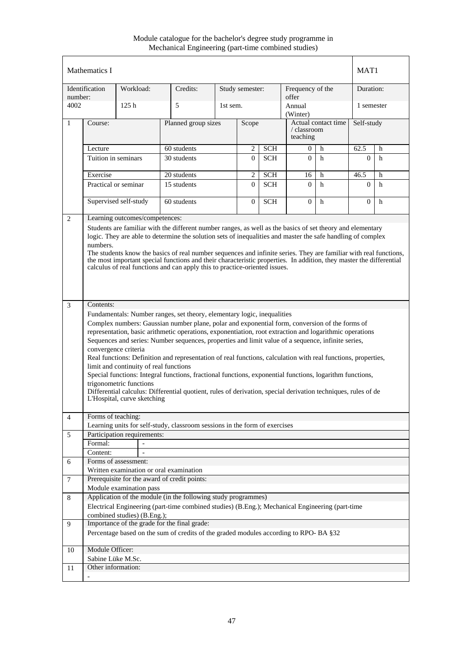Module catalogue for the bachelor's degree study programme in Mechanical Engineering (part-time combined studies)

| Mathematics I<br>MAT <sub>1</sub><br>Identification<br>Workload:<br>Credits:<br>Frequency of the<br>Duration:<br>Study semester:<br>number:<br>offer<br>4002<br>125h<br>5<br>1st sem.<br>Annual<br>1 semester<br>(Winter)<br>Actual contact time<br>$\mathbf{1}$<br>Planned group sizes<br>Self-study<br>Course:<br>Scope<br>/ classroom<br>teaching<br>60 students<br>62.5<br>Lecture<br>2<br><b>SCH</b><br>h<br>h<br>$\overline{0}$<br>Tuition in seminars<br><b>SCH</b><br>$\Omega$<br>h<br>30 students<br>$\Omega$<br>$\Omega$<br>h<br>20 students<br><b>SCH</b><br>Exercise<br>2<br>46.5<br>16<br>h<br>h<br>Practical or seminar<br>15 students<br><b>SCH</b><br>$\overline{0}$<br>$\overline{0}$<br>h<br>$\overline{0}$<br>h<br>Supervised self-study<br><b>SCH</b><br>60 students<br>$\overline{0}$<br>$\overline{0}$<br>h<br>$\overline{0}$<br>h<br>Learning outcomes/competences:<br>2<br>Students are familiar with the different number ranges, as well as the basics of set theory and elementary<br>logic. They are able to determine the solution sets of inequalities and master the safe handling of complex<br>numbers.<br>The students know the basics of real number sequences and infinite series. They are familiar with real functions,<br>the most important special functions and their characteristic properties. In addition, they master the differential<br>calculus of real functions and can apply this to practice-oriented issues.<br>Contents:<br>3<br>Fundamentals: Number ranges, set theory, elementary logic, inequalities<br>Complex numbers: Gaussian number plane, polar and exponential form, conversion of the forms of<br>representation, basic arithmetic operations, exponentiation, root extraction and logarithmic operations<br>Sequences and series: Number sequences, properties and limit value of a sequence, infinite series,<br>convergence criteria<br>Real functions: Definition and representation of real functions, calculation with real functions, properties,<br>limit and continuity of real functions<br>Special functions: Integral functions, fractional functions, exponential functions, logarithm functions,<br>trigonometric functions<br>Differential calculus: Differential quotient, rules of derivation, special derivation techniques, rules of de<br>L'Hospital, curve sketching<br>Forms of teaching:<br>$\overline{4}$<br>Learning units for self-study, classroom sessions in the form of exercises<br>5<br>Participation requirements:<br>Formal:<br>$\overline{a}$<br>Content:<br>$\overline{a}$<br>Forms of assessment:<br>6<br>Written examination or oral examination<br>Prerequisite for the award of credit points:<br>$\tau$<br>Module examination pass<br>Application of the module (in the following study programmes)<br>8<br>Electrical Engineering (part-time combined studies) (B.Eng.); Mechanical Engineering (part-time<br>combined studies) (B.Eng.);<br>Importance of the grade for the final grade:<br>9<br>Percentage based on the sum of credits of the graded modules according to RPO-BA §32<br>Module Officer:<br>10<br>Sabine Lüke M.Sc.<br>Other information:<br>11 |  |  |  |  |  |  |
|-------------------------------------------------------------------------------------------------------------------------------------------------------------------------------------------------------------------------------------------------------------------------------------------------------------------------------------------------------------------------------------------------------------------------------------------------------------------------------------------------------------------------------------------------------------------------------------------------------------------------------------------------------------------------------------------------------------------------------------------------------------------------------------------------------------------------------------------------------------------------------------------------------------------------------------------------------------------------------------------------------------------------------------------------------------------------------------------------------------------------------------------------------------------------------------------------------------------------------------------------------------------------------------------------------------------------------------------------------------------------------------------------------------------------------------------------------------------------------------------------------------------------------------------------------------------------------------------------------------------------------------------------------------------------------------------------------------------------------------------------------------------------------------------------------------------------------------------------------------------------------------------------------------------------------------------------------------------------------------------------------------------------------------------------------------------------------------------------------------------------------------------------------------------------------------------------------------------------------------------------------------------------------------------------------------------------------------------------------------------------------------------------------------------------------------------------------------------------------------------------------------------------------------------------------------------------------------------------------------------------------------------------------------------------------------------------------------------------------------------------------------------------------------------------------------------------------------------------------------------------------------------------------------------------------------------------------------------------------------------------------------------------------------------------------------------------------------------------------------------------------------------------------------------------------|--|--|--|--|--|--|
|                                                                                                                                                                                                                                                                                                                                                                                                                                                                                                                                                                                                                                                                                                                                                                                                                                                                                                                                                                                                                                                                                                                                                                                                                                                                                                                                                                                                                                                                                                                                                                                                                                                                                                                                                                                                                                                                                                                                                                                                                                                                                                                                                                                                                                                                                                                                                                                                                                                                                                                                                                                                                                                                                                                                                                                                                                                                                                                                                                                                                                                                                                                                                                               |  |  |  |  |  |  |
|                                                                                                                                                                                                                                                                                                                                                                                                                                                                                                                                                                                                                                                                                                                                                                                                                                                                                                                                                                                                                                                                                                                                                                                                                                                                                                                                                                                                                                                                                                                                                                                                                                                                                                                                                                                                                                                                                                                                                                                                                                                                                                                                                                                                                                                                                                                                                                                                                                                                                                                                                                                                                                                                                                                                                                                                                                                                                                                                                                                                                                                                                                                                                                               |  |  |  |  |  |  |
|                                                                                                                                                                                                                                                                                                                                                                                                                                                                                                                                                                                                                                                                                                                                                                                                                                                                                                                                                                                                                                                                                                                                                                                                                                                                                                                                                                                                                                                                                                                                                                                                                                                                                                                                                                                                                                                                                                                                                                                                                                                                                                                                                                                                                                                                                                                                                                                                                                                                                                                                                                                                                                                                                                                                                                                                                                                                                                                                                                                                                                                                                                                                                                               |  |  |  |  |  |  |
|                                                                                                                                                                                                                                                                                                                                                                                                                                                                                                                                                                                                                                                                                                                                                                                                                                                                                                                                                                                                                                                                                                                                                                                                                                                                                                                                                                                                                                                                                                                                                                                                                                                                                                                                                                                                                                                                                                                                                                                                                                                                                                                                                                                                                                                                                                                                                                                                                                                                                                                                                                                                                                                                                                                                                                                                                                                                                                                                                                                                                                                                                                                                                                               |  |  |  |  |  |  |
|                                                                                                                                                                                                                                                                                                                                                                                                                                                                                                                                                                                                                                                                                                                                                                                                                                                                                                                                                                                                                                                                                                                                                                                                                                                                                                                                                                                                                                                                                                                                                                                                                                                                                                                                                                                                                                                                                                                                                                                                                                                                                                                                                                                                                                                                                                                                                                                                                                                                                                                                                                                                                                                                                                                                                                                                                                                                                                                                                                                                                                                                                                                                                                               |  |  |  |  |  |  |
|                                                                                                                                                                                                                                                                                                                                                                                                                                                                                                                                                                                                                                                                                                                                                                                                                                                                                                                                                                                                                                                                                                                                                                                                                                                                                                                                                                                                                                                                                                                                                                                                                                                                                                                                                                                                                                                                                                                                                                                                                                                                                                                                                                                                                                                                                                                                                                                                                                                                                                                                                                                                                                                                                                                                                                                                                                                                                                                                                                                                                                                                                                                                                                               |  |  |  |  |  |  |
|                                                                                                                                                                                                                                                                                                                                                                                                                                                                                                                                                                                                                                                                                                                                                                                                                                                                                                                                                                                                                                                                                                                                                                                                                                                                                                                                                                                                                                                                                                                                                                                                                                                                                                                                                                                                                                                                                                                                                                                                                                                                                                                                                                                                                                                                                                                                                                                                                                                                                                                                                                                                                                                                                                                                                                                                                                                                                                                                                                                                                                                                                                                                                                               |  |  |  |  |  |  |
|                                                                                                                                                                                                                                                                                                                                                                                                                                                                                                                                                                                                                                                                                                                                                                                                                                                                                                                                                                                                                                                                                                                                                                                                                                                                                                                                                                                                                                                                                                                                                                                                                                                                                                                                                                                                                                                                                                                                                                                                                                                                                                                                                                                                                                                                                                                                                                                                                                                                                                                                                                                                                                                                                                                                                                                                                                                                                                                                                                                                                                                                                                                                                                               |  |  |  |  |  |  |
|                                                                                                                                                                                                                                                                                                                                                                                                                                                                                                                                                                                                                                                                                                                                                                                                                                                                                                                                                                                                                                                                                                                                                                                                                                                                                                                                                                                                                                                                                                                                                                                                                                                                                                                                                                                                                                                                                                                                                                                                                                                                                                                                                                                                                                                                                                                                                                                                                                                                                                                                                                                                                                                                                                                                                                                                                                                                                                                                                                                                                                                                                                                                                                               |  |  |  |  |  |  |
|                                                                                                                                                                                                                                                                                                                                                                                                                                                                                                                                                                                                                                                                                                                                                                                                                                                                                                                                                                                                                                                                                                                                                                                                                                                                                                                                                                                                                                                                                                                                                                                                                                                                                                                                                                                                                                                                                                                                                                                                                                                                                                                                                                                                                                                                                                                                                                                                                                                                                                                                                                                                                                                                                                                                                                                                                                                                                                                                                                                                                                                                                                                                                                               |  |  |  |  |  |  |
|                                                                                                                                                                                                                                                                                                                                                                                                                                                                                                                                                                                                                                                                                                                                                                                                                                                                                                                                                                                                                                                                                                                                                                                                                                                                                                                                                                                                                                                                                                                                                                                                                                                                                                                                                                                                                                                                                                                                                                                                                                                                                                                                                                                                                                                                                                                                                                                                                                                                                                                                                                                                                                                                                                                                                                                                                                                                                                                                                                                                                                                                                                                                                                               |  |  |  |  |  |  |
|                                                                                                                                                                                                                                                                                                                                                                                                                                                                                                                                                                                                                                                                                                                                                                                                                                                                                                                                                                                                                                                                                                                                                                                                                                                                                                                                                                                                                                                                                                                                                                                                                                                                                                                                                                                                                                                                                                                                                                                                                                                                                                                                                                                                                                                                                                                                                                                                                                                                                                                                                                                                                                                                                                                                                                                                                                                                                                                                                                                                                                                                                                                                                                               |  |  |  |  |  |  |
|                                                                                                                                                                                                                                                                                                                                                                                                                                                                                                                                                                                                                                                                                                                                                                                                                                                                                                                                                                                                                                                                                                                                                                                                                                                                                                                                                                                                                                                                                                                                                                                                                                                                                                                                                                                                                                                                                                                                                                                                                                                                                                                                                                                                                                                                                                                                                                                                                                                                                                                                                                                                                                                                                                                                                                                                                                                                                                                                                                                                                                                                                                                                                                               |  |  |  |  |  |  |
|                                                                                                                                                                                                                                                                                                                                                                                                                                                                                                                                                                                                                                                                                                                                                                                                                                                                                                                                                                                                                                                                                                                                                                                                                                                                                                                                                                                                                                                                                                                                                                                                                                                                                                                                                                                                                                                                                                                                                                                                                                                                                                                                                                                                                                                                                                                                                                                                                                                                                                                                                                                                                                                                                                                                                                                                                                                                                                                                                                                                                                                                                                                                                                               |  |  |  |  |  |  |
|                                                                                                                                                                                                                                                                                                                                                                                                                                                                                                                                                                                                                                                                                                                                                                                                                                                                                                                                                                                                                                                                                                                                                                                                                                                                                                                                                                                                                                                                                                                                                                                                                                                                                                                                                                                                                                                                                                                                                                                                                                                                                                                                                                                                                                                                                                                                                                                                                                                                                                                                                                                                                                                                                                                                                                                                                                                                                                                                                                                                                                                                                                                                                                               |  |  |  |  |  |  |
|                                                                                                                                                                                                                                                                                                                                                                                                                                                                                                                                                                                                                                                                                                                                                                                                                                                                                                                                                                                                                                                                                                                                                                                                                                                                                                                                                                                                                                                                                                                                                                                                                                                                                                                                                                                                                                                                                                                                                                                                                                                                                                                                                                                                                                                                                                                                                                                                                                                                                                                                                                                                                                                                                                                                                                                                                                                                                                                                                                                                                                                                                                                                                                               |  |  |  |  |  |  |
|                                                                                                                                                                                                                                                                                                                                                                                                                                                                                                                                                                                                                                                                                                                                                                                                                                                                                                                                                                                                                                                                                                                                                                                                                                                                                                                                                                                                                                                                                                                                                                                                                                                                                                                                                                                                                                                                                                                                                                                                                                                                                                                                                                                                                                                                                                                                                                                                                                                                                                                                                                                                                                                                                                                                                                                                                                                                                                                                                                                                                                                                                                                                                                               |  |  |  |  |  |  |
|                                                                                                                                                                                                                                                                                                                                                                                                                                                                                                                                                                                                                                                                                                                                                                                                                                                                                                                                                                                                                                                                                                                                                                                                                                                                                                                                                                                                                                                                                                                                                                                                                                                                                                                                                                                                                                                                                                                                                                                                                                                                                                                                                                                                                                                                                                                                                                                                                                                                                                                                                                                                                                                                                                                                                                                                                                                                                                                                                                                                                                                                                                                                                                               |  |  |  |  |  |  |
|                                                                                                                                                                                                                                                                                                                                                                                                                                                                                                                                                                                                                                                                                                                                                                                                                                                                                                                                                                                                                                                                                                                                                                                                                                                                                                                                                                                                                                                                                                                                                                                                                                                                                                                                                                                                                                                                                                                                                                                                                                                                                                                                                                                                                                                                                                                                                                                                                                                                                                                                                                                                                                                                                                                                                                                                                                                                                                                                                                                                                                                                                                                                                                               |  |  |  |  |  |  |
|                                                                                                                                                                                                                                                                                                                                                                                                                                                                                                                                                                                                                                                                                                                                                                                                                                                                                                                                                                                                                                                                                                                                                                                                                                                                                                                                                                                                                                                                                                                                                                                                                                                                                                                                                                                                                                                                                                                                                                                                                                                                                                                                                                                                                                                                                                                                                                                                                                                                                                                                                                                                                                                                                                                                                                                                                                                                                                                                                                                                                                                                                                                                                                               |  |  |  |  |  |  |
|                                                                                                                                                                                                                                                                                                                                                                                                                                                                                                                                                                                                                                                                                                                                                                                                                                                                                                                                                                                                                                                                                                                                                                                                                                                                                                                                                                                                                                                                                                                                                                                                                                                                                                                                                                                                                                                                                                                                                                                                                                                                                                                                                                                                                                                                                                                                                                                                                                                                                                                                                                                                                                                                                                                                                                                                                                                                                                                                                                                                                                                                                                                                                                               |  |  |  |  |  |  |
|                                                                                                                                                                                                                                                                                                                                                                                                                                                                                                                                                                                                                                                                                                                                                                                                                                                                                                                                                                                                                                                                                                                                                                                                                                                                                                                                                                                                                                                                                                                                                                                                                                                                                                                                                                                                                                                                                                                                                                                                                                                                                                                                                                                                                                                                                                                                                                                                                                                                                                                                                                                                                                                                                                                                                                                                                                                                                                                                                                                                                                                                                                                                                                               |  |  |  |  |  |  |
|                                                                                                                                                                                                                                                                                                                                                                                                                                                                                                                                                                                                                                                                                                                                                                                                                                                                                                                                                                                                                                                                                                                                                                                                                                                                                                                                                                                                                                                                                                                                                                                                                                                                                                                                                                                                                                                                                                                                                                                                                                                                                                                                                                                                                                                                                                                                                                                                                                                                                                                                                                                                                                                                                                                                                                                                                                                                                                                                                                                                                                                                                                                                                                               |  |  |  |  |  |  |
|                                                                                                                                                                                                                                                                                                                                                                                                                                                                                                                                                                                                                                                                                                                                                                                                                                                                                                                                                                                                                                                                                                                                                                                                                                                                                                                                                                                                                                                                                                                                                                                                                                                                                                                                                                                                                                                                                                                                                                                                                                                                                                                                                                                                                                                                                                                                                                                                                                                                                                                                                                                                                                                                                                                                                                                                                                                                                                                                                                                                                                                                                                                                                                               |  |  |  |  |  |  |
|                                                                                                                                                                                                                                                                                                                                                                                                                                                                                                                                                                                                                                                                                                                                                                                                                                                                                                                                                                                                                                                                                                                                                                                                                                                                                                                                                                                                                                                                                                                                                                                                                                                                                                                                                                                                                                                                                                                                                                                                                                                                                                                                                                                                                                                                                                                                                                                                                                                                                                                                                                                                                                                                                                                                                                                                                                                                                                                                                                                                                                                                                                                                                                               |  |  |  |  |  |  |
|                                                                                                                                                                                                                                                                                                                                                                                                                                                                                                                                                                                                                                                                                                                                                                                                                                                                                                                                                                                                                                                                                                                                                                                                                                                                                                                                                                                                                                                                                                                                                                                                                                                                                                                                                                                                                                                                                                                                                                                                                                                                                                                                                                                                                                                                                                                                                                                                                                                                                                                                                                                                                                                                                                                                                                                                                                                                                                                                                                                                                                                                                                                                                                               |  |  |  |  |  |  |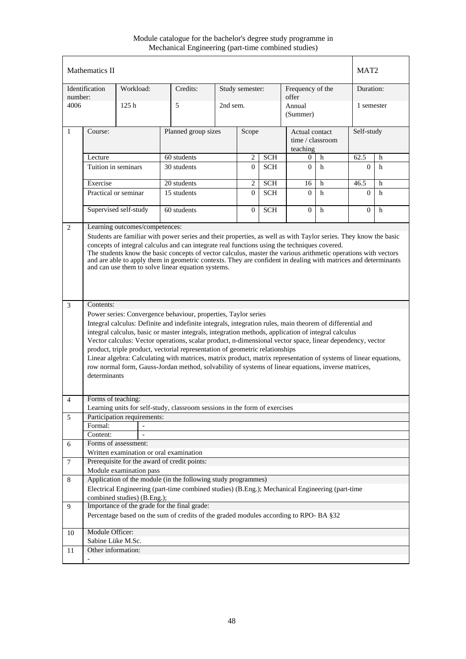Module catalogue for the bachelor's degree study programme in Mechanical Engineering (part-time combined studies)

|              | Mathematics II                                                                                                                                                                                                                                                                                                                                                                                                                                                                                                                                                                                                                                                                                                             |                             |                                                                                                 |                     |                 |            |                                                |   | MAT <sub>2</sub> |   |
|--------------|----------------------------------------------------------------------------------------------------------------------------------------------------------------------------------------------------------------------------------------------------------------------------------------------------------------------------------------------------------------------------------------------------------------------------------------------------------------------------------------------------------------------------------------------------------------------------------------------------------------------------------------------------------------------------------------------------------------------------|-----------------------------|-------------------------------------------------------------------------------------------------|---------------------|-----------------|------------|------------------------------------------------|---|------------------|---|
| number:      | Identification                                                                                                                                                                                                                                                                                                                                                                                                                                                                                                                                                                                                                                                                                                             | Workload:                   | Credits:                                                                                        |                     | Study semester: |            | Frequency of the<br>offer                      |   | Duration:        |   |
| 4006         |                                                                                                                                                                                                                                                                                                                                                                                                                                                                                                                                                                                                                                                                                                                            | 125h                        | 5                                                                                               | $2nd$ sem.          |                 |            | Annual<br>(Summer)                             |   | 1 semester       |   |
| $\mathbf{1}$ | Course:                                                                                                                                                                                                                                                                                                                                                                                                                                                                                                                                                                                                                                                                                                                    |                             |                                                                                                 | Planned group sizes |                 |            | Actual contact<br>time / classroom<br>teaching |   | Self-study       |   |
|              | Lecture                                                                                                                                                                                                                                                                                                                                                                                                                                                                                                                                                                                                                                                                                                                    |                             | 60 students                                                                                     |                     | $\overline{c}$  | <b>SCH</b> | 0                                              | h | 62.5             | h |
|              | Tuition in seminars                                                                                                                                                                                                                                                                                                                                                                                                                                                                                                                                                                                                                                                                                                        |                             | 30 students                                                                                     |                     | $\Omega$        | <b>SCH</b> | $\overline{0}$                                 | h | $\overline{0}$   | h |
|              | Exercise                                                                                                                                                                                                                                                                                                                                                                                                                                                                                                                                                                                                                                                                                                                   |                             | 20 students                                                                                     |                     | $\overline{2}$  | <b>SCH</b> | 16                                             | h | 46.5             | h |
|              |                                                                                                                                                                                                                                                                                                                                                                                                                                                                                                                                                                                                                                                                                                                            | Practical or seminar        | 15 students                                                                                     |                     | $\Omega$        | <b>SCH</b> | $\Omega$                                       | h | $\overline{0}$   | h |
|              |                                                                                                                                                                                                                                                                                                                                                                                                                                                                                                                                                                                                                                                                                                                            | Supervised self-study       | 60 students                                                                                     |                     | $\overline{0}$  | <b>SCH</b> | $\overline{0}$                                 | h | $\Omega$         | h |
| 2            | Learning outcomes/competences:<br>Students are familiar with power series and their properties, as well as with Taylor series. They know the basic<br>concepts of integral calculus and can integrate real functions using the techniques covered.<br>The students know the basic concepts of vector calculus, master the various arithmetic operations with vectors<br>and are able to apply them in geometric contexts. They are confident in dealing with matrices and determinants<br>and can use them to solve linear equation systems.                                                                                                                                                                               |                             |                                                                                                 |                     |                 |            |                                                |   |                  |   |
| 3            | Contents:                                                                                                                                                                                                                                                                                                                                                                                                                                                                                                                                                                                                                                                                                                                  |                             |                                                                                                 |                     |                 |            |                                                |   |                  |   |
|              | Power series: Convergence behaviour, properties, Taylor series<br>Integral calculus: Definite and indefinite integrals, integration rules, main theorem of differential and<br>integral calculus, basic or master integrals, integration methods, application of integral calculus<br>Vector calculus: Vector operations, scalar product, n-dimensional vector space, linear dependency, vector<br>product, triple product, vectorial representation of geometric relationships<br>Linear algebra: Calculating with matrices, matrix product, matrix representation of systems of linear equations,<br>row normal form, Gauss-Jordan method, solvability of systems of linear equations, inverse matrices,<br>determinants |                             |                                                                                                 |                     |                 |            |                                                |   |                  |   |
| 4            | Forms of teaching:                                                                                                                                                                                                                                                                                                                                                                                                                                                                                                                                                                                                                                                                                                         |                             |                                                                                                 |                     |                 |            |                                                |   |                  |   |
|              |                                                                                                                                                                                                                                                                                                                                                                                                                                                                                                                                                                                                                                                                                                                            |                             | Learning units for self-study, classroom sessions in the form of exercises                      |                     |                 |            |                                                |   |                  |   |
| 5            |                                                                                                                                                                                                                                                                                                                                                                                                                                                                                                                                                                                                                                                                                                                            | Participation requirements: |                                                                                                 |                     |                 |            |                                                |   |                  |   |
|              | Formal:                                                                                                                                                                                                                                                                                                                                                                                                                                                                                                                                                                                                                                                                                                                    |                             |                                                                                                 |                     |                 |            |                                                |   |                  |   |
|              | Content:                                                                                                                                                                                                                                                                                                                                                                                                                                                                                                                                                                                                                                                                                                                   |                             |                                                                                                 |                     |                 |            |                                                |   |                  |   |
| 6            |                                                                                                                                                                                                                                                                                                                                                                                                                                                                                                                                                                                                                                                                                                                            | Forms of assessment:        | Written examination or oral examination                                                         |                     |                 |            |                                                |   |                  |   |
| 7            |                                                                                                                                                                                                                                                                                                                                                                                                                                                                                                                                                                                                                                                                                                                            |                             | Prerequisite for the award of credit points:                                                    |                     |                 |            |                                                |   |                  |   |
|              |                                                                                                                                                                                                                                                                                                                                                                                                                                                                                                                                                                                                                                                                                                                            | Module examination pass     | Application of the module (in the following study programmes)                                   |                     |                 |            |                                                |   |                  |   |
| $\,8\,$      |                                                                                                                                                                                                                                                                                                                                                                                                                                                                                                                                                                                                                                                                                                                            |                             | Electrical Engineering (part-time combined studies) (B.Eng.); Mechanical Engineering (part-time |                     |                 |            |                                                |   |                  |   |
|              |                                                                                                                                                                                                                                                                                                                                                                                                                                                                                                                                                                                                                                                                                                                            | combined studies) (B.Eng.); | Importance of the grade for the final grade:                                                    |                     |                 |            |                                                |   |                  |   |
| 9            |                                                                                                                                                                                                                                                                                                                                                                                                                                                                                                                                                                                                                                                                                                                            |                             | Percentage based on the sum of credits of the graded modules according to RPO- BA §32.          |                     |                 |            |                                                |   |                  |   |
| 10           | Module Officer:                                                                                                                                                                                                                                                                                                                                                                                                                                                                                                                                                                                                                                                                                                            |                             |                                                                                                 |                     |                 |            |                                                |   |                  |   |
|              | Sabine Lüke M.Sc.                                                                                                                                                                                                                                                                                                                                                                                                                                                                                                                                                                                                                                                                                                          |                             |                                                                                                 |                     |                 |            |                                                |   |                  |   |
| 11           | Other information:                                                                                                                                                                                                                                                                                                                                                                                                                                                                                                                                                                                                                                                                                                         |                             |                                                                                                 |                     |                 |            |                                                |   |                  |   |
|              |                                                                                                                                                                                                                                                                                                                                                                                                                                                                                                                                                                                                                                                                                                                            |                             |                                                                                                 |                     |                 |            |                                                |   |                  |   |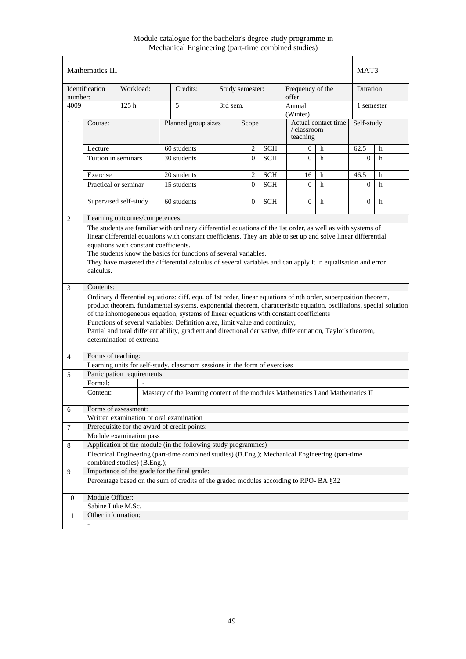Module catalogue for the bachelor's degree study programme in Mechanical Engineering (part-time combined studies)

|                | Mathematics III                                                                                                                                                                                                                                                                                                                                                                                                                                                                                                                                                         |                                                                                                 |             |                     |          |                 |                    |                                                                                 |                     | MAT <sub>3</sub> |   |  |  |  |
|----------------|-------------------------------------------------------------------------------------------------------------------------------------------------------------------------------------------------------------------------------------------------------------------------------------------------------------------------------------------------------------------------------------------------------------------------------------------------------------------------------------------------------------------------------------------------------------------------|-------------------------------------------------------------------------------------------------|-------------|---------------------|----------|-----------------|--------------------|---------------------------------------------------------------------------------|---------------------|------------------|---|--|--|--|
| number:        | Identification                                                                                                                                                                                                                                                                                                                                                                                                                                                                                                                                                          | Workload:                                                                                       |             | Credits:            |          | Study semester: |                    | Frequency of the<br>offer                                                       |                     | Duration:        |   |  |  |  |
| 4009           |                                                                                                                                                                                                                                                                                                                                                                                                                                                                                                                                                                         | 125h                                                                                            | 5           |                     | 3rd sem. |                 |                    | Annual<br>(Winter)                                                              |                     | 1 semester       |   |  |  |  |
| $\mathbf{1}$   | Course:                                                                                                                                                                                                                                                                                                                                                                                                                                                                                                                                                                 |                                                                                                 |             | Planned group sizes |          | Scope           |                    | / classroom<br>teaching                                                         | Actual contact time | Self-study       |   |  |  |  |
|                | Lecture                                                                                                                                                                                                                                                                                                                                                                                                                                                                                                                                                                 |                                                                                                 | 60 students |                     |          | 2               | <b>SCH</b>         | $\overline{0}$                                                                  | h                   | 62.5             | h |  |  |  |
|                | Tuition in seminars                                                                                                                                                                                                                                                                                                                                                                                                                                                                                                                                                     |                                                                                                 | 30 students |                     |          | $\Omega$        | <b>SCH</b>         | $\Omega$                                                                        | h                   | $\Omega$         | h |  |  |  |
|                | Exercise                                                                                                                                                                                                                                                                                                                                                                                                                                                                                                                                                                |                                                                                                 | 20 students |                     |          | $\overline{c}$  | <b>SCH</b>         | 16                                                                              | h                   | 46.5             | h |  |  |  |
|                |                                                                                                                                                                                                                                                                                                                                                                                                                                                                                                                                                                         | Practical or seminar                                                                            | 15 students |                     |          | $\overline{0}$  | <b>SCH</b>         | $\overline{0}$                                                                  | h                   | $\overline{0}$   | h |  |  |  |
|                |                                                                                                                                                                                                                                                                                                                                                                                                                                                                                                                                                                         | Supervised self-study                                                                           |             | 60 students         |          | $\overline{0}$  | <b>SCH</b>         | $\Omega$                                                                        | h                   | $\overline{0}$   | h |  |  |  |
| 2              | Learning outcomes/competences:<br>The students are familiar with ordinary differential equations of the 1st order, as well as with systems of<br>linear differential equations with constant coefficients. They are able to set up and solve linear differential<br>equations with constant coefficients.<br>The students know the basics for functions of several variables.<br>They have mastered the differential calculus of several variables and can apply it in equalisation and error<br>calculus.                                                              |                                                                                                 |             |                     |          |                 |                    |                                                                                 |                     |                  |   |  |  |  |
| 3              | Contents:<br>Ordinary differential equations: diff. equ. of 1st order, linear equations of nth order, superposition theorem,<br>product theorem, fundamental systems, exponential theorem, characteristic equation, oscillations, special solution<br>of the inhomogeneous equation, systems of linear equations with constant coefficients<br>Functions of several variables: Definition area, limit value and continuity,<br>Partial and total differentiability, gradient and directional derivative, differentiation, Taylor's theorem,<br>determination of extrema |                                                                                                 |             |                     |          |                 |                    |                                                                                 |                     |                  |   |  |  |  |
| $\overline{4}$ | Forms of teaching:                                                                                                                                                                                                                                                                                                                                                                                                                                                                                                                                                      |                                                                                                 |             |                     |          |                 |                    |                                                                                 |                     |                  |   |  |  |  |
|                |                                                                                                                                                                                                                                                                                                                                                                                                                                                                                                                                                                         | Learning units for self-study, classroom sessions in the form of exercises                      |             |                     |          |                 |                    |                                                                                 |                     |                  |   |  |  |  |
| 5              |                                                                                                                                                                                                                                                                                                                                                                                                                                                                                                                                                                         | Participation requirements:                                                                     |             |                     |          |                 |                    |                                                                                 |                     |                  |   |  |  |  |
|                | Formal:                                                                                                                                                                                                                                                                                                                                                                                                                                                                                                                                                                 |                                                                                                 |             |                     |          |                 |                    |                                                                                 |                     |                  |   |  |  |  |
|                | Content:                                                                                                                                                                                                                                                                                                                                                                                                                                                                                                                                                                |                                                                                                 |             |                     |          |                 |                    | Mastery of the learning content of the modules Mathematics I and Mathematics II |                     |                  |   |  |  |  |
| 6              |                                                                                                                                                                                                                                                                                                                                                                                                                                                                                                                                                                         | Forms of assessment:                                                                            |             |                     |          |                 |                    |                                                                                 |                     |                  |   |  |  |  |
|                |                                                                                                                                                                                                                                                                                                                                                                                                                                                                                                                                                                         | Written examination or oral examination                                                         |             |                     |          |                 |                    |                                                                                 |                     |                  |   |  |  |  |
| $\overline{7}$ |                                                                                                                                                                                                                                                                                                                                                                                                                                                                                                                                                                         | Prerequisite for the award of credit points:<br>Module examination pass                         |             |                     |          |                 |                    |                                                                                 |                     |                  |   |  |  |  |
| $\,8\,$        |                                                                                                                                                                                                                                                                                                                                                                                                                                                                                                                                                                         | Application of the module (in the following study programmes)                                   |             |                     |          |                 |                    |                                                                                 |                     |                  |   |  |  |  |
|                |                                                                                                                                                                                                                                                                                                                                                                                                                                                                                                                                                                         | Electrical Engineering (part-time combined studies) (B.Eng.); Mechanical Engineering (part-time |             |                     |          |                 |                    |                                                                                 |                     |                  |   |  |  |  |
| 9              |                                                                                                                                                                                                                                                                                                                                                                                                                                                                                                                                                                         | combined studies) (B.Eng.);<br>Importance of the grade for the final grade:                     |             |                     |          |                 |                    |                                                                                 |                     |                  |   |  |  |  |
|                |                                                                                                                                                                                                                                                                                                                                                                                                                                                                                                                                                                         | Percentage based on the sum of credits of the graded modules according to RPO- BA §32           |             |                     |          |                 |                    |                                                                                 |                     |                  |   |  |  |  |
| 10             | Module Officer:<br>Sabine Lüke M.Sc.                                                                                                                                                                                                                                                                                                                                                                                                                                                                                                                                    |                                                                                                 |             |                     |          |                 |                    |                                                                                 |                     |                  |   |  |  |  |
| 11             |                                                                                                                                                                                                                                                                                                                                                                                                                                                                                                                                                                         |                                                                                                 |             |                     |          |                 |                    |                                                                                 |                     |                  |   |  |  |  |
|                |                                                                                                                                                                                                                                                                                                                                                                                                                                                                                                                                                                         |                                                                                                 |             |                     |          |                 | Other information: |                                                                                 |                     |                  |   |  |  |  |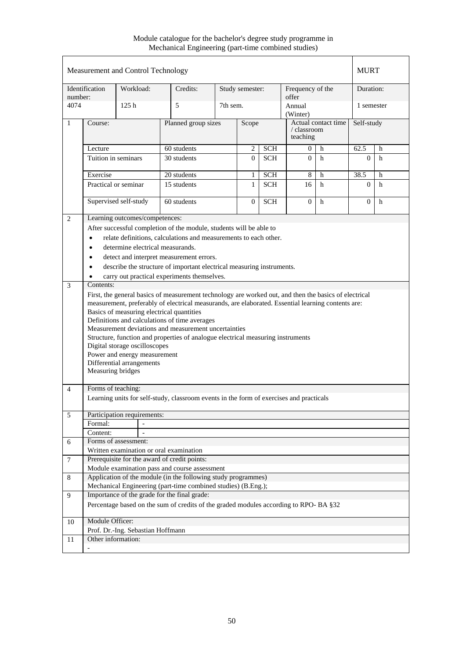|                |                                                                                                                                                                                                                                                                                                                                                                                                                                                                                                                                                                         | Measurement and Control Technology |                                                                                         |          |                 |            |                           |                     | <b>MURT</b>  |             |
|----------------|-------------------------------------------------------------------------------------------------------------------------------------------------------------------------------------------------------------------------------------------------------------------------------------------------------------------------------------------------------------------------------------------------------------------------------------------------------------------------------------------------------------------------------------------------------------------------|------------------------------------|-----------------------------------------------------------------------------------------|----------|-----------------|------------|---------------------------|---------------------|--------------|-------------|
| number:        | Identification                                                                                                                                                                                                                                                                                                                                                                                                                                                                                                                                                          | Workload:                          | Credits:                                                                                |          | Study semester: |            | Frequency of the<br>offer |                     | Duration:    |             |
| 4074           |                                                                                                                                                                                                                                                                                                                                                                                                                                                                                                                                                                         | 125h                               | 5                                                                                       | 7th sem. |                 |            | Annual<br>(Winter)        |                     | 1 semester   |             |
| $\mathbf{1}$   | Course:                                                                                                                                                                                                                                                                                                                                                                                                                                                                                                                                                                 |                                    | Planned group sizes                                                                     |          | Scope           |            | / classroom<br>teaching   | Actual contact time | Self-study   |             |
|                | Lecture                                                                                                                                                                                                                                                                                                                                                                                                                                                                                                                                                                 |                                    | 60 students                                                                             |          | 2               | <b>SCH</b> | $\overline{0}$            | $\,h$               | 62.5         | h           |
|                | Tuition in seminars                                                                                                                                                                                                                                                                                                                                                                                                                                                                                                                                                     |                                    | 30 students                                                                             |          | $\Omega$        | <b>SCH</b> | $\Omega$                  | $\mathbf{h}$        | $\Omega$     | h           |
|                | Exercise                                                                                                                                                                                                                                                                                                                                                                                                                                                                                                                                                                |                                    | 20 students                                                                             |          | 1               | <b>SCH</b> | 8                         | h                   | 38.5         | h           |
|                |                                                                                                                                                                                                                                                                                                                                                                                                                                                                                                                                                                         | Practical or seminar               | 15 students                                                                             |          | $\mathbf{1}$    | <b>SCH</b> | 16                        | h                   | $\mathbf{0}$ | h           |
|                |                                                                                                                                                                                                                                                                                                                                                                                                                                                                                                                                                                         | Supervised self-study              | 60 students                                                                             |          | $\overline{0}$  | <b>SCH</b> | $\Omega$                  | $\mathbf h$         | $\mathbf{0}$ | $\mathbf h$ |
| 2              |                                                                                                                                                                                                                                                                                                                                                                                                                                                                                                                                                                         | Learning outcomes/competences:     |                                                                                         |          |                 |            |                           |                     |              |             |
|                |                                                                                                                                                                                                                                                                                                                                                                                                                                                                                                                                                                         |                                    | After successful completion of the module, students will be able to                     |          |                 |            |                           |                     |              |             |
|                | $\bullet$                                                                                                                                                                                                                                                                                                                                                                                                                                                                                                                                                               |                                    | relate definitions, calculations and measurements to each other.                        |          |                 |            |                           |                     |              |             |
|                | $\bullet$                                                                                                                                                                                                                                                                                                                                                                                                                                                                                                                                                               | determine electrical measurands.   |                                                                                         |          |                 |            |                           |                     |              |             |
|                | $\bullet$                                                                                                                                                                                                                                                                                                                                                                                                                                                                                                                                                               |                                    | detect and interpret measurement errors.                                                |          |                 |            |                           |                     |              |             |
|                | describe the structure of important electrical measuring instruments.<br>$\bullet$                                                                                                                                                                                                                                                                                                                                                                                                                                                                                      |                                    |                                                                                         |          |                 |            |                           |                     |              |             |
|                |                                                                                                                                                                                                                                                                                                                                                                                                                                                                                                                                                                         |                                    | carry out practical experiments themselves.                                             |          |                 |            |                           |                     |              |             |
| 3              | Contents:                                                                                                                                                                                                                                                                                                                                                                                                                                                                                                                                                               |                                    |                                                                                         |          |                 |            |                           |                     |              |             |
|                | First, the general basics of measurement technology are worked out, and then the basics of electrical<br>measurement, preferably of electrical measurands, are elaborated. Essential learning contents are:<br>Basics of measuring electrical quantities<br>Definitions and calculations of time averages<br>Measurement deviations and measurement uncertainties<br>Structure, function and properties of analogue electrical measuring instruments<br>Digital storage oscilloscopes<br>Power and energy measurement<br>Differential arrangements<br>Measuring bridges |                                    |                                                                                         |          |                 |            |                           |                     |              |             |
| $\overline{4}$ | Forms of teaching:                                                                                                                                                                                                                                                                                                                                                                                                                                                                                                                                                      |                                    | Learning units for self-study, classroom events in the form of exercises and practicals |          |                 |            |                           |                     |              |             |
|                |                                                                                                                                                                                                                                                                                                                                                                                                                                                                                                                                                                         |                                    |                                                                                         |          |                 |            |                           |                     |              |             |
| 5              |                                                                                                                                                                                                                                                                                                                                                                                                                                                                                                                                                                         | Participation requirements:        |                                                                                         |          |                 |            |                           |                     |              |             |
|                | Formal:                                                                                                                                                                                                                                                                                                                                                                                                                                                                                                                                                                 |                                    |                                                                                         |          |                 |            |                           |                     |              |             |
|                | Content:                                                                                                                                                                                                                                                                                                                                                                                                                                                                                                                                                                |                                    |                                                                                         |          |                 |            |                           |                     |              |             |
| 6              |                                                                                                                                                                                                                                                                                                                                                                                                                                                                                                                                                                         | Forms of assessment:               |                                                                                         |          |                 |            |                           |                     |              |             |
|                |                                                                                                                                                                                                                                                                                                                                                                                                                                                                                                                                                                         |                                    | Written examination or oral examination                                                 |          |                 |            |                           |                     |              |             |
| $\tau$         |                                                                                                                                                                                                                                                                                                                                                                                                                                                                                                                                                                         |                                    | Prerequisite for the award of credit points:                                            |          |                 |            |                           |                     |              |             |
|                |                                                                                                                                                                                                                                                                                                                                                                                                                                                                                                                                                                         |                                    | Module examination pass and course assessment                                           |          |                 |            |                           |                     |              |             |
| 8              |                                                                                                                                                                                                                                                                                                                                                                                                                                                                                                                                                                         |                                    | Application of the module (in the following study programmes)                           |          |                 |            |                           |                     |              |             |
|                |                                                                                                                                                                                                                                                                                                                                                                                                                                                                                                                                                                         |                                    | Mechanical Engineering (part-time combined studies) (B.Eng.);                           |          |                 |            |                           |                     |              |             |
| 9              | Importance of the grade for the final grade:<br>Percentage based on the sum of credits of the graded modules according to RPO-BA §32                                                                                                                                                                                                                                                                                                                                                                                                                                    |                                    |                                                                                         |          |                 |            |                           |                     |              |             |
| 10             | Module Officer:                                                                                                                                                                                                                                                                                                                                                                                                                                                                                                                                                         |                                    |                                                                                         |          |                 |            |                           |                     |              |             |
|                |                                                                                                                                                                                                                                                                                                                                                                                                                                                                                                                                                                         | Prof. Dr.-Ing. Sebastian Hoffmann  |                                                                                         |          |                 |            |                           |                     |              |             |
| 11             | Other information:                                                                                                                                                                                                                                                                                                                                                                                                                                                                                                                                                      |                                    |                                                                                         |          |                 |            |                           |                     |              |             |
|                |                                                                                                                                                                                                                                                                                                                                                                                                                                                                                                                                                                         |                                    |                                                                                         |          |                 |            |                           |                     |              |             |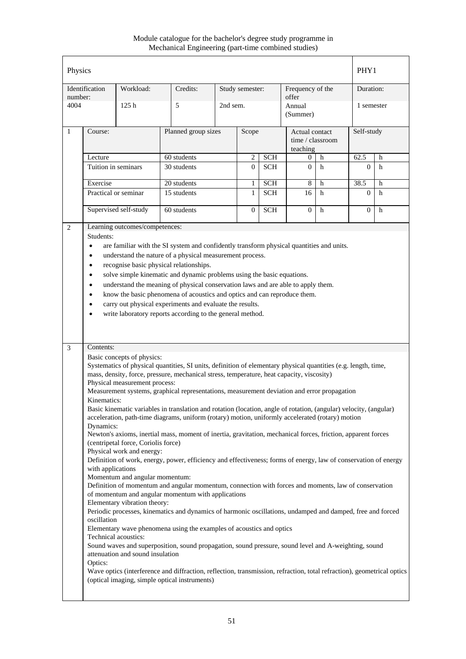Module catalogue for the bachelor's degree study programme in Mechanical Engineering (part-time combined studies)

| Physics |                                                                                                                                                                                                                                                                                                                                                                                                                                                                                                                                                                                                                                                                                                                                                                                                                                                                                                                                                                                                                                                                                                                                                                                                                                                                                                                                                                                                                                                                                                                                                                                                                                                                                                                             |                       |                     |          |                 |            |                                                |             | PHY1           |   |
|---------|-----------------------------------------------------------------------------------------------------------------------------------------------------------------------------------------------------------------------------------------------------------------------------------------------------------------------------------------------------------------------------------------------------------------------------------------------------------------------------------------------------------------------------------------------------------------------------------------------------------------------------------------------------------------------------------------------------------------------------------------------------------------------------------------------------------------------------------------------------------------------------------------------------------------------------------------------------------------------------------------------------------------------------------------------------------------------------------------------------------------------------------------------------------------------------------------------------------------------------------------------------------------------------------------------------------------------------------------------------------------------------------------------------------------------------------------------------------------------------------------------------------------------------------------------------------------------------------------------------------------------------------------------------------------------------------------------------------------------------|-----------------------|---------------------|----------|-----------------|------------|------------------------------------------------|-------------|----------------|---|
| number: | Identification                                                                                                                                                                                                                                                                                                                                                                                                                                                                                                                                                                                                                                                                                                                                                                                                                                                                                                                                                                                                                                                                                                                                                                                                                                                                                                                                                                                                                                                                                                                                                                                                                                                                                                              | Workload:             | Credits:            |          | Study semester: |            | Frequency of the<br>offer                      |             | Duration:      |   |
| 4004    |                                                                                                                                                                                                                                                                                                                                                                                                                                                                                                                                                                                                                                                                                                                                                                                                                                                                                                                                                                                                                                                                                                                                                                                                                                                                                                                                                                                                                                                                                                                                                                                                                                                                                                                             | 125h                  | 5                   | 2nd sem. |                 |            | Annual<br>(Summer)                             |             | 1 semester     |   |
| 1       | Course:                                                                                                                                                                                                                                                                                                                                                                                                                                                                                                                                                                                                                                                                                                                                                                                                                                                                                                                                                                                                                                                                                                                                                                                                                                                                                                                                                                                                                                                                                                                                                                                                                                                                                                                     |                       | Planned group sizes |          | Scope           |            | Actual contact<br>time / classroom<br>teaching |             | Self-study     |   |
|         | Lecture                                                                                                                                                                                                                                                                                                                                                                                                                                                                                                                                                                                                                                                                                                                                                                                                                                                                                                                                                                                                                                                                                                                                                                                                                                                                                                                                                                                                                                                                                                                                                                                                                                                                                                                     |                       | 60 students         |          | $\overline{c}$  | SCH        | 0                                              | h           | 62.5           | h |
|         | Tuition in seminars                                                                                                                                                                                                                                                                                                                                                                                                                                                                                                                                                                                                                                                                                                                                                                                                                                                                                                                                                                                                                                                                                                                                                                                                                                                                                                                                                                                                                                                                                                                                                                                                                                                                                                         |                       | 30 students         |          | $\overline{0}$  | <b>SCH</b> | $\Omega$                                       | h           | $\overline{0}$ | h |
|         | Exercise                                                                                                                                                                                                                                                                                                                                                                                                                                                                                                                                                                                                                                                                                                                                                                                                                                                                                                                                                                                                                                                                                                                                                                                                                                                                                                                                                                                                                                                                                                                                                                                                                                                                                                                    |                       | 20 students         |          | 1               | <b>SCH</b> | $\overline{8}$                                 | h           | 38.5           | h |
|         |                                                                                                                                                                                                                                                                                                                                                                                                                                                                                                                                                                                                                                                                                                                                                                                                                                                                                                                                                                                                                                                                                                                                                                                                                                                                                                                                                                                                                                                                                                                                                                                                                                                                                                                             | Practical or seminar  | 15 students         |          | $\mathbf{1}$    | <b>SCH</b> | 16                                             | h           | $\Omega$       | h |
|         |                                                                                                                                                                                                                                                                                                                                                                                                                                                                                                                                                                                                                                                                                                                                                                                                                                                                                                                                                                                                                                                                                                                                                                                                                                                                                                                                                                                                                                                                                                                                                                                                                                                                                                                             | Supervised self-study | 60 students         |          | $\overline{0}$  | <b>SCH</b> | $\overline{0}$                                 | $\mathbf h$ | $\Omega$       | h |
| 3       | understand the nature of a physical measurement process.<br>$\bullet$<br>recognise basic physical relationships.<br>$\bullet$<br>solve simple kinematic and dynamic problems using the basic equations.<br>$\bullet$<br>understand the meaning of physical conservation laws and are able to apply them.<br>$\bullet$<br>know the basic phenomena of acoustics and optics and can reproduce them.<br>$\bullet$<br>carry out physical experiments and evaluate the results.<br>$\bullet$<br>write laboratory reports according to the general method.<br>$\bullet$<br>Contents:<br>Basic concepts of physics:                                                                                                                                                                                                                                                                                                                                                                                                                                                                                                                                                                                                                                                                                                                                                                                                                                                                                                                                                                                                                                                                                                                |                       |                     |          |                 |            |                                                |             |                |   |
|         | Systematics of physical quantities, SI units, definition of elementary physical quantities (e.g. length, time,<br>mass, density, force, pressure, mechanical stress, temperature, heat capacity, viscosity)<br>Physical measurement process:<br>Measurement systems, graphical representations, measurement deviation and error propagation<br>Kinematics:<br>Basic kinematic variables in translation and rotation (location, angle of rotation, (angular) velocity, (angular)<br>acceleration, path-time diagrams, uniform (rotary) motion, uniformly accelerated (rotary) motion<br>Dynamics:<br>Newton's axioms, inertial mass, moment of inertia, gravitation, mechanical forces, friction, apparent forces<br>(centripetal force, Coriolis force)<br>Physical work and energy:<br>Definition of work, energy, power, efficiency and effectiveness; forms of energy, law of conservation of energy<br>with applications<br>Momentum and angular momentum:<br>Definition of momentum and angular momentum, connection with forces and moments, law of conservation<br>of momentum and angular momentum with applications<br>Elementary vibration theory:<br>Periodic processes, kinematics and dynamics of harmonic oscillations, undamped and damped, free and forced<br>oscillation<br>Elementary wave phenomena using the examples of acoustics and optics<br>Technical acoustics:<br>Sound waves and superposition, sound propagation, sound pressure, sound level and A-weighting, sound<br>attenuation and sound insulation<br>Optics:<br>Wave optics (interference and diffraction, reflection, transmission, refraction, total refraction), geometrical optics<br>(optical imaging, simple optical instruments) |                       |                     |          |                 |            |                                                |             |                |   |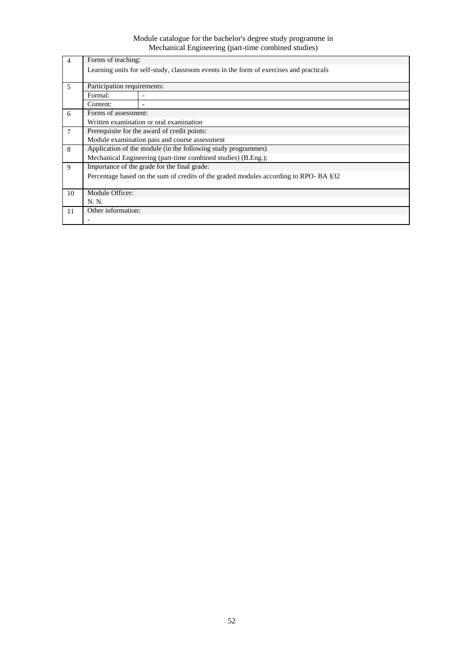| $\overline{4}$ | Forms of teaching:          |                                                                                         |  |  |  |  |  |  |  |
|----------------|-----------------------------|-----------------------------------------------------------------------------------------|--|--|--|--|--|--|--|
|                |                             | Learning units for self-study, classroom events in the form of exercises and practicals |  |  |  |  |  |  |  |
|                |                             |                                                                                         |  |  |  |  |  |  |  |
| 5              | Participation requirements: |                                                                                         |  |  |  |  |  |  |  |
|                | Formal:                     |                                                                                         |  |  |  |  |  |  |  |
|                | Content:                    |                                                                                         |  |  |  |  |  |  |  |
| 6              | Forms of assessment:        |                                                                                         |  |  |  |  |  |  |  |
|                |                             | Written examination or oral examination                                                 |  |  |  |  |  |  |  |
| $\tau$         |                             | Prerequisite for the award of credit points:                                            |  |  |  |  |  |  |  |
|                |                             | Module examination pass and course assessment                                           |  |  |  |  |  |  |  |
| 8              |                             | Application of the module (in the following study programmes)                           |  |  |  |  |  |  |  |
|                |                             | Mechanical Engineering (part-time combined studies) (B.Eng.);                           |  |  |  |  |  |  |  |
| 9              |                             | Importance of the grade for the final grade:                                            |  |  |  |  |  |  |  |
|                |                             | Percentage based on the sum of credits of the graded modules according to RPO-BA §32    |  |  |  |  |  |  |  |
|                |                             |                                                                                         |  |  |  |  |  |  |  |
| 10             | Module Officer:             |                                                                                         |  |  |  |  |  |  |  |
|                | N. N.                       |                                                                                         |  |  |  |  |  |  |  |
| 11             | Other information:          |                                                                                         |  |  |  |  |  |  |  |
|                |                             |                                                                                         |  |  |  |  |  |  |  |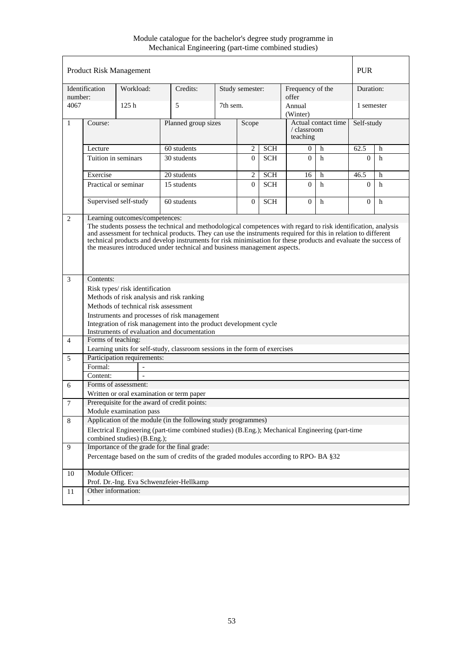|         |                                                                                                                                                                                                                                                                                                                                                                                                                                 | <b>Product Risk Management</b>       |                                                                                                                  |          |                 |            |                           |                     | <b>PUR</b>     |   |
|---------|---------------------------------------------------------------------------------------------------------------------------------------------------------------------------------------------------------------------------------------------------------------------------------------------------------------------------------------------------------------------------------------------------------------------------------|--------------------------------------|------------------------------------------------------------------------------------------------------------------|----------|-----------------|------------|---------------------------|---------------------|----------------|---|
| number: | Identification                                                                                                                                                                                                                                                                                                                                                                                                                  | Workload:                            | Credits:                                                                                                         |          | Study semester: |            | Frequency of the<br>offer |                     | Duration:      |   |
| 4067    |                                                                                                                                                                                                                                                                                                                                                                                                                                 | 125h                                 | 5                                                                                                                | 7th sem. |                 |            | Annual<br>(Winter)        |                     | 1 semester     |   |
| 1       | Course:                                                                                                                                                                                                                                                                                                                                                                                                                         |                                      | Planned group sizes                                                                                              |          |                 | Scope      | / classroom<br>teaching   | Actual contact time | Self-study     |   |
|         | Lecture                                                                                                                                                                                                                                                                                                                                                                                                                         |                                      | 60 students                                                                                                      |          | 2               | <b>SCH</b> | $\overline{0}$            | h                   | 62.5           | h |
|         | Tuition in seminars                                                                                                                                                                                                                                                                                                                                                                                                             |                                      | 30 students                                                                                                      |          | $\Omega$        | <b>SCH</b> | $\Omega$                  | h                   | $\Omega$       | h |
|         | Exercise                                                                                                                                                                                                                                                                                                                                                                                                                        |                                      | 20 students                                                                                                      |          | $\overline{c}$  | <b>SCH</b> | 16                        | h                   | 46.5           | h |
|         |                                                                                                                                                                                                                                                                                                                                                                                                                                 | Practical or seminar<br>15 students  |                                                                                                                  |          | $\Omega$        | <b>SCH</b> | $\Omega$                  | h                   | $\Omega$       | h |
|         |                                                                                                                                                                                                                                                                                                                                                                                                                                 | Supervised self-study                | 60 students                                                                                                      |          | $\Omega$        | <b>SCH</b> | $\Omega$                  | h                   | $\overline{0}$ | h |
|         | The students possess the technical and methodological competences with regard to risk identification, analysis<br>and assessment for technical products. They can use the instruments required for this in relation to different<br>technical products and develop instruments for risk minimisation for these products and evaluate the success of<br>the measures introduced under technical and business management aspects. |                                      |                                                                                                                  |          |                 |            |                           |                     |                |   |
| 3       | Contents:                                                                                                                                                                                                                                                                                                                                                                                                                       |                                      |                                                                                                                  |          |                 |            |                           |                     |                |   |
|         |                                                                                                                                                                                                                                                                                                                                                                                                                                 | Risk types/risk identification       |                                                                                                                  |          |                 |            |                           |                     |                |   |
|         |                                                                                                                                                                                                                                                                                                                                                                                                                                 | Methods of technical risk assessment | Methods of risk analysis and risk ranking                                                                        |          |                 |            |                           |                     |                |   |
|         |                                                                                                                                                                                                                                                                                                                                                                                                                                 |                                      | Instruments and processes of risk management                                                                     |          |                 |            |                           |                     |                |   |
|         |                                                                                                                                                                                                                                                                                                                                                                                                                                 |                                      | Integration of risk management into the product development cycle<br>Instruments of evaluation and documentation |          |                 |            |                           |                     |                |   |
| 4       | Forms of teaching:                                                                                                                                                                                                                                                                                                                                                                                                              |                                      |                                                                                                                  |          |                 |            |                           |                     |                |   |
|         |                                                                                                                                                                                                                                                                                                                                                                                                                                 |                                      | Learning units for self-study, classroom sessions in the form of exercises                                       |          |                 |            |                           |                     |                |   |
| 5       |                                                                                                                                                                                                                                                                                                                                                                                                                                 | Participation requirements:          |                                                                                                                  |          |                 |            |                           |                     |                |   |
|         | Formal:                                                                                                                                                                                                                                                                                                                                                                                                                         | $\overline{a}$                       |                                                                                                                  |          |                 |            |                           |                     |                |   |
| 6       | Content:                                                                                                                                                                                                                                                                                                                                                                                                                        | Forms of assessment:                 |                                                                                                                  |          |                 |            |                           |                     |                |   |
|         |                                                                                                                                                                                                                                                                                                                                                                                                                                 |                                      | Written or oral examination or term paper                                                                        |          |                 |            |                           |                     |                |   |
| 7       |                                                                                                                                                                                                                                                                                                                                                                                                                                 |                                      | Prerequisite for the award of credit points:                                                                     |          |                 |            |                           |                     |                |   |
|         |                                                                                                                                                                                                                                                                                                                                                                                                                                 | Module examination pass              |                                                                                                                  |          |                 |            |                           |                     |                |   |
| $\,8\,$ |                                                                                                                                                                                                                                                                                                                                                                                                                                 |                                      | Application of the module (in the following study programmes)                                                    |          |                 |            |                           |                     |                |   |
|         |                                                                                                                                                                                                                                                                                                                                                                                                                                 |                                      | Electrical Engineering (part-time combined studies) (B.Eng.); Mechanical Engineering (part-time                  |          |                 |            |                           |                     |                |   |
| 9       |                                                                                                                                                                                                                                                                                                                                                                                                                                 | combined studies) (B.Eng.);          | Importance of the grade for the final grade:                                                                     |          |                 |            |                           |                     |                |   |
|         |                                                                                                                                                                                                                                                                                                                                                                                                                                 |                                      | Percentage based on the sum of credits of the graded modules according to RPO-BA §32                             |          |                 |            |                           |                     |                |   |
| 10      | Module Officer:                                                                                                                                                                                                                                                                                                                                                                                                                 |                                      |                                                                                                                  |          |                 |            |                           |                     |                |   |
|         |                                                                                                                                                                                                                                                                                                                                                                                                                                 |                                      | Prof. Dr.-Ing. Eva Schwenzfeier-Hellkamp                                                                         |          |                 |            |                           |                     |                |   |
| 11      |                                                                                                                                                                                                                                                                                                                                                                                                                                 | Other information:                   |                                                                                                                  |          |                 |            |                           |                     |                |   |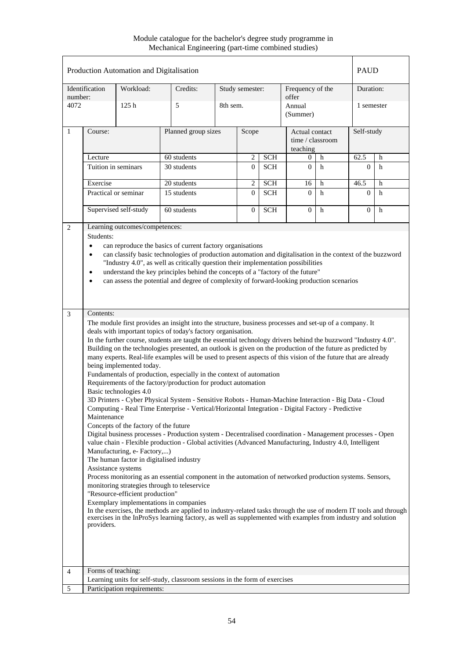|                 |                                                                                                                                                                                                                                                                                                                                                                                                                                                                                                                                                                                                                                                                                                                                                                                                                                                                                                                                                                                                                                                                                                                                                                                                                                                                                                                                                                                                                                                                                                                                                                                                                                                                                                                                                                                                                        | Production Automation and Digitalisation |                                                                            |          |                  |            |                                                |   | <b>PAUD</b>  |             |
|-----------------|------------------------------------------------------------------------------------------------------------------------------------------------------------------------------------------------------------------------------------------------------------------------------------------------------------------------------------------------------------------------------------------------------------------------------------------------------------------------------------------------------------------------------------------------------------------------------------------------------------------------------------------------------------------------------------------------------------------------------------------------------------------------------------------------------------------------------------------------------------------------------------------------------------------------------------------------------------------------------------------------------------------------------------------------------------------------------------------------------------------------------------------------------------------------------------------------------------------------------------------------------------------------------------------------------------------------------------------------------------------------------------------------------------------------------------------------------------------------------------------------------------------------------------------------------------------------------------------------------------------------------------------------------------------------------------------------------------------------------------------------------------------------------------------------------------------------|------------------------------------------|----------------------------------------------------------------------------|----------|------------------|------------|------------------------------------------------|---|--------------|-------------|
|                 | Identification                                                                                                                                                                                                                                                                                                                                                                                                                                                                                                                                                                                                                                                                                                                                                                                                                                                                                                                                                                                                                                                                                                                                                                                                                                                                                                                                                                                                                                                                                                                                                                                                                                                                                                                                                                                                         | Workload:                                | Credits:                                                                   |          | Study semester:  |            | Frequency of the                               |   | Duration:    |             |
| number:<br>4072 |                                                                                                                                                                                                                                                                                                                                                                                                                                                                                                                                                                                                                                                                                                                                                                                                                                                                                                                                                                                                                                                                                                                                                                                                                                                                                                                                                                                                                                                                                                                                                                                                                                                                                                                                                                                                                        | 125h                                     | 5                                                                          | 8th sem. |                  |            | offer<br>Annual<br>(Summer)                    |   | 1 semester   |             |
| 1               | Course:                                                                                                                                                                                                                                                                                                                                                                                                                                                                                                                                                                                                                                                                                                                                                                                                                                                                                                                                                                                                                                                                                                                                                                                                                                                                                                                                                                                                                                                                                                                                                                                                                                                                                                                                                                                                                |                                          | Planned group sizes                                                        |          | Scope            |            | Actual contact<br>time / classroom<br>teaching |   | Self-study   |             |
|                 | Lecture                                                                                                                                                                                                                                                                                                                                                                                                                                                                                                                                                                                                                                                                                                                                                                                                                                                                                                                                                                                                                                                                                                                                                                                                                                                                                                                                                                                                                                                                                                                                                                                                                                                                                                                                                                                                                |                                          | 60 students                                                                |          | 2                | <b>SCH</b> | 0                                              | h | 62.5         | h           |
|                 | Tuition in seminars                                                                                                                                                                                                                                                                                                                                                                                                                                                                                                                                                                                                                                                                                                                                                                                                                                                                                                                                                                                                                                                                                                                                                                                                                                                                                                                                                                                                                                                                                                                                                                                                                                                                                                                                                                                                    |                                          | 30 students                                                                |          | 0                | <b>SCH</b> | $\Omega$                                       | h | $\Omega$     | h           |
|                 | Exercise                                                                                                                                                                                                                                                                                                                                                                                                                                                                                                                                                                                                                                                                                                                                                                                                                                                                                                                                                                                                                                                                                                                                                                                                                                                                                                                                                                                                                                                                                                                                                                                                                                                                                                                                                                                                               |                                          | 20 students                                                                |          | $\overline{c}$   | <b>SCH</b> | 16                                             | h | 46.5         | $\mathbf h$ |
|                 |                                                                                                                                                                                                                                                                                                                                                                                                                                                                                                                                                                                                                                                                                                                                                                                                                                                                                                                                                                                                                                                                                                                                                                                                                                                                                                                                                                                                                                                                                                                                                                                                                                                                                                                                                                                                                        | Practical or seminar                     | 15 students                                                                |          | 0                | <b>SCH</b> | $\Omega$                                       | h | $\Omega$     | h           |
|                 |                                                                                                                                                                                                                                                                                                                                                                                                                                                                                                                                                                                                                                                                                                                                                                                                                                                                                                                                                                                                                                                                                                                                                                                                                                                                                                                                                                                                                                                                                                                                                                                                                                                                                                                                                                                                                        | Supervised self-study                    | 60 students                                                                |          | $\boldsymbol{0}$ | <b>SCH</b> | $\overline{0}$                                 | h | $\mathbf{0}$ | h           |
| $\mathfrak{Z}$  | can reproduce the basics of current factory organisations<br>$\bullet$<br>can classify basic technologies of production automation and digitalisation in the context of the buzzword<br>$\bullet$<br>"Industry 4.0", as well as critically question their implementation possibilities<br>understand the key principles behind the concepts of a "factory of the future"<br>$\bullet$<br>can assess the potential and degree of complexity of forward-looking production scenarios<br>$\bullet$<br>Contents:                                                                                                                                                                                                                                                                                                                                                                                                                                                                                                                                                                                                                                                                                                                                                                                                                                                                                                                                                                                                                                                                                                                                                                                                                                                                                                           |                                          |                                                                            |          |                  |            |                                                |   |              |             |
|                 | The module first provides an insight into the structure, business processes and set-up of a company. It<br>deals with important topics of today's factory organisation.<br>In the further course, students are taught the essential technology drivers behind the buzzword "Industry 4.0".<br>Building on the technologies presented, an outlook is given on the production of the future as predicted by<br>many experts. Real-life examples will be used to present aspects of this vision of the future that are already<br>being implemented today.<br>Fundamentals of production, especially in the context of automation<br>Requirements of the factory/production for product automation<br>Basic technologies 4.0<br>3D Printers - Cyber Physical System - Sensitive Robots - Human-Machine Interaction - Big Data - Cloud<br>Computing - Real Time Enterprise - Vertical/Horizontal Integration - Digital Factory - Predictive<br>Maintenance<br>Concepts of the factory of the future<br>Digital business processes - Production system - Decentralised coordination - Management processes - Open<br>value chain - Flexible production - Global activities (Advanced Manufacturing, Industry 4.0, Intelligent<br>Manufacturing, e- Factory,)<br>The human factor in digitalised industry<br>Assistance systems<br>Process monitoring as an essential component in the automation of networked production systems. Sensors,<br>monitoring strategies through to teleservice<br>"Resource-efficient production"<br>Exemplary implementations in companies<br>In the exercises, the methods are applied to industry-related tasks through the use of modern IT tools and through<br>exercises in the InProSys learning factory, as well as supplemented with examples from industry and solution<br>providers. |                                          |                                                                            |          |                  |            |                                                |   |              |             |
| 4               | Forms of teaching:                                                                                                                                                                                                                                                                                                                                                                                                                                                                                                                                                                                                                                                                                                                                                                                                                                                                                                                                                                                                                                                                                                                                                                                                                                                                                                                                                                                                                                                                                                                                                                                                                                                                                                                                                                                                     |                                          |                                                                            |          |                  |            |                                                |   |              |             |
|                 |                                                                                                                                                                                                                                                                                                                                                                                                                                                                                                                                                                                                                                                                                                                                                                                                                                                                                                                                                                                                                                                                                                                                                                                                                                                                                                                                                                                                                                                                                                                                                                                                                                                                                                                                                                                                                        |                                          | Learning units for self-study, classroom sessions in the form of exercises |          |                  |            |                                                |   |              |             |
| 5               |                                                                                                                                                                                                                                                                                                                                                                                                                                                                                                                                                                                                                                                                                                                                                                                                                                                                                                                                                                                                                                                                                                                                                                                                                                                                                                                                                                                                                                                                                                                                                                                                                                                                                                                                                                                                                        | Participation requirements:              |                                                                            |          |                  |            |                                                |   |              |             |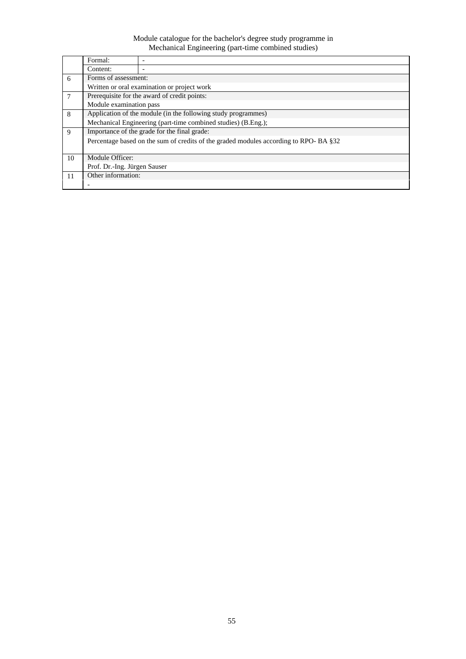|                | Formal:                                                       |                                                                                      |  |  |  |  |  |  |  |
|----------------|---------------------------------------------------------------|--------------------------------------------------------------------------------------|--|--|--|--|--|--|--|
|                | Content:                                                      |                                                                                      |  |  |  |  |  |  |  |
| 6              | Forms of assessment:                                          |                                                                                      |  |  |  |  |  |  |  |
|                | Written or oral examination or project work                   |                                                                                      |  |  |  |  |  |  |  |
| $\overline{7}$ | Prerequisite for the award of credit points:                  |                                                                                      |  |  |  |  |  |  |  |
|                | Module examination pass                                       |                                                                                      |  |  |  |  |  |  |  |
| 8              | Application of the module (in the following study programmes) |                                                                                      |  |  |  |  |  |  |  |
|                | Mechanical Engineering (part-time combined studies) (B.Eng.); |                                                                                      |  |  |  |  |  |  |  |
| 9              |                                                               | Importance of the grade for the final grade:                                         |  |  |  |  |  |  |  |
|                |                                                               | Percentage based on the sum of credits of the graded modules according to RPO-BA §32 |  |  |  |  |  |  |  |
|                |                                                               |                                                                                      |  |  |  |  |  |  |  |
| 10             | Module Officer:                                               |                                                                                      |  |  |  |  |  |  |  |
|                | Prof. Dr.-Ing. Jürgen Sauser                                  |                                                                                      |  |  |  |  |  |  |  |
| 11             | Other information:                                            |                                                                                      |  |  |  |  |  |  |  |
|                |                                                               |                                                                                      |  |  |  |  |  |  |  |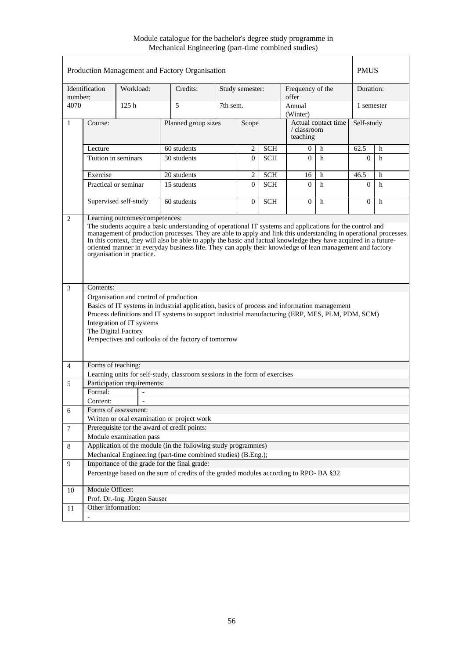| Production Management and Factory Organisation |                                                                                                                                                                                                                                                                                                                                                                                                                                                                                                                              |                                                  |                                                                                                                                       |          |                 |            |                           |                     |            | <b>PMUS</b> |  |
|------------------------------------------------|------------------------------------------------------------------------------------------------------------------------------------------------------------------------------------------------------------------------------------------------------------------------------------------------------------------------------------------------------------------------------------------------------------------------------------------------------------------------------------------------------------------------------|--------------------------------------------------|---------------------------------------------------------------------------------------------------------------------------------------|----------|-----------------|------------|---------------------------|---------------------|------------|-------------|--|
| number:                                        | Identification                                                                                                                                                                                                                                                                                                                                                                                                                                                                                                               | Workload:                                        | Credits:                                                                                                                              |          | Study semester: |            | Frequency of the<br>offer |                     | Duration:  |             |  |
| 4070                                           |                                                                                                                                                                                                                                                                                                                                                                                                                                                                                                                              | 125 <sub>h</sub>                                 | 5                                                                                                                                     | 7th sem. |                 |            | Annual<br>(Winter)        |                     | 1 semester |             |  |
| $\mathbf{1}$                                   | Course:                                                                                                                                                                                                                                                                                                                                                                                                                                                                                                                      |                                                  | Planned group sizes                                                                                                                   |          | Scope           |            | / classroom<br>teaching   | Actual contact time | Self-study |             |  |
|                                                | 60 students<br>2<br><b>SCH</b><br>Lecture<br>$\theta$<br>h                                                                                                                                                                                                                                                                                                                                                                                                                                                                   |                                                  |                                                                                                                                       |          |                 |            | 62.5                      | h                   |            |             |  |
|                                                | Tuition in seminars                                                                                                                                                                                                                                                                                                                                                                                                                                                                                                          |                                                  | 30 students                                                                                                                           |          | $\Omega$        | <b>SCH</b> | $\Omega$                  | h                   | $\Omega$   | h           |  |
|                                                | Exercise                                                                                                                                                                                                                                                                                                                                                                                                                                                                                                                     |                                                  | 20 students                                                                                                                           |          | $\mathbf{2}$    | <b>SCH</b> | 16                        | h                   | 46.5       | h           |  |
|                                                |                                                                                                                                                                                                                                                                                                                                                                                                                                                                                                                              | Practical or seminar                             | 15 students                                                                                                                           |          | $\Omega$        | <b>SCH</b> | $\Omega$                  | h                   | $\Omega$   | h           |  |
|                                                |                                                                                                                                                                                                                                                                                                                                                                                                                                                                                                                              | Supervised self-study                            | 60 students                                                                                                                           |          | $\Omega$        | <b>SCH</b> | $\Omega$                  | h                   | $\Omega$   | h           |  |
| 2                                              | Learning outcomes/competences:<br>The students acquire a basic understanding of operational IT systems and applications for the control and<br>management of production processes. They are able to apply and link this understanding in operational processes.<br>In this context, they will also be able to apply the basic and factual knowledge they have acquired in a future-<br>oriented manner in everyday business life. They can apply their knowledge of lean management and factory<br>organisation in practice. |                                                  |                                                                                                                                       |          |                 |            |                           |                     |            |             |  |
| 3                                              | Contents:                                                                                                                                                                                                                                                                                                                                                                                                                                                                                                                    |                                                  |                                                                                                                                       |          |                 |            |                           |                     |            |             |  |
|                                                | Organisation and control of production<br>Basics of IT systems in industrial application, basics of process and information management<br>Process definitions and IT systems to support industrial manufacturing (ERP, MES, PLM, PDM, SCM)<br>Integration of IT systems<br>The Digital Factory<br>Perspectives and outlooks of the factory of tomorrow                                                                                                                                                                       |                                                  |                                                                                                                                       |          |                 |            |                           |                     |            |             |  |
| $\overline{4}$                                 | Forms of teaching:                                                                                                                                                                                                                                                                                                                                                                                                                                                                                                           |                                                  |                                                                                                                                       |          |                 |            |                           |                     |            |             |  |
|                                                |                                                                                                                                                                                                                                                                                                                                                                                                                                                                                                                              |                                                  | Learning units for self-study, classroom sessions in the form of exercises                                                            |          |                 |            |                           |                     |            |             |  |
| 5                                              | Formal:                                                                                                                                                                                                                                                                                                                                                                                                                                                                                                                      | Participation requirements:                      |                                                                                                                                       |          |                 |            |                           |                     |            |             |  |
|                                                | Content:                                                                                                                                                                                                                                                                                                                                                                                                                                                                                                                     |                                                  |                                                                                                                                       |          |                 |            |                           |                     |            |             |  |
| 6                                              |                                                                                                                                                                                                                                                                                                                                                                                                                                                                                                                              | $\overline{\phantom{a}}$<br>Forms of assessment: |                                                                                                                                       |          |                 |            |                           |                     |            |             |  |
|                                                |                                                                                                                                                                                                                                                                                                                                                                                                                                                                                                                              |                                                  | Written or oral examination or project work                                                                                           |          |                 |            |                           |                     |            |             |  |
| $\overline{7}$                                 |                                                                                                                                                                                                                                                                                                                                                                                                                                                                                                                              |                                                  | Prerequisite for the award of credit points:                                                                                          |          |                 |            |                           |                     |            |             |  |
|                                                | Module examination pass                                                                                                                                                                                                                                                                                                                                                                                                                                                                                                      |                                                  |                                                                                                                                       |          |                 |            |                           |                     |            |             |  |
| 8                                              | Application of the module (in the following study programmes)                                                                                                                                                                                                                                                                                                                                                                                                                                                                |                                                  |                                                                                                                                       |          |                 |            |                           |                     |            |             |  |
|                                                | Mechanical Engineering (part-time combined studies) (B.Eng.);                                                                                                                                                                                                                                                                                                                                                                                                                                                                |                                                  |                                                                                                                                       |          |                 |            |                           |                     |            |             |  |
| 9                                              |                                                                                                                                                                                                                                                                                                                                                                                                                                                                                                                              |                                                  | Importance of the grade for the final grade:<br>Percentage based on the sum of credits of the graded modules according to RPO- BA §32 |          |                 |            |                           |                     |            |             |  |
| 10                                             | Module Officer:                                                                                                                                                                                                                                                                                                                                                                                                                                                                                                              |                                                  |                                                                                                                                       |          |                 |            |                           |                     |            |             |  |
|                                                |                                                                                                                                                                                                                                                                                                                                                                                                                                                                                                                              | Prof. Dr.-Ing. Jürgen Sauser                     |                                                                                                                                       |          |                 |            |                           |                     |            |             |  |
| 11                                             | Other information:                                                                                                                                                                                                                                                                                                                                                                                                                                                                                                           |                                                  |                                                                                                                                       |          |                 |            |                           |                     |            |             |  |
|                                                |                                                                                                                                                                                                                                                                                                                                                                                                                                                                                                                              |                                                  |                                                                                                                                       |          |                 |            |                           |                     |            |             |  |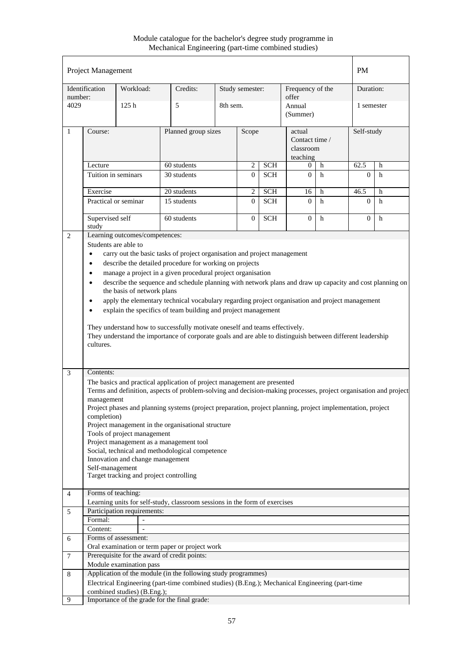|                | Project Management                                                                                                                                                                                                                                                                                                                                                                                                                                                                                                                                                                                                                                                                                                                                                                                                                                                                                                                                                                                                                                                                                                                                                                                                                                                                                                                                                                                                                                                                                               |                             |                                                                                                 |          |                 |            |                           |                             | <b>PM</b>  |            |
|----------------|------------------------------------------------------------------------------------------------------------------------------------------------------------------------------------------------------------------------------------------------------------------------------------------------------------------------------------------------------------------------------------------------------------------------------------------------------------------------------------------------------------------------------------------------------------------------------------------------------------------------------------------------------------------------------------------------------------------------------------------------------------------------------------------------------------------------------------------------------------------------------------------------------------------------------------------------------------------------------------------------------------------------------------------------------------------------------------------------------------------------------------------------------------------------------------------------------------------------------------------------------------------------------------------------------------------------------------------------------------------------------------------------------------------------------------------------------------------------------------------------------------------|-----------------------------|-------------------------------------------------------------------------------------------------|----------|-----------------|------------|---------------------------|-----------------------------|------------|------------|
| number:        | Identification                                                                                                                                                                                                                                                                                                                                                                                                                                                                                                                                                                                                                                                                                                                                                                                                                                                                                                                                                                                                                                                                                                                                                                                                                                                                                                                                                                                                                                                                                                   | Workload:                   | Credits:                                                                                        |          | Study semester: |            | Frequency of the<br>offer |                             | Duration:  |            |
| 4029           |                                                                                                                                                                                                                                                                                                                                                                                                                                                                                                                                                                                                                                                                                                                                                                                                                                                                                                                                                                                                                                                                                                                                                                                                                                                                                                                                                                                                                                                                                                                  | 125h                        | 5                                                                                               | 8th sem. |                 |            | Annual<br>(Summer)        |                             | 1 semester |            |
| 1              | Course:                                                                                                                                                                                                                                                                                                                                                                                                                                                                                                                                                                                                                                                                                                                                                                                                                                                                                                                                                                                                                                                                                                                                                                                                                                                                                                                                                                                                                                                                                                          |                             | Planned group sizes                                                                             |          | Scope           |            | actual<br>teaching        | Contact time /<br>classroom |            | Self-study |
|                | 60 students<br><b>SCH</b><br>Lecture<br>2<br>h<br>0                                                                                                                                                                                                                                                                                                                                                                                                                                                                                                                                                                                                                                                                                                                                                                                                                                                                                                                                                                                                                                                                                                                                                                                                                                                                                                                                                                                                                                                              |                             |                                                                                                 |          |                 |            | 62.5                      | h                           |            |            |
|                | Tuition in seminars                                                                                                                                                                                                                                                                                                                                                                                                                                                                                                                                                                                                                                                                                                                                                                                                                                                                                                                                                                                                                                                                                                                                                                                                                                                                                                                                                                                                                                                                                              |                             | 30 students                                                                                     |          | $\Omega$        | <b>SCH</b> | $\overline{0}$            | h                           | $\Omega$   | h          |
|                | Exercise                                                                                                                                                                                                                                                                                                                                                                                                                                                                                                                                                                                                                                                                                                                                                                                                                                                                                                                                                                                                                                                                                                                                                                                                                                                                                                                                                                                                                                                                                                         |                             | 20 students                                                                                     |          | $\overline{c}$  | <b>SCH</b> | 16                        | h                           | 46.5       | h          |
|                |                                                                                                                                                                                                                                                                                                                                                                                                                                                                                                                                                                                                                                                                                                                                                                                                                                                                                                                                                                                                                                                                                                                                                                                                                                                                                                                                                                                                                                                                                                                  | Practical or seminar        | 15 students                                                                                     |          | $\Omega$        | <b>SCH</b> | $\Omega$                  | h                           | $\Omega$   | h          |
|                | Supervised self<br>study                                                                                                                                                                                                                                                                                                                                                                                                                                                                                                                                                                                                                                                                                                                                                                                                                                                                                                                                                                                                                                                                                                                                                                                                                                                                                                                                                                                                                                                                                         |                             | 60 students                                                                                     |          | $\overline{0}$  | <b>SCH</b> | $\overline{0}$            | h                           | $\Omega$   | h          |
| $\overline{2}$ |                                                                                                                                                                                                                                                                                                                                                                                                                                                                                                                                                                                                                                                                                                                                                                                                                                                                                                                                                                                                                                                                                                                                                                                                                                                                                                                                                                                                                                                                                                                  |                             |                                                                                                 |          |                 |            |                           |                             |            |            |
| 3              | Learning outcomes/competences:<br>Students are able to<br>carry out the basic tasks of project organisation and project management<br>$\bullet$<br>describe the detailed procedure for working on projects<br>$\bullet$<br>manage a project in a given procedural project organisation<br>$\bullet$<br>describe the sequence and schedule planning with network plans and draw up capacity and cost planning on<br>$\bullet$<br>the basis of network plans<br>apply the elementary technical vocabulary regarding project organisation and project management<br>$\bullet$<br>explain the specifics of team building and project management<br>$\bullet$<br>They understand how to successfully motivate oneself and teams effectively.<br>They understand the importance of corporate goals and are able to distinguish between different leadership<br>cultures.<br>Contents:<br>The basics and practical application of project management are presented<br>Terms and definition, aspects of problem-solving and decision-making processes, project organisation and project<br>management<br>Project phases and planning systems (project preparation, project planning, project implementation, project<br>completion)<br>Project management in the organisational structure<br>Tools of project management<br>Project management as a management tool<br>Social, technical and methodological competence<br>Innovation and change management<br>Self-management<br>Target tracking and project controlling |                             |                                                                                                 |          |                 |            |                           |                             |            |            |
| $\overline{4}$ | Forms of teaching:                                                                                                                                                                                                                                                                                                                                                                                                                                                                                                                                                                                                                                                                                                                                                                                                                                                                                                                                                                                                                                                                                                                                                                                                                                                                                                                                                                                                                                                                                               |                             | Learning units for self-study, classroom sessions in the form of exercises                      |          |                 |            |                           |                             |            |            |
| 5              |                                                                                                                                                                                                                                                                                                                                                                                                                                                                                                                                                                                                                                                                                                                                                                                                                                                                                                                                                                                                                                                                                                                                                                                                                                                                                                                                                                                                                                                                                                                  | Participation requirements: |                                                                                                 |          |                 |            |                           |                             |            |            |
|                | Formal:                                                                                                                                                                                                                                                                                                                                                                                                                                                                                                                                                                                                                                                                                                                                                                                                                                                                                                                                                                                                                                                                                                                                                                                                                                                                                                                                                                                                                                                                                                          |                             |                                                                                                 |          |                 |            |                           |                             |            |            |
|                | Content:                                                                                                                                                                                                                                                                                                                                                                                                                                                                                                                                                                                                                                                                                                                                                                                                                                                                                                                                                                                                                                                                                                                                                                                                                                                                                                                                                                                                                                                                                                         |                             |                                                                                                 |          |                 |            |                           |                             |            |            |
| 6              |                                                                                                                                                                                                                                                                                                                                                                                                                                                                                                                                                                                                                                                                                                                                                                                                                                                                                                                                                                                                                                                                                                                                                                                                                                                                                                                                                                                                                                                                                                                  | Forms of assessment:        |                                                                                                 |          |                 |            |                           |                             |            |            |
|                |                                                                                                                                                                                                                                                                                                                                                                                                                                                                                                                                                                                                                                                                                                                                                                                                                                                                                                                                                                                                                                                                                                                                                                                                                                                                                                                                                                                                                                                                                                                  |                             | Oral examination or term paper or project work                                                  |          |                 |            |                           |                             |            |            |
| 7              |                                                                                                                                                                                                                                                                                                                                                                                                                                                                                                                                                                                                                                                                                                                                                                                                                                                                                                                                                                                                                                                                                                                                                                                                                                                                                                                                                                                                                                                                                                                  | Module examination pass     | Prerequisite for the award of credit points:                                                    |          |                 |            |                           |                             |            |            |
| $\,8\,$        |                                                                                                                                                                                                                                                                                                                                                                                                                                                                                                                                                                                                                                                                                                                                                                                                                                                                                                                                                                                                                                                                                                                                                                                                                                                                                                                                                                                                                                                                                                                  |                             | Application of the module (in the following study programmes)                                   |          |                 |            |                           |                             |            |            |
|                |                                                                                                                                                                                                                                                                                                                                                                                                                                                                                                                                                                                                                                                                                                                                                                                                                                                                                                                                                                                                                                                                                                                                                                                                                                                                                                                                                                                                                                                                                                                  |                             | Electrical Engineering (part-time combined studies) (B.Eng.); Mechanical Engineering (part-time |          |                 |            |                           |                             |            |            |
| 9              | combined studies) (B.Eng.);<br>Importance of the grade for the final grade:                                                                                                                                                                                                                                                                                                                                                                                                                                                                                                                                                                                                                                                                                                                                                                                                                                                                                                                                                                                                                                                                                                                                                                                                                                                                                                                                                                                                                                      |                             |                                                                                                 |          |                 |            |                           |                             |            |            |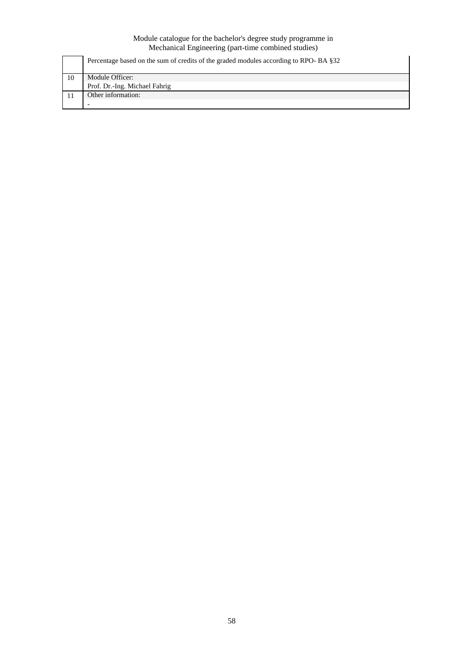|    | Percentage based on the sum of credits of the graded modules according to RPO-BA §32 |
|----|--------------------------------------------------------------------------------------|
| 10 | Module Officer:                                                                      |
|    | Prof. Dr.-Ing. Michael Fahrig                                                        |
|    | Other information:                                                                   |
|    |                                                                                      |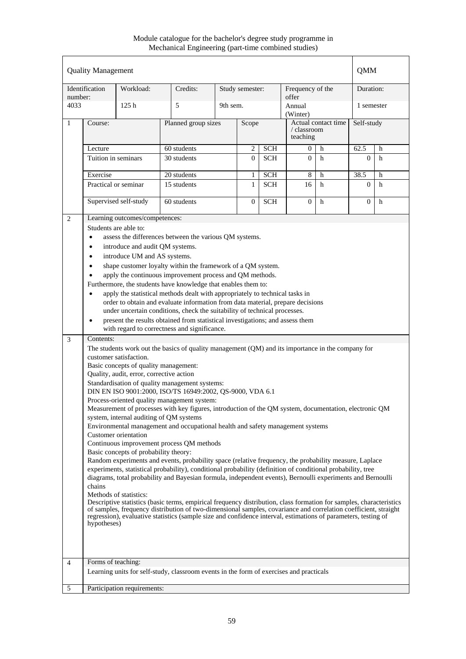Module catalogue for the bachelor's degree study programme in Mechanical Engineering (part-time combined studies)

|                | <b>Quality Management</b>                                                                                                                     |                                                                                   |                                                                                                                                                                                                                           |          |                 |            |                           |                     | <b>QMM</b> |   |
|----------------|-----------------------------------------------------------------------------------------------------------------------------------------------|-----------------------------------------------------------------------------------|---------------------------------------------------------------------------------------------------------------------------------------------------------------------------------------------------------------------------|----------|-----------------|------------|---------------------------|---------------------|------------|---|
| number:        | Identification                                                                                                                                | Workload:                                                                         | Credits:                                                                                                                                                                                                                  |          | Study semester: |            | Frequency of the<br>offer |                     | Duration:  |   |
| 4033           |                                                                                                                                               | 125h                                                                              | 5                                                                                                                                                                                                                         | 9th sem. |                 |            | Annual<br>(Winter)        |                     | 1 semester |   |
| 1              | Course:                                                                                                                                       |                                                                                   | Planned group sizes                                                                                                                                                                                                       |          | Scope           |            | / classroom<br>teaching   | Actual contact time | Self-study |   |
|                | Lecture                                                                                                                                       |                                                                                   | 60 students                                                                                                                                                                                                               |          | $\mathfrak{2}$  | <b>SCH</b> | 0                         | h                   | 62.5       | h |
|                | Tuition in seminars                                                                                                                           |                                                                                   | 30 students                                                                                                                                                                                                               |          | $\Omega$        | <b>SCH</b> | $\Omega$                  | h                   | $\Omega$   | h |
|                | Exercise                                                                                                                                      |                                                                                   | 20 students                                                                                                                                                                                                               |          | 1               | <b>SCH</b> | 8                         | $\mathbf h$         | 38.5       | h |
|                | Practical or seminar<br><b>SCH</b><br>15 students<br>$\mathbf{1}$<br>16<br>h                                                                  |                                                                                   |                                                                                                                                                                                                                           |          |                 | $\Omega$   | h                         |                     |            |   |
|                | Supervised self-study<br><b>SCH</b><br>60 students<br>$\overline{0}$<br>$\mathbf{0}$<br>h                                                     |                                                                                   |                                                                                                                                                                                                                           |          |                 |            | $\overline{0}$            | h                   |            |   |
| 2              |                                                                                                                                               | Learning outcomes/competences:                                                    |                                                                                                                                                                                                                           |          |                 |            |                           |                     |            |   |
|                | Students are able to:                                                                                                                         |                                                                                   |                                                                                                                                                                                                                           |          |                 |            |                           |                     |            |   |
|                | assess the differences between the various QM systems.<br>$\bullet$                                                                           |                                                                                   |                                                                                                                                                                                                                           |          |                 |            |                           |                     |            |   |
|                | introduce and audit QM systems.<br>$\bullet$<br>introduce UM and AS systems.<br>$\bullet$                                                     |                                                                                   |                                                                                                                                                                                                                           |          |                 |            |                           |                     |            |   |
|                | shape customer loyalty within the framework of a QM system.<br>$\bullet$                                                                      |                                                                                   |                                                                                                                                                                                                                           |          |                 |            |                           |                     |            |   |
|                | apply the continuous improvement process and QM methods.                                                                                      |                                                                                   |                                                                                                                                                                                                                           |          |                 |            |                           |                     |            |   |
|                | Furthermore, the students have knowledge that enables them to:                                                                                |                                                                                   |                                                                                                                                                                                                                           |          |                 |            |                           |                     |            |   |
|                | apply the statistical methods dealt with appropriately to technical tasks in<br>$\bullet$                                                     |                                                                                   |                                                                                                                                                                                                                           |          |                 |            |                           |                     |            |   |
|                |                                                                                                                                               |                                                                                   | order to obtain and evaluate information from data material, prepare decisions                                                                                                                                            |          |                 |            |                           |                     |            |   |
|                | under uncertain conditions, check the suitability of technical processes.                                                                     |                                                                                   |                                                                                                                                                                                                                           |          |                 |            |                           |                     |            |   |
|                | present the results obtained from statistical investigations; and assess them<br>$\bullet$<br>with regard to correctness and significance.    |                                                                                   |                                                                                                                                                                                                                           |          |                 |            |                           |                     |            |   |
| 3              | Contents:                                                                                                                                     |                                                                                   |                                                                                                                                                                                                                           |          |                 |            |                           |                     |            |   |
|                |                                                                                                                                               |                                                                                   | The students work out the basics of quality management (QM) and its importance in the company for                                                                                                                         |          |                 |            |                           |                     |            |   |
|                |                                                                                                                                               | customer satisfaction.                                                            |                                                                                                                                                                                                                           |          |                 |            |                           |                     |            |   |
|                |                                                                                                                                               | Basic concepts of quality management:<br>Quality, audit, error, corrective action |                                                                                                                                                                                                                           |          |                 |            |                           |                     |            |   |
|                |                                                                                                                                               |                                                                                   | Standardisation of quality management systems:                                                                                                                                                                            |          |                 |            |                           |                     |            |   |
|                |                                                                                                                                               |                                                                                   | DIN EN ISO 9001:2000, ISO/TS 16949:2002, QS-9000, VDA 6.1                                                                                                                                                                 |          |                 |            |                           |                     |            |   |
|                |                                                                                                                                               |                                                                                   | Process-oriented quality management system:                                                                                                                                                                               |          |                 |            |                           |                     |            |   |
|                |                                                                                                                                               |                                                                                   | Measurement of processes with key figures, introduction of the QM system, documentation, electronic QM                                                                                                                    |          |                 |            |                           |                     |            |   |
|                |                                                                                                                                               | system, internal auditing of QM systems                                           | Environmental management and occupational health and safety management systems                                                                                                                                            |          |                 |            |                           |                     |            |   |
|                |                                                                                                                                               | Customer orientation                                                              |                                                                                                                                                                                                                           |          |                 |            |                           |                     |            |   |
|                |                                                                                                                                               |                                                                                   | Continuous improvement process QM methods                                                                                                                                                                                 |          |                 |            |                           |                     |            |   |
|                |                                                                                                                                               | Basic concepts of probability theory:                                             |                                                                                                                                                                                                                           |          |                 |            |                           |                     |            |   |
|                |                                                                                                                                               |                                                                                   | Random experiments and events, probability space (relative frequency, the probability measure, Laplace                                                                                                                    |          |                 |            |                           |                     |            |   |
|                |                                                                                                                                               |                                                                                   | experiments, statistical probability), conditional probability (definition of conditional probability, tree<br>diagrams, total probability and Bayesian formula, independent events), Bernoulli experiments and Bernoulli |          |                 |            |                           |                     |            |   |
|                | chains                                                                                                                                        |                                                                                   |                                                                                                                                                                                                                           |          |                 |            |                           |                     |            |   |
|                | Methods of statistics:<br>Descriptive statistics (basic terms, empirical frequency distribution, class formation for samples, characteristics |                                                                                   |                                                                                                                                                                                                                           |          |                 |            |                           |                     |            |   |
|                |                                                                                                                                               |                                                                                   | of samples, frequency distribution of two-dimensional samples, covariance and correlation coefficient, straight                                                                                                           |          |                 |            |                           |                     |            |   |
|                |                                                                                                                                               |                                                                                   | regression), evaluative statistics (sample size and confidence interval, estimations of parameters, testing of                                                                                                            |          |                 |            |                           |                     |            |   |
|                | hypotheses)                                                                                                                                   |                                                                                   |                                                                                                                                                                                                                           |          |                 |            |                           |                     |            |   |
|                |                                                                                                                                               |                                                                                   |                                                                                                                                                                                                                           |          |                 |            |                           |                     |            |   |
|                |                                                                                                                                               |                                                                                   |                                                                                                                                                                                                                           |          |                 |            |                           |                     |            |   |
| $\overline{4}$ | Forms of teaching:                                                                                                                            |                                                                                   |                                                                                                                                                                                                                           |          |                 |            |                           |                     |            |   |
|                |                                                                                                                                               |                                                                                   | Learning units for self-study, classroom events in the form of exercises and practicals                                                                                                                                   |          |                 |            |                           |                     |            |   |
| 5              |                                                                                                                                               | Participation requirements:                                                       |                                                                                                                                                                                                                           |          |                 |            |                           |                     |            |   |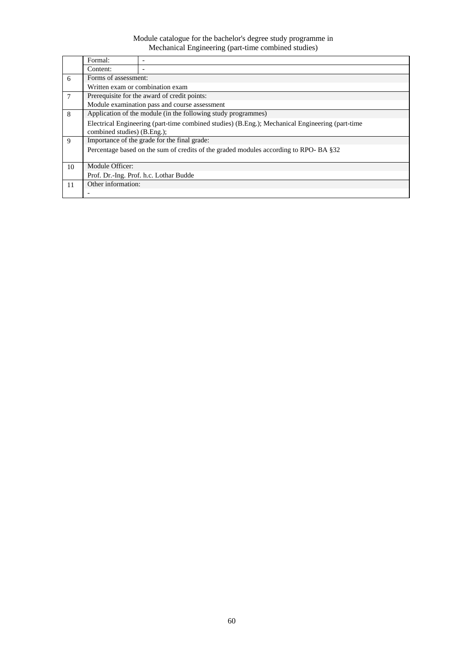|        | Formal:                                                                                         |                                                                                      |  |  |  |  |  |  |  |
|--------|-------------------------------------------------------------------------------------------------|--------------------------------------------------------------------------------------|--|--|--|--|--|--|--|
|        | Content:                                                                                        |                                                                                      |  |  |  |  |  |  |  |
| 6      | Forms of assessment:                                                                            |                                                                                      |  |  |  |  |  |  |  |
|        | Written exam or combination exam                                                                |                                                                                      |  |  |  |  |  |  |  |
| $\tau$ | Prerequisite for the award of credit points:                                                    |                                                                                      |  |  |  |  |  |  |  |
|        | Module examination pass and course assessment                                                   |                                                                                      |  |  |  |  |  |  |  |
| 8      | Application of the module (in the following study programmes)                                   |                                                                                      |  |  |  |  |  |  |  |
|        | Electrical Engineering (part-time combined studies) (B.Eng.); Mechanical Engineering (part-time |                                                                                      |  |  |  |  |  |  |  |
|        | combined studies) (B.Eng.);                                                                     |                                                                                      |  |  |  |  |  |  |  |
| 9      |                                                                                                 | Importance of the grade for the final grade:                                         |  |  |  |  |  |  |  |
|        |                                                                                                 | Percentage based on the sum of credits of the graded modules according to RPO-BA §32 |  |  |  |  |  |  |  |
|        |                                                                                                 |                                                                                      |  |  |  |  |  |  |  |
| 10     | Module Officer:                                                                                 |                                                                                      |  |  |  |  |  |  |  |
|        |                                                                                                 | Prof. Dr.-Ing. Prof. h.c. Lothar Budde                                               |  |  |  |  |  |  |  |
| 11     | Other information:                                                                              |                                                                                      |  |  |  |  |  |  |  |
|        |                                                                                                 |                                                                                      |  |  |  |  |  |  |  |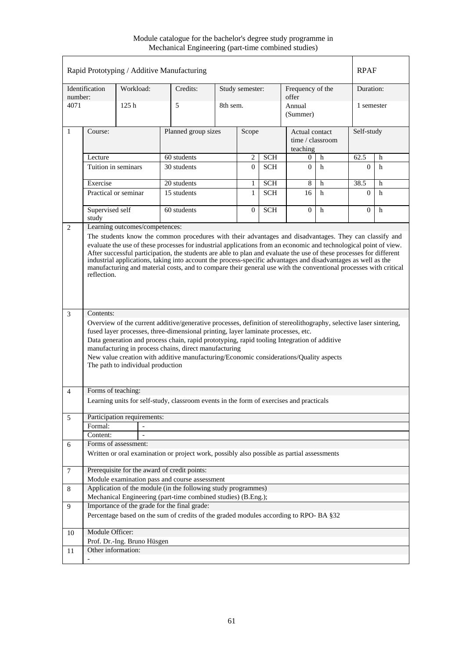Module catalogue for the bachelor's degree study programme in Mechanical Engineering (part-time combined studies)

|                |                                                                                                                                                                                                                                                                                                                                                                                                                                                                                                                                                                                                        |                                   | Rapid Prototyping / Additive Manufacturing                                                                                                                                                                                                                                                                                                                                                                                                                |          |                 |            |                                                  |   | <b>RPAF</b> |            |
|----------------|--------------------------------------------------------------------------------------------------------------------------------------------------------------------------------------------------------------------------------------------------------------------------------------------------------------------------------------------------------------------------------------------------------------------------------------------------------------------------------------------------------------------------------------------------------------------------------------------------------|-----------------------------------|-----------------------------------------------------------------------------------------------------------------------------------------------------------------------------------------------------------------------------------------------------------------------------------------------------------------------------------------------------------------------------------------------------------------------------------------------------------|----------|-----------------|------------|--------------------------------------------------|---|-------------|------------|
| number:        | Identification                                                                                                                                                                                                                                                                                                                                                                                                                                                                                                                                                                                         | Workload:                         | Credits:                                                                                                                                                                                                                                                                                                                                                                                                                                                  |          | Study semester: |            | Frequency of the<br>offer                        |   | Duration:   |            |
| 4071           |                                                                                                                                                                                                                                                                                                                                                                                                                                                                                                                                                                                                        | 125h                              | 5                                                                                                                                                                                                                                                                                                                                                                                                                                                         | 8th sem. |                 |            | Annual<br>(Summer)                               |   |             | 1 semester |
| $\mathbf{1}$   | Course:                                                                                                                                                                                                                                                                                                                                                                                                                                                                                                                                                                                                |                                   | Planned group sizes                                                                                                                                                                                                                                                                                                                                                                                                                                       |          | Scope           |            | Actual contact<br>time / $classroom$<br>teaching |   | Self-study  |            |
|                | Lecture                                                                                                                                                                                                                                                                                                                                                                                                                                                                                                                                                                                                |                                   | 60 students                                                                                                                                                                                                                                                                                                                                                                                                                                               |          | $\overline{2}$  | <b>SCH</b> | 0                                                | h | 62.5        | h          |
|                |                                                                                                                                                                                                                                                                                                                                                                                                                                                                                                                                                                                                        | Tuition in seminars               | 30 students                                                                                                                                                                                                                                                                                                                                                                                                                                               |          | $\Omega$        | <b>SCH</b> | $\Omega$                                         | h | $\Omega$    | h          |
|                | Exercise                                                                                                                                                                                                                                                                                                                                                                                                                                                                                                                                                                                               |                                   | $20$ students                                                                                                                                                                                                                                                                                                                                                                                                                                             |          | 1               | <b>SCH</b> | 8                                                | h | 38.5        | h          |
|                |                                                                                                                                                                                                                                                                                                                                                                                                                                                                                                                                                                                                        | Practical or seminar              | 15 students                                                                                                                                                                                                                                                                                                                                                                                                                                               |          | $\mathbf{1}$    | <b>SCH</b> | 16                                               | h | $\Omega$    | h          |
|                | Supervised self<br>study                                                                                                                                                                                                                                                                                                                                                                                                                                                                                                                                                                               |                                   | 60 students                                                                                                                                                                                                                                                                                                                                                                                                                                               |          | $\Omega$        | <b>SCH</b> | $\Omega$                                         | h | $\Omega$    | h          |
|                | The students know the common procedures with their advantages and disadvantages. They can classify and<br>evaluate the use of these processes for industrial applications from an economic and technological point of view.<br>After successful participation, the students are able to plan and evaluate the use of these processes for different<br>industrial applications, taking into account the process-specific advantages and disadvantages as well as the<br>manufacturing and material costs, and to compare their general use with the conventional processes with critical<br>reflection. |                                   |                                                                                                                                                                                                                                                                                                                                                                                                                                                           |          |                 |            |                                                  |   |             |            |
|                |                                                                                                                                                                                                                                                                                                                                                                                                                                                                                                                                                                                                        | The path to individual production | Overview of the current additive/generative processes, definition of stereolithography, selective laser sintering,<br>fused layer processes, three-dimensional printing, layer laminate processes, etc.<br>Data generation and process chain, rapid prototyping, rapid tooling Integration of additive<br>manufacturing in process chains, direct manufacturing<br>New value creation with additive manufacturing/Economic considerations/Quality aspects |          |                 |            |                                                  |   |             |            |
| $\overline{4}$ | Forms of teaching:                                                                                                                                                                                                                                                                                                                                                                                                                                                                                                                                                                                     |                                   |                                                                                                                                                                                                                                                                                                                                                                                                                                                           |          |                 |            |                                                  |   |             |            |
|                |                                                                                                                                                                                                                                                                                                                                                                                                                                                                                                                                                                                                        |                                   | Learning units for self-study, classroom events in the form of exercises and practicals                                                                                                                                                                                                                                                                                                                                                                   |          |                 |            |                                                  |   |             |            |
| 5              | Formal:<br>Content:                                                                                                                                                                                                                                                                                                                                                                                                                                                                                                                                                                                    | Participation requirements:       |                                                                                                                                                                                                                                                                                                                                                                                                                                                           |          |                 |            |                                                  |   |             |            |
| 6              |                                                                                                                                                                                                                                                                                                                                                                                                                                                                                                                                                                                                        | Forms of assessment:              | Written or oral examination or project work, possibly also possible as partial assessments                                                                                                                                                                                                                                                                                                                                                                |          |                 |            |                                                  |   |             |            |
| 7              |                                                                                                                                                                                                                                                                                                                                                                                                                                                                                                                                                                                                        |                                   | Prerequisite for the award of credit points:<br>Module examination pass and course assessment                                                                                                                                                                                                                                                                                                                                                             |          |                 |            |                                                  |   |             |            |
| 8              |                                                                                                                                                                                                                                                                                                                                                                                                                                                                                                                                                                                                        |                                   | Application of the module (in the following study programmes)<br>Mechanical Engineering (part-time combined studies) (B.Eng.);                                                                                                                                                                                                                                                                                                                            |          |                 |            |                                                  |   |             |            |
| 9              |                                                                                                                                                                                                                                                                                                                                                                                                                                                                                                                                                                                                        |                                   | Importance of the grade for the final grade:<br>Percentage based on the sum of credits of the graded modules according to RPO-BA §32                                                                                                                                                                                                                                                                                                                      |          |                 |            |                                                  |   |             |            |
| 10             | Module Officer:                                                                                                                                                                                                                                                                                                                                                                                                                                                                                                                                                                                        | Prof. Dr.-Ing. Bruno Hüsgen       |                                                                                                                                                                                                                                                                                                                                                                                                                                                           |          |                 |            |                                                  |   |             |            |
| 11             | Other information:                                                                                                                                                                                                                                                                                                                                                                                                                                                                                                                                                                                     |                                   |                                                                                                                                                                                                                                                                                                                                                                                                                                                           |          |                 |            |                                                  |   |             |            |
|                |                                                                                                                                                                                                                                                                                                                                                                                                                                                                                                                                                                                                        |                                   |                                                                                                                                                                                                                                                                                                                                                                                                                                                           |          |                 |            |                                                  |   |             |            |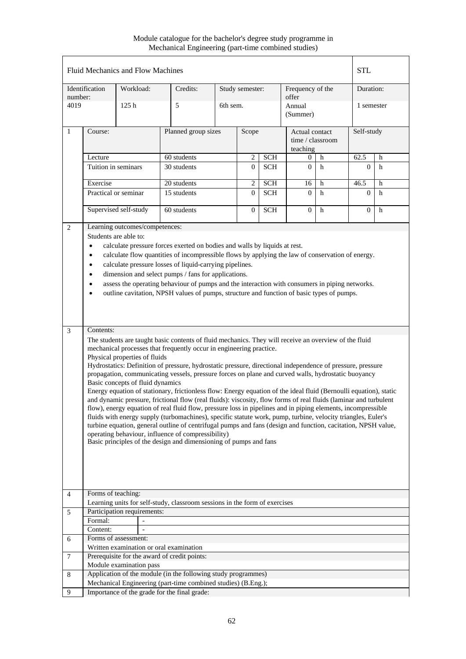|                |                                                                                                                                                                                                                                                                                                                                                                                                                                                                                                                                                                                                                                                                                                                                                                                                                                                                                                                                                                                                                                                                                                                                                                                                                                                                                                                                                                                                                                                                                                                                                                                                                                                                                                                                                                                                                                                     | Fluid Mechanics and Flow Machines |                                                               |                     |                 |            |                                                |   | <b>STL</b>   |             |
|----------------|-----------------------------------------------------------------------------------------------------------------------------------------------------------------------------------------------------------------------------------------------------------------------------------------------------------------------------------------------------------------------------------------------------------------------------------------------------------------------------------------------------------------------------------------------------------------------------------------------------------------------------------------------------------------------------------------------------------------------------------------------------------------------------------------------------------------------------------------------------------------------------------------------------------------------------------------------------------------------------------------------------------------------------------------------------------------------------------------------------------------------------------------------------------------------------------------------------------------------------------------------------------------------------------------------------------------------------------------------------------------------------------------------------------------------------------------------------------------------------------------------------------------------------------------------------------------------------------------------------------------------------------------------------------------------------------------------------------------------------------------------------------------------------------------------------------------------------------------------------|-----------------------------------|---------------------------------------------------------------|---------------------|-----------------|------------|------------------------------------------------|---|--------------|-------------|
| number:        | Identification                                                                                                                                                                                                                                                                                                                                                                                                                                                                                                                                                                                                                                                                                                                                                                                                                                                                                                                                                                                                                                                                                                                                                                                                                                                                                                                                                                                                                                                                                                                                                                                                                                                                                                                                                                                                                                      | Workload:                         | Credits:                                                      |                     | Study semester: |            | Frequency of the<br>offer                      |   | Duration:    |             |
| 4019           |                                                                                                                                                                                                                                                                                                                                                                                                                                                                                                                                                                                                                                                                                                                                                                                                                                                                                                                                                                                                                                                                                                                                                                                                                                                                                                                                                                                                                                                                                                                                                                                                                                                                                                                                                                                                                                                     | 125 <sub>h</sub>                  | 5                                                             | 6th sem.            |                 |            | Annual<br>(Summer)                             |   | 1 semester   |             |
| $\mathbf{1}$   | Course:                                                                                                                                                                                                                                                                                                                                                                                                                                                                                                                                                                                                                                                                                                                                                                                                                                                                                                                                                                                                                                                                                                                                                                                                                                                                                                                                                                                                                                                                                                                                                                                                                                                                                                                                                                                                                                             |                                   |                                                               | Planned group sizes |                 |            | Actual contact<br>time / classroom<br>teaching |   | Self-study   |             |
|                | Lecture                                                                                                                                                                                                                                                                                                                                                                                                                                                                                                                                                                                                                                                                                                                                                                                                                                                                                                                                                                                                                                                                                                                                                                                                                                                                                                                                                                                                                                                                                                                                                                                                                                                                                                                                                                                                                                             |                                   | 60 students                                                   |                     | $\overline{c}$  | <b>SCH</b> | 0                                              | h | 62.5         | $\mathbf h$ |
|                | Tuition in seminars                                                                                                                                                                                                                                                                                                                                                                                                                                                                                                                                                                                                                                                                                                                                                                                                                                                                                                                                                                                                                                                                                                                                                                                                                                                                                                                                                                                                                                                                                                                                                                                                                                                                                                                                                                                                                                 |                                   | 30 students                                                   |                     | $\Omega$        | <b>SCH</b> | $\mathbf{0}$                                   | h | $\Omega$     | h           |
|                | Exercise                                                                                                                                                                                                                                                                                                                                                                                                                                                                                                                                                                                                                                                                                                                                                                                                                                                                                                                                                                                                                                                                                                                                                                                                                                                                                                                                                                                                                                                                                                                                                                                                                                                                                                                                                                                                                                            |                                   | 20 students                                                   |                     | $\overline{c}$  | <b>SCH</b> | 16                                             | h | 46.5         | h           |
|                |                                                                                                                                                                                                                                                                                                                                                                                                                                                                                                                                                                                                                                                                                                                                                                                                                                                                                                                                                                                                                                                                                                                                                                                                                                                                                                                                                                                                                                                                                                                                                                                                                                                                                                                                                                                                                                                     | Practical or seminar              | 15 students                                                   |                     | $\Omega$        | <b>SCH</b> | $\Omega$                                       | h | $\Omega$     | h           |
|                |                                                                                                                                                                                                                                                                                                                                                                                                                                                                                                                                                                                                                                                                                                                                                                                                                                                                                                                                                                                                                                                                                                                                                                                                                                                                                                                                                                                                                                                                                                                                                                                                                                                                                                                                                                                                                                                     | Supervised self-study             | 60 students                                                   |                     | $\mathbf{0}$    | <b>SCH</b> | $\theta$                                       | h | $\mathbf{0}$ | h           |
| 3              | Learning outcomes/competences:<br>Students are able to:<br>calculate pressure forces exerted on bodies and walls by liquids at rest.<br>$\bullet$<br>calculate flow quantities of incompressible flows by applying the law of conservation of energy.<br>$\bullet$<br>calculate pressure losses of liquid-carrying pipelines.<br>$\bullet$<br>dimension and select pumps / fans for applications.<br>$\bullet$<br>assess the operating behaviour of pumps and the interaction with consumers in piping networks.<br>$\bullet$<br>outline cavitation, NPSH values of pumps, structure and function of basic types of pumps.<br>$\bullet$<br>Contents:<br>The students are taught basic contents of fluid mechanics. They will receive an overview of the fluid<br>mechanical processes that frequently occur in engineering practice.<br>Physical properties of fluids<br>Hydrostatics: Definition of pressure, hydrostatic pressure, directional independence of pressure, pressure<br>propagation, communicating vessels, pressure forces on plane and curved walls, hydrostatic buoyancy<br>Basic concepts of fluid dynamics<br>Energy equation of stationary, frictionless flow: Energy equation of the ideal fluid (Bernoulli equation), static<br>and dynamic pressure, frictional flow (real fluids): viscosity, flow forms of real fluids (laminar and turbulent<br>flow), energy equation of real fluid flow, pressure loss in pipelines and in piping elements, incompressible<br>fluids with energy supply (turbomachines), specific statute work, pump, turbine, velocity triangles, Euler's<br>turbine equation, general outline of centrifugal pumps and fans (design and function, cacitation, NPSH value,<br>operating behaviour, influence of compressibility)<br>Basic principles of the design and dimensioning of pumps and fans |                                   |                                                               |                     |                 |            |                                                |   |              |             |
| $\overline{4}$ | Forms of teaching:                                                                                                                                                                                                                                                                                                                                                                                                                                                                                                                                                                                                                                                                                                                                                                                                                                                                                                                                                                                                                                                                                                                                                                                                                                                                                                                                                                                                                                                                                                                                                                                                                                                                                                                                                                                                                                  |                                   |                                                               |                     |                 |            |                                                |   |              |             |
| 5              | Learning units for self-study, classroom sessions in the form of exercises<br>Participation requirements:                                                                                                                                                                                                                                                                                                                                                                                                                                                                                                                                                                                                                                                                                                                                                                                                                                                                                                                                                                                                                                                                                                                                                                                                                                                                                                                                                                                                                                                                                                                                                                                                                                                                                                                                           |                                   |                                                               |                     |                 |            |                                                |   |              |             |
|                | Formal:                                                                                                                                                                                                                                                                                                                                                                                                                                                                                                                                                                                                                                                                                                                                                                                                                                                                                                                                                                                                                                                                                                                                                                                                                                                                                                                                                                                                                                                                                                                                                                                                                                                                                                                                                                                                                                             |                                   |                                                               |                     |                 |            |                                                |   |              |             |
|                | Content:                                                                                                                                                                                                                                                                                                                                                                                                                                                                                                                                                                                                                                                                                                                                                                                                                                                                                                                                                                                                                                                                                                                                                                                                                                                                                                                                                                                                                                                                                                                                                                                                                                                                                                                                                                                                                                            |                                   |                                                               |                     |                 |            |                                                |   |              |             |
| 6              |                                                                                                                                                                                                                                                                                                                                                                                                                                                                                                                                                                                                                                                                                                                                                                                                                                                                                                                                                                                                                                                                                                                                                                                                                                                                                                                                                                                                                                                                                                                                                                                                                                                                                                                                                                                                                                                     | Forms of assessment:              |                                                               |                     |                 |            |                                                |   |              |             |
|                |                                                                                                                                                                                                                                                                                                                                                                                                                                                                                                                                                                                                                                                                                                                                                                                                                                                                                                                                                                                                                                                                                                                                                                                                                                                                                                                                                                                                                                                                                                                                                                                                                                                                                                                                                                                                                                                     |                                   | Written examination or oral examination                       |                     |                 |            |                                                |   |              |             |
| $\tau$         |                                                                                                                                                                                                                                                                                                                                                                                                                                                                                                                                                                                                                                                                                                                                                                                                                                                                                                                                                                                                                                                                                                                                                                                                                                                                                                                                                                                                                                                                                                                                                                                                                                                                                                                                                                                                                                                     |                                   | Prerequisite for the award of credit points:                  |                     |                 |            |                                                |   |              |             |
|                |                                                                                                                                                                                                                                                                                                                                                                                                                                                                                                                                                                                                                                                                                                                                                                                                                                                                                                                                                                                                                                                                                                                                                                                                                                                                                                                                                                                                                                                                                                                                                                                                                                                                                                                                                                                                                                                     | Module examination pass           |                                                               |                     |                 |            |                                                |   |              |             |
| 8              |                                                                                                                                                                                                                                                                                                                                                                                                                                                                                                                                                                                                                                                                                                                                                                                                                                                                                                                                                                                                                                                                                                                                                                                                                                                                                                                                                                                                                                                                                                                                                                                                                                                                                                                                                                                                                                                     |                                   | Application of the module (in the following study programmes) |                     |                 |            |                                                |   |              |             |
|                |                                                                                                                                                                                                                                                                                                                                                                                                                                                                                                                                                                                                                                                                                                                                                                                                                                                                                                                                                                                                                                                                                                                                                                                                                                                                                                                                                                                                                                                                                                                                                                                                                                                                                                                                                                                                                                                     |                                   | Mechanical Engineering (part-time combined studies) (B.Eng.); |                     |                 |            |                                                |   |              |             |
| 9              | Importance of the grade for the final grade:                                                                                                                                                                                                                                                                                                                                                                                                                                                                                                                                                                                                                                                                                                                                                                                                                                                                                                                                                                                                                                                                                                                                                                                                                                                                                                                                                                                                                                                                                                                                                                                                                                                                                                                                                                                                        |                                   |                                                               |                     |                 |            |                                                |   |              |             |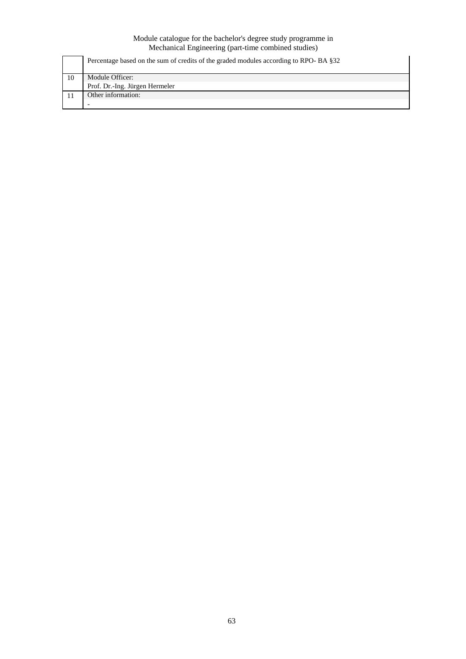|    | Percentage based on the sum of credits of the graded modules according to RPO-BA §32 |
|----|--------------------------------------------------------------------------------------|
| 10 | Module Officer:                                                                      |
|    | Prof. Dr.-Ing. Jürgen Hermeler                                                       |
|    | Other information:                                                                   |
|    |                                                                                      |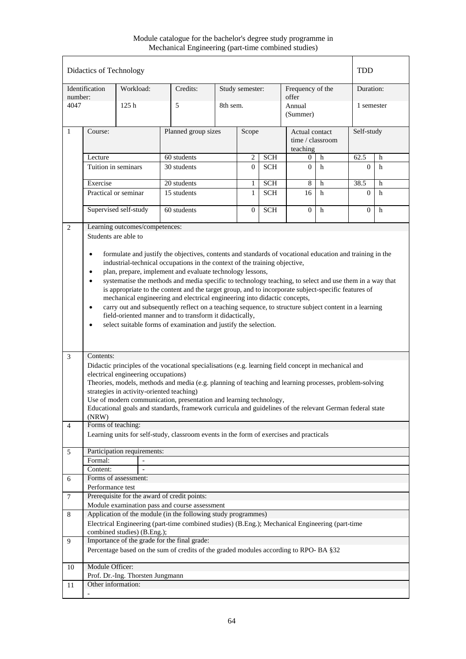Module catalogue for the bachelor's degree study programme in Mechanical Engineering (part-time combined studies)

|                | Didactics of Technology                                                                                                                                                                                                                                                                                                                                                                                                                                                                                                                                                                                                                                                                                                                                                                                                                                                                                              |                                  |                                                                                                 |          |                 |            |                                                  |   | TDD            |            |  |
|----------------|----------------------------------------------------------------------------------------------------------------------------------------------------------------------------------------------------------------------------------------------------------------------------------------------------------------------------------------------------------------------------------------------------------------------------------------------------------------------------------------------------------------------------------------------------------------------------------------------------------------------------------------------------------------------------------------------------------------------------------------------------------------------------------------------------------------------------------------------------------------------------------------------------------------------|----------------------------------|-------------------------------------------------------------------------------------------------|----------|-----------------|------------|--------------------------------------------------|---|----------------|------------|--|
| number:        | Identification                                                                                                                                                                                                                                                                                                                                                                                                                                                                                                                                                                                                                                                                                                                                                                                                                                                                                                       | Workload:                        | Credits:                                                                                        |          | Study semester: |            | Frequency of the<br>offer                        |   |                | Duration:  |  |
| 4047           |                                                                                                                                                                                                                                                                                                                                                                                                                                                                                                                                                                                                                                                                                                                                                                                                                                                                                                                      | 125h                             | 5                                                                                               | 8th sem. |                 |            | Annual<br>(Summer)                               |   | 1 semester     |            |  |
| 1              | Course:                                                                                                                                                                                                                                                                                                                                                                                                                                                                                                                                                                                                                                                                                                                                                                                                                                                                                                              |                                  | Planned group sizes                                                                             |          | Scope           |            | Actual contact<br>time / $classroom$<br>teaching |   |                | Self-study |  |
|                | Lecture                                                                                                                                                                                                                                                                                                                                                                                                                                                                                                                                                                                                                                                                                                                                                                                                                                                                                                              |                                  | 60 students                                                                                     |          | $\overline{2}$  | <b>SCH</b> | 0                                                | h | 62.5           | h          |  |
|                | Tuition in seminars                                                                                                                                                                                                                                                                                                                                                                                                                                                                                                                                                                                                                                                                                                                                                                                                                                                                                                  |                                  | 30 students                                                                                     |          | $\Omega$        | <b>SCH</b> | $\Omega$                                         | h | $\theta$       | h          |  |
|                | Exercise                                                                                                                                                                                                                                                                                                                                                                                                                                                                                                                                                                                                                                                                                                                                                                                                                                                                                                             |                                  | 20 students                                                                                     |          | 1               | <b>SCH</b> | 8                                                | h | 38.5           | h          |  |
|                |                                                                                                                                                                                                                                                                                                                                                                                                                                                                                                                                                                                                                                                                                                                                                                                                                                                                                                                      | Practical or seminar             | 15 students                                                                                     |          | 1               | <b>SCH</b> | 16                                               | h | $\Omega$       | h          |  |
|                | Supervised self-study                                                                                                                                                                                                                                                                                                                                                                                                                                                                                                                                                                                                                                                                                                                                                                                                                                                                                                |                                  | 60 students                                                                                     |          | $\overline{0}$  | <b>SCH</b> | $\overline{0}$                                   | h | $\overline{0}$ | h          |  |
| $\overline{2}$ | Learning outcomes/competences:<br>Students are able to<br>formulate and justify the objectives, contents and standards of vocational education and training in the<br>$\bullet$<br>industrial-technical occupations in the context of the training objective,<br>plan, prepare, implement and evaluate technology lessons,<br>$\bullet$<br>systematise the methods and media specific to technology teaching, to select and use them in a way that<br>$\bullet$<br>is appropriate to the content and the target group, and to incorporate subject-specific features of<br>mechanical engineering and electrical engineering into didactic concepts,<br>carry out and subsequently reflect on a teaching sequence, to structure subject content in a learning<br>$\bullet$<br>field-oriented manner and to transform it didactically,<br>select suitable forms of examination and justify the selection.<br>$\bullet$ |                                  |                                                                                                 |          |                 |            |                                                  |   |                |            |  |
| 3              | Contents:<br>Didactic principles of the vocational specialisations (e.g. learning field concept in mechanical and<br>electrical engineering occupations)<br>Theories, models, methods and media (e.g. planning of teaching and learning processes, problem-solving<br>strategies in activity-oriented teaching)<br>Use of modern communication, presentation and learning technology,<br>Educational goals and standards, framework curricula and guidelines of the relevant German federal state                                                                                                                                                                                                                                                                                                                                                                                                                    |                                  |                                                                                                 |          |                 |            |                                                  |   |                |            |  |
| $\overline{4}$ | (NRW)<br>Forms of teaching:                                                                                                                                                                                                                                                                                                                                                                                                                                                                                                                                                                                                                                                                                                                                                                                                                                                                                          |                                  | Learning units for self-study, classroom events in the form of exercises and practicals         |          |                 |            |                                                  |   |                |            |  |
| 5              | Formal:                                                                                                                                                                                                                                                                                                                                                                                                                                                                                                                                                                                                                                                                                                                                                                                                                                                                                                              | Participation requirements:      |                                                                                                 |          |                 |            |                                                  |   |                |            |  |
|                | Content:                                                                                                                                                                                                                                                                                                                                                                                                                                                                                                                                                                                                                                                                                                                                                                                                                                                                                                             |                                  |                                                                                                 |          |                 |            |                                                  |   |                |            |  |
| 6              |                                                                                                                                                                                                                                                                                                                                                                                                                                                                                                                                                                                                                                                                                                                                                                                                                                                                                                                      | Forms of assessment:             |                                                                                                 |          |                 |            |                                                  |   |                |            |  |
|                | Performance test                                                                                                                                                                                                                                                                                                                                                                                                                                                                                                                                                                                                                                                                                                                                                                                                                                                                                                     |                                  |                                                                                                 |          |                 |            |                                                  |   |                |            |  |
| $\tau$         |                                                                                                                                                                                                                                                                                                                                                                                                                                                                                                                                                                                                                                                                                                                                                                                                                                                                                                                      |                                  | Prerequisite for the award of credit points:                                                    |          |                 |            |                                                  |   |                |            |  |
|                |                                                                                                                                                                                                                                                                                                                                                                                                                                                                                                                                                                                                                                                                                                                                                                                                                                                                                                                      |                                  | Module examination pass and course assessment                                                   |          |                 |            |                                                  |   |                |            |  |
| 8              |                                                                                                                                                                                                                                                                                                                                                                                                                                                                                                                                                                                                                                                                                                                                                                                                                                                                                                                      |                                  | Application of the module (in the following study programmes)                                   |          |                 |            |                                                  |   |                |            |  |
|                |                                                                                                                                                                                                                                                                                                                                                                                                                                                                                                                                                                                                                                                                                                                                                                                                                                                                                                                      | combined studies) (B.Eng.);      | Electrical Engineering (part-time combined studies) (B.Eng.); Mechanical Engineering (part-time |          |                 |            |                                                  |   |                |            |  |
| 9              |                                                                                                                                                                                                                                                                                                                                                                                                                                                                                                                                                                                                                                                                                                                                                                                                                                                                                                                      |                                  | Importance of the grade for the final grade:                                                    |          |                 |            |                                                  |   |                |            |  |
|                |                                                                                                                                                                                                                                                                                                                                                                                                                                                                                                                                                                                                                                                                                                                                                                                                                                                                                                                      |                                  | Percentage based on the sum of credits of the graded modules according to RPO-BA §32            |          |                 |            |                                                  |   |                |            |  |
| 10             | Module Officer:                                                                                                                                                                                                                                                                                                                                                                                                                                                                                                                                                                                                                                                                                                                                                                                                                                                                                                      |                                  |                                                                                                 |          |                 |            |                                                  |   |                |            |  |
|                |                                                                                                                                                                                                                                                                                                                                                                                                                                                                                                                                                                                                                                                                                                                                                                                                                                                                                                                      | Prof. Dr.-Ing. Thorsten Jungmann |                                                                                                 |          |                 |            |                                                  |   |                |            |  |
| 11             | Other information:                                                                                                                                                                                                                                                                                                                                                                                                                                                                                                                                                                                                                                                                                                                                                                                                                                                                                                   |                                  |                                                                                                 |          |                 |            |                                                  |   |                |            |  |
|                |                                                                                                                                                                                                                                                                                                                                                                                                                                                                                                                                                                                                                                                                                                                                                                                                                                                                                                                      |                                  |                                                                                                 |          |                 |            |                                                  |   |                |            |  |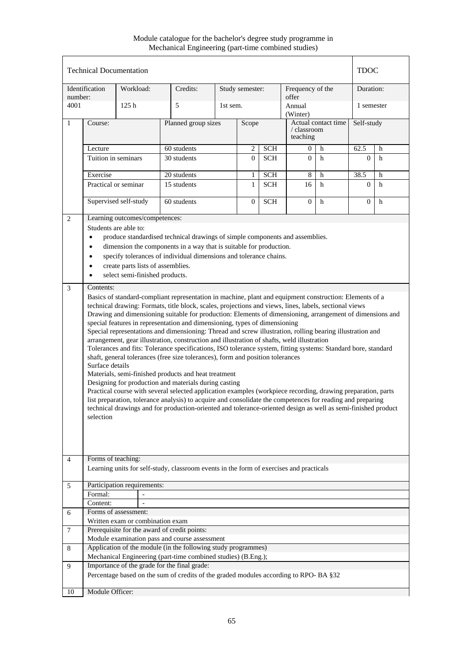Module catalogue for the bachelor's degree study programme in Mechanical Engineering (part-time combined studies)

|                | <b>Technical Documentation</b>                                                                                                                                                                                                                                                                                                                                                                                                                                                                                                                                                                                                                                                                                                                                                                                                                                                                                                                                                                                                                                                                                                                                                                             |           |  |                                                                                                                                                                                                                                                                                                                                                                                                                                                              |          |                 |            |                           |                     | <b>TDOC</b>               |             |  |
|----------------|------------------------------------------------------------------------------------------------------------------------------------------------------------------------------------------------------------------------------------------------------------------------------------------------------------------------------------------------------------------------------------------------------------------------------------------------------------------------------------------------------------------------------------------------------------------------------------------------------------------------------------------------------------------------------------------------------------------------------------------------------------------------------------------------------------------------------------------------------------------------------------------------------------------------------------------------------------------------------------------------------------------------------------------------------------------------------------------------------------------------------------------------------------------------------------------------------------|-----------|--|--------------------------------------------------------------------------------------------------------------------------------------------------------------------------------------------------------------------------------------------------------------------------------------------------------------------------------------------------------------------------------------------------------------------------------------------------------------|----------|-----------------|------------|---------------------------|---------------------|---------------------------|-------------|--|
| number:        | Identification                                                                                                                                                                                                                                                                                                                                                                                                                                                                                                                                                                                                                                                                                                                                                                                                                                                                                                                                                                                                                                                                                                                                                                                             | Workload: |  | Credits:                                                                                                                                                                                                                                                                                                                                                                                                                                                     |          | Study semester: |            | Frequency of the<br>offer |                     | Duration:                 |             |  |
| 4001           |                                                                                                                                                                                                                                                                                                                                                                                                                                                                                                                                                                                                                                                                                                                                                                                                                                                                                                                                                                                                                                                                                                                                                                                                            | 125h      |  | 5                                                                                                                                                                                                                                                                                                                                                                                                                                                            | 1st sem. |                 |            | Annual<br>(Winter)        |                     |                           | 1 semester  |  |
| 1              | Course:                                                                                                                                                                                                                                                                                                                                                                                                                                                                                                                                                                                                                                                                                                                                                                                                                                                                                                                                                                                                                                                                                                                                                                                                    |           |  | Planned group sizes                                                                                                                                                                                                                                                                                                                                                                                                                                          |          | Scope           |            | / classroom<br>teaching   | Actual contact time | Self-study                |             |  |
|                | Lecture                                                                                                                                                                                                                                                                                                                                                                                                                                                                                                                                                                                                                                                                                                                                                                                                                                                                                                                                                                                                                                                                                                                                                                                                    |           |  | 60 students                                                                                                                                                                                                                                                                                                                                                                                                                                                  |          | 2               | <b>SCH</b> | 0                         | h                   | 62.5                      | h           |  |
|                | Tuition in seminars                                                                                                                                                                                                                                                                                                                                                                                                                                                                                                                                                                                                                                                                                                                                                                                                                                                                                                                                                                                                                                                                                                                                                                                        |           |  | 30 students                                                                                                                                                                                                                                                                                                                                                                                                                                                  |          | $\mathbf{0}$    | <b>SCH</b> | $\Omega$                  | h                   | $\Omega$                  | h           |  |
|                | Exercise<br>20 students<br>$\mathbf{1}$<br><b>SCH</b>                                                                                                                                                                                                                                                                                                                                                                                                                                                                                                                                                                                                                                                                                                                                                                                                                                                                                                                                                                                                                                                                                                                                                      |           |  |                                                                                                                                                                                                                                                                                                                                                                                                                                                              |          |                 | 8          | h                         | 38.5                | $\boldsymbol{\mathrm{h}}$ |             |  |
|                | Practical or seminar                                                                                                                                                                                                                                                                                                                                                                                                                                                                                                                                                                                                                                                                                                                                                                                                                                                                                                                                                                                                                                                                                                                                                                                       |           |  | 15 students                                                                                                                                                                                                                                                                                                                                                                                                                                                  |          | 1               | <b>SCH</b> | 16                        | h                   | $\Omega$                  | h           |  |
|                | Supervised self-study                                                                                                                                                                                                                                                                                                                                                                                                                                                                                                                                                                                                                                                                                                                                                                                                                                                                                                                                                                                                                                                                                                                                                                                      |           |  | 60 students                                                                                                                                                                                                                                                                                                                                                                                                                                                  |          | $\overline{0}$  | <b>SCH</b> | $\mathbf{0}$              | h                   | $\overline{0}$            | $\mathbf h$ |  |
| $\overline{2}$ | Learning outcomes/competences:                                                                                                                                                                                                                                                                                                                                                                                                                                                                                                                                                                                                                                                                                                                                                                                                                                                                                                                                                                                                                                                                                                                                                                             |           |  |                                                                                                                                                                                                                                                                                                                                                                                                                                                              |          |                 |            |                           |                     |                           |             |  |
| 3              | produce standardised technical drawings of simple components and assemblies.<br>$\bullet$<br>dimension the components in a way that is suitable for production.<br>$\bullet$<br>specify tolerances of individual dimensions and tolerance chains.<br>$\bullet$<br>create parts lists of assemblies.<br>$\bullet$<br>select semi-finished products.<br>$\bullet$<br>Contents:<br>Basics of standard-compliant representation in machine, plant and equipment construction: Elements of a<br>technical drawing: Formats, title block, scales, projections and views, lines, labels, sectional views<br>Drawing and dimensioning suitable for production: Elements of dimensioning, arrangement of dimensions and<br>special features in representation and dimensioning, types of dimensioning<br>Special representations and dimensioning: Thread and screw illustration, rolling bearing illustration and<br>arrangement, gear illustration, construction and illustration of shafts, weld illustration<br>Tolerances and fits: Tolerance specifications, ISO tolerance system, fitting systems: Standard bore, standard<br>shaft, general tolerances (free size tolerances), form and position tolerances |           |  |                                                                                                                                                                                                                                                                                                                                                                                                                                                              |          |                 |            |                           |                     |                           |             |  |
|                | Surface details<br>selection                                                                                                                                                                                                                                                                                                                                                                                                                                                                                                                                                                                                                                                                                                                                                                                                                                                                                                                                                                                                                                                                                                                                                                               |           |  | Materials, semi-finished products and heat treatment<br>Designing for production and materials during casting<br>Practical course with several selected application examples (workpiece recording, drawing preparation, parts<br>list preparation, tolerance analysis) to acquire and consolidate the competences for reading and preparing<br>technical drawings and for production-oriented and tolerance-oriented design as well as semi-finished product |          |                 |            |                           |                     |                           |             |  |
| $\overline{4}$ | Forms of teaching:                                                                                                                                                                                                                                                                                                                                                                                                                                                                                                                                                                                                                                                                                                                                                                                                                                                                                                                                                                                                                                                                                                                                                                                         |           |  |                                                                                                                                                                                                                                                                                                                                                                                                                                                              |          |                 |            |                           |                     |                           |             |  |
|                |                                                                                                                                                                                                                                                                                                                                                                                                                                                                                                                                                                                                                                                                                                                                                                                                                                                                                                                                                                                                                                                                                                                                                                                                            |           |  | Learning units for self-study, classroom events in the form of exercises and practicals                                                                                                                                                                                                                                                                                                                                                                      |          |                 |            |                           |                     |                           |             |  |
| 5              | Participation requirements:                                                                                                                                                                                                                                                                                                                                                                                                                                                                                                                                                                                                                                                                                                                                                                                                                                                                                                                                                                                                                                                                                                                                                                                |           |  |                                                                                                                                                                                                                                                                                                                                                                                                                                                              |          |                 |            |                           |                     |                           |             |  |
|                | Formal:                                                                                                                                                                                                                                                                                                                                                                                                                                                                                                                                                                                                                                                                                                                                                                                                                                                                                                                                                                                                                                                                                                                                                                                                    |           |  |                                                                                                                                                                                                                                                                                                                                                                                                                                                              |          |                 |            |                           |                     |                           |             |  |
| 6              | Content:<br>Forms of assessment:                                                                                                                                                                                                                                                                                                                                                                                                                                                                                                                                                                                                                                                                                                                                                                                                                                                                                                                                                                                                                                                                                                                                                                           |           |  |                                                                                                                                                                                                                                                                                                                                                                                                                                                              |          |                 |            |                           |                     |                           |             |  |
|                | Written exam or combination exam                                                                                                                                                                                                                                                                                                                                                                                                                                                                                                                                                                                                                                                                                                                                                                                                                                                                                                                                                                                                                                                                                                                                                                           |           |  |                                                                                                                                                                                                                                                                                                                                                                                                                                                              |          |                 |            |                           |                     |                           |             |  |
| 7              |                                                                                                                                                                                                                                                                                                                                                                                                                                                                                                                                                                                                                                                                                                                                                                                                                                                                                                                                                                                                                                                                                                                                                                                                            |           |  | Prerequisite for the award of credit points:                                                                                                                                                                                                                                                                                                                                                                                                                 |          |                 |            |                           |                     |                           |             |  |
|                |                                                                                                                                                                                                                                                                                                                                                                                                                                                                                                                                                                                                                                                                                                                                                                                                                                                                                                                                                                                                                                                                                                                                                                                                            |           |  | Module examination pass and course assessment                                                                                                                                                                                                                                                                                                                                                                                                                |          |                 |            |                           |                     |                           |             |  |
| 8              |                                                                                                                                                                                                                                                                                                                                                                                                                                                                                                                                                                                                                                                                                                                                                                                                                                                                                                                                                                                                                                                                                                                                                                                                            |           |  | Application of the module (in the following study programmes)<br>Mechanical Engineering (part-time combined studies) (B.Eng.);                                                                                                                                                                                                                                                                                                                               |          |                 |            |                           |                     |                           |             |  |
| 9              |                                                                                                                                                                                                                                                                                                                                                                                                                                                                                                                                                                                                                                                                                                                                                                                                                                                                                                                                                                                                                                                                                                                                                                                                            |           |  | Importance of the grade for the final grade:                                                                                                                                                                                                                                                                                                                                                                                                                 |          |                 |            |                           |                     |                           |             |  |
|                |                                                                                                                                                                                                                                                                                                                                                                                                                                                                                                                                                                                                                                                                                                                                                                                                                                                                                                                                                                                                                                                                                                                                                                                                            |           |  | Percentage based on the sum of credits of the graded modules according to RPO- BA §32                                                                                                                                                                                                                                                                                                                                                                        |          |                 |            |                           |                     |                           |             |  |
| 10             | Module Officer:                                                                                                                                                                                                                                                                                                                                                                                                                                                                                                                                                                                                                                                                                                                                                                                                                                                                                                                                                                                                                                                                                                                                                                                            |           |  |                                                                                                                                                                                                                                                                                                                                                                                                                                                              |          |                 |            |                           |                     |                           |             |  |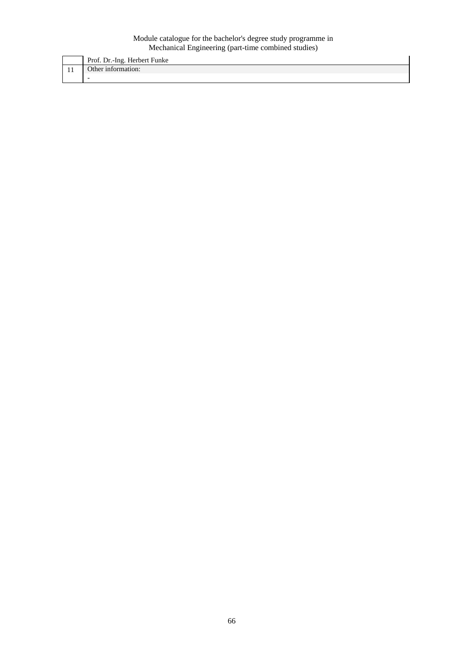|  | Prof. Dr.-Ing. Herbert Funke |
|--|------------------------------|
|  | Other information:           |
|  |                              |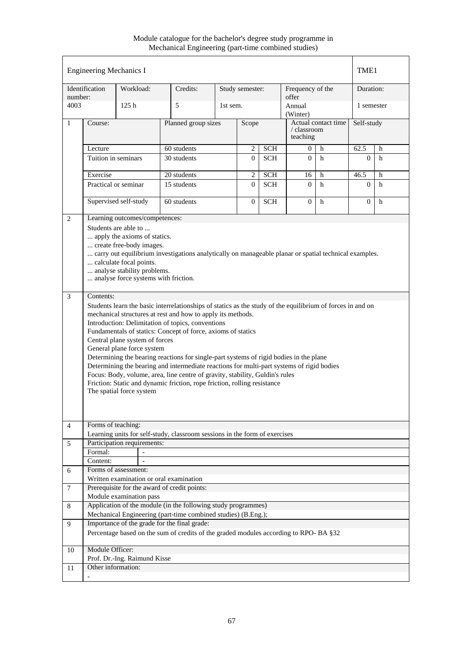Module catalogue for the bachelor's degree study programme in Mechanical Engineering (part-time combined studies)

|                |                                                                                                                                                                                                                                                                                                                               | <b>Engineering Mechanics I</b>                                                           |                                                                                                                                                                                                                                                                                                                                                                                                                                                                                                                                                                                                                                                   |          |                 |                                                |                           |            | TME1           |             |
|----------------|-------------------------------------------------------------------------------------------------------------------------------------------------------------------------------------------------------------------------------------------------------------------------------------------------------------------------------|------------------------------------------------------------------------------------------|---------------------------------------------------------------------------------------------------------------------------------------------------------------------------------------------------------------------------------------------------------------------------------------------------------------------------------------------------------------------------------------------------------------------------------------------------------------------------------------------------------------------------------------------------------------------------------------------------------------------------------------------------|----------|-----------------|------------------------------------------------|---------------------------|------------|----------------|-------------|
| number:        | Identification                                                                                                                                                                                                                                                                                                                | Workload:                                                                                | Credits:                                                                                                                                                                                                                                                                                                                                                                                                                                                                                                                                                                                                                                          |          | Study semester: |                                                | Frequency of the<br>offer |            | Duration:      |             |
| 4003           |                                                                                                                                                                                                                                                                                                                               | 125h                                                                                     | 5                                                                                                                                                                                                                                                                                                                                                                                                                                                                                                                                                                                                                                                 | 1st sem. |                 |                                                | Annual<br>(Winter)        |            | 1 semester     |             |
| $\mathbf{1}$   | Course:                                                                                                                                                                                                                                                                                                                       |                                                                                          | Planned group sizes                                                                                                                                                                                                                                                                                                                                                                                                                                                                                                                                                                                                                               | Scope    |                 | Actual contact time<br>/ classroom<br>teaching |                           | Self-study |                |             |
|                | Lecture                                                                                                                                                                                                                                                                                                                       |                                                                                          | 60 students                                                                                                                                                                                                                                                                                                                                                                                                                                                                                                                                                                                                                                       | 2        | <b>SCH</b>      | $\overline{0}$                                 | h                         | 62.5       | h              |             |
|                | Tuition in seminars                                                                                                                                                                                                                                                                                                           |                                                                                          | 30 students                                                                                                                                                                                                                                                                                                                                                                                                                                                                                                                                                                                                                                       |          | $\overline{0}$  | <b>SCH</b>                                     | $\Omega$                  | h          | $\Omega$       | h           |
|                | Exercise                                                                                                                                                                                                                                                                                                                      |                                                                                          | 20 students                                                                                                                                                                                                                                                                                                                                                                                                                                                                                                                                                                                                                                       |          | $\overline{c}$  | <b>SCH</b>                                     | 16                        | h          | 46.5           | h           |
|                |                                                                                                                                                                                                                                                                                                                               | Practical or seminar                                                                     | 15 students                                                                                                                                                                                                                                                                                                                                                                                                                                                                                                                                                                                                                                       |          | $\Omega$        | <b>SCH</b>                                     | $\Omega$                  | h          | $\Omega$       | h           |
|                |                                                                                                                                                                                                                                                                                                                               | Supervised self-study                                                                    | 60 students                                                                                                                                                                                                                                                                                                                                                                                                                                                                                                                                                                                                                                       |          | $\overline{0}$  | <b>SCH</b>                                     | $\Omega$                  | h          | $\overline{0}$ | $\mathbf h$ |
| 3              | Learning outcomes/competences:<br>Students are able to<br>apply the axioms of statics.<br>create free-body images.<br>carry out equilibrium investigations analytically on manageable planar or spatial technical examples.<br>calculate focal points.<br>analyse stability problems.<br>analyse force systems with friction. |                                                                                          |                                                                                                                                                                                                                                                                                                                                                                                                                                                                                                                                                                                                                                                   |          |                 |                                                |                           |            |                |             |
|                | Contents:                                                                                                                                                                                                                                                                                                                     | Central plane system of forces<br>General plane force system<br>The spatial force system | Students learn the basic interrelationships of statics as the study of the equilibrium of forces in and on<br>mechanical structures at rest and how to apply its methods.<br>Introduction: Delimitation of topics, conventions<br>Fundamentals of statics: Concept of force, axioms of statics<br>Determining the bearing reactions for single-part systems of rigid bodies in the plane<br>Determining the bearing and intermediate reactions for multi-part systems of rigid bodies<br>Focus: Body, volume, area, line centre of gravity, stability, Guldin's rules<br>Friction: Static and dynamic friction, rope friction, rolling resistance |          |                 |                                                |                           |            |                |             |
| $\overline{4}$ | Forms of teaching:                                                                                                                                                                                                                                                                                                            |                                                                                          | Learning units for self-study, classroom sessions in the form of exercises                                                                                                                                                                                                                                                                                                                                                                                                                                                                                                                                                                        |          |                 |                                                |                           |            |                |             |
| 5              |                                                                                                                                                                                                                                                                                                                               | Participation requirements:                                                              |                                                                                                                                                                                                                                                                                                                                                                                                                                                                                                                                                                                                                                                   |          |                 |                                                |                           |            |                |             |
|                | Formal:                                                                                                                                                                                                                                                                                                                       |                                                                                          |                                                                                                                                                                                                                                                                                                                                                                                                                                                                                                                                                                                                                                                   |          |                 |                                                |                           |            |                |             |
|                | Content:                                                                                                                                                                                                                                                                                                                      |                                                                                          |                                                                                                                                                                                                                                                                                                                                                                                                                                                                                                                                                                                                                                                   |          |                 |                                                |                           |            |                |             |
| 6              |                                                                                                                                                                                                                                                                                                                               | Forms of assessment:                                                                     |                                                                                                                                                                                                                                                                                                                                                                                                                                                                                                                                                                                                                                                   |          |                 |                                                |                           |            |                |             |
|                |                                                                                                                                                                                                                                                                                                                               | Written examination or oral examination                                                  |                                                                                                                                                                                                                                                                                                                                                                                                                                                                                                                                                                                                                                                   |          |                 |                                                |                           |            |                |             |
| 7              |                                                                                                                                                                                                                                                                                                                               | Module examination pass                                                                  | Prerequisite for the award of credit points:                                                                                                                                                                                                                                                                                                                                                                                                                                                                                                                                                                                                      |          |                 |                                                |                           |            |                |             |
| 8              |                                                                                                                                                                                                                                                                                                                               |                                                                                          | Application of the module (in the following study programmes)                                                                                                                                                                                                                                                                                                                                                                                                                                                                                                                                                                                     |          |                 |                                                |                           |            |                |             |
|                |                                                                                                                                                                                                                                                                                                                               |                                                                                          | Mechanical Engineering (part-time combined studies) (B.Eng.);                                                                                                                                                                                                                                                                                                                                                                                                                                                                                                                                                                                     |          |                 |                                                |                           |            |                |             |
| 9              |                                                                                                                                                                                                                                                                                                                               |                                                                                          | Importance of the grade for the final grade:<br>Percentage based on the sum of credits of the graded modules according to RPO- BA §32.                                                                                                                                                                                                                                                                                                                                                                                                                                                                                                            |          |                 |                                                |                           |            |                |             |
| 10             | Module Officer:                                                                                                                                                                                                                                                                                                               |                                                                                          |                                                                                                                                                                                                                                                                                                                                                                                                                                                                                                                                                                                                                                                   |          |                 |                                                |                           |            |                |             |
|                |                                                                                                                                                                                                                                                                                                                               | Prof. Dr.-Ing. Raimund Kisse                                                             |                                                                                                                                                                                                                                                                                                                                                                                                                                                                                                                                                                                                                                                   |          |                 |                                                |                           |            |                |             |
| 11             | Other information:                                                                                                                                                                                                                                                                                                            |                                                                                          |                                                                                                                                                                                                                                                                                                                                                                                                                                                                                                                                                                                                                                                   |          |                 |                                                |                           |            |                |             |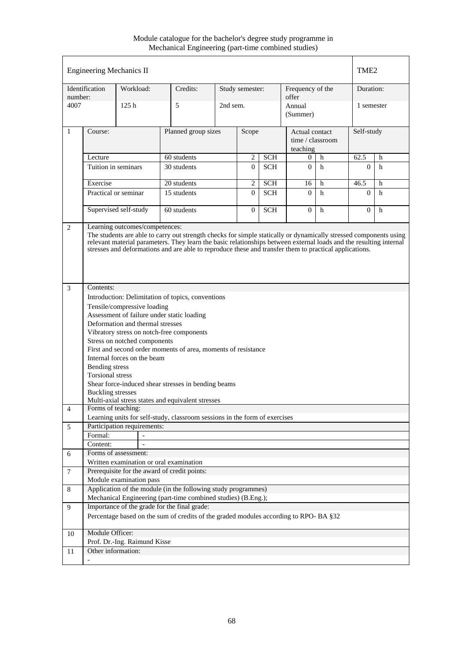|                 |                                                                                                                                                                                                                                                                                                                                                                                     | <b>Engineering Mechanics II</b>                                                                                                |                                                                                                                                                                                                                                                                                                                           |          |                 |            |                                                |   | TME <sub>2</sub> |   |
|-----------------|-------------------------------------------------------------------------------------------------------------------------------------------------------------------------------------------------------------------------------------------------------------------------------------------------------------------------------------------------------------------------------------|--------------------------------------------------------------------------------------------------------------------------------|---------------------------------------------------------------------------------------------------------------------------------------------------------------------------------------------------------------------------------------------------------------------------------------------------------------------------|----------|-----------------|------------|------------------------------------------------|---|------------------|---|
|                 | Identification                                                                                                                                                                                                                                                                                                                                                                      | Workload:                                                                                                                      | Credits:                                                                                                                                                                                                                                                                                                                  |          | Study semester: |            | Frequency of the                               |   | Duration:        |   |
| number:<br>4007 |                                                                                                                                                                                                                                                                                                                                                                                     | 125h                                                                                                                           | 5                                                                                                                                                                                                                                                                                                                         | 2nd sem. |                 |            | offer<br>Annual<br>(Summer)                    |   | 1 semester       |   |
| 1               | Course:                                                                                                                                                                                                                                                                                                                                                                             |                                                                                                                                | Planned group sizes                                                                                                                                                                                                                                                                                                       |          | Scope           |            | Actual contact<br>time / classroom<br>teaching |   | Self-study       |   |
|                 | Lecture                                                                                                                                                                                                                                                                                                                                                                             |                                                                                                                                | 60 students                                                                                                                                                                                                                                                                                                               |          | 2               | <b>SCH</b> | 0                                              | h | 62.5             | h |
|                 |                                                                                                                                                                                                                                                                                                                                                                                     | Tuition in seminars                                                                                                            | 30 students                                                                                                                                                                                                                                                                                                               |          | $\theta$        | <b>SCH</b> | $\Omega$                                       | h | $\Omega$         | h |
|                 | Exercise                                                                                                                                                                                                                                                                                                                                                                            |                                                                                                                                | 20 students                                                                                                                                                                                                                                                                                                               |          | 2               | <b>SCH</b> | 16                                             | h | 46.5             | h |
|                 |                                                                                                                                                                                                                                                                                                                                                                                     | Practical or seminar                                                                                                           | 15 students                                                                                                                                                                                                                                                                                                               |          | $\Omega$        | <b>SCH</b> | $\Omega$                                       | h | $\Omega$         | h |
|                 |                                                                                                                                                                                                                                                                                                                                                                                     | Supervised self-study                                                                                                          | 60 students                                                                                                                                                                                                                                                                                                               |          | $\overline{0}$  | <b>SCH</b> | $\Omega$                                       | h | $\overline{0}$   | h |
| $\overline{2}$  | Learning outcomes/competences:<br>The students are able to carry out strength checks for simple statically or dynamically stressed components using<br>relevant material parameters. They learn the basic relationships between external loads and the resulting internal<br>stresses and deformations and are able to reproduce these and transfer them to practical applications. |                                                                                                                                |                                                                                                                                                                                                                                                                                                                           |          |                 |            |                                                |   |                  |   |
| 3               | Contents:                                                                                                                                                                                                                                                                                                                                                                           |                                                                                                                                |                                                                                                                                                                                                                                                                                                                           |          |                 |            |                                                |   |                  |   |
|                 | Bending stress<br><b>Torsional stress</b><br><b>Buckling stresses</b>                                                                                                                                                                                                                                                                                                               | Tensile/compressive loading<br>Deformation and thermal stresses<br>Stress on notched components<br>Internal forces on the beam | Introduction: Delimitation of topics, conventions<br>Assessment of failure under static loading<br>Vibratory stress on notch-free components<br>First and second order moments of area, moments of resistance<br>Shear force-induced shear stresses in bending beams<br>Multi-axial stress states and equivalent stresses |          |                 |            |                                                |   |                  |   |
| 4               |                                                                                                                                                                                                                                                                                                                                                                                     | Forms of teaching:                                                                                                             | Learning units for self-study, classroom sessions in the form of exercises                                                                                                                                                                                                                                                |          |                 |            |                                                |   |                  |   |
| 5               |                                                                                                                                                                                                                                                                                                                                                                                     | Participation requirements:                                                                                                    |                                                                                                                                                                                                                                                                                                                           |          |                 |            |                                                |   |                  |   |
|                 | Formal:                                                                                                                                                                                                                                                                                                                                                                             |                                                                                                                                |                                                                                                                                                                                                                                                                                                                           |          |                 |            |                                                |   |                  |   |
|                 | Content:                                                                                                                                                                                                                                                                                                                                                                            | $\qquad \qquad \blacksquare$                                                                                                   |                                                                                                                                                                                                                                                                                                                           |          |                 |            |                                                |   |                  |   |
| 6               |                                                                                                                                                                                                                                                                                                                                                                                     | Forms of assessment:                                                                                                           |                                                                                                                                                                                                                                                                                                                           |          |                 |            |                                                |   |                  |   |
|                 |                                                                                                                                                                                                                                                                                                                                                                                     | Written examination or oral examination                                                                                        | Prerequisite for the award of credit points:                                                                                                                                                                                                                                                                              |          |                 |            |                                                |   |                  |   |
| $\tau$          |                                                                                                                                                                                                                                                                                                                                                                                     | Module examination pass                                                                                                        |                                                                                                                                                                                                                                                                                                                           |          |                 |            |                                                |   |                  |   |
| 8               |                                                                                                                                                                                                                                                                                                                                                                                     |                                                                                                                                | Application of the module (in the following study programmes)                                                                                                                                                                                                                                                             |          |                 |            |                                                |   |                  |   |
|                 |                                                                                                                                                                                                                                                                                                                                                                                     |                                                                                                                                | Mechanical Engineering (part-time combined studies) (B.Eng.);                                                                                                                                                                                                                                                             |          |                 |            |                                                |   |                  |   |
| 9               |                                                                                                                                                                                                                                                                                                                                                                                     |                                                                                                                                | Importance of the grade for the final grade:<br>Percentage based on the sum of credits of the graded modules according to RPO-BA §32                                                                                                                                                                                      |          |                 |            |                                                |   |                  |   |
| 10              | Module Officer:                                                                                                                                                                                                                                                                                                                                                                     |                                                                                                                                |                                                                                                                                                                                                                                                                                                                           |          |                 |            |                                                |   |                  |   |
|                 |                                                                                                                                                                                                                                                                                                                                                                                     | Prof. Dr.-Ing. Raimund Kisse                                                                                                   |                                                                                                                                                                                                                                                                                                                           |          |                 |            |                                                |   |                  |   |
| 11              | Other information:                                                                                                                                                                                                                                                                                                                                                                  |                                                                                                                                |                                                                                                                                                                                                                                                                                                                           |          |                 |            |                                                |   |                  |   |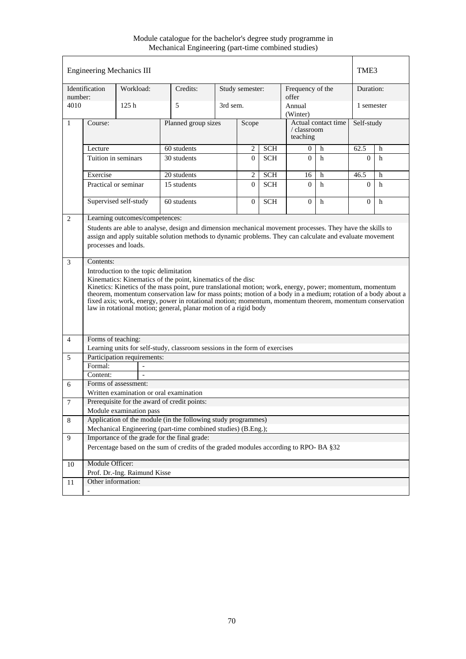Module catalogue for the bachelor's degree study programme in Mechanical Engineering (part-time combined studies)

|                |                     | <b>Engineering Mechanics III</b>                               |                                                                                                                                                                                                                                                                                                                                                                                                                                                                                                                                                                                                                                                                                                 |          |                 |                                                |                           |            | TME3           |   |
|----------------|---------------------|----------------------------------------------------------------|-------------------------------------------------------------------------------------------------------------------------------------------------------------------------------------------------------------------------------------------------------------------------------------------------------------------------------------------------------------------------------------------------------------------------------------------------------------------------------------------------------------------------------------------------------------------------------------------------------------------------------------------------------------------------------------------------|----------|-----------------|------------------------------------------------|---------------------------|------------|----------------|---|
| number:        | Identification      | Workload:                                                      | Credits:                                                                                                                                                                                                                                                                                                                                                                                                                                                                                                                                                                                                                                                                                        |          | Study semester: |                                                | Frequency of the<br>offer |            | Duration:      |   |
| 4010           |                     | 125h                                                           | 5                                                                                                                                                                                                                                                                                                                                                                                                                                                                                                                                                                                                                                                                                               | 3rd sem. |                 |                                                | Annual<br>(Winter)        |            | 1 semester     |   |
| 1              | Course:             |                                                                | Planned group sizes                                                                                                                                                                                                                                                                                                                                                                                                                                                                                                                                                                                                                                                                             | Scope    |                 | Actual contact time<br>/ classroom<br>teaching |                           | Self-study |                |   |
|                | Lecture             |                                                                | 60 students                                                                                                                                                                                                                                                                                                                                                                                                                                                                                                                                                                                                                                                                                     |          | 2               | <b>SCH</b>                                     | $\overline{0}$            | h          | 62.5           | h |
|                | Tuition in seminars |                                                                | 30 students                                                                                                                                                                                                                                                                                                                                                                                                                                                                                                                                                                                                                                                                                     |          | $\Omega$        | <b>SCH</b>                                     | $\Omega$                  | h          | $\Omega$       | h |
|                | Exercise            |                                                                | 20 students                                                                                                                                                                                                                                                                                                                                                                                                                                                                                                                                                                                                                                                                                     |          | $\overline{c}$  | <b>SCH</b>                                     | 16                        | h          | 46.5           | h |
|                |                     | Practical or seminar                                           | 15 students                                                                                                                                                                                                                                                                                                                                                                                                                                                                                                                                                                                                                                                                                     |          | $\overline{0}$  | <b>SCH</b>                                     | $\Omega$                  | h          | $\overline{0}$ | h |
|                |                     | Supervised self-study                                          | 60 students                                                                                                                                                                                                                                                                                                                                                                                                                                                                                                                                                                                                                                                                                     |          | $\overline{0}$  | <b>SCH</b>                                     | $\Omega$                  | h          | $\overline{0}$ | h |
| 3              | Contents:           | processes and loads.<br>Introduction to the topic delimitation | Students are able to analyse, design and dimension mechanical movement processes. They have the skills to<br>assign and apply suitable solution methods to dynamic problems. They can calculate and evaluate movement<br>Kinematics: Kinematics of the point, kinematics of the disc<br>Kinetics: Kinetics of the mass point, pure translational motion; work, energy, power; momentum, momentum<br>theorem, momentum conservation law for mass points; motion of a body in a medium; rotation of a body about a<br>fixed axis; work, energy, power in rotational motion; momentum, momentum theorem, momentum conservation<br>law in rotational motion; general, planar motion of a rigid body |          |                 |                                                |                           |            |                |   |
| $\overline{4}$ | Forms of teaching:  |                                                                |                                                                                                                                                                                                                                                                                                                                                                                                                                                                                                                                                                                                                                                                                                 |          |                 |                                                |                           |            |                |   |
|                |                     |                                                                | Learning units for self-study, classroom sessions in the form of exercises                                                                                                                                                                                                                                                                                                                                                                                                                                                                                                                                                                                                                      |          |                 |                                                |                           |            |                |   |
| 5              |                     | Participation requirements:                                    |                                                                                                                                                                                                                                                                                                                                                                                                                                                                                                                                                                                                                                                                                                 |          |                 |                                                |                           |            |                |   |
|                | Formal:             | $\equiv$                                                       |                                                                                                                                                                                                                                                                                                                                                                                                                                                                                                                                                                                                                                                                                                 |          |                 |                                                |                           |            |                |   |
|                | Content:            |                                                                |                                                                                                                                                                                                                                                                                                                                                                                                                                                                                                                                                                                                                                                                                                 |          |                 |                                                |                           |            |                |   |
| 6              |                     | Forms of assessment:                                           |                                                                                                                                                                                                                                                                                                                                                                                                                                                                                                                                                                                                                                                                                                 |          |                 |                                                |                           |            |                |   |
|                |                     |                                                                | Written examination or oral examination                                                                                                                                                                                                                                                                                                                                                                                                                                                                                                                                                                                                                                                         |          |                 |                                                |                           |            |                |   |
| $\tau$         |                     |                                                                | Prerequisite for the award of credit points:                                                                                                                                                                                                                                                                                                                                                                                                                                                                                                                                                                                                                                                    |          |                 |                                                |                           |            |                |   |
|                |                     | Module examination pass                                        |                                                                                                                                                                                                                                                                                                                                                                                                                                                                                                                                                                                                                                                                                                 |          |                 |                                                |                           |            |                |   |
| 8              |                     |                                                                | Application of the module (in the following study programmes)                                                                                                                                                                                                                                                                                                                                                                                                                                                                                                                                                                                                                                   |          |                 |                                                |                           |            |                |   |
|                |                     |                                                                | Mechanical Engineering (part-time combined studies) (B.Eng.);                                                                                                                                                                                                                                                                                                                                                                                                                                                                                                                                                                                                                                   |          |                 |                                                |                           |            |                |   |
| 9              |                     |                                                                | Importance of the grade for the final grade:                                                                                                                                                                                                                                                                                                                                                                                                                                                                                                                                                                                                                                                    |          |                 |                                                |                           |            |                |   |
|                |                     |                                                                | Percentage based on the sum of credits of the graded modules according to RPO- BA §32                                                                                                                                                                                                                                                                                                                                                                                                                                                                                                                                                                                                           |          |                 |                                                |                           |            |                |   |
| 10             | Module Officer:     |                                                                |                                                                                                                                                                                                                                                                                                                                                                                                                                                                                                                                                                                                                                                                                                 |          |                 |                                                |                           |            |                |   |
|                |                     | Prof. Dr.-Ing. Raimund Kisse                                   |                                                                                                                                                                                                                                                                                                                                                                                                                                                                                                                                                                                                                                                                                                 |          |                 |                                                |                           |            |                |   |
| 11             | Other information:  |                                                                |                                                                                                                                                                                                                                                                                                                                                                                                                                                                                                                                                                                                                                                                                                 |          |                 |                                                |                           |            |                |   |
|                |                     |                                                                |                                                                                                                                                                                                                                                                                                                                                                                                                                                                                                                                                                                                                                                                                                 |          |                 |                                                |                           |            |                |   |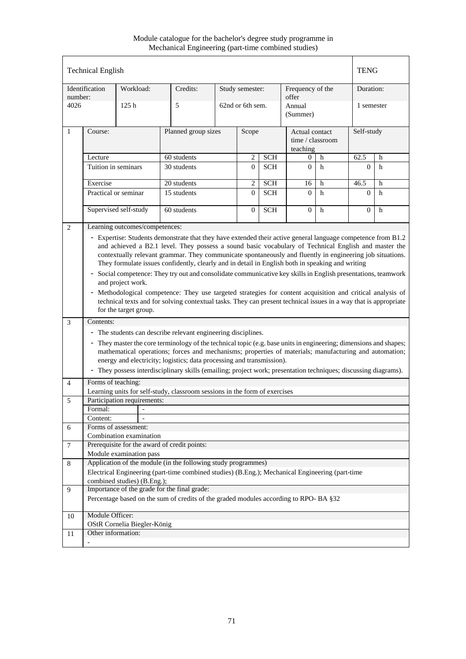Module catalogue for the bachelor's degree study programme in Mechanical Engineering (part-time combined studies)

|                | <b>Technical English</b> |                                            |                                                                                                                                                                                                                                                                                                                                                                                                                                                                                                                                                                                                                                                                          |                     |                  |            |                                                |   | <b>TENG</b>    |   |
|----------------|--------------------------|--------------------------------------------|--------------------------------------------------------------------------------------------------------------------------------------------------------------------------------------------------------------------------------------------------------------------------------------------------------------------------------------------------------------------------------------------------------------------------------------------------------------------------------------------------------------------------------------------------------------------------------------------------------------------------------------------------------------------------|---------------------|------------------|------------|------------------------------------------------|---|----------------|---|
| number:        | Identification           | Workload:                                  | Credits:                                                                                                                                                                                                                                                                                                                                                                                                                                                                                                                                                                                                                                                                 |                     | Study semester:  |            | Frequency of the<br>offer                      |   | Duration:      |   |
| 4026           |                          | 125h                                       | 5                                                                                                                                                                                                                                                                                                                                                                                                                                                                                                                                                                                                                                                                        |                     | 62nd or 6th sem. |            | Annual<br>(Summer)                             |   | 1 semester     |   |
| $\mathbf{1}$   | Course:                  |                                            |                                                                                                                                                                                                                                                                                                                                                                                                                                                                                                                                                                                                                                                                          | Planned group sizes |                  | Scope      | Actual contact<br>time / classroom<br>teaching |   | Self-study     |   |
|                | Lecture                  |                                            | 60 students                                                                                                                                                                                                                                                                                                                                                                                                                                                                                                                                                                                                                                                              |                     |                  | <b>SCH</b> | h<br>0                                         |   | 62.5<br>h      |   |
|                | Tuition in seminars      |                                            | 30 students                                                                                                                                                                                                                                                                                                                                                                                                                                                                                                                                                                                                                                                              |                     | $\Omega$         | <b>SCH</b> | $\Omega$                                       | h | $\Omega$       | h |
|                | Exercise                 |                                            | 20 students                                                                                                                                                                                                                                                                                                                                                                                                                                                                                                                                                                                                                                                              |                     | 2                | <b>SCH</b> | 16                                             | h | 46.5           | h |
|                |                          | Practical or seminar                       | 15 students                                                                                                                                                                                                                                                                                                                                                                                                                                                                                                                                                                                                                                                              |                     | $\Omega$         | <b>SCH</b> | $\Omega$                                       | h | $\overline{0}$ | h |
|                |                          | Supervised self-study                      | 60 students                                                                                                                                                                                                                                                                                                                                                                                                                                                                                                                                                                                                                                                              |                     | $\overline{0}$   | <b>SCH</b> | $\mathbf{0}$                                   | h | $\overline{0}$ | h |
| $\overline{3}$ | Contents:                | and project work.<br>for the target group. | and achieved a B2.1 level. They possess a sound basic vocabulary of Technical English and master the<br>contextually relevant grammar. They communicate spontaneously and fluently in engineering job situations.<br>They formulate issues confidently, clearly and in detail in English both in speaking and writing<br>- Social competence: They try out and consolidate communicative key skills in English presentations, teamwork<br>- Methodological competence: They use targeted strategies for content acquisition and critical analysis of<br>technical texts and for solving contextual tasks. They can present technical issues in a way that is appropriate |                     |                  |            |                                                |   |                |   |
|                |                          |                                            | - The students can describe relevant engineering disciplines.<br>- They master the core terminology of the technical topic (e.g. base units in engineering; dimensions and shapes;<br>mathematical operations; forces and mechanisms; properties of materials; manufacturing and automation;<br>energy and electricity; logistics; data processing and transmission).<br>- They possess interdisciplinary skills (emailing; project work; presentation techniques; discussing diagrams).                                                                                                                                                                                 |                     |                  |            |                                                |   |                |   |
| $\overline{4}$ | Forms of teaching:       |                                            | Learning units for self-study, classroom sessions in the form of exercises                                                                                                                                                                                                                                                                                                                                                                                                                                                                                                                                                                                               |                     |                  |            |                                                |   |                |   |
| 5              | Formal:                  | Participation requirements:                |                                                                                                                                                                                                                                                                                                                                                                                                                                                                                                                                                                                                                                                                          |                     |                  |            |                                                |   |                |   |
|                | Content:                 |                                            |                                                                                                                                                                                                                                                                                                                                                                                                                                                                                                                                                                                                                                                                          |                     |                  |            |                                                |   |                |   |
| 6              |                          | Forms of assessment:                       |                                                                                                                                                                                                                                                                                                                                                                                                                                                                                                                                                                                                                                                                          |                     |                  |            |                                                |   |                |   |
|                |                          | Combination examination                    |                                                                                                                                                                                                                                                                                                                                                                                                                                                                                                                                                                                                                                                                          |                     |                  |            |                                                |   |                |   |
| $\overline{7}$ |                          | Module examination pass                    | Prerequisite for the award of credit points:                                                                                                                                                                                                                                                                                                                                                                                                                                                                                                                                                                                                                             |                     |                  |            |                                                |   |                |   |
| $\,8\,$        |                          |                                            | Application of the module (in the following study programmes)                                                                                                                                                                                                                                                                                                                                                                                                                                                                                                                                                                                                            |                     |                  |            |                                                |   |                |   |
|                |                          | combined studies) (B.Eng.);                | Electrical Engineering (part-time combined studies) (B.Eng.); Mechanical Engineering (part-time                                                                                                                                                                                                                                                                                                                                                                                                                                                                                                                                                                          |                     |                  |            |                                                |   |                |   |
| 9              |                          |                                            | Importance of the grade for the final grade:<br>Percentage based on the sum of credits of the graded modules according to RPO- BA §32                                                                                                                                                                                                                                                                                                                                                                                                                                                                                                                                    |                     |                  |            |                                                |   |                |   |
|                |                          |                                            |                                                                                                                                                                                                                                                                                                                                                                                                                                                                                                                                                                                                                                                                          |                     |                  |            |                                                |   |                |   |
| 10             | Module Officer:          | OStR Cornelia Biegler-König                |                                                                                                                                                                                                                                                                                                                                                                                                                                                                                                                                                                                                                                                                          |                     |                  |            |                                                |   |                |   |
| 11             | Other information:       |                                            |                                                                                                                                                                                                                                                                                                                                                                                                                                                                                                                                                                                                                                                                          |                     |                  |            |                                                |   |                |   |
|                |                          |                                            |                                                                                                                                                                                                                                                                                                                                                                                                                                                                                                                                                                                                                                                                          |                     |                  |            |                                                |   |                |   |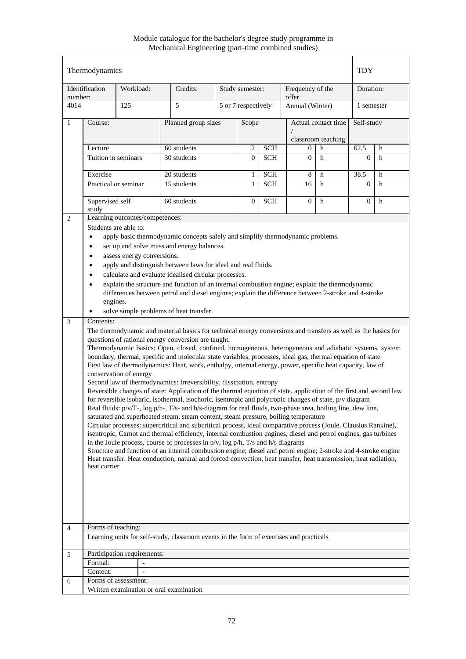Module catalogue for the bachelor's degree study programme in Mechanical Engineering (part-time combined studies)

|                | Thermodynamics           |                                                  |                                                                                                                                                                                                                         |                     |                     |            |                                           |   | <b>TDY</b>       |   |
|----------------|--------------------------|--------------------------------------------------|-------------------------------------------------------------------------------------------------------------------------------------------------------------------------------------------------------------------------|---------------------|---------------------|------------|-------------------------------------------|---|------------------|---|
| number:        | Identification           | Workload:                                        | Credits:                                                                                                                                                                                                                |                     | Study semester:     |            | Frequency of the<br>offer                 |   | Duration:        |   |
| 4014           |                          | 125                                              | 5                                                                                                                                                                                                                       |                     | 5 or 7 respectively |            | Annual (Winter)                           |   | 1 semester       |   |
| 1              | Course:                  |                                                  |                                                                                                                                                                                                                         | Planned group sizes |                     | Scope      | Actual contact time<br>classroom teaching |   | Self-study       |   |
|                | Lecture                  |                                                  | 60 students                                                                                                                                                                                                             |                     | 2                   | <b>SCH</b> | 0                                         | h | 62.5<br>h        |   |
|                | Tuition in seminars      |                                                  | 30 students                                                                                                                                                                                                             |                     | $\Omega$            | <b>SCH</b> | 0                                         | h | $\Omega$         | h |
|                | Exercise                 |                                                  | 20 students                                                                                                                                                                                                             |                     | 1                   | <b>SCH</b> | 8                                         | h | 38.5             | h |
|                |                          | Practical or seminar                             | 15 students                                                                                                                                                                                                             |                     | 1                   | <b>SCH</b> | 16                                        | h | $\Omega$         | h |
|                | Supervised self<br>study |                                                  | 60 students                                                                                                                                                                                                             |                     | $\mathbf{0}$        | <b>SCH</b> | $\overline{0}$                            | h | $\boldsymbol{0}$ | h |
| 2              |                          | Learning outcomes/competences:                   |                                                                                                                                                                                                                         |                     |                     |            |                                           |   |                  |   |
|                |                          | Students are able to:                            |                                                                                                                                                                                                                         |                     |                     |            |                                           |   |                  |   |
|                | $\bullet$                |                                                  | apply basic thermodynamic concepts safely and simplify thermodynamic problems.                                                                                                                                          |                     |                     |            |                                           |   |                  |   |
|                | $\bullet$                |                                                  | set up and solve mass and energy balances.                                                                                                                                                                              |                     |                     |            |                                           |   |                  |   |
|                | $\bullet$                | assess energy conversions.                       |                                                                                                                                                                                                                         |                     |                     |            |                                           |   |                  |   |
|                | $\bullet$<br>$\bullet$   |                                                  | apply and distinguish between laws for ideal and real fluids.<br>calculate and evaluate idealised circular processes.                                                                                                   |                     |                     |            |                                           |   |                  |   |
|                | $\bullet$                |                                                  | explain the structure and function of an internal combustion engine; explain the thermodynamic                                                                                                                          |                     |                     |            |                                           |   |                  |   |
|                |                          |                                                  | differences between petrol and diesel engines; explain the difference between 2-stroke and 4-stroke                                                                                                                     |                     |                     |            |                                           |   |                  |   |
|                | engines.                 |                                                  |                                                                                                                                                                                                                         |                     |                     |            |                                           |   |                  |   |
|                |                          |                                                  | solve simple problems of heat transfer.                                                                                                                                                                                 |                     |                     |            |                                           |   |                  |   |
| 3              | Contents:                |                                                  |                                                                                                                                                                                                                         |                     |                     |            |                                           |   |                  |   |
|                |                          |                                                  | The thermodynamic and material basics for technical energy conversions and transfers as well as the basics for<br>questions of rational energy conversion are taught.                                                   |                     |                     |            |                                           |   |                  |   |
|                |                          |                                                  | Thermodynamic basics: Open, closed, confined, homogeneous, heterogeneous and adiabatic systems, system                                                                                                                  |                     |                     |            |                                           |   |                  |   |
|                |                          |                                                  | boundary, thermal, specific and molecular state variables, processes, ideal gas, thermal equation of state<br>First law of thermodynamics: Heat, work, enthalpy, internal energy, power, specific heat capacity, law of |                     |                     |            |                                           |   |                  |   |
|                |                          | conservation of energy                           |                                                                                                                                                                                                                         |                     |                     |            |                                           |   |                  |   |
|                |                          |                                                  | Second law of thermodynamics: Irreversibility, dissipation, entropy                                                                                                                                                     |                     |                     |            |                                           |   |                  |   |
|                |                          |                                                  | Reversible changes of state: Application of the thermal equation of state, application of the first and second law                                                                                                      |                     |                     |            |                                           |   |                  |   |
|                |                          |                                                  | for reversible isobaric, isothermal, isochoric, isentropic and polytropic changes of state, $p/v$ diagram                                                                                                               |                     |                     |            |                                           |   |                  |   |
|                |                          |                                                  | Real fluids: p/v/T-, log p/h-, T/s- and h/s-diagram for real fluids, two-phase area, boiling line, dew line,<br>saturated and superheated steam, steam content, steam pressure, boiling temperature                     |                     |                     |            |                                           |   |                  |   |
|                |                          |                                                  | Circular processes: supercritical and subcritical process, ideal comparative process (Joule, Clausius Rankine),                                                                                                         |                     |                     |            |                                           |   |                  |   |
|                |                          |                                                  | isentropic, Carnot and thermal efficiency, internal combustion engines, diesel and petrol engines, gas turbines                                                                                                         |                     |                     |            |                                           |   |                  |   |
|                |                          |                                                  | in the Joule process, course of processes in $p/v$ , $\log p/h$ , $T/s$ and $h/s$ diagrams                                                                                                                              |                     |                     |            |                                           |   |                  |   |
|                |                          |                                                  | Structure and function of an internal combustion engine; diesel and petrol engine; 2-stroke and 4-stroke engine                                                                                                         |                     |                     |            |                                           |   |                  |   |
|                | heat carrier             |                                                  | Heat transfer: Heat conduction, natural and forced convection, heat transfer, heat transmission, heat radiation,                                                                                                        |                     |                     |            |                                           |   |                  |   |
|                |                          |                                                  |                                                                                                                                                                                                                         |                     |                     |            |                                           |   |                  |   |
|                |                          |                                                  |                                                                                                                                                                                                                         |                     |                     |            |                                           |   |                  |   |
|                |                          |                                                  |                                                                                                                                                                                                                         |                     |                     |            |                                           |   |                  |   |
|                |                          |                                                  |                                                                                                                                                                                                                         |                     |                     |            |                                           |   |                  |   |
|                |                          |                                                  |                                                                                                                                                                                                                         |                     |                     |            |                                           |   |                  |   |
| $\overline{4}$ | Forms of teaching:       |                                                  |                                                                                                                                                                                                                         |                     |                     |            |                                           |   |                  |   |
|                |                          |                                                  | Learning units for self-study, classroom events in the form of exercises and practicals                                                                                                                                 |                     |                     |            |                                           |   |                  |   |
| 5              |                          | Participation requirements:                      |                                                                                                                                                                                                                         |                     |                     |            |                                           |   |                  |   |
|                | Formal:                  |                                                  |                                                                                                                                                                                                                         |                     |                     |            |                                           |   |                  |   |
|                | Content:                 | $\overline{\phantom{m}}$<br>Forms of assessment: |                                                                                                                                                                                                                         |                     |                     |            |                                           |   |                  |   |
| 6              |                          |                                                  | Written examination or oral examination                                                                                                                                                                                 |                     |                     |            |                                           |   |                  |   |
|                |                          |                                                  |                                                                                                                                                                                                                         |                     |                     |            |                                           |   |                  |   |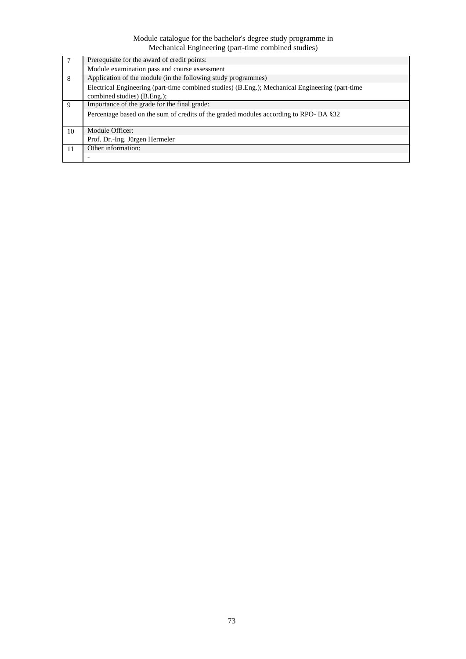|    | Prerequisite for the award of credit points:                                                    |
|----|-------------------------------------------------------------------------------------------------|
|    | Module examination pass and course assessment                                                   |
| 8  | Application of the module (in the following study programmes)                                   |
|    | Electrical Engineering (part-time combined studies) (B.Eng.); Mechanical Engineering (part-time |
|    | combined studies) (B.Eng.);                                                                     |
| 9  | Importance of the grade for the final grade:                                                    |
|    | Percentage based on the sum of credits of the graded modules according to RPO-BA §32            |
|    |                                                                                                 |
| 10 | Module Officer:                                                                                 |
|    | Prof. Dr.-Ing. Jürgen Hermeler                                                                  |
| 11 | Other information:                                                                              |
|    |                                                                                                 |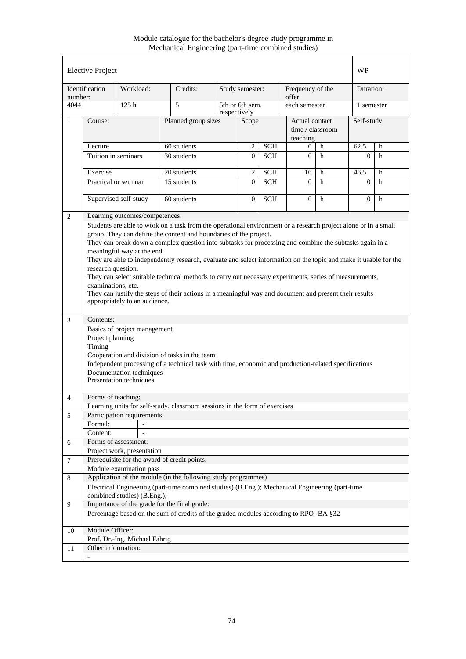Module catalogue for the bachelor's degree study programme in Mechanical Engineering (part-time combined studies)

|                  | <b>Elective Project</b>                                                                                                                                                                                                                                                                                                                                                                                                                                                                                                                                                                                                                                                                                                                                                             |                                                                                     |                                                                                                                                                       |  |                                 |            |                                                |   | <b>WP</b>  |   |
|------------------|-------------------------------------------------------------------------------------------------------------------------------------------------------------------------------------------------------------------------------------------------------------------------------------------------------------------------------------------------------------------------------------------------------------------------------------------------------------------------------------------------------------------------------------------------------------------------------------------------------------------------------------------------------------------------------------------------------------------------------------------------------------------------------------|-------------------------------------------------------------------------------------|-------------------------------------------------------------------------------------------------------------------------------------------------------|--|---------------------------------|------------|------------------------------------------------|---|------------|---|
|                  | Identification                                                                                                                                                                                                                                                                                                                                                                                                                                                                                                                                                                                                                                                                                                                                                                      | Workload:                                                                           | Credits:                                                                                                                                              |  | Study semester:                 |            | Frequency of the                               |   | Duration:  |   |
| number:<br>4044  |                                                                                                                                                                                                                                                                                                                                                                                                                                                                                                                                                                                                                                                                                                                                                                                     | 125 <sub>h</sub>                                                                    | 5                                                                                                                                                     |  | 5th or 6th sem.<br>respectively |            | offer<br>each semester                         |   | 1 semester |   |
| $\mathbf{1}$     | Course:                                                                                                                                                                                                                                                                                                                                                                                                                                                                                                                                                                                                                                                                                                                                                                             |                                                                                     | Planned group sizes                                                                                                                                   |  | Scope                           |            | Actual contact<br>time / classroom<br>teaching |   | Self-study |   |
|                  | Lecture                                                                                                                                                                                                                                                                                                                                                                                                                                                                                                                                                                                                                                                                                                                                                                             |                                                                                     | 60 students                                                                                                                                           |  | $\overline{c}$<br><b>SCH</b>    |            | h<br>$\overline{0}$                            |   | 62.5       | h |
|                  |                                                                                                                                                                                                                                                                                                                                                                                                                                                                                                                                                                                                                                                                                                                                                                                     | Tuition in seminars                                                                 | 30 students                                                                                                                                           |  | $\Omega$                        | <b>SCH</b> | $\Omega$                                       | h | $\Omega$   | h |
|                  | Exercise                                                                                                                                                                                                                                                                                                                                                                                                                                                                                                                                                                                                                                                                                                                                                                            |                                                                                     | 20 students                                                                                                                                           |  | $\overline{c}$                  | <b>SCH</b> | 16                                             | h | 46.5       | h |
|                  |                                                                                                                                                                                                                                                                                                                                                                                                                                                                                                                                                                                                                                                                                                                                                                                     | Practical or seminar                                                                | 15 students                                                                                                                                           |  |                                 | <b>SCH</b> | $\Omega$                                       | h | $\Omega$   | h |
|                  |                                                                                                                                                                                                                                                                                                                                                                                                                                                                                                                                                                                                                                                                                                                                                                                     | Supervised self-study                                                               | 60 students                                                                                                                                           |  | 0                               | <b>SCH</b> | $\Omega$                                       | h | $\Omega$   | h |
| 3                | Learning outcomes/competences:<br>Students are able to work on a task from the operational environment or a research project alone or in a small<br>group. They can define the content and boundaries of the project.<br>They can break down a complex question into subtasks for processing and combine the subtasks again in a<br>meaningful way at the end.<br>They are able to independently research, evaluate and select information on the topic and make it usable for the<br>research question.<br>They can select suitable technical methods to carry out necessary experiments, series of measurements,<br>examinations, etc.<br>They can justify the steps of their actions in a meaningful way and document and present their results<br>appropriately to an audience. |                                                                                     |                                                                                                                                                       |  |                                 |            |                                                |   |            |   |
|                  | Project planning<br>Timing                                                                                                                                                                                                                                                                                                                                                                                                                                                                                                                                                                                                                                                                                                                                                          | Basics of project management<br>Documentation techniques<br>Presentation techniques | Cooperation and division of tasks in the team<br>Independent processing of a technical task with time, economic and production-related specifications |  |                                 |            |                                                |   |            |   |
| $\overline{4}$   | Forms of teaching:                                                                                                                                                                                                                                                                                                                                                                                                                                                                                                                                                                                                                                                                                                                                                                  |                                                                                     | Learning units for self-study, classroom sessions in the form of exercises                                                                            |  |                                 |            |                                                |   |            |   |
| 5                |                                                                                                                                                                                                                                                                                                                                                                                                                                                                                                                                                                                                                                                                                                                                                                                     | Participation requirements:                                                         |                                                                                                                                                       |  |                                 |            |                                                |   |            |   |
|                  | Formal:                                                                                                                                                                                                                                                                                                                                                                                                                                                                                                                                                                                                                                                                                                                                                                             |                                                                                     |                                                                                                                                                       |  |                                 |            |                                                |   |            |   |
|                  | Content:                                                                                                                                                                                                                                                                                                                                                                                                                                                                                                                                                                                                                                                                                                                                                                            |                                                                                     |                                                                                                                                                       |  |                                 |            |                                                |   |            |   |
| 6                |                                                                                                                                                                                                                                                                                                                                                                                                                                                                                                                                                                                                                                                                                                                                                                                     | Forms of assessment:                                                                |                                                                                                                                                       |  |                                 |            |                                                |   |            |   |
|                  |                                                                                                                                                                                                                                                                                                                                                                                                                                                                                                                                                                                                                                                                                                                                                                                     | Project work, presentation                                                          |                                                                                                                                                       |  |                                 |            |                                                |   |            |   |
| $\boldsymbol{7}$ |                                                                                                                                                                                                                                                                                                                                                                                                                                                                                                                                                                                                                                                                                                                                                                                     |                                                                                     | Prerequisite for the award of credit points:                                                                                                          |  |                                 |            |                                                |   |            |   |
| $\,8\,$          |                                                                                                                                                                                                                                                                                                                                                                                                                                                                                                                                                                                                                                                                                                                                                                                     | Module examination pass                                                             | Application of the module (in the following study programmes)                                                                                         |  |                                 |            |                                                |   |            |   |
|                  |                                                                                                                                                                                                                                                                                                                                                                                                                                                                                                                                                                                                                                                                                                                                                                                     | combined studies) (B.Eng.);                                                         | Electrical Engineering (part-time combined studies) (B.Eng.); Mechanical Engineering (part-time                                                       |  |                                 |            |                                                |   |            |   |
| 9                |                                                                                                                                                                                                                                                                                                                                                                                                                                                                                                                                                                                                                                                                                                                                                                                     |                                                                                     | Importance of the grade for the final grade:                                                                                                          |  |                                 |            |                                                |   |            |   |
|                  |                                                                                                                                                                                                                                                                                                                                                                                                                                                                                                                                                                                                                                                                                                                                                                                     |                                                                                     | Percentage based on the sum of credits of the graded modules according to RPO-BA §32                                                                  |  |                                 |            |                                                |   |            |   |
| 10               | Module Officer:                                                                                                                                                                                                                                                                                                                                                                                                                                                                                                                                                                                                                                                                                                                                                                     |                                                                                     |                                                                                                                                                       |  |                                 |            |                                                |   |            |   |
|                  |                                                                                                                                                                                                                                                                                                                                                                                                                                                                                                                                                                                                                                                                                                                                                                                     | Prof. Dr.-Ing. Michael Fahrig                                                       |                                                                                                                                                       |  |                                 |            |                                                |   |            |   |
| 11               | Other information:                                                                                                                                                                                                                                                                                                                                                                                                                                                                                                                                                                                                                                                                                                                                                                  |                                                                                     |                                                                                                                                                       |  |                                 |            |                                                |   |            |   |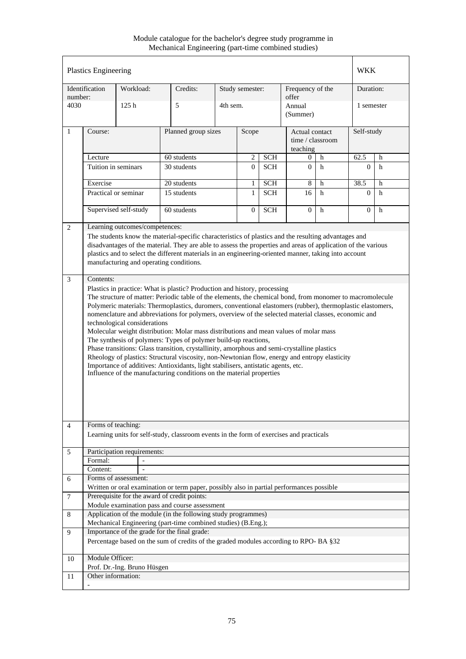Module catalogue for the bachelor's degree study programme in Mechanical Engineering (part-time combined studies)

|                       | <b>Plastics Engineering</b>   |                              |                                                                                                                                                                                                                                                                                                                                                                                                                                                                                                                                                                                                                               |                |                                  |            |                                                                                                            |                | <b>WKK</b>     |   |
|-----------------------|-------------------------------|------------------------------|-------------------------------------------------------------------------------------------------------------------------------------------------------------------------------------------------------------------------------------------------------------------------------------------------------------------------------------------------------------------------------------------------------------------------------------------------------------------------------------------------------------------------------------------------------------------------------------------------------------------------------|----------------|----------------------------------|------------|------------------------------------------------------------------------------------------------------------|----------------|----------------|---|
| number:               | Identification                | Workload:                    | Credits:                                                                                                                                                                                                                                                                                                                                                                                                                                                                                                                                                                                                                      |                | Study semester:                  |            | Frequency of the<br>offer                                                                                  |                | Duration:      |   |
| 4030                  |                               | 125h                         | 5                                                                                                                                                                                                                                                                                                                                                                                                                                                                                                                                                                                                                             | 4th sem.       |                                  |            | Annual<br>(Summer)                                                                                         |                | 1 semester     |   |
| $\mathbf{1}$          | Course:                       |                              | Planned group sizes                                                                                                                                                                                                                                                                                                                                                                                                                                                                                                                                                                                                           |                | Scope                            |            | Actual contact<br>time / classroom<br>teaching                                                             |                | Self-study     |   |
|                       | Lecture                       |                              | 60 students                                                                                                                                                                                                                                                                                                                                                                                                                                                                                                                                                                                                                   |                |                                  | <b>SCH</b> | 0                                                                                                          | h              | 62.5           | h |
|                       | Tuition in seminars           |                              | 30 students                                                                                                                                                                                                                                                                                                                                                                                                                                                                                                                                                                                                                   |                | $\overline{c}$<br>$\overline{0}$ | <b>SCH</b> | $\Omega$                                                                                                   | h              | $\overline{0}$ | h |
|                       | Exercise                      |                              | 20 students                                                                                                                                                                                                                                                                                                                                                                                                                                                                                                                                                                                                                   |                | $\mathbf{1}$                     | <b>SCH</b> | 8                                                                                                          | h              | 38.5           | h |
|                       |                               | Practical or seminar         | 15 students                                                                                                                                                                                                                                                                                                                                                                                                                                                                                                                                                                                                                   |                |                                  | <b>SCH</b> | 16                                                                                                         | h              | $\overline{0}$ | h |
|                       |                               | Supervised self-study        | 60 students                                                                                                                                                                                                                                                                                                                                                                                                                                                                                                                                                                                                                   | $\overline{0}$ | <b>SCH</b>                       | $\theta$   | h                                                                                                          | $\overline{0}$ | h              |   |
|                       |                               |                              | Plastics in practice: What is plastic? Production and history, processing<br>The structure of matter: Periodic table of the elements, the chemical bond, from monomer to macromolecule                                                                                                                                                                                                                                                                                                                                                                                                                                        |                |                                  |            |                                                                                                            |                |                |   |
|                       |                               | technological considerations | nomenclature and abbreviations for polymers, overview of the selected material classes, economic and<br>Molecular weight distribution: Molar mass distributions and mean values of molar mass<br>The synthesis of polymers: Types of polymer build-up reactions,<br>Phase transitions: Glass transition, crystallinity, amorphous and semi-crystalline plastics<br>Rheology of plastics: Structural viscosity, non-Newtonian flow, energy and entropy elasticity<br>Importance of additives: Antioxidants, light stabilisers, antistatic agents, etc.<br>Influence of the manufacturing conditions on the material properties |                |                                  |            | Polymeric materials: Thermoplastics, duromers, conventional elastomers (rubber), thermoplastic elastomers, |                |                |   |
|                       | Forms of teaching:<br>Formal: | Participation requirements:  | Learning units for self-study, classroom events in the form of exercises and practicals                                                                                                                                                                                                                                                                                                                                                                                                                                                                                                                                       |                |                                  |            |                                                                                                            |                |                |   |
| $\overline{4}$<br>5   | Content:                      |                              |                                                                                                                                                                                                                                                                                                                                                                                                                                                                                                                                                                                                                               |                |                                  |            |                                                                                                            |                |                |   |
|                       |                               | Forms of assessment:         |                                                                                                                                                                                                                                                                                                                                                                                                                                                                                                                                                                                                                               |                |                                  |            |                                                                                                            |                |                |   |
|                       |                               |                              | Written or oral examination or term paper, possibly also in partial performances possible                                                                                                                                                                                                                                                                                                                                                                                                                                                                                                                                     |                |                                  |            |                                                                                                            |                |                |   |
|                       |                               |                              | Prerequisite for the award of credit points:                                                                                                                                                                                                                                                                                                                                                                                                                                                                                                                                                                                  |                |                                  |            |                                                                                                            |                |                |   |
|                       |                               |                              | Module examination pass and course assessment                                                                                                                                                                                                                                                                                                                                                                                                                                                                                                                                                                                 |                |                                  |            |                                                                                                            |                |                |   |
|                       |                               |                              | Application of the module (in the following study programmes)                                                                                                                                                                                                                                                                                                                                                                                                                                                                                                                                                                 |                |                                  |            |                                                                                                            |                |                |   |
| 6<br>$\tau$<br>8<br>9 |                               |                              | Mechanical Engineering (part-time combined studies) (B.Eng.);<br>Importance of the grade for the final grade:<br>Percentage based on the sum of credits of the graded modules according to RPO-BA §32                                                                                                                                                                                                                                                                                                                                                                                                                         |                |                                  |            |                                                                                                            |                |                |   |
| 10                    | Module Officer:               | Prof. Dr.-Ing. Bruno Hüsgen  |                                                                                                                                                                                                                                                                                                                                                                                                                                                                                                                                                                                                                               |                |                                  |            |                                                                                                            |                |                |   |